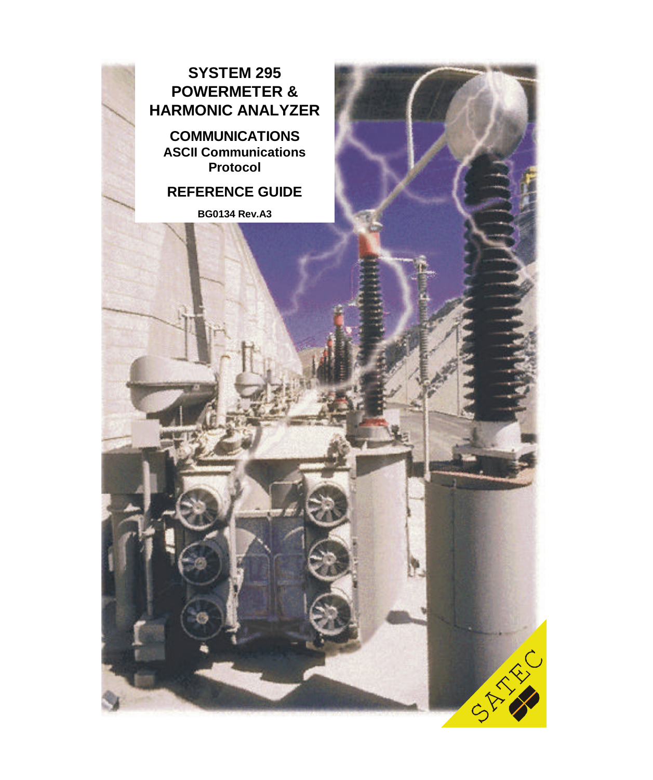

**COMMUNICATIONS ASCII Communications Protocol**

**REFERENCE GUIDE**

**BG0134 Rev.A3**

CAR RA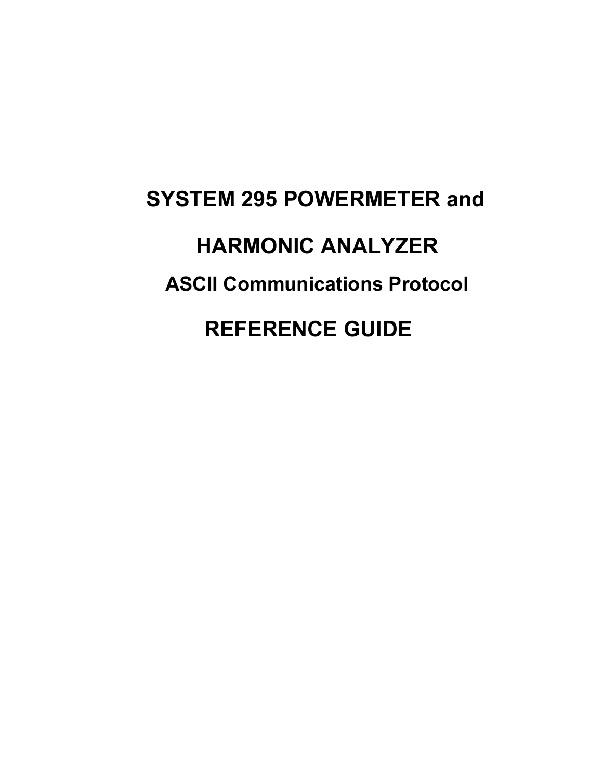# **SYSTEM 295 POWERMETER and HARMONIC ANALYZER ASCII Communications Protocol REFERENCE GUIDE**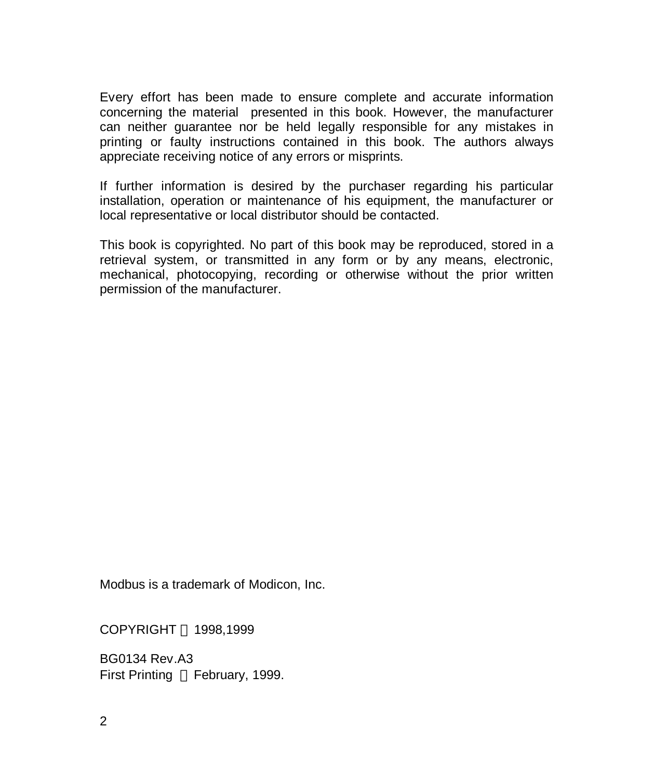Every effort has been made to ensure complete and accurate information concerning the material presented in this book. However, the manufacturer can neither guarantee nor be held legally responsible for any mistakes in printing or faulty instructions contained in this book. The authors always appreciate receiving notice of any errors or misprints.

If further information is desired by the purchaser regarding his particular installation, operation or maintenance of his equipment, the manufacturer or local representative or local distributor should be contacted.

This book is copyrighted. No part of this book may be reproduced, stored in a retrieval system, or transmitted in any form or by any means, electronic, mechanical, photocopying, recording or otherwise without the prior written permission of the manufacturer.

Modbus is a trademark of Modicon, Inc.

COPYRIGHT © 1998,1999

BG0134 Rev.A3 First Printing © February, 1999.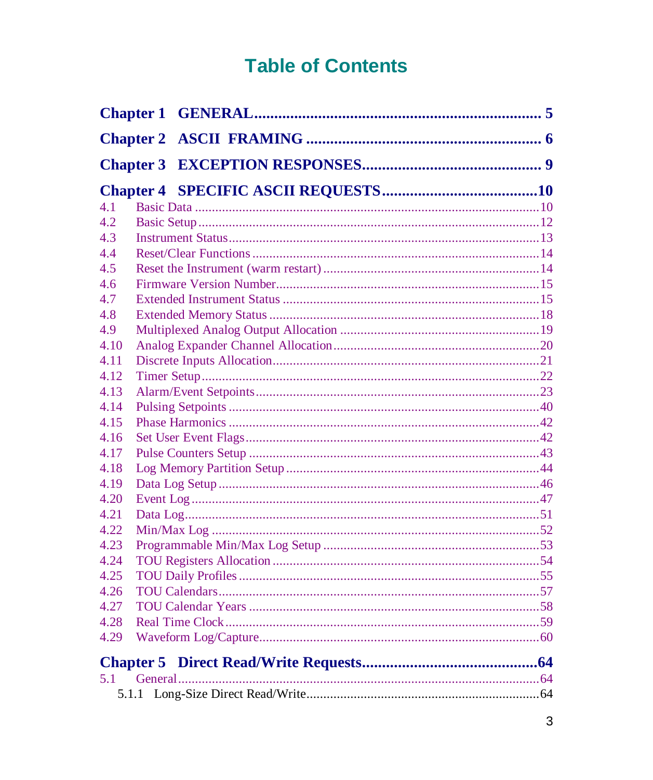# **Table of Contents**

| 4.1  |  |
|------|--|
| 4.2  |  |
| 4.3  |  |
| 4.4  |  |
| 4.5  |  |
| 4.6  |  |
| 4.7  |  |
| 4.8  |  |
| 4.9  |  |
| 4.10 |  |
| 4.11 |  |
| 4.12 |  |
| 4.13 |  |
| 4.14 |  |
| 4.15 |  |
| 4.16 |  |
| 4.17 |  |
| 4.18 |  |
| 4.19 |  |
| 4.20 |  |
| 4.21 |  |
| 4.22 |  |
| 4.23 |  |
| 4.24 |  |
| 4.25 |  |
| 4.26 |  |
| 4.27 |  |
| 4.28 |  |
| 4.29 |  |
|      |  |
| 5.1  |  |
|      |  |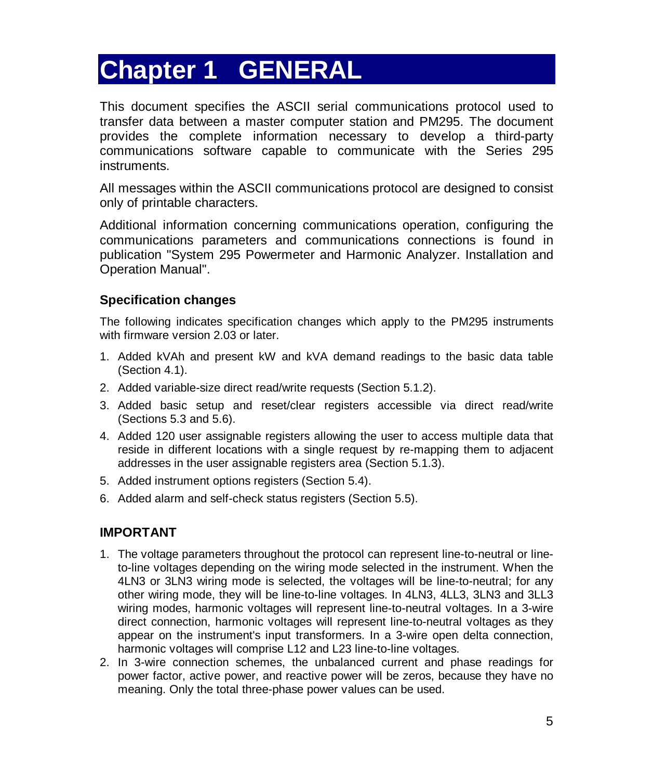# **Chapter 1 GENERAL**

This document specifies the ASCII serial communications protocol used to transfer data between a master computer station and PM295. The document provides the complete information necessary to develop a third-party communications software capable to communicate with the Series 295 instruments.

All messages within the ASCII communications protocol are designed to consist only of printable characters.

Additional information concerning communications operation, configuring the communications parameters and communications connections is found in publication "System 295 Powermeter and Harmonic Analyzer. Installation and Operation Manual".

#### **Specification changes**

The following indicates specification changes which apply to the PM295 instruments with firmware version 2.03 or later.

- 1. Added kVAh and present kW and kVA demand readings to the basic data table (Section 4.1).
- 2. Added variable-size direct read/write requests (Section 5.1.2).
- 3. Added basic setup and reset/clear registers accessible via direct read/write (Sections 5.3 and 5.6).
- 4. Added 120 user assignable registers allowing the user to access multiple data that reside in different locations with a single request by re-mapping them to adjacent addresses in the user assignable registers area (Section 5.1.3).
- 5. Added instrument options registers (Section 5.4).
- 6. Added alarm and self-check status registers (Section 5.5).

#### **IMPORTANT**

- 1. The voltage parameters throughout the protocol can represent line-to-neutral or lineto-line voltages depending on the wiring mode selected in the instrument. When the 4LN3 or 3LN3 wiring mode is selected, the voltages will be line-to-neutral; for any other wiring mode, they will be line-to-line voltages. In 4LN3, 4LL3, 3LN3 and 3LL3 wiring modes, harmonic voltages will represent line-to-neutral voltages. In a 3-wire direct connection, harmonic voltages will represent line-to-neutral voltages as they appear on the instrument's input transformers. In a 3-wire open delta connection, harmonic voltages will comprise L12 and L23 line-to-line voltages.
- 2. In 3-wire connection schemes, the unbalanced current and phase readings for power factor, active power, and reactive power will be zeros, because they have no meaning. Only the total three-phase power values can be used.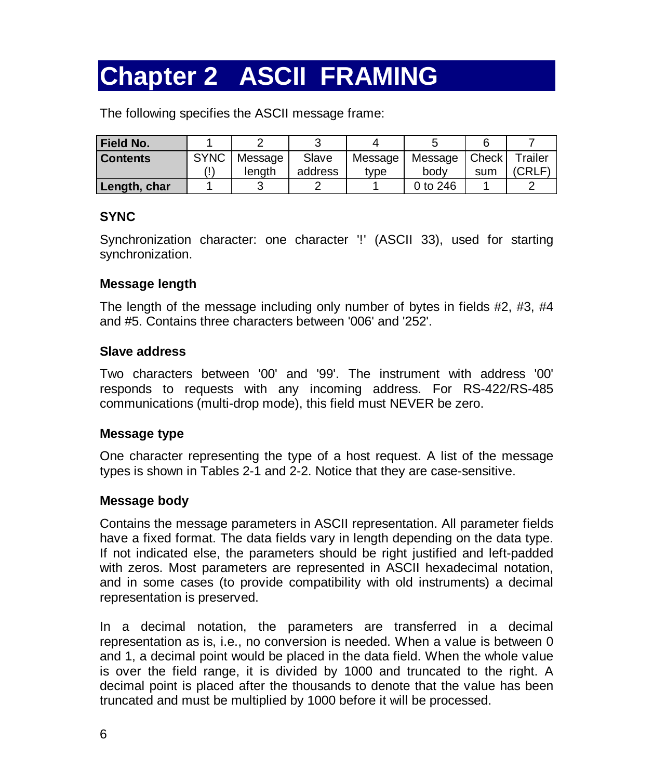# **Chapter 2 ASCII FRAMING**

The following specifies the ASCII message frame:

| <b>Field No.</b> |             |         |         |         |                 |     |         |
|------------------|-------------|---------|---------|---------|-----------------|-----|---------|
| <b>Contents</b>  | <b>SYNC</b> | Message | Slave   | Message | Message   Check |     | Trailer |
|                  |             | lenath  | address | tvpe    | body            | sum | (CRLF)  |
| Length, char     |             |         |         |         | 0 to 246        |     |         |

#### **SYNC**

Synchronization character: one character '!' (ASCII 33), used for starting synchronization.

#### **Message length**

The length of the message including only number of bytes in fields  $#2, #3, #4$ and #5. Contains three characters between '006' and '252'.

#### **Slave address**

Two characters between '00' and '99'. The instrument with address '00' responds to requests with any incoming address. For RS-422/RS-485 communications (multi-drop mode), this field must NEVER be zero.

#### **Message type**

One character representing the type of a host request. A list of the message types is shown in Tables 2-1 and 2-2. Notice that they are case-sensitive.

#### **Message body**

Contains the message parameters in ASCII representation. All parameter fields have a fixed format. The data fields vary in length depending on the data type. If not indicated else, the parameters should be right justified and left-padded with zeros. Most parameters are represented in ASCII hexadecimal notation, and in some cases (to provide compatibility with old instruments) a decimal representation is preserved.

In a decimal notation, the parameters are transferred in a decimal representation as is, i.e., no conversion is needed. When a value is between 0 and 1, a decimal point would be placed in the data field. When the whole value is over the field range, it is divided by 1000 and truncated to the right. A decimal point is placed after the thousands to denote that the value has been truncated and must be multiplied by 1000 before it will be processed.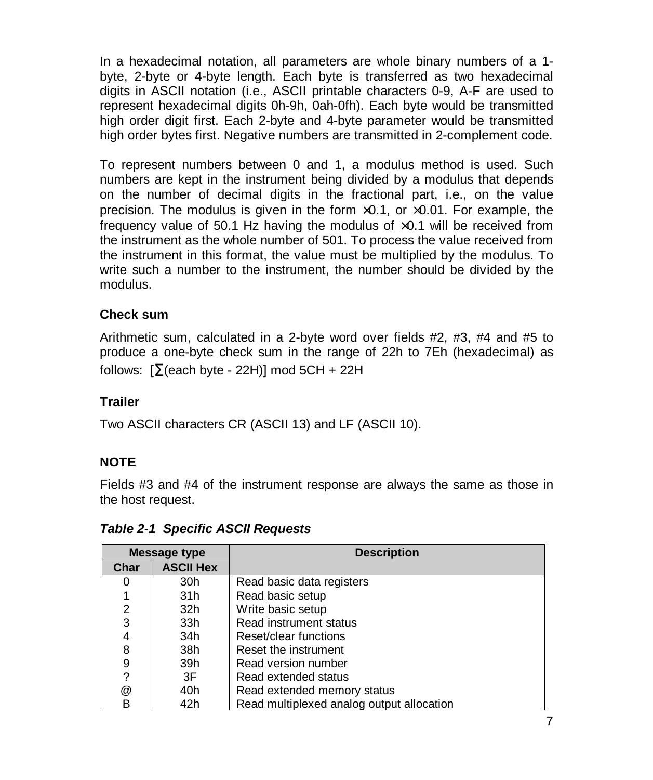In a hexadecimal notation, all parameters are whole binary numbers of a 1 byte, 2-byte or 4-byte length. Each byte is transferred as two hexadecimal digits in ASCII notation (i.e., ASCII printable characters 0-9, A-F are used to represent hexadecimal digits 0h-9h, 0ah-0fh). Each byte would be transmitted high order digit first. Each 2-byte and 4-byte parameter would be transmitted high order bytes first. Negative numbers are transmitted in 2-complement code.

To represent numbers between 0 and 1, a modulus method is used. Such numbers are kept in the instrument being divided by a modulus that depends on the number of decimal digits in the fractional part, i.e., on the value precision. The modulus is given in the form  $\times 0.1$ , or  $\times 0.01$ . For example, the frequency value of 50.1 Hz having the modulus of  $\times$ 0.1 will be received from the instrument as the whole number of 501. To process the value received from the instrument in this format, the value must be multiplied by the modulus. To write such a number to the instrument, the number should be divided by the modulus.

#### **Check sum**

Arithmetic sum, calculated in a 2-byte word over fields #2, #3, #4 and #5 to produce a one-byte check sum in the range of 22h to 7Eh (hexadecimal) as follows:  $[\Sigma$ (each byte - 22H)] mod 5CH + 22H

#### **Trailer**

Two ASCII characters CR (ASCII 13) and LF (ASCII 10).

#### **NOTE**

Fields #3 and #4 of the instrument response are always the same as those in the host request.

| <b>Message type</b> |                  | <b>Description</b>                        |  |  |
|---------------------|------------------|-------------------------------------------|--|--|
| Char                | <b>ASCII Hex</b> |                                           |  |  |
| Ω                   | 30h              | Read basic data registers                 |  |  |
|                     | 31h              | Read basic setup                          |  |  |
| 2                   | 32h              | Write basic setup                         |  |  |
| 3                   | 33h              | Read instrument status                    |  |  |
| 4                   | 34h              | Reset/clear functions                     |  |  |
| 8                   | 38h              | Reset the instrument                      |  |  |
| 9                   | 39h              | Read version number                       |  |  |
| 2                   | 3F               | Read extended status                      |  |  |
| @                   | 40h              | Read extended memory status               |  |  |
| в                   | 42h              | Read multiplexed analog output allocation |  |  |

*Table 2-1 Specific ASCII Requests*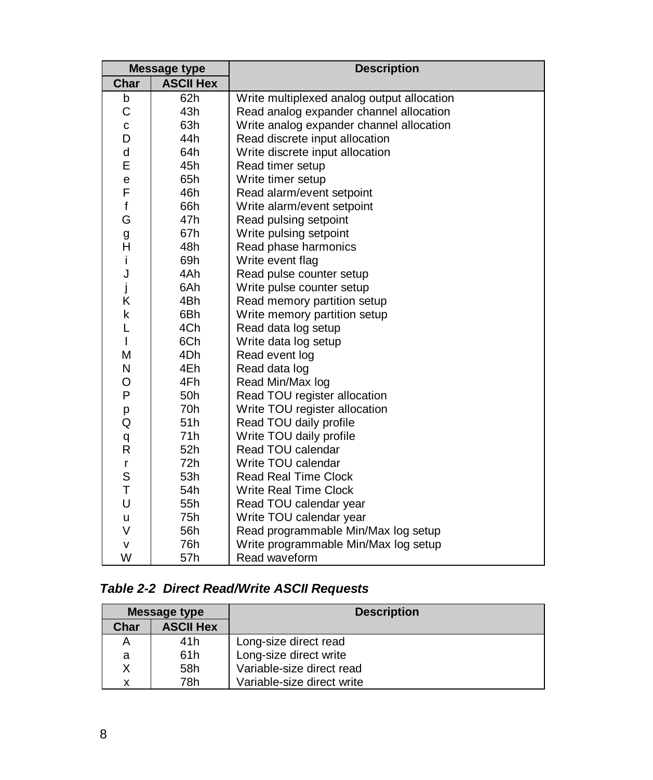| <b>Message type</b> |                  | <b>Description</b>                         |  |
|---------------------|------------------|--------------------------------------------|--|
| Char                | <b>ASCII Hex</b> |                                            |  |
| b                   | 62h              | Write multiplexed analog output allocation |  |
| C                   | 43h              | Read analog expander channel allocation    |  |
| $\mathbf c$         | 63h              | Write analog expander channel allocation   |  |
| D                   | 44h              | Read discrete input allocation             |  |
| d                   | 64h              | Write discrete input allocation            |  |
| E                   | 45h              | Read timer setup                           |  |
| e                   | 65h              | Write timer setup                          |  |
| F                   | 46h              | Read alarm/event setpoint                  |  |
| f                   | 66h              | Write alarm/event setpoint                 |  |
| G                   | 47h              | Read pulsing setpoint                      |  |
| g                   | 67h              | Write pulsing setpoint                     |  |
| Η                   | 48h              | Read phase harmonics                       |  |
| i                   | 69h              | Write event flag                           |  |
| J                   | 4Ah              | Read pulse counter setup                   |  |
| j                   | 6Ah              | Write pulse counter setup                  |  |
| Κ                   | 4Bh              | Read memory partition setup                |  |
| k                   | 6Bh              | Write memory partition setup               |  |
| L                   | 4Ch              | Read data log setup                        |  |
| I                   | 6Ch              | Write data log setup                       |  |
| М                   | 4Dh              | Read event log                             |  |
| N                   | 4Eh              | Read data log                              |  |
| O                   | 4Fh              | Read Min/Max log                           |  |
| P                   | 50h              | Read TOU register allocation               |  |
| р                   | 70 <sub>h</sub>  | Write TOU register allocation              |  |
| Q                   | 51h              | Read TOU daily profile                     |  |
| q                   | 71h              | Write TOU daily profile                    |  |
| R                   | 52h              | Read TOU calendar                          |  |
| $\mathsf{r}$        | 72h              | Write TOU calendar                         |  |
| S                   | 53h              | <b>Read Real Time Clock</b>                |  |
| T                   | 54h              | <b>Write Real Time Clock</b>               |  |
| U                   | 55h              | Read TOU calendar year                     |  |
| u                   | 75h              | Write TOU calendar year                    |  |
| V                   | 56h              | Read programmable Min/Max log setup        |  |
| v                   | 76h              | Write programmable Min/Max log setup       |  |
| W                   | 57h              | Read waveform                              |  |

#### *Table 2-2 Direct Read/Write ASCII Requests*

| Message type |                  | <b>Description</b>         |
|--------------|------------------|----------------------------|
| Char         | <b>ASCII Hex</b> |                            |
| Α            | 41h              | Long-size direct read      |
| a            | 61h              | Long-size direct write     |
| X            | 58h              | Variable-size direct read  |
| х            | 78h              | Variable-size direct write |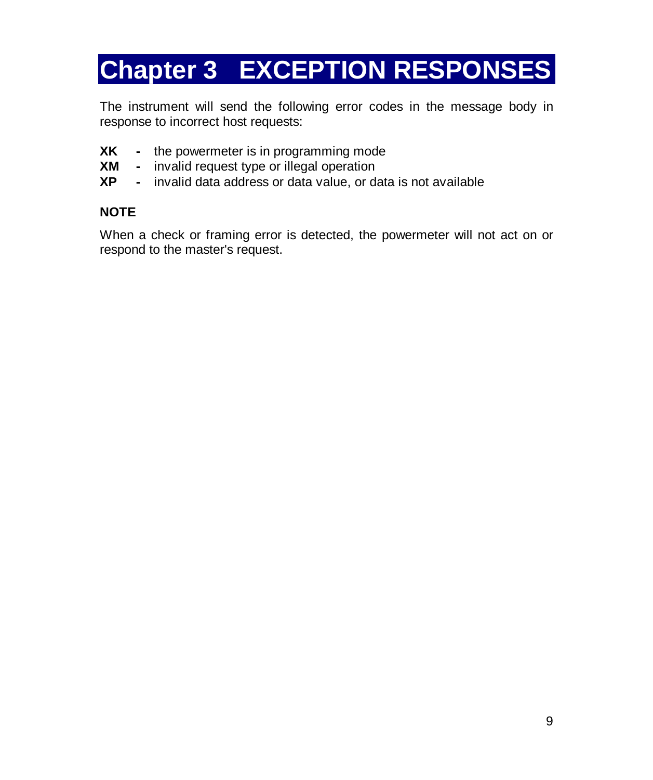# **Chapter 3 EXCEPTION RESPONSES**

The instrument will send the following error codes in the message body in response to incorrect host requests:

- **XK -** the powermeter is in programming mode
- **XM -** invalid request type or illegal operation
- **XP -** invalid data address or data value, or data is not available

#### **NOTE**

When a check or framing error is detected, the powermeter will not act on or respond to the master's request.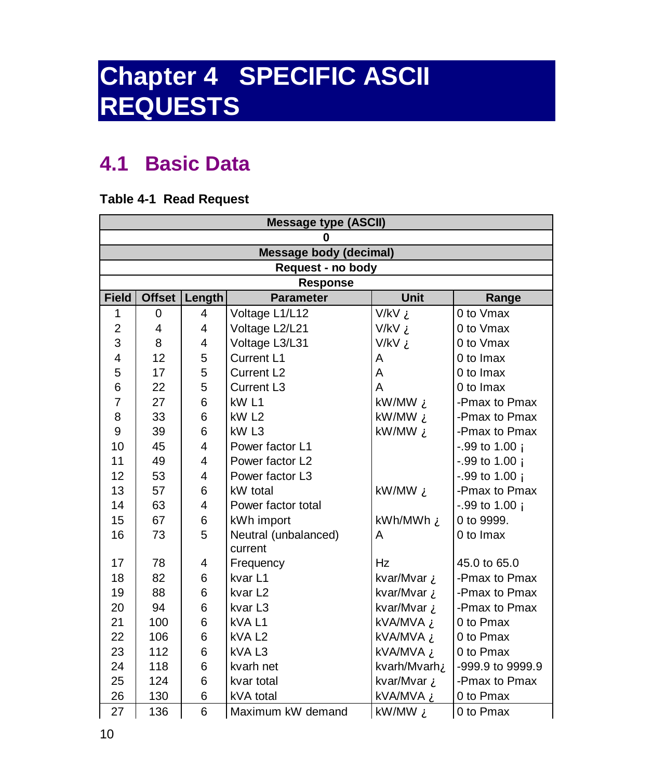# **Chapter 4 SPECIFIC ASCII REQUESTS**

# **4.1 Basic Data**

#### **Table 4-1 Read Request**

|                | <b>Message type (ASCII)</b> |                |                               |                    |                      |  |
|----------------|-----------------------------|----------------|-------------------------------|--------------------|----------------------|--|
|                | 0                           |                |                               |                    |                      |  |
|                |                             |                | <b>Message body (decimal)</b> |                    |                      |  |
|                |                             |                | Request - no body             |                    |                      |  |
|                |                             |                | <b>Response</b>               |                    |                      |  |
| <b>Field</b>   | <b>Offset</b>               | Length         | <b>Parameter</b>              | <b>Unit</b>        | Range                |  |
| 1              | 0                           | $\overline{4}$ | Voltage L1/L12                | V/kV À             | 0 to Vmax            |  |
| $\overline{c}$ | 4                           | 4              | Voltage L2/L21                | V/kV À             | 0 to Vmax            |  |
| 3              | 8                           | 4              | Voltage L3/L31                | V/kV À             | 0 to Vmax            |  |
| 4              | 12                          | 5              | Current L1                    | A                  | 0 to Imax            |  |
| 5              | 17                          | 5              | Current L <sub>2</sub>        | A                  | 0 to Imax            |  |
| 6              | 22                          | 5              | Current L <sub>3</sub>        | A                  | 0 to Imax            |  |
| $\overline{7}$ | 27                          | 6              | kW <sub>L1</sub>              | kW/MW A            | -Pmax to Pmax        |  |
| 8              | 33                          | 6              | kW <sub>L2</sub>              | kW/MW A            | -Pmax to Pmax        |  |
| 9              | 39                          | 6              | kW <sub>L3</sub>              | kW/MW $\AA$        | -Pmax to Pmax        |  |
| 10             | 45                          | 4              | Power factor L1               |                    | $-.99$ to 1.00 $\AA$ |  |
| 11             | 49                          | 4              | Power factor L2               |                    | $-.99$ to 1.00 $\AA$ |  |
| 12             | 53                          | 4              | Power factor L3               |                    | $-.99$ to 1.00 $\AA$ |  |
| 13             | 57                          | 6              | kW total                      | kW/MW A            | -Pmax to Pmax        |  |
| 14             | 63                          | 4              | Power factor total            |                    | $-.99$ to 1.00 $\AA$ |  |
| 15             | 67                          | 6              | kWh import                    | kWh/MWh <b>A</b>   | 0 to 9999.           |  |
| 16             | 73                          | 5              | Neutral (unbalanced)          | A                  | 0 to Imax            |  |
|                |                             |                | current                       |                    |                      |  |
| 17             | 78                          | 4              | Frequency                     | Hz                 | 45.0 to 65.0         |  |
| 18             | 82                          | 6              | kvar L1                       | kvar/Mvar <b>À</b> | -Pmax to Pmax        |  |
| 19             | 88                          | 6              | kvar <sub>L2</sub>            | kvar/Mvar <b>À</b> | -Pmax to Pmax        |  |
| 20             | 94                          | 6              | kvar <sub>L3</sub>            | kvar/Mvar À        | -Pmax to Pmax        |  |
| 21             | 100                         | 6              | kVAL1                         | kVA/MVA À          | 0 to Pmax            |  |
| 22             | 106                         | 6              | kVAL <sub>2</sub>             | kVA/MVA À          | 0 to Pmax            |  |
| 23             | 112                         | 6              | kVAL3                         | kVA/MVA À          | 0 to Pmax            |  |
| 24             | 118                         | 6              | kvarh net                     | kvarh/MvarhA       | -999.9 to 9999.9     |  |
| 25             | 124                         | 6              | kvar total                    | kvar/Mvar À        | -Pmax to Pmax        |  |
| 26             | 130                         | 6              | kVA total                     | kVA/MVA À          | 0 to Pmax            |  |
| 27             | 136                         | 6              | Maximum kW demand             | kW/MW A            | 0 to Pmax            |  |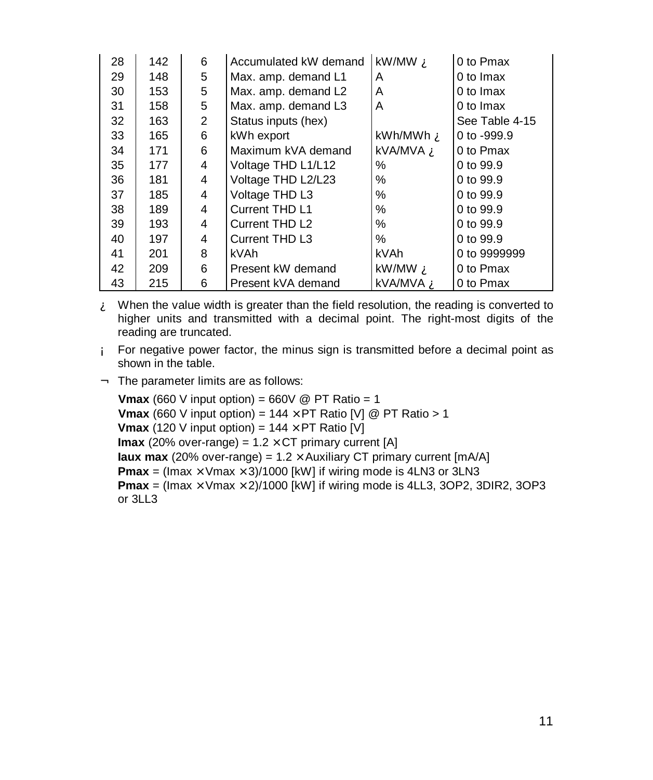| 28 | 142 | 6              | Accumulated kW demand | kW/MW A          | 0 to Pmax      |
|----|-----|----------------|-----------------------|------------------|----------------|
| 29 | 148 | 5              | Max. amp. demand L1   | A                | 0 to Imax      |
| 30 | 153 | 5              | Max. amp. demand L2   | A                | 0 to Imax      |
| 31 | 158 | 5              | Max. amp. demand L3   | A                | 0 to Imax      |
| 32 | 163 | $\overline{2}$ | Status inputs (hex)   |                  | See Table 4-15 |
| 33 | 165 | 6              | kWh export            | kWh/MWh <b>À</b> | 0 to -999.9    |
| 34 | 171 | 6              | Maximum kVA demand    | kVA/MVA <b>À</b> | 0 to Pmax      |
| 35 | 177 | 4              | Voltage THD L1/L12    | ℅                | 0 to 99.9      |
| 36 | 181 | 4              | Voltage THD L2/L23    | ℅                | 0 to 99.9      |
| 37 | 185 | 4              | Voltage THD L3        | ℅                | 0 to 99.9      |
| 38 | 189 | 4              | Current THD L1        | ℅                | 0 to 99.9      |
| 39 | 193 | 4              | Current THD L2        | ℅                | 0 to 99.9      |
| 40 | 197 | 4              | Current THD L3        | ℅                | 0 to 99.9      |
| 41 | 201 | 8              | kVAh                  | kVAh             | 0 to 9999999   |
| 42 | 209 | 6              | Present kW demand     | kW/MW À          | 0 to Pmax      |
| 43 | 215 | 6              | Present kVA demand    | kVA/MVA À        | 0 to Pmax      |

- $\mathbf{\hat{A}}$  When the value width is greater than the field resolution, the reading is converted to higher units and transmitted with a decimal point. The right-most digits of the reading are truncated.
- Á For negative power factor, the minus sign is transmitted before a decimal point as shown in the table.
- $\hat{A}$  The parameter limits are as follows:

**Vmax** (660 V input option) = 660V @ PT Ratio = 1 **Vmax** (660 V input option) =  $144 \times PT$  Ratio [V] @ PT Ratio > 1 **Vmax** (120 V input option) =  $144 \times PT$  Ratio [V] **Imax** (20% over-range) =  $1.2 \times CT$  primary current [A] **Iaux max** (20% over-range) =  $1.2 \times$  Auxiliary CT primary current [mA/A] **Pmax** = (Imax  $\times$  Vmax  $\times$  3)/1000 [kW] if wiring mode is 4LN3 or 3LN3 **Pmax** = (Imax  $\times$  Vmax  $\times$  2)/1000 [kW] if wiring mode is 4LL3, 3OP2, 3DIR2, 3OP3 or 3LL3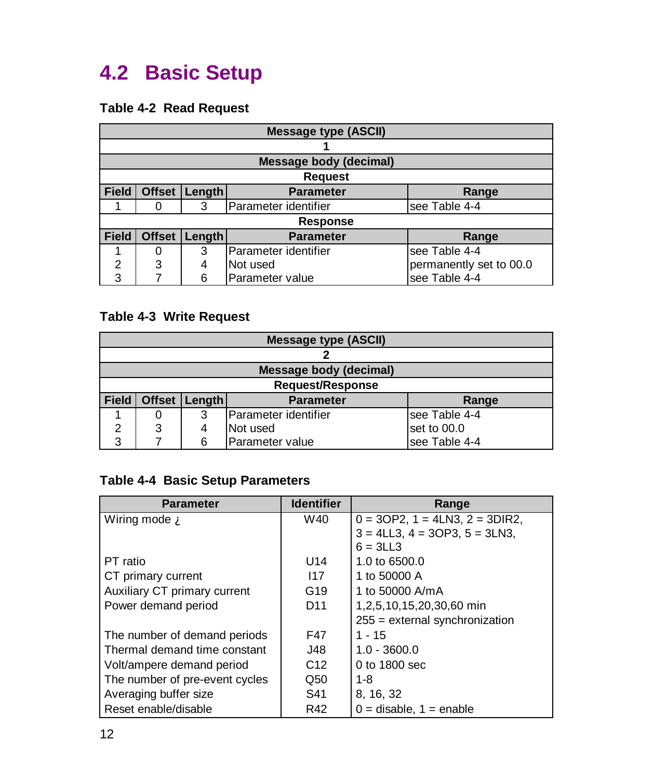# **4.2 Basic Setup**

#### **Table 4-2 Read Request**

|              | <b>Message type (ASCII)</b>                                 |        |                        |                         |  |  |  |
|--------------|-------------------------------------------------------------|--------|------------------------|-------------------------|--|--|--|
|              |                                                             |        |                        |                         |  |  |  |
|              |                                                             |        | Message body (decimal) |                         |  |  |  |
|              | <b>Request</b>                                              |        |                        |                         |  |  |  |
| <b>Field</b> | <b>Offset</b>                                               | Length | <b>Parameter</b>       | Range                   |  |  |  |
|              |                                                             | 3      | Parameter identifier   | see Table 4-4           |  |  |  |
|              |                                                             |        | <b>Response</b>        |                         |  |  |  |
| <b>Field</b> | <b>Offset</b><br><b>Length</b><br><b>Parameter</b><br>Range |        |                        |                         |  |  |  |
|              | 0                                                           | 3      | Parameter identifier   | see Table 4-4           |  |  |  |
| 2            | 3                                                           | 4      | Not used               | permanently set to 00.0 |  |  |  |
| 3            |                                                             | 6      | <b>Parameter value</b> | see Table 4-4           |  |  |  |

#### **Table 4-3 Write Request**

|              | <b>Message type (ASCII)</b>  |        |                      |               |  |  |
|--------------|------------------------------|--------|----------------------|---------------|--|--|
|              |                              |        |                      |               |  |  |
|              | Message body (decimal)       |        |                      |               |  |  |
|              | <b>Request/Response</b>      |        |                      |               |  |  |
| <b>Field</b> | <b>Offset</b>                | Length | <b>Parameter</b>     | Range         |  |  |
|              | 0                            | 3      | Parameter identifier | see Table 4-4 |  |  |
| 2            | set to 00.0<br>Not used<br>3 |        |                      |               |  |  |
| 3            |                              | 6      | Parameter value      | see Table 4-4 |  |  |

#### **Table 4-4 Basic Setup Parameters**

| <b>Parameter</b>                 | <b>Identifier</b> | Range                                   |
|----------------------------------|-------------------|-----------------------------------------|
| Wiring mode $\mathbf{\tilde{A}}$ | W40               | $0 = 3OP2$ , $1 = 4LN3$ , $2 = 3DIR2$ , |
|                                  |                   | $3 = 4LL3$ , $4 = 3OP3$ , $5 = 3LN3$ ,  |
|                                  |                   | $6 = 3LL3$                              |
| PT ratio                         | U14               | 1.0 to 6500.0                           |
| CT primary current               | 117               | 1 to 50000 A                            |
| Auxiliary CT primary current     | G19               | 1 to 50000 A/mA                         |
| Power demand period              | D <sub>11</sub>   | 1,2,5,10,15,20,30,60 min                |
|                                  |                   | $255$ = external synchronization        |
| The number of demand periods     | F47               | $1 - 15$                                |
| Thermal demand time constant     | J48               | $1.0 - 3600.0$                          |
| Volt/ampere demand period        | C <sub>12</sub>   | $0$ to 1800 sec                         |
| The number of pre-event cycles   | Q50               | 1-8                                     |
| Averaging buffer size            | S41               | 8, 16, 32                               |
| Reset enable/disable             | R42               | $0 =$ disable, $1 =$ enable             |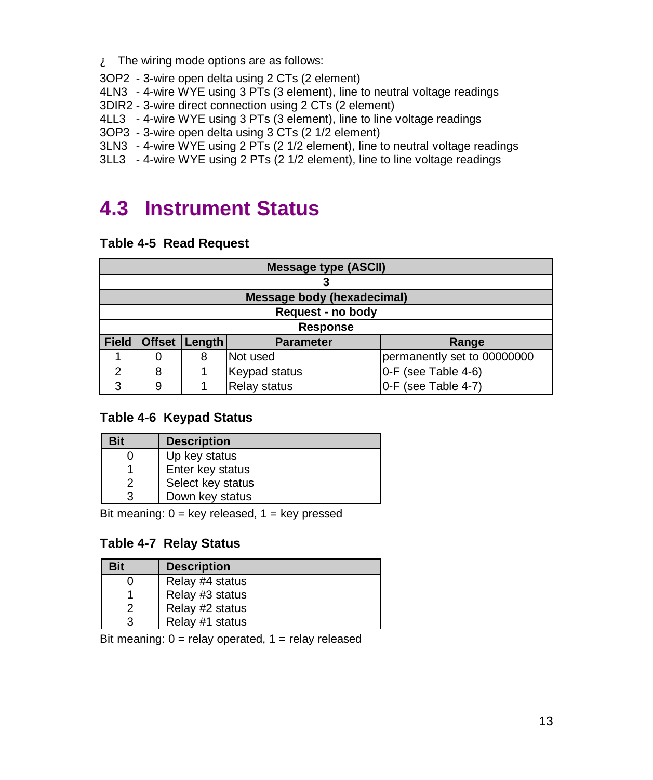$\mathbf{\hat{A}}$  The wiring mode options are as follows:

- 3OP2 3-wire open delta using 2 CTs (2 element)
- 4LN3 4-wire WYE using 3 PTs (3 element), line to neutral voltage readings
- 3DIR2 3-wire direct connection using 2 CTs (2 element)
- 4LL3 4-wire WYE using 3 PTs (3 element), line to line voltage readings
- 3OP3 3-wire open delta using 3 CTs (2 1/2 element)
- 3LN3 4-wire WYE using 2 PTs (2 1/2 element), line to neutral voltage readings
- 3LL3 4-wire WYE using 2 PTs (2 1/2 element), line to line voltage readings

# **4.3 Instrument Status**

#### **Table 4-5 Read Request**

|              | <b>Message type (ASCII)</b> |        |                                   |                             |  |  |
|--------------|-----------------------------|--------|-----------------------------------|-----------------------------|--|--|
|              |                             |        |                                   |                             |  |  |
|              |                             |        | <b>Message body (hexadecimal)</b> |                             |  |  |
|              |                             |        | Request - no body                 |                             |  |  |
|              | <b>Response</b>             |        |                                   |                             |  |  |
| <b>Field</b> | <b>Offset</b>               | Length | <b>Parameter</b>                  | Range                       |  |  |
|              | 0                           | 8      | Not used                          | permanently set to 00000000 |  |  |
| 2            | 8                           |        | Keypad status                     | 0-F (see Table 4-6)         |  |  |
| 3            | 9                           |        | <b>Relay status</b>               | 0-F (see Table 4-7)         |  |  |

#### **Table 4-6 Keypad Status**

| Bit | <b>Description</b> |
|-----|--------------------|
|     | Up key status      |
|     | Enter key status   |
| 2   | Select key status  |
|     | Down key status    |

Bit meaning:  $0 = \text{key released}$ ,  $1 = \text{key pressed}$ 

#### **Table 4-7 Relay Status**

| Bit | <b>Description</b> |
|-----|--------------------|
|     | Relay #4 status    |
|     | Relay #3 status    |
| 2   | Relay #2 status    |
| 3   | Relay #1 status    |

Bit meaning:  $0 =$  relay operated,  $1 =$  relay released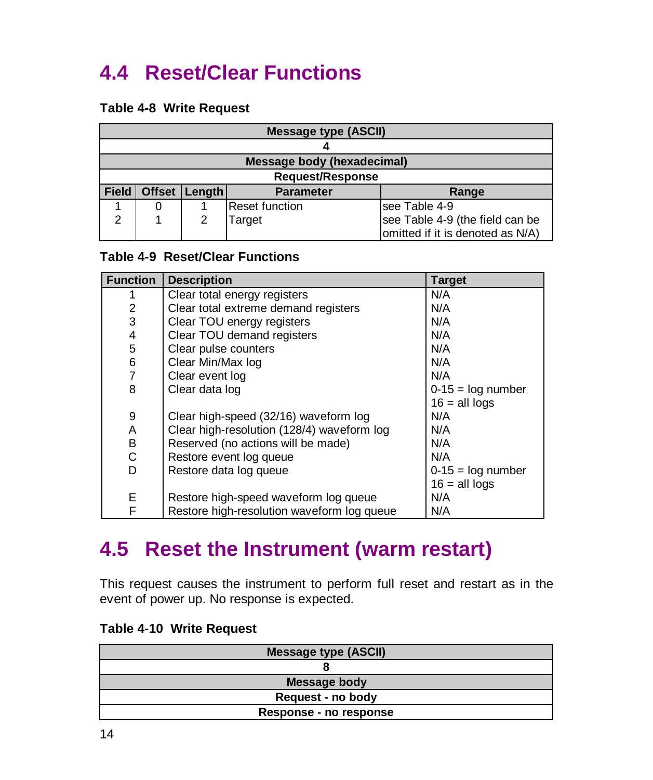# **4.4 Reset/Clear Functions**

#### **Table 4-8 Write Request**

|              | <b>Message type (ASCII)</b>             |               |                                   |                                  |
|--------------|-----------------------------------------|---------------|-----------------------------------|----------------------------------|
|              |                                         |               |                                   |                                  |
|              |                                         |               | <b>Message body (hexadecimal)</b> |                                  |
|              |                                         |               | <b>Request/Response</b>           |                                  |
| <b>Field</b> | <b>Offset</b>                           | <b>Length</b> | <b>Parameter</b>                  | Range                            |
|              | <b>Reset function</b><br>lsee Table 4-9 |               |                                   |                                  |
| ົ            |                                         |               | Target                            | see Table 4-9 (the field can be  |
|              |                                         |               |                                   | omitted if it is denoted as N/A) |

#### **Table 4-9 Reset/Clear Functions**

| <b>Function</b> | <b>Description</b>                         | <b>Target</b>       |
|-----------------|--------------------------------------------|---------------------|
|                 | Clear total energy registers               | N/A                 |
| $\overline{2}$  | Clear total extreme demand registers       | N/A                 |
| 3               | Clear TOU energy registers                 | N/A                 |
| 4               | Clear TOU demand registers                 | N/A                 |
| 5               | Clear pulse counters                       | N/A                 |
| 6               | Clear Min/Max log                          | N/A                 |
| $\overline{7}$  | Clear event log                            | N/A                 |
| 8               | Clear data log                             | $0-15 = log$ number |
|                 |                                            | $16 = all$ logs     |
| 9               | Clear high-speed (32/16) waveform log      | N/A                 |
| Α               | Clear high-resolution (128/4) waveform log | N/A                 |
| В               | Reserved (no actions will be made)         | N/A                 |
| C               | Restore event log queue                    | N/A                 |
| D               | Restore data log queue                     | $0-15 = log$ number |
|                 |                                            | $16 = all logs$     |
| E               | Restore high-speed waveform log queue      | N/A                 |
| F               | Restore high-resolution waveform log queue | N/A                 |

### **4.5 Reset the Instrument (warm restart)**

This request causes the instrument to perform full reset and restart as in the event of power up. No response is expected.

| <b>Message type (ASCII)</b> |
|-----------------------------|
|                             |
| Message body                |
| Request - no body           |
| Response - no response      |

#### **Table 4-10 Write Request**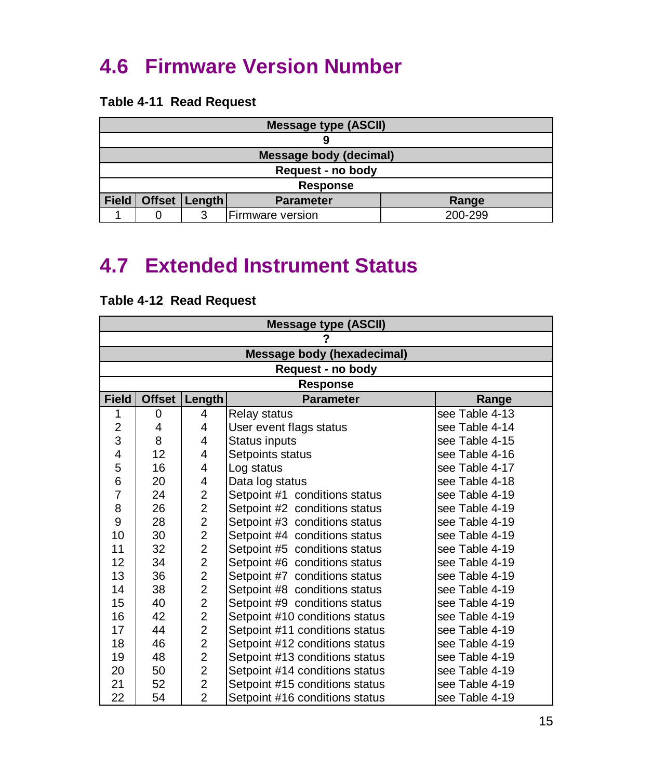# <span id="page-15-0"></span>**4.6 Firmware Version Number**

#### **Table 4-11 Read Request**

| <b>Message type (ASCII)</b>                                    |  |                   |  |  |
|----------------------------------------------------------------|--|-------------------|--|--|
|                                                                |  |                   |  |  |
| Message body (decimal)                                         |  |                   |  |  |
|                                                                |  | Request - no body |  |  |
|                                                                |  | <b>Response</b>   |  |  |
| <b>Field</b><br>Offset   Length  <br><b>Parameter</b><br>Range |  |                   |  |  |
| 200-299<br>Firmware version                                    |  |                   |  |  |

### **4.7 Extended Instrument Status**

|                         | <b>Message type (ASCII)</b> |                         |                                   |                |  |
|-------------------------|-----------------------------|-------------------------|-----------------------------------|----------------|--|
|                         |                             |                         |                                   |                |  |
|                         |                             |                         | <b>Message body (hexadecimal)</b> |                |  |
|                         |                             |                         | Request - no body                 |                |  |
|                         |                             |                         | Response                          |                |  |
| <b>Field</b>            | <b>Offset</b>               | Length                  | <b>Parameter</b>                  | Range          |  |
| 1                       | 0                           | 4                       | Relay status                      | see Table 4-13 |  |
| $\overline{\mathbf{c}}$ | 4                           | 4                       | User event flags status           | see Table 4-14 |  |
| 3                       | 8                           | 4                       | Status inputs                     | see Table 4-15 |  |
| 4                       | 12                          | 4                       | Setpoints status                  | see Table 4-16 |  |
| 5                       | 16                          | 4                       | Log status                        | see Table 4-17 |  |
| 6                       | 20                          | 4                       | Data log status                   | see Table 4-18 |  |
| 7                       | 24                          | $\overline{\mathbf{c}}$ | Setpoint #1 conditions status     | see Table 4-19 |  |
| 8                       | 26                          | $\overline{2}$          | Setpoint #2 conditions status     | see Table 4-19 |  |
| 9                       | 28                          | $\overline{2}$          | Setpoint #3 conditions status     | see Table 4-19 |  |
| 10                      | 30                          | $\overline{2}$          | Setpoint #4 conditions status     | see Table 4-19 |  |
| 11                      | 32                          | $\overline{2}$          | Setpoint #5 conditions status     | see Table 4-19 |  |
| 12                      | 34                          | $\overline{2}$          | Setpoint #6 conditions status     | see Table 4-19 |  |
| 13                      | 36                          | $\overline{2}$          | Setpoint #7 conditions status     | see Table 4-19 |  |
| 14                      | 38                          | $\overline{2}$          | Setpoint #8 conditions status     | see Table 4-19 |  |
| 15                      | 40                          | $\overline{2}$          | Setpoint #9 conditions status     | see Table 4-19 |  |
| 16                      | 42                          | $\overline{2}$          | Setpoint #10 conditions status    | see Table 4-19 |  |
| 17                      | 44                          | $\overline{2}$          | Setpoint #11 conditions status    | see Table 4-19 |  |
| 18                      | 46                          | $\overline{2}$          | Setpoint #12 conditions status    | see Table 4-19 |  |
| 19                      | 48                          | $\overline{2}$          | Setpoint #13 conditions status    | see Table 4-19 |  |
| 20                      | 50                          | $\overline{2}$          | Setpoint #14 conditions status    | see Table 4-19 |  |
| 21                      | 52                          | $\overline{2}$          | Setpoint #15 conditions status    | see Table 4-19 |  |
| 22                      | 54                          | $\overline{2}$          | Setpoint #16 conditions status    | see Table 4-19 |  |

#### **Table 4-12 Read Request**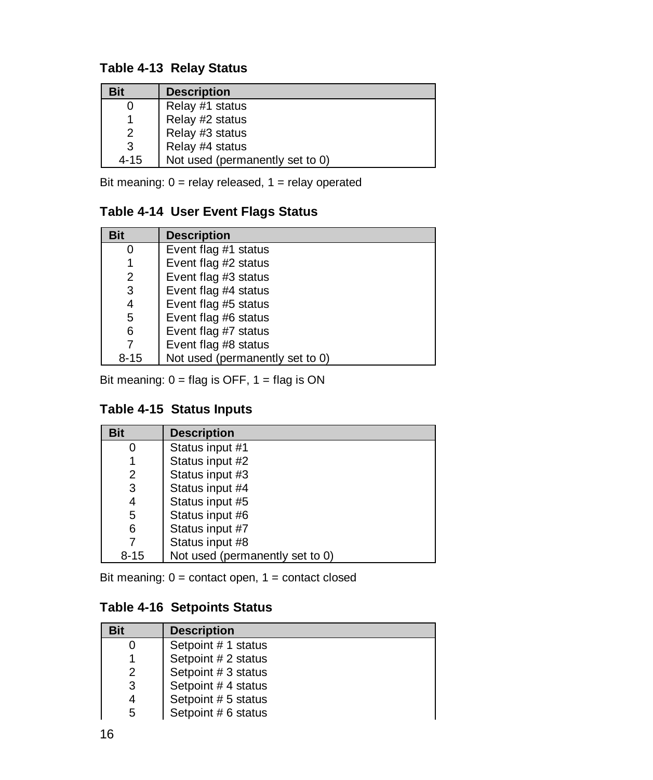#### **Table 4-13 Relay Status**

| Bit      | <b>Description</b>              |
|----------|---------------------------------|
| 0        | Relay #1 status                 |
| 1        | Relay #2 status                 |
| 2        | Relay #3 status                 |
| 3        | Relay #4 status                 |
| $4 - 15$ | Not used (permanently set to 0) |

Bit meaning:  $0 =$  relay released,  $1 =$  relay operated

#### **Table 4-14 User Event Flags Status**

| <b>Bit</b> | <b>Description</b>              |
|------------|---------------------------------|
| 0          | Event flag #1 status            |
| 1          | Event flag #2 status            |
| 2          | Event flag #3 status            |
| 3          | Event flag #4 status            |
| 4          | Event flag #5 status            |
| 5          | Event flag #6 status            |
| 6          | Event flag #7 status            |
| 7          | Event flag #8 status            |
| $8 - 15$   | Not used (permanently set to 0) |

Bit meaning:  $0 = flag$  is OFF,  $1 = flag$  is ON

#### **Table 4-15 Status Inputs**

| <b>Bit</b> | <b>Description</b>              |
|------------|---------------------------------|
|            | Status input #1                 |
|            | Status input #2                 |
| 2          | Status input #3                 |
| 3          | Status input #4                 |
| 4          | Status input #5                 |
| 5          | Status input #6                 |
| 6          | Status input #7                 |
|            | Status input #8                 |
| $8 - 15$   | Not used (permanently set to 0) |

Bit meaning: 0 = contact open, 1 = contact closed

#### **Table 4-16 Setpoints Status**

| Bit | <b>Description</b>  |
|-----|---------------------|
| O   | Setpoint # 1 status |
|     | Setpoint # 2 status |
| 2   | Setpoint # 3 status |
| 3   | Setpoint #4 status  |
| 4   | Setpoint # 5 status |
| 5   | Setpoint # 6 status |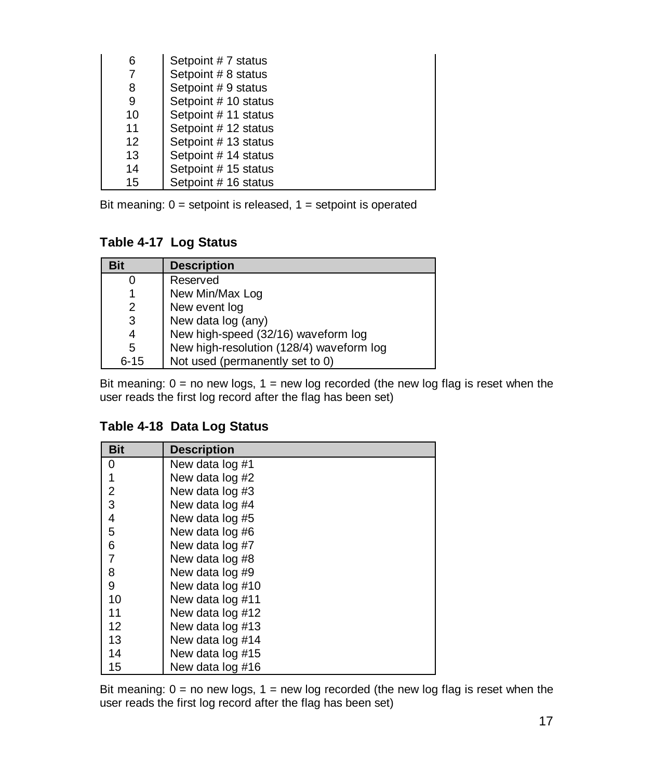| 6  | Setpoint #7 status   |
|----|----------------------|
| 7  | Setpoint # 8 status  |
| 8  | Setpoint # 9 status  |
| 9  | Setpoint # 10 status |
| 10 | Setpoint #11 status  |
| 11 | Setpoint # 12 status |
| 12 | Setpoint #13 status  |
| 13 | Setpoint # 14 status |
| 14 | Setpoint # 15 status |
| 15 | Setpoint # 16 status |

Bit meaning:  $0 =$  setpoint is released,  $1 =$  setpoint is operated

**Table 4-17 Log Status**

| Bit      | <b>Description</b>                       |
|----------|------------------------------------------|
|          | Reserved                                 |
|          | New Min/Max Log                          |
| 2        | New event log                            |
| 3        | New data log (any)                       |
| 4        | New high-speed (32/16) waveform log      |
| 5        | New high-resolution (128/4) waveform log |
| $6 - 15$ | Not used (permanently set to 0)          |

Bit meaning:  $0 =$  no new logs,  $1 =$  new log recorded (the new log flag is reset when the user reads the first log record after the flag has been set)

#### **Table 4-18 Data Log Status**

| <b>Bit</b>     | <b>Description</b> |
|----------------|--------------------|
| 0              | New data log #1    |
|                | New data log #2    |
| $\overline{2}$ | New data log #3    |
| 3              | New data log #4    |
| 4              | New data log #5    |
| 5              | New data log #6    |
| 6              | New data log #7    |
| 7              | New data log #8    |
| 8              | New data log #9    |
| 9              | New data log #10   |
| 10             | New data log #11   |
| 11             | New data log #12   |
| 12             | New data log #13   |
| 13             | New data log #14   |
| 14             | New data log #15   |
| 15             | New data log #16   |

Bit meaning:  $0 =$  no new logs,  $1 =$  new log recorded (the new log flag is reset when the user reads the first log record after the flag has been set)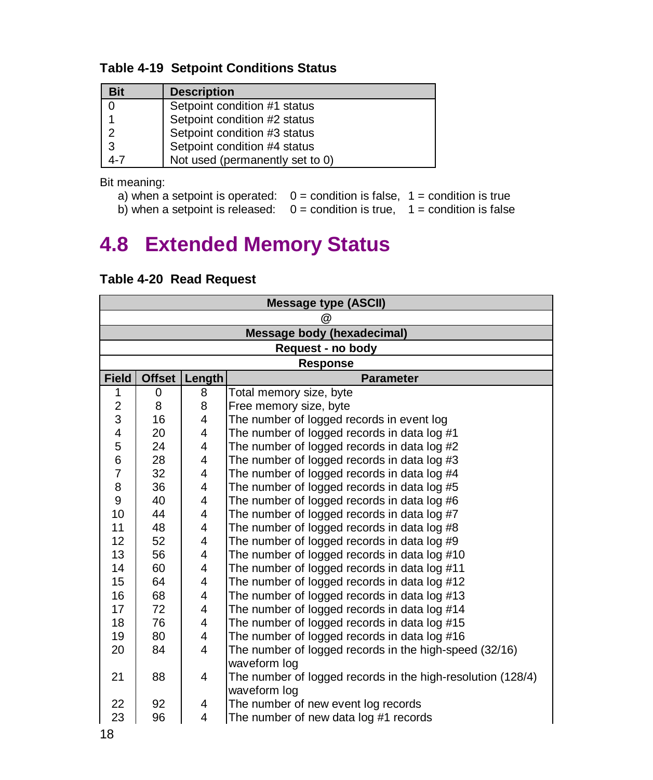#### <span id="page-18-0"></span>**Table 4-19 Setpoint Conditions Status**

| Bit | <b>Description</b>              |  |  |
|-----|---------------------------------|--|--|
| 0   | Setpoint condition #1 status    |  |  |
|     | Setpoint condition #2 status    |  |  |
| 2   | Setpoint condition #3 status    |  |  |
| 3   | Setpoint condition #4 status    |  |  |
| 4-7 | Not used (permanently set to 0) |  |  |

Bit meaning:

| a) when a setpoint is operated: $0 =$ condition is false, $1 =$ condition is true |  |
|-----------------------------------------------------------------------------------|--|
| b) when a setpoint is released: $0 =$ condition is true, $1 =$ condition is false |  |

# **4.8 Extended Memory Status**

| <b>Message type (ASCII)</b> |                                   |                |                                                             |  |
|-----------------------------|-----------------------------------|----------------|-------------------------------------------------------------|--|
|                             | @                                 |                |                                                             |  |
|                             | <b>Message body (hexadecimal)</b> |                |                                                             |  |
|                             |                                   |                | Request - no body                                           |  |
|                             | <b>Response</b>                   |                |                                                             |  |
| <b>Field</b>                | <b>Offset</b>                     | Length         | <b>Parameter</b>                                            |  |
| 1                           | 0                                 | 8              | Total memory size, byte                                     |  |
| $\overline{c}$              | 8                                 | 8              | Free memory size, byte                                      |  |
| 3                           | 16                                | 4              | The number of logged records in event log                   |  |
| 4                           | 20                                | 4              | The number of logged records in data log #1                 |  |
| 5                           | 24                                | 4              | The number of logged records in data log #2                 |  |
| 6                           | 28                                | 4              | The number of logged records in data log #3                 |  |
| $\overline{7}$              | 32                                | 4              | The number of logged records in data log #4                 |  |
| 8                           | 36                                | 4              | The number of logged records in data log #5                 |  |
| 9                           | 40                                | 4              | The number of logged records in data log #6                 |  |
| 10                          | 44                                | 4              | The number of logged records in data log #7                 |  |
| 11                          | 48                                | 4              | The number of logged records in data log #8                 |  |
| 12                          | 52                                | 4              | The number of logged records in data log #9                 |  |
| 13                          | 56                                | 4              | The number of logged records in data log #10                |  |
| 14                          | 60                                | 4              | The number of logged records in data log #11                |  |
| 15                          | 64                                | 4              | The number of logged records in data log #12                |  |
| 16                          | 68                                | 4              | The number of logged records in data log #13                |  |
| 17                          | 72                                | 4              | The number of logged records in data log #14                |  |
| 18                          | 76                                | 4              | The number of logged records in data log #15                |  |
| 19                          | 80                                | 4              | The number of logged records in data log #16                |  |
| 20                          | 84                                | 4              | The number of logged records in the high-speed (32/16)      |  |
|                             |                                   |                | waveform log                                                |  |
| 21                          | 88                                | $\overline{4}$ | The number of logged records in the high-resolution (128/4) |  |
|                             |                                   |                | waveform log                                                |  |
| 22                          | 92                                | 4              | The number of new event log records                         |  |
| 23                          | 96                                | 4              | The number of new data log #1 records                       |  |

#### **Table 4-20 Read Request**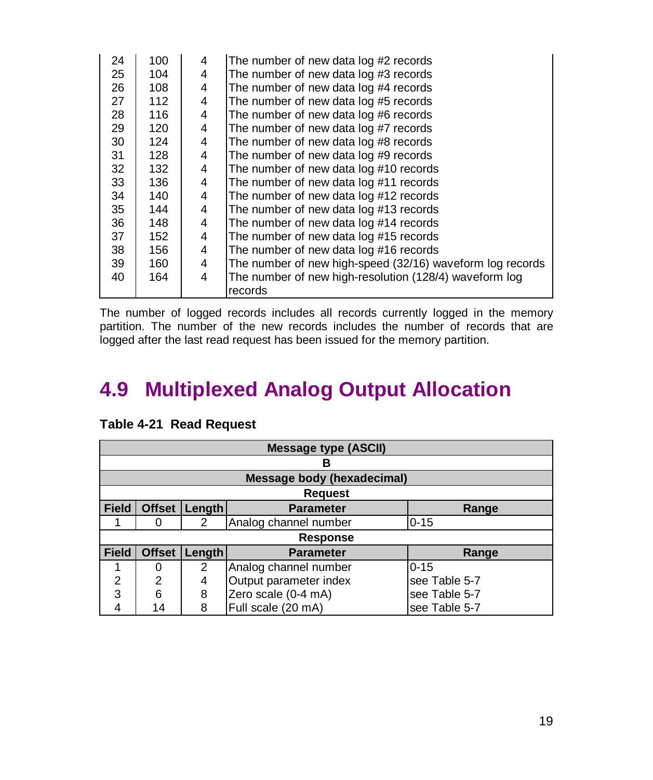| 24 | 100 | 4 | The number of new data log #2 records                     |
|----|-----|---|-----------------------------------------------------------|
| 25 | 104 | 4 | The number of new data log #3 records                     |
| 26 | 108 | 4 | The number of new data log #4 records                     |
| 27 | 112 | 4 | The number of new data log #5 records                     |
| 28 | 116 | 4 | The number of new data log #6 records                     |
| 29 | 120 | 4 | The number of new data log #7 records                     |
| 30 | 124 | 4 | The number of new data log #8 records                     |
| 31 | 128 | 4 | The number of new data log #9 records                     |
| 32 | 132 | 4 | The number of new data log #10 records                    |
| 33 | 136 | 4 | The number of new data log #11 records                    |
| 34 | 140 | 4 | The number of new data log #12 records                    |
| 35 | 144 | 4 | The number of new data log #13 records                    |
| 36 | 148 | 4 | The number of new data log #14 records                    |
| 37 | 152 | 4 | The number of new data log #15 records                    |
| 38 | 156 | 4 | The number of new data log #16 records                    |
| 39 | 160 | 4 | The number of new high-speed (32/16) waveform log records |
| 40 | 164 | 4 | The number of new high-resolution (128/4) waveform log    |
|    |     |   | records                                                   |

The number of logged records includes all records currently logged in the memory partition. The number of the new records includes the number of records that are logged after the last read request has been issued for the memory partition.

# **4.9 Multiplexed Analog Output Allocation**

|                | <b>Message type (ASCII)</b> |               |                                   |               |  |  |
|----------------|-----------------------------|---------------|-----------------------------------|---------------|--|--|
|                | В                           |               |                                   |               |  |  |
|                |                             |               | <b>Message body (hexadecimal)</b> |               |  |  |
|                |                             |               | <b>Request</b>                    |               |  |  |
| <b>Field</b>   | <b>Offset</b>               | <b>Length</b> | <b>Parameter</b>                  | Range         |  |  |
|                | 0                           | 2             | Analog channel number             | $0 - 15$      |  |  |
|                |                             |               | <b>Response</b>                   |               |  |  |
| <b>Field</b>   | <b>Offset</b>               | Length        | <b>Parameter</b>                  | Range         |  |  |
|                | 0                           | 2             | Analog channel number             | $0 - 15$      |  |  |
| $\overline{2}$ | $\overline{2}$              | 4             | Output parameter index            | see Table 5-7 |  |  |
| 3              | 6                           | 8             | Zero scale (0-4 mA)               | see Table 5-7 |  |  |
| 4              | 14                          | 8             | Full scale (20 mA)                | see Table 5-7 |  |  |

#### **Table 4-21 Read Request**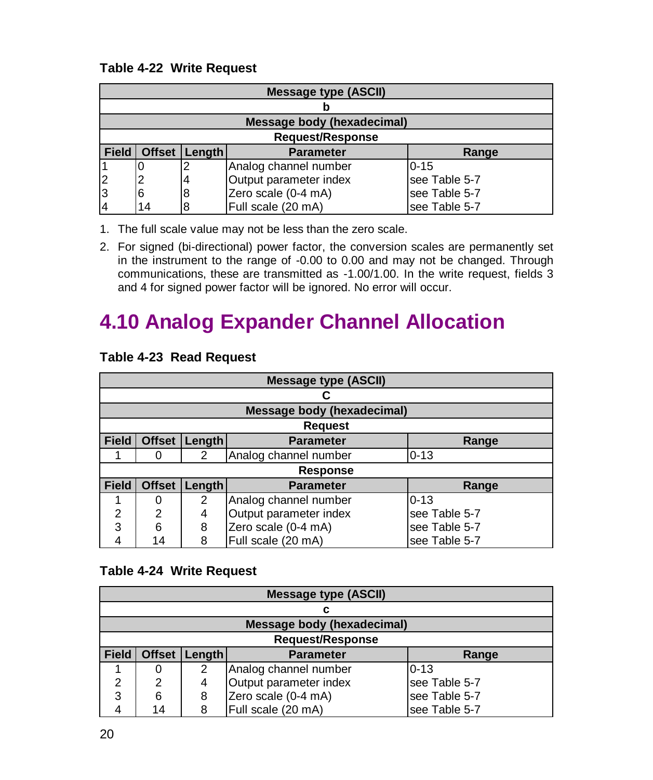#### <span id="page-20-0"></span>**Table 4-22 Write Request**

|              | <b>Message type (ASCII)</b>                          |   |                        |               |  |
|--------------|------------------------------------------------------|---|------------------------|---------------|--|
|              |                                                      |   |                        |               |  |
|              | <b>Message body (hexadecimal)</b>                    |   |                        |               |  |
|              | <b>Request/Response</b>                              |   |                        |               |  |
| <b>Field</b> | <b>Offset</b><br>Length<br><b>Parameter</b><br>Range |   |                        |               |  |
|              |                                                      |   | Analog channel number  | $0 - 15$      |  |
| 2            | 2                                                    | 4 | Output parameter index | see Table 5-7 |  |
| 13           | 6                                                    | 8 | Zero scale (0-4 mA)    | see Table 5-7 |  |
| 4            | 14                                                   | 8 | Full scale (20 mA)     | see Table 5-7 |  |

1. The full scale value may not be less than the zero scale.

2. For signed (bi-directional) power factor, the conversion scales are permanently set in the instrument to the range of -0.00 to 0.00 and may not be changed. Through communications, these are transmitted as -1.00/1.00. In the write request, fields 3 and 4 for signed power factor will be ignored. No error will occur.

# **4.10 Analog Expander Channel Allocation**

|              | <b>Message type (ASCII)</b> |               |                            |               |  |  |
|--------------|-----------------------------|---------------|----------------------------|---------------|--|--|
|              |                             |               |                            |               |  |  |
|              |                             |               | Message body (hexadecimal) |               |  |  |
|              |                             |               | <b>Request</b>             |               |  |  |
| <b>Field</b> | <b>Offset</b>               | Length        | <b>Parameter</b>           | Range         |  |  |
|              | O                           | 2             | Analog channel number      | $0 - 13$      |  |  |
|              |                             |               | <b>Response</b>            |               |  |  |
| <b>Field</b> | <b>Offset</b>               | <b>Length</b> | <b>Parameter</b>           | Range         |  |  |
|              | 0                           | 2             | Analog channel number      | $0 - 13$      |  |  |
| 2            | $\overline{2}$              | 4             | Output parameter index     | see Table 5-7 |  |  |
| 3            | 6                           | 8             | Zero scale (0-4 mA)        | see Table 5-7 |  |  |
| 4            | 14                          | 8             | Full scale (20 mA)         | see Table 5-7 |  |  |

#### **Table 4-23 Read Request**

#### **Table 4-24 Write Request**

|              | <b>Message type (ASCII)</b> |        |                                   |               |  |
|--------------|-----------------------------|--------|-----------------------------------|---------------|--|
|              | с                           |        |                                   |               |  |
|              |                             |        | <b>Message body (hexadecimal)</b> |               |  |
|              | <b>Request/Response</b>     |        |                                   |               |  |
| <b>Field</b> | <b>Offset</b>               | Length | <b>Parameter</b>                  | Range         |  |
|              | 0                           | 2      | Analog channel number             | $0 - 13$      |  |
| 2            | 2                           | 4      | Output parameter index            | see Table 5-7 |  |
| 3            | 6                           | 8      | Zero scale (0-4 mA)               | see Table 5-7 |  |
|              | 14                          |        | Full scale (20 mA)                | see Table 5-7 |  |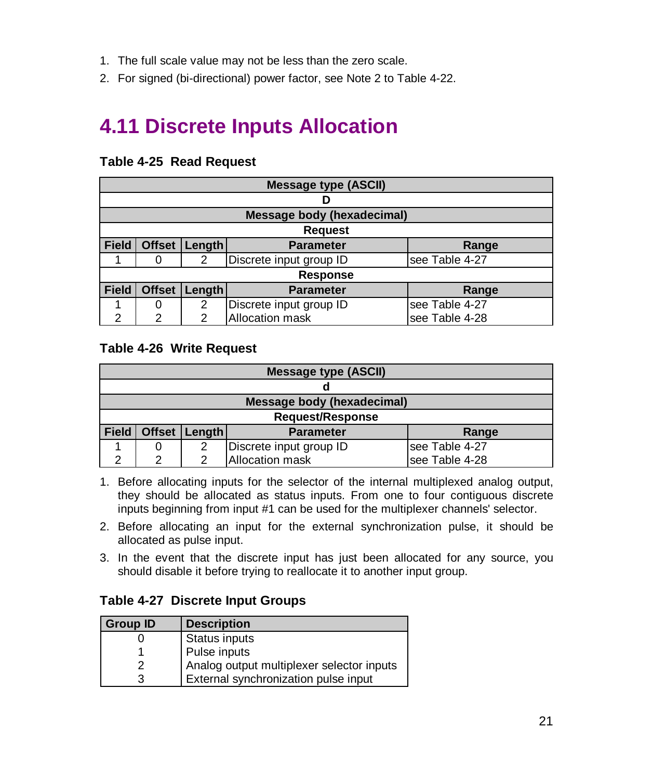- <span id="page-21-0"></span>1. The full scale value may not be less than the zero scale.
- 2. For signed (bi-directional) power factor, see Note 2 to Table 4-22.

### **4.11 Discrete Inputs Allocation**

|              | <b>Message type (ASCII)</b> |        |                                   |                |  |
|--------------|-----------------------------|--------|-----------------------------------|----------------|--|
|              | D                           |        |                                   |                |  |
|              |                             |        | <b>Message body (hexadecimal)</b> |                |  |
|              | <b>Request</b>              |        |                                   |                |  |
| <b>Field</b> | <b>Offset</b>               | Length | <b>Parameter</b>                  | Range          |  |
|              |                             | 2      | Discrete input group ID           | see Table 4-27 |  |
|              | <b>Response</b>             |        |                                   |                |  |
| <b>Field</b> | <b>Offset</b>               | Length | <b>Parameter</b>                  | Range          |  |
|              | O                           | 2      | Discrete input group ID           | see Table 4-27 |  |
| 2            | $\mathfrak{p}$              | 2      | <b>Allocation mask</b>            | see Table 4-28 |  |

#### **Table 4-25 Read Request**

#### **Table 4-26 Write Request**

|              | Message type (ASCII)                           |   |                         |                |  |
|--------------|------------------------------------------------|---|-------------------------|----------------|--|
|              |                                                |   |                         |                |  |
|              | Message body (hexadecimal)                     |   |                         |                |  |
|              | <b>Request/Response</b>                        |   |                         |                |  |
| <b>Field</b> | Offset   Length  <br><b>Parameter</b><br>Range |   |                         |                |  |
|              |                                                | 2 | Discrete input group ID | see Table 4-27 |  |
| ົ            | ⌒                                              |   | Allocation mask         | see Table 4-28 |  |

- 1. Before allocating inputs for the selector of the internal multiplexed analog output, they should be allocated as status inputs. From one to four contiguous discrete inputs beginning from input #1 can be used for the multiplexer channels' selector.
- 2. Before allocating an input for the external synchronization pulse, it should be allocated as pulse input.
- 3. In the event that the discrete input has just been allocated for any source, you should disable it before trying to reallocate it to another input group.

#### **Table 4-27 Discrete Input Groups**

| <b>Group ID</b> | <b>Description</b>                        |
|-----------------|-------------------------------------------|
|                 | Status inputs                             |
|                 | Pulse inputs                              |
| 2               | Analog output multiplexer selector inputs |
| વ               | External synchronization pulse input      |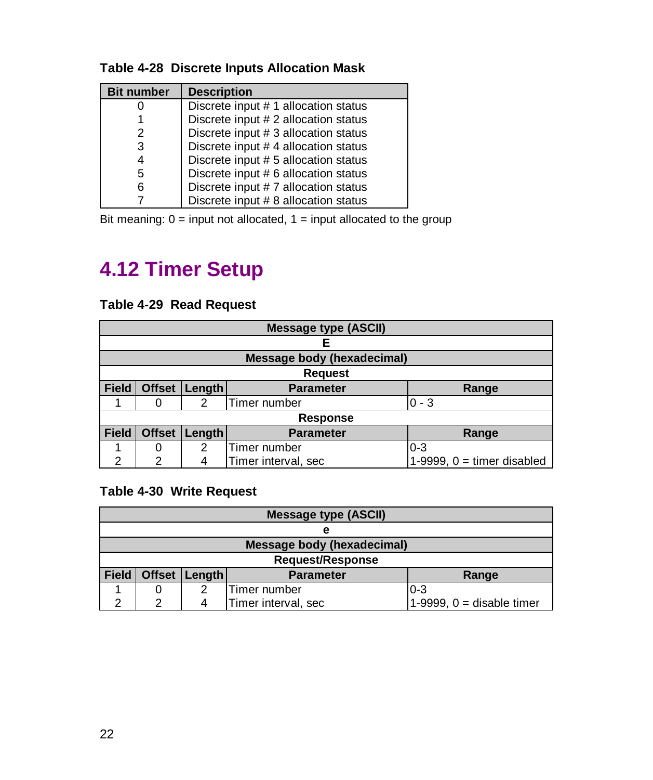#### <span id="page-22-0"></span>**Table 4-28 Discrete Inputs Allocation Mask**

| <b>Bit number</b> | <b>Description</b>                   |
|-------------------|--------------------------------------|
|                   | Discrete input # 1 allocation status |
|                   | Discrete input # 2 allocation status |
| 2                 | Discrete input # 3 allocation status |
| 3                 | Discrete input # 4 allocation status |
| 4                 | Discrete input # 5 allocation status |
| 5                 | Discrete input # 6 allocation status |
| 6                 | Discrete input #7 allocation status  |
|                   | Discrete input # 8 allocation status |

Bit meaning:  $0 =$  input not allocated,  $1 =$  input allocated to the group

### **4.12 Timer Setup**

#### **Table 4-29 Read Request**

|              | <b>Message type (ASCII)</b> |        |                                   |                              |  |
|--------------|-----------------------------|--------|-----------------------------------|------------------------------|--|
|              |                             |        | F                                 |                              |  |
|              |                             |        | <b>Message body (hexadecimal)</b> |                              |  |
|              |                             |        | <b>Request</b>                    |                              |  |
| <b>Field</b> | <b>Offset</b>               | Length | <b>Parameter</b>                  | Range                        |  |
|              |                             | 2      | Timer number                      | $0 - 3$                      |  |
|              |                             |        | <b>Response</b>                   |                              |  |
| <b>Field</b> | <b>Offset</b>               | Length | <b>Parameter</b>                  | Range                        |  |
|              |                             | 2      | Timer number                      | $0 - 3$                      |  |
| າ            | 2                           | 4      | Timer interval, sec               | 1-9999, $0 =$ timer disabled |  |

#### **Table 4-30 Write Request**

|              | <b>Message type (ASCII)</b>                          |   |                                   |                             |  |  |
|--------------|------------------------------------------------------|---|-----------------------------------|-----------------------------|--|--|
|              | е                                                    |   |                                   |                             |  |  |
|              |                                                      |   | <b>Message body (hexadecimal)</b> |                             |  |  |
|              | <b>Request/Response</b>                              |   |                                   |                             |  |  |
| <b>Field</b> | <b>Offset</b><br>Length<br><b>Parameter</b><br>Range |   |                                   |                             |  |  |
|              |                                                      | 2 | Timer number                      | $0 - 3$                     |  |  |
| ີ            | റ                                                    |   | Timer interval, sec               | 1-9999, $0 =$ disable timer |  |  |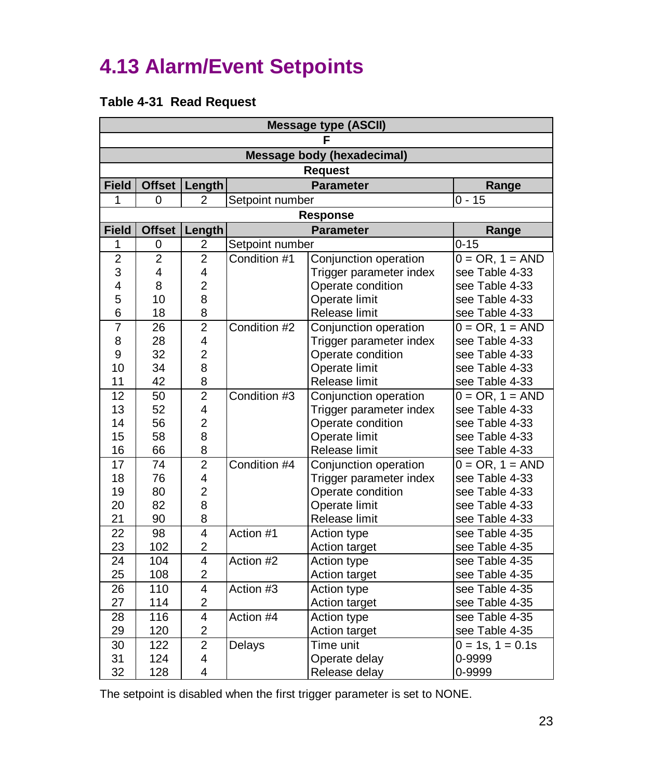# <span id="page-23-0"></span>**4.13 Alarm/Event Setpoints**

#### **Table 4-31 Read Request**

| <b>Message type (ASCII)</b> |                |                         |                         |                                   |                       |  |  |
|-----------------------------|----------------|-------------------------|-------------------------|-----------------------------------|-----------------------|--|--|
|                             |                |                         |                         |                                   |                       |  |  |
|                             |                |                         |                         | <b>Message body (hexadecimal)</b> |                       |  |  |
|                             |                |                         |                         | <b>Request</b>                    |                       |  |  |
| Field                       | <b>Offset</b>  | Length                  |                         | <b>Parameter</b>                  | Range                 |  |  |
| 1                           | 0              | 2                       | Setpoint number         |                                   | $0 - 15$              |  |  |
|                             |                |                         |                         | <b>Response</b>                   |                       |  |  |
| <b>Field</b>                | <b>Offset</b>  | Length                  |                         | <b>Parameter</b>                  | Range                 |  |  |
| 1                           | 0              | 2                       | Setpoint number         |                                   | $0 - 15$              |  |  |
| $\overline{2}$              | $\overline{2}$ | $\overline{2}$          | Condition #1            | Conjunction operation             | $0 = OR, 1 = AND$     |  |  |
| 3                           | 4              | 4                       |                         | Trigger parameter index           | see Table 4-33        |  |  |
| 4                           | 8              | $\overline{\mathbf{c}}$ |                         | Operate condition                 | see Table 4-33        |  |  |
| 5                           | 10             | 8                       |                         | Operate limit                     | see Table 4-33        |  |  |
| 6                           | 18             | 8                       |                         | Release limit                     | see Table 4-33        |  |  |
| 7                           | 26             | $\overline{2}$          | Condition #2            | Conjunction operation             | $0 = OR, 1 = AND$     |  |  |
| 8                           | 28             | $\overline{\mathbf{4}}$ |                         | Trigger parameter index           | see Table 4-33        |  |  |
| 9                           | 32             | $\overline{c}$          |                         | Operate condition                 | see Table 4-33        |  |  |
| 10                          | 34             | 8                       |                         | Operate limit                     | see Table 4-33        |  |  |
| 11                          | 42             | 8                       |                         | Release limit                     |                       |  |  |
| 12                          | 50             | $\overline{2}$          | Condition #3            | Conjunction operation             |                       |  |  |
| 13                          | 52             | 4                       |                         | Trigger parameter index           | see Table 4-33        |  |  |
| 14                          | 56             | $\overline{c}$          |                         | Operate condition                 | see Table 4-33        |  |  |
| 15                          | 58             | 8                       |                         | Operate limit                     | see Table 4-33        |  |  |
| 16                          | 66             | 8                       |                         | Release limit                     | see Table 4-33        |  |  |
| 17                          | 74             | $\overline{2}$          | Condition #4            | Conjunction operation             | $0 = OR, 1 = AND$     |  |  |
| 18                          | 76             | 4                       |                         | Trigger parameter index           | see Table 4-33        |  |  |
| 19                          | 80             | $\overline{c}$          |                         | Operate condition                 | see Table 4-33        |  |  |
| 20                          | 82             | 8                       |                         | Operate limit                     | see Table 4-33        |  |  |
| 21                          | 90             | 8                       |                         | Release limit                     | see Table 4-33        |  |  |
| 22                          | 98             | $\overline{4}$          | Action #1               | Action type                       | see Table 4-35        |  |  |
| 23                          | 102            | $\overline{\mathbf{c}}$ |                         | Action target                     | see Table 4-35        |  |  |
| 24                          | 104            | $\overline{4}$          | Action #2               | Action type                       | see Table 4-35        |  |  |
| 25                          | 108            | $\overline{c}$          |                         | Action target                     | see Table 4-35        |  |  |
| 26                          | 110            | $\overline{4}$          | Action #3               | Action type                       | see Table 4-35        |  |  |
| 27                          | 114            | $\overline{c}$          |                         | Action target                     | see Table 4-35        |  |  |
| 28                          | 116            | $\overline{4}$          | Action #4               | Action type                       | see Table 4-35        |  |  |
| 29                          | 120            | $\overline{2}$          |                         | Action target                     | see Table 4-35        |  |  |
| 30                          | 122            | $\overline{2}$          | Delays                  | Time unit                         | $0 = 1s$ , $1 = 0.1s$ |  |  |
| 31                          | 124            | 4                       |                         | Operate delay                     | 0-9999                |  |  |
| 32                          | 128            | 4                       | Release delay<br>0-9999 |                                   |                       |  |  |

The setpoint is disabled when the first trigger parameter is set to NONE.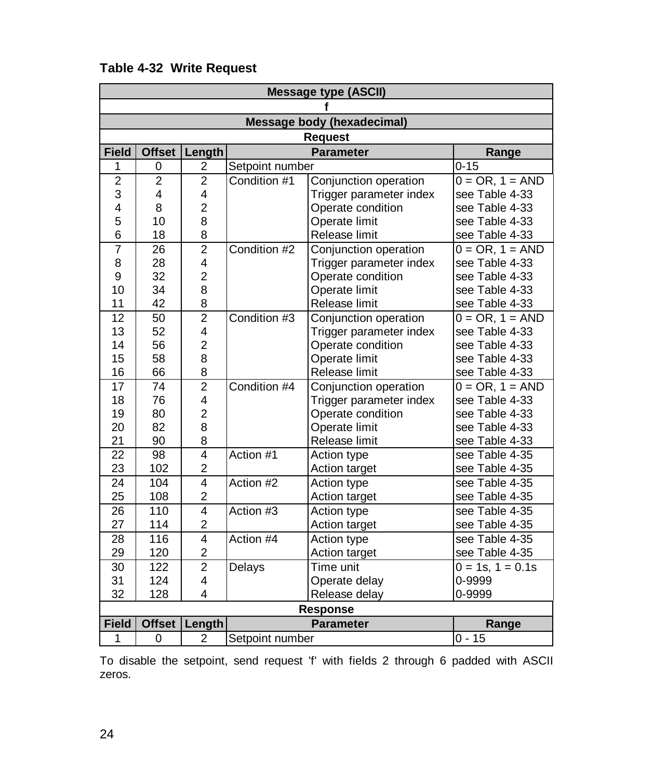|                 | <b>Message type (ASCII)</b> |                         |                 |                                   |                    |  |  |
|-----------------|-----------------------------|-------------------------|-----------------|-----------------------------------|--------------------|--|--|
|                 |                             |                         |                 |                                   |                    |  |  |
|                 |                             |                         |                 | <b>Message body (hexadecimal)</b> |                    |  |  |
|                 | <b>Request</b>              |                         |                 |                                   |                    |  |  |
| <b>Field</b>    | <b>Offset</b>               | Length                  |                 | <b>Parameter</b>                  | Range              |  |  |
| 1               | 0                           | 2                       | Setpoint number |                                   | $0 - 15$           |  |  |
| $\overline{c}$  | 2                           | $\overline{c}$          | Condition #1    | Conjunction operation             | $0 = OR, 1 = AND$  |  |  |
| 3               | 4                           | 4                       |                 | Trigger parameter index           | see Table 4-33     |  |  |
| 4               | 8                           | $\overline{2}$          |                 | Operate condition                 | see Table 4-33     |  |  |
| 5               | 10                          | 8                       |                 | Operate limit                     | see Table 4-33     |  |  |
| 6               | 18                          | 8                       |                 | Release limit                     | see Table 4-33     |  |  |
| $\overline{7}$  | 26                          | $\overline{2}$          | Condition #2    | Conjunction operation             | $0 = OR, 1 = AND$  |  |  |
| 8               | 28                          | 4                       |                 | Trigger parameter index           | see Table 4-33     |  |  |
| 9               | 32                          | $\overline{c}$          |                 | Operate condition                 | see Table 4-33     |  |  |
| 10              | 34                          | 8                       |                 | Operate limit                     | see Table 4-33     |  |  |
| 11              | 42                          | 8                       |                 | Release limit                     | see Table 4-33     |  |  |
| 12              | 50                          | $\overline{2}$          | Condition #3    | Conjunction operation             | $0 = OR, 1 = AND$  |  |  |
| 13              | 52                          | 4                       |                 | Trigger parameter index           | see Table 4-33     |  |  |
| 14              | 56                          | $\overline{c}$          |                 | Operate condition                 | see Table 4-33     |  |  |
| 15              | 58                          | 8                       | Operate limit   |                                   | see Table 4-33     |  |  |
| 16              | 66                          | 8                       | Release limit   |                                   | see Table 4-33     |  |  |
| $\overline{17}$ | 74                          | $\overline{2}$          | Condition #4    | Conjunction operation             | $0 = OR, 1 = AND$  |  |  |
| 18              | 76                          | 4                       |                 | Trigger parameter index           | see Table 4-33     |  |  |
| 19              | 80                          | $\overline{c}$          |                 | Operate condition                 | see Table 4-33     |  |  |
| 20              | 82                          | 8                       |                 | Operate limit                     | see Table 4-33     |  |  |
| 21              | 90                          | 8                       |                 | Release limit                     | see Table 4-33     |  |  |
| 22              | 98                          | $\overline{4}$          | Action #1       | Action type                       | see Table 4-35     |  |  |
| 23              | 102                         | $\overline{c}$          |                 | Action target                     | see Table 4-35     |  |  |
| 24              | 104                         | $\overline{4}$          | Action #2       | Action type                       | see Table 4-35     |  |  |
| 25              | 108                         | $\overline{c}$          |                 | Action target                     | see Table 4-35     |  |  |
| 26              | 110                         | $\overline{4}$          | Action $#3$     | Action type                       | see Table 4-35     |  |  |
| 27              | 114                         | $\overline{2}$          |                 | Action target                     | see Table 4-35     |  |  |
| 28              | 116                         | $\overline{4}$          | Action #4       | Action type                       | see Table 4-35     |  |  |
| 29              | 120                         | $\overline{2}$          |                 | Action target                     | see Table 4-35     |  |  |
| 30              | 122                         | $\overline{2}$          | Delays          | Time unit                         | $0 = 1s, 1 = 0.1s$ |  |  |
| 31              | 124                         | 4                       |                 | Operate delay                     | 0-9999             |  |  |
| 32              | 128                         | $\overline{\mathbf{4}}$ | Release delay   |                                   | 0-9999             |  |  |
|                 |                             |                         |                 | <b>Response</b>                   |                    |  |  |
| <b>Field</b>    | <b>Offset</b>               | Length                  |                 | <b>Parameter</b>                  | Range              |  |  |
| 1               | 0                           | $\overline{2}$          | Setpoint number |                                   | $0 - 15$           |  |  |

#### **Table 4-32 Write Request**

To disable the setpoint, send request 'f' with fields 2 through 6 padded with ASCII zeros.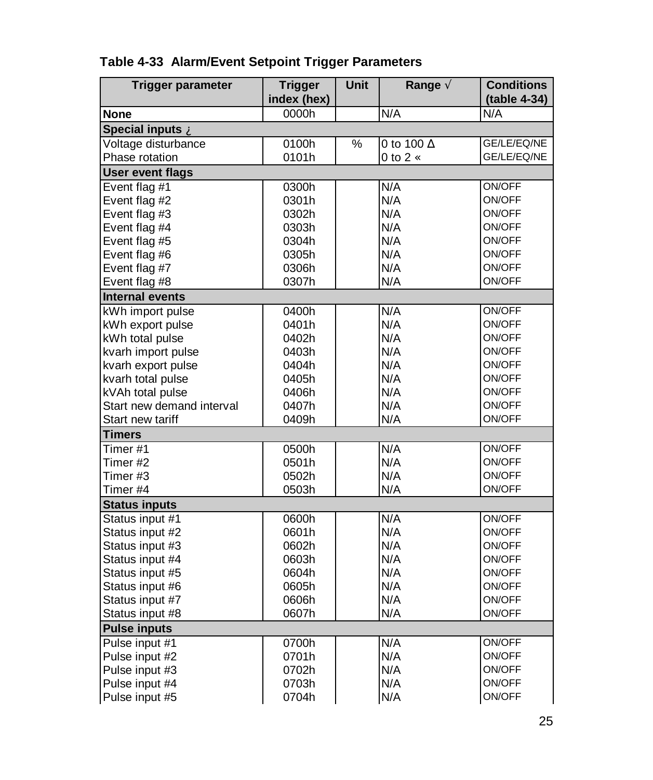| <b>Trigger parameter</b>  | <b>Trigger</b><br>index (hex) | Unit | Range $\tilde{A}$      | <b>Conditions</b><br>(table 4-34) |
|---------------------------|-------------------------------|------|------------------------|-----------------------------------|
| <b>None</b>               | 0000h                         |      | N/A                    | N/A                               |
| Special inputs A          |                               |      |                        |                                   |
| Voltage disturbance       | 0100h                         | %    | 0 to 100 $AE$          | GE/LE/EQ/NE                       |
| Phase rotation            | 0101h                         |      | $0$ to $2 \, \text{C}$ | GE/LE/EQ/NE                       |
| <b>User event flags</b>   |                               |      |                        |                                   |
| Event flag #1             | 0300h                         |      | N/A                    | ON/OFF                            |
| Event flag #2             | 0301h                         |      | N/A                    | ON/OFF                            |
| Event flag #3             | 0302h                         |      | N/A                    | ON/OFF                            |
| Event flag #4             | 0303h                         |      | N/A                    | ON/OFF                            |
| Event flag #5             | 0304h                         |      | N/A                    | ON/OFF                            |
| Event flag #6             | 0305h                         |      | N/A                    | ON/OFF                            |
| Event flag #7             | 0306h                         |      | N/A                    | ON/OFF                            |
| Event flag #8             | 0307h                         |      | N/A                    | ON/OFF                            |
| <b>Internal events</b>    |                               |      |                        |                                   |
| kWh import pulse          | 0400h                         |      | N/A                    | ON/OFF                            |
| kWh export pulse          | 0401h                         |      | N/A                    | ON/OFF                            |
| kWh total pulse           | 0402h                         |      | N/A                    | ON/OFF                            |
| kvarh import pulse        | 0403h                         |      | N/A                    | ON/OFF                            |
| kvarh export pulse        | 0404h                         |      | N/A                    | ON/OFF                            |
| kvarh total pulse         | 0405h                         |      | N/A                    | ON/OFF                            |
| kVAh total pulse          | 0406h                         |      | N/A                    | ON/OFF                            |
| Start new demand interval | 0407h                         |      | N/A                    | ON/OFF                            |
| Start new tariff          | 0409h                         |      | N/A                    | ON/OFF                            |
| <b>Timers</b>             |                               |      |                        |                                   |
| Timer#1                   | 0500h                         |      | N/A                    | ON/OFF                            |
| Timer #2                  | 0501h                         |      | N/A                    | ON/OFF                            |
| Timer #3                  | 0502h                         |      | N/A                    | ON/OFF                            |
| Timer #4                  | 0503h                         |      | N/A                    | ON/OFF                            |
| <b>Status inputs</b>      |                               |      |                        |                                   |
| Status input #1           | 0600h                         |      | N/A                    | ON/OFF                            |
| Status input #2           | 0601h                         |      | N/A                    | ON/OFF                            |
| Status input #3           | 0602h                         |      | N/A                    | ON/OFF                            |
| Status input #4           | 0603h                         |      | N/A                    | ON/OFF                            |
| Status input #5           | 0604h                         |      | N/A                    | ON/OFF                            |
| Status input #6           | 0605h                         |      | N/A                    | ON/OFF                            |
| Status input #7           | 0606h                         |      | N/A                    | ON/OFF                            |
| Status input #8           | 0607h                         |      | N/A                    | ON/OFF                            |
| <b>Pulse inputs</b>       |                               |      |                        |                                   |
| Pulse input #1            | 0700h                         |      | N/A                    | ON/OFF                            |
| Pulse input #2            | 0701h                         |      | N/A                    | ON/OFF                            |
| Pulse input #3            | 0702h                         |      | N/A                    | ON/OFF                            |
| Pulse input #4            | 0703h                         |      | N/A                    | ON/OFF                            |
| Pulse input #5            | 0704h                         |      | N/A                    | ON/OFF                            |

#### **Table 4-33 Alarm/Event Setpoint Trigger Parameters**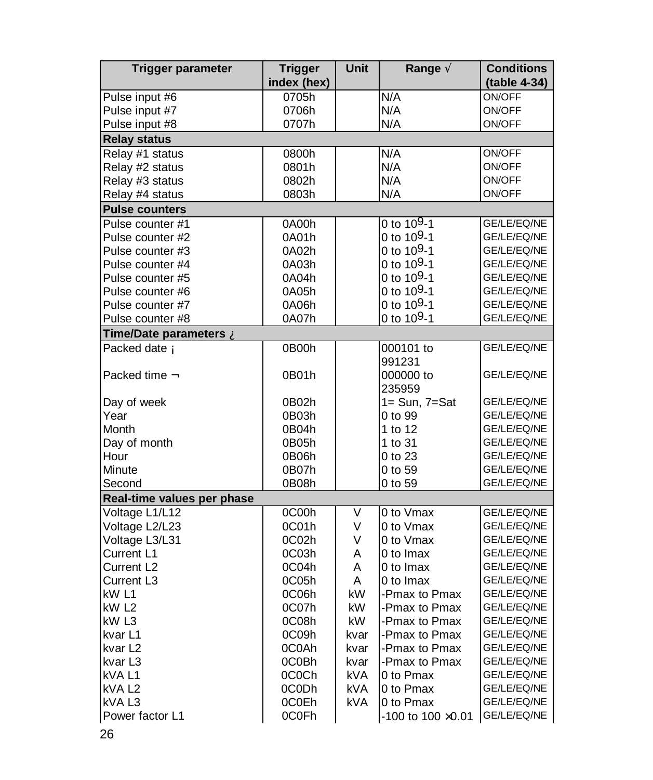| Trigger parameter          | <b>Trigger</b> | Unit       | Range A                     | <b>Conditions</b> |
|----------------------------|----------------|------------|-----------------------------|-------------------|
|                            | index (hex)    |            |                             | (table 4-34)      |
| Pulse input #6             | 0705h          |            | N/A                         | ON/OFF            |
| Pulse input #7             | 0706h          |            | N/A                         | ON/OFF            |
| Pulse input #8             | 0707h          |            | N/A                         | ON/OFF            |
| <b>Relay status</b>        |                |            |                             |                   |
| Relay #1 status            | 0800h          |            | N/A                         | ON/OFF            |
| Relay #2 status            | 0801h          |            | N/A                         | ON/OFF            |
| Relay #3 status            | 0802h          |            | N/A                         | ON/OFF            |
| Relay #4 status            | 0803h          |            | N/A                         | ON/OFF            |
| <b>Pulse counters</b>      |                |            |                             |                   |
| Pulse counter #1           | 0A00h          |            | 0 to $10^{9} - 1$           | GE/LE/EQ/NE       |
| Pulse counter #2           | 0A01h          |            | 0 to 109-1                  | GE/LE/EQ/NE       |
| Pulse counter #3           | 0A02h          |            | 0 to $109-1$                | GE/LE/EQ/NE       |
| Pulse counter #4           | 0A03h          |            | 0 to 109-1                  | GE/LE/EQ/NE       |
| Pulse counter #5           | 0A04h          |            | 0 to 109-1                  | GE/LE/EQ/NE       |
| Pulse counter #6           | 0A05h          |            | 0 to 109-1                  | GE/LE/EQ/NE       |
| Pulse counter #7           | 0A06h          |            | 0 to $10^{9} - 1$           | GE/LE/EQ/NE       |
| Pulse counter #8           | 0A07h          |            | 0 to 109-1                  | GE/LE/EQ/NE       |
| Time/Date parameters À     |                |            |                             |                   |
| Packed date Á              | 0B00h          |            | 000101 to                   | GE/LE/EQ/NE       |
|                            |                |            | 991231                      |                   |
| Packed time $\hat{A}$      | 0B01h          |            | 000000 to                   | GE/LE/EQ/NE       |
|                            |                |            | 235959                      |                   |
| Day of week                | 0B02h          |            | $1 = Sun$ , $7 = Sat$       | GE/LE/EQ/NE       |
| Year                       | 0B03h          |            | 0 to 99                     | GE/LE/EQ/NE       |
| Month                      | 0B04h          |            | 1 to 12                     | GE/LE/EQ/NE       |
| Day of month               | 0B05h          |            | 1 to 31                     | GE/LE/EQ/NE       |
| Hour                       | 0B06h          |            | 0 to 23                     | GE/LE/EQ/NE       |
| Minute                     | 0B07h          |            | 0 to 59                     | GE/LE/EQ/NE       |
| Second                     | 0B08h          |            | 0 to 59                     | GE/LE/EQ/NE       |
| Real-time values per phase |                |            |                             |                   |
| Voltage L1/L12             | 0C00h          | V          | 0 to Vmax                   | GE/LE/EQ/NE       |
| Voltage L2/L23             | 0C01h          | V          | 0 to Vmax                   | GE/LE/EQ/NE       |
| Voltage L3/L31             | 0C02h          | V          | 0 to Vmax                   | GE/LE/EQ/NE       |
| Current L1                 | 0C03h          | A          | 0 to Imax                   | GE/LE/EQ/NE       |
| Current L <sub>2</sub>     | 0C04h          | A          | 0 to Imax                   | GE/LE/EQ/NE       |
| Current L3                 | 0C05h          | A          | 0 to Imax                   | GE/LE/EQ/NE       |
| kW L1                      | 0C06h          | kW         | -Pmax to Pmax               | GE/LE/EQ/NE       |
| kW L2                      | 0C07h          | kW         | -Pmax to Pmax               | GE/LE/EQ/NE       |
| kW L3                      | 0C08h          | kW         | -Pmax to Pmax               | GE/LE/EQ/NE       |
| kvar L1                    | 0C09h          | kvar       | -Pmax to Pmax               | GE/LE/EQ/NE       |
| kvar L <sub>2</sub>        | 0C0Ah          | kvar       | -Pmax to Pmax               | GE/LE/EQ/NE       |
| kvar L <sub>3</sub>        | 0C0Bh          | kvar       | -Pmax to Pmax               | GE/LE/EQ/NE       |
| kVA L1                     | 0C0Ch          | kVA        | 0 to Pmax                   | GE/LE/EQ/NE       |
| kVAL <sub>2</sub>          | 0C0Dh          | <b>kVA</b> | 0 to Pmax                   | GE/LE/EQ/NE       |
| kVAL3                      | 0C0Eh          | <b>kVA</b> | 0 to Pmax                   | GE/LE/EQ/NE       |
| Power factor L1            | 0C0Fh          |            | $-100$ to $100 \times 0.01$ | GE/LE/EQ/NE       |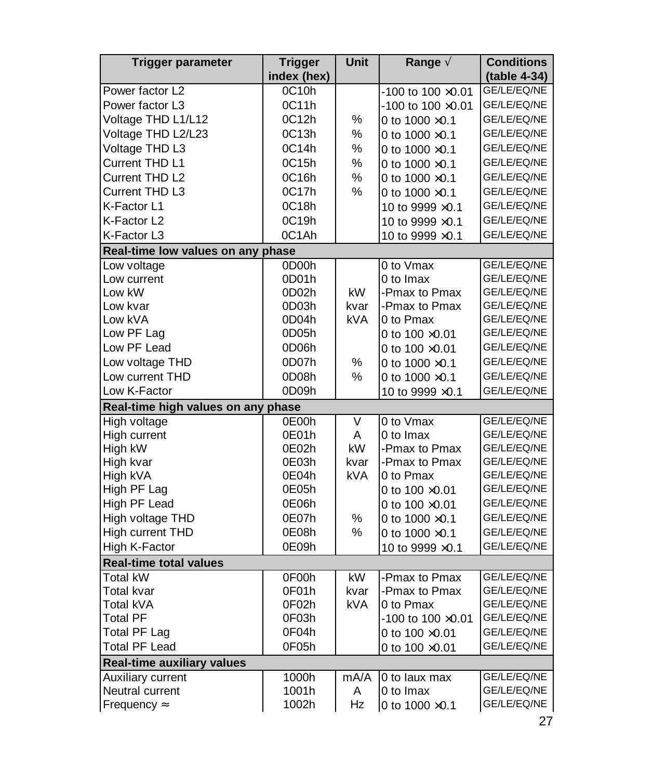| Trigger parameter                  | <b>Trigger</b> | Unit       | Range $\tilde{A}$           | <b>Conditions</b> |
|------------------------------------|----------------|------------|-----------------------------|-------------------|
|                                    | index (hex)    |            |                             | (table 4-34)      |
| Power factor L2                    | 0C10h          |            | -100 to 100 $\times$ 0.01   | GE/LE/EQ/NE       |
| Power factor L3                    | 0C11h          |            | $-100$ to $100 \times 0.01$ | GE/LE/EQ/NE       |
| Voltage THD L1/L12                 | 0C12h          | ℅          | 0 to $1000 \times 0.1$      | GE/LE/EQ/NE       |
| Voltage THD L2/L23                 | 0C13h          | $\%$       | 0 to $1000 \times 0.1$      | GE/LE/EQ/NE       |
| Voltage THD L3                     | 0C14h          | %          | 0 to $1000 \times 0.1$      | GE/LE/EQ/NE       |
| Current THD L1                     | 0C15h          | %          | 0 to $1000 \times 0.1$      | GE/LE/EQ/NE       |
| Current THD L2                     | 0C16h          | %          | 0 to $1000 \times 0.1$      | GE/LE/EQ/NE       |
| Current THD L3                     | 0C17h          | $\%$       | 0 to $1000 \times 0.1$      | GE/LE/EQ/NE       |
| K-Factor L1                        | 0C18h          |            | 10 to 9999 × 0.1            | GE/LE/EQ/NE       |
| K-Factor L2                        | 0C19h          |            | 10 to 9999 $\times$ 0.1     | GE/LE/EQ/NE       |
| K-Factor L3                        | 0C1Ah          |            | 10 to 9999 × 0.1            | GE/LE/EQ/NE       |
| Real-time low values on any phase  |                |            |                             |                   |
| Low voltage                        | 0D00h          |            | 0 to Vmax                   | GE/LE/EQ/NE       |
| Low current                        | 0D01h          |            | 0 to Imax                   | GE/LE/EQ/NE       |
| Low kW                             | 0D02h          | kW         | -Pmax to Pmax               | GE/LE/EQ/NE       |
| Low kvar                           | 0D03h          | kvar       | -Pmax to Pmax               | GE/LE/EQ/NE       |
| Low kVA                            | 0D04h          | <b>kVA</b> | 0 to Pmax                   | GE/LE/EQ/NE       |
| Low PF Lag                         | 0D05h          |            | 0 to $100 \times 0.01$      | GE/LE/EQ/NE       |
| Low PF Lead                        | 0D06h          |            | 0 to $100 \times 0.01$      | GE/LE/EQ/NE       |
| Low voltage THD                    | 0D07h          | ℅          | 0 to $1000 \times 0.1$      | GE/LE/EQ/NE       |
| Low current THD                    | 0D08h          | %          | 0 to 1000 ×0.1              | GE/LE/EQ/NE       |
| Low K-Factor                       | 0D09h          |            | 10 to 9999 $\times$ 0.1     | GE/LE/EQ/NE       |
| Real-time high values on any phase |                |            |                             |                   |
| High voltage                       | 0E00h          | V          | 0 to Vmax                   | GE/LE/EQ/NE       |
| High current                       | 0E01h          | A          | 0 to Imax                   | GE/LE/EQ/NE       |
| High kW                            | 0E02h          | kW         | -Pmax to Pmax               | GE/LE/EQ/NE       |
| High kvar                          | 0E03h          | kvar       | -Pmax to Pmax               | GE/LE/EQ/NE       |
| High kVA                           | 0E04h          | kVA        | 0 to Pmax                   | GE/LE/EQ/NE       |
| High PF Lag                        | 0E05h          |            | 0 to $100 \times 0.01$      | GE/LE/EQ/NE       |
| High PF Lead                       | 0E06h          |            | 0 to $100 \times 0.01$      | GE/LE/EQ/NE       |
| High voltage THD                   | 0E07h          | %          | 0 to $1000 \times 0.1$      | GE/LE/EQ/NE       |
| High current THD                   | 0E08h          | ℅          | 0 to $1000 \times 0.1$      | GE/LE/EQ/NE       |
| High K-Factor                      | 0E09h          |            | 10 to 9999 $\times$ 0.1     | GE/LE/EQ/NE       |
| <b>Real-time total values</b>      |                |            |                             |                   |
| <b>Total kW</b>                    | 0F00h          | kW         | -Pmax to Pmax               | GE/LE/EQ/NE       |
| Total kvar                         | 0F01h          | kvar       | -Pmax to Pmax               | GE/LE/EQ/NE       |
| Total kVA                          | 0F02h          | <b>kVA</b> | 0 to Pmax                   | GE/LE/EQ/NE       |
| <b>Total PF</b>                    | 0F03h          |            | $-100$ to $100 \times 0.01$ | GE/LE/EQ/NE       |
| <b>Total PF Lag</b>                | 0F04h          |            | 0 to $100 \times 0.01$      | GE/LE/EQ/NE       |
| <b>Total PF Lead</b>               | 0F05h          |            | 0 to 100 ×0.01              | GE/LE/EQ/NE       |
| <b>Real-time auxiliary values</b>  |                |            |                             |                   |
| Auxiliary current                  | 1000h          | mA/A       | 0 to laux max               | GE/LE/EQ/NE       |
| Neutral current                    | 1001h          | A          | 0 to Imax                   | GE/LE/EQ/NE       |
| Frequency Å                        | 1002h          | Hz         | 0 to $1000 \times 0.1$      | GE/LE/EQ/NE       |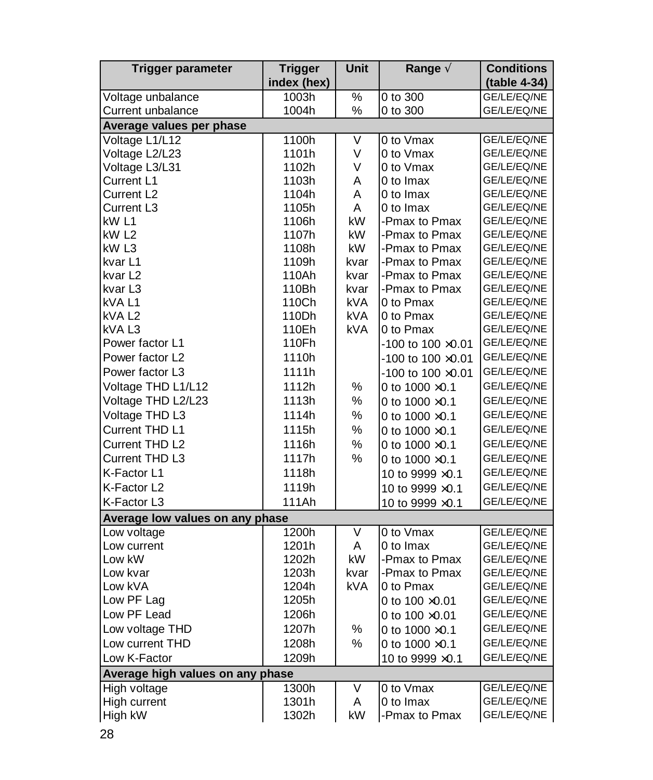| <b>Trigger parameter</b>         | <b>Trigger</b> | Unit       | Range A                     | <b>Conditions</b> |
|----------------------------------|----------------|------------|-----------------------------|-------------------|
|                                  | index (hex)    |            |                             | (table 4-34)      |
| Voltage unbalance                | 1003h          | $\%$       | 0 to 300                    | GE/LE/EQ/NE       |
| Current unbalance                | 1004h          | %          | 0 to 300                    | GE/LE/EQ/NE       |
| Average values per phase         |                |            |                             |                   |
| Voltage L1/L12                   | 1100h          | V          | 0 to Vmax                   | GE/LE/EQ/NE       |
| Voltage L2/L23                   | 1101h          | V          | 0 to Vmax                   | GE/LE/EQ/NE       |
| Voltage L3/L31                   | 1102h          | V          | 0 to Vmax                   | GE/LE/EQ/NE       |
| Current L1                       | 1103h          | A          | 0 to Imax                   | GE/LE/EQ/NE       |
| Current L <sub>2</sub>           | 1104h          | A          | 0 to Imax                   | GE/LE/EQ/NE       |
| Current L3                       | 1105h          | A          | 0 to Imax                   | GE/LE/EQ/NE       |
| kW L1                            | 1106h          | kW         | -Pmax to Pmax               | GE/LE/EQ/NE       |
| kW <sub>L2</sub>                 | 1107h          | kW         | -Pmax to Pmax               | GE/LE/EQ/NE       |
| kW L3                            | 1108h          | kW         | -Pmax to Pmax               | GE/LE/EQ/NE       |
| kvar L1                          | 1109h          | kvar       | -Pmax to Pmax               | GE/LE/EQ/NE       |
| kvar L2                          | 110Ah          | kvar       | -Pmax to Pmax               | GE/LE/EQ/NE       |
| kvar L3                          | 110Bh          | kvar       | -Pmax to Pmax               | GE/LE/EQ/NE       |
| kVA L1                           | 110Ch          | kVA        | 0 to Pmax                   | GE/LE/EQ/NE       |
| kVA L <sub>2</sub>               | 110Dh          | kVA        | 0 to Pmax                   | GE/LE/EQ/NE       |
| kVA L3                           | 110Eh          | <b>kVA</b> | 0 to Pmax                   | GE/LE/EQ/NE       |
| Power factor L1                  | 110Fh          |            | $-100$ to $100 \times 0.01$ | GE/LE/EQ/NE       |
| Power factor L2                  | 1110h          |            | -100 to 100 $\times$ 0.01   | GE/LE/EQ/NE       |
| Power factor L3                  | 1111h          |            | $-100$ to $100 \times 0.01$ | GE/LE/EQ/NE       |
| Voltage THD L1/L12               | 1112h          | ℅          | 0 to $1000 \times 0.1$      | GE/LE/EQ/NE       |
| Voltage THD L2/L23               | 1113h          | ℅          | 0 to $1000 \times 0.1$      | GE/LE/EQ/NE       |
| Voltage THD L3                   | 1114h          | %          | 0 to $1000 \times 0.1$      | GE/LE/EQ/NE       |
| Current THD L1                   | 1115h          | $\%$       | 0 to $1000 \times 0.1$      | GE/LE/EQ/NE       |
| Current THD L2                   | 1116h          | %          | 0 to $1000 \times 0.1$      | GE/LE/EQ/NE       |
| Current THD L3                   | 1117h          | %          | 0 to $1000 \times 0.1$      | GE/LE/EQ/NE       |
| K-Factor L1                      | 1118h          |            | 10 to 9999 ×0.1             | GE/LE/EQ/NE       |
| K-Factor L2                      | 1119h          |            | 10 to 9999 ×0.1             | GE/LE/EQ/NE       |
| K-Factor L3                      | 111Ah          |            | 10 to 9999 $\times$ 0.1     | GE/LE/EQ/NE       |
| Average low values on any phase  |                |            |                             |                   |
| Low voltage                      | 1200h          | V          | 0 to Vmax                   | GE/LE/EQ/NE       |
| Low current                      | 1201h          | A          | 0 to Imax                   | GE/LE/EQ/NE       |
| Low kW                           | 1202h          | kW         | -Pmax to Pmax               | GE/LE/EQ/NE       |
| Low kvar                         | 1203h          | kvar       | -Pmax to Pmax               | GE/LE/EQ/NE       |
| Low kVA                          | 1204h          | <b>kVA</b> | 0 to Pmax                   | GE/LE/EQ/NE       |
| Low PF Lag                       | 1205h          |            | 0 to $100 \times 0.01$      | GE/LE/EQ/NE       |
| Low PF Lead                      | 1206h          |            | 0 to $100 \times 0.01$      | GE/LE/EQ/NE       |
| Low voltage THD                  | 1207h          | %          | 0 to $1000 \times 0.1$      | GE/LE/EQ/NE       |
| Low current THD                  | 1208h          | %          | 0 to $1000 \times 0.1$      | GE/LE/EQ/NE       |
| Low K-Factor                     | 1209h          |            | 10 to 9999 × 0.1            | GE/LE/EQ/NE       |
| Average high values on any phase |                |            |                             |                   |
| High voltage                     | 1300h          | V          | 0 to Vmax                   | GE/LE/EQ/NE       |
| High current                     | 1301h          | Α          | 0 to Imax                   | GE/LE/EQ/NE       |
| High kW                          | 1302h          | kW         | -Pmax to Pmax               | GE/LE/EQ/NE       |
|                                  |                |            |                             |                   |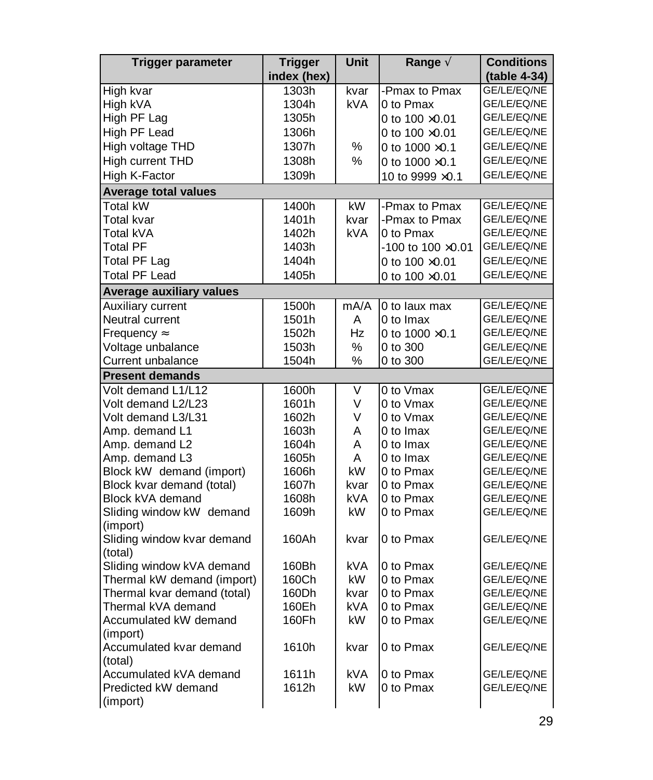| <b>Trigger parameter</b>        | <b>Trigger</b><br>index (hex) | Unit       | Range $\tilde{A}$           | <b>Conditions</b><br>(table 4-34) |
|---------------------------------|-------------------------------|------------|-----------------------------|-----------------------------------|
| High kvar                       | 1303h                         | kvar       | -Pmax to Pmax               | GE/LE/EQ/NE                       |
| High kVA                        | 1304h                         | <b>kVA</b> | 0 to Pmax                   | GE/LE/EQ/NE                       |
| High PF Lag                     | 1305h                         |            | 0 to $100 \times 0.01$      | GE/LE/EQ/NE                       |
| High PF Lead                    | 1306h                         |            | 0 to $100 \times 0.01$      | GE/LE/EQ/NE                       |
| High voltage THD                | 1307h                         | %          | 0 to $1000 \times 0.1$      | GE/LE/EQ/NE                       |
| High current THD                | 1308h                         | %          | 0 to $1000 \times 0.1$      | GE/LE/EQ/NE                       |
| High K-Factor                   | 1309h                         |            | 10 to 9999 ×0.1             | GE/LE/EQ/NE                       |
| <b>Average total values</b>     |                               |            |                             |                                   |
| <b>Total kW</b>                 | 1400h                         | kW         | -Pmax to Pmax               | GE/LE/EQ/NE                       |
| Total kvar                      | 1401h                         | kvar       | -Pmax to Pmax               | GE/LE/EQ/NE                       |
| Total kVA                       | 1402h                         | <b>kVA</b> | 0 to Pmax                   | GE/LE/EQ/NE                       |
| Total PF                        | 1403h                         |            | $-100$ to $100 \times 0.01$ | GE/LE/EQ/NE                       |
| <b>Total PF Lag</b>             | 1404h                         |            | 0 to $100 \times 0.01$      | GE/LE/EQ/NE                       |
| <b>Total PF Lead</b>            | 1405h                         |            | 0 to $100 \times 0.01$      | GE/LE/EQ/NE                       |
| <b>Average auxiliary values</b> |                               |            |                             |                                   |
| Auxiliary current               | 1500h                         | mA/A       | 0 to laux max               | GE/LE/EQ/NE                       |
| Neutral current                 | 1501h                         | A          | 0 to Imax                   | GE/LE/EQ/NE                       |
| Frequency Å                     | 1502h                         | Hz         | 0 to $1000 \times 0.1$      | GE/LE/EQ/NE                       |
| Voltage unbalance               | 1503h                         | $\%$       | 0 to 300                    | GE/LE/EQ/NE                       |
| Current unbalance               | 1504h                         | %          | 0 to 300                    | GE/LE/EQ/NE                       |
| <b>Present demands</b>          |                               |            |                             |                                   |
| Volt demand L1/L12              | 1600h                         | V          | 0 to Vmax                   | GE/LE/EQ/NE                       |
| Volt demand L2/L23              | 1601h                         | V          | 0 to Vmax                   | GE/LE/EQ/NE                       |
| Volt demand L3/L31              | 1602h                         | V          | 0 to Vmax                   | GE/LE/EQ/NE                       |
| Amp. demand L1                  | 1603h                         | A          | 0 to Imax                   | GE/LE/EQ/NE                       |
| Amp. demand L2                  | 1604h                         | A          | 0 to Imax                   | GE/LE/EQ/NE                       |
| Amp. demand L3                  | 1605h                         | A          | 0 to Imax                   | GE/LE/EQ/NE                       |
| Block kW demand (import)        | 1606h                         | kW         | 0 to Pmax                   | GE/LE/EQ/NE                       |
| Block kvar demand (total)       | 1607h                         | kvar       | 0 to Pmax                   | GE/LE/EQ/NE                       |
| Block kVA demand                | 1608h                         | <b>kVA</b> | 0 to Pmax                   | GE/LE/EQ/NE                       |
| Sliding window kW demand        | 1609h                         | kW.        | 0 to Pmax                   | GE/LE/EQ/NE                       |
| (import)                        |                               |            |                             |                                   |
| Sliding window kvar demand      | 160Ah                         | kvar       | 0 to Pmax                   | GE/LE/EQ/NE                       |
| (total)                         |                               |            |                             |                                   |
| Sliding window kVA demand       | 160Bh                         | <b>kVA</b> | 0 to Pmax                   | GE/LE/EQ/NE                       |
| Thermal kW demand (import)      | 160Ch                         | kW.        | 0 to Pmax                   | GE/LE/EQ/NE                       |
| Thermal kvar demand (total)     | 160Dh                         | kvar       | 0 to Pmax                   | GE/LE/EQ/NE                       |
| Thermal kVA demand              | 160Eh                         | kVA        | 0 to Pmax                   | GE/LE/EQ/NE                       |
| Accumulated kW demand           | 160Fh                         | kW         | 0 to Pmax                   | GE/LE/EQ/NE                       |
| (import)                        |                               |            |                             |                                   |
| Accumulated kvar demand         | 1610h                         | kvar       | 0 to Pmax                   | GE/LE/EQ/NE                       |
| (total)                         |                               |            |                             |                                   |
| Accumulated kVA demand          | 1611h                         | <b>kVA</b> | 0 to Pmax                   | GE/LE/EQ/NE                       |
| Predicted kW demand             | 1612h                         | kW.        | 0 to Pmax                   | GE/LE/EQ/NE                       |
| (import)                        |                               |            |                             |                                   |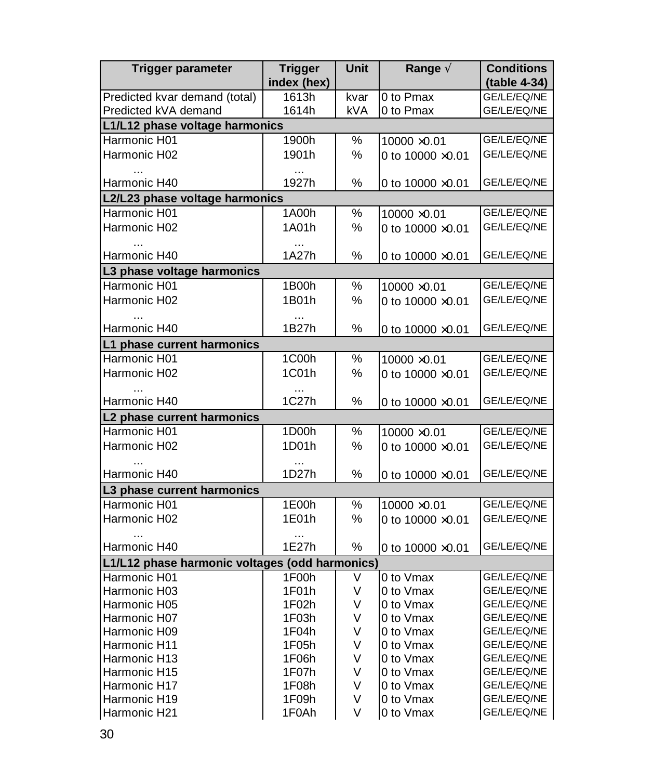| Trigger parameter                              | <b>Trigger</b><br>index (hex) | Unit   | Range $\tilde{A}$        | <b>Conditions</b><br>(table 4-34) |
|------------------------------------------------|-------------------------------|--------|--------------------------|-----------------------------------|
| Predicted kvar demand (total)                  | 1613h                         | kvar   | 0 to Pmax                | GE/LE/EQ/NE                       |
| Predicted kVA demand                           | 1614h                         | kVA    | 0 to Pmax                | GE/LE/EQ/NE                       |
| L1/L12 phase voltage harmonics                 |                               |        |                          |                                   |
| Harmonic H01                                   | 1900h                         | %      | 10000 × 0.01             | GE/LE/EQ/NE                       |
| Harmonic H02                                   | 1901h                         | %      | 0 to $10000 \times 0.01$ | GE/LE/EQ/NE                       |
|                                                |                               |        |                          |                                   |
| Harmonic H40                                   | $\cdots$<br>1927h             | %      | 0 to $10000 \times 0.01$ | GE/LE/EQ/NE                       |
| L2/L23 phase voltage harmonics                 |                               |        |                          |                                   |
| Harmonic H01                                   | 1A00h                         | %      | 10000 ×0.01              | GE/LE/EQ/NE                       |
| Harmonic H02                                   | 1A01h                         | %      | 0 to 10000 ×0.01         | GE/LE/EQ/NE                       |
|                                                | $\cdots$                      |        |                          |                                   |
| Harmonic H40                                   | 1A27h                         | $\%$   | 0 to $10000 \times 0.01$ | GE/LE/EQ/NE                       |
| L3 phase voltage harmonics                     |                               |        |                          |                                   |
| Harmonic H01                                   | 1B00h                         | %      | 10000 ×0.01              | GE/LE/EQ/NE                       |
| Harmonic H02                                   | 1B01h                         | %      | 0 to $10000 \times 0.01$ | GE/LE/EQ/NE                       |
|                                                | $\ddotsc$                     |        |                          |                                   |
| Harmonic H40                                   | 1B27h                         | %      | 0 to $10000 \times 0.01$ | GE/LE/EQ/NE                       |
| L1 phase current harmonics                     |                               |        |                          |                                   |
| Harmonic H01                                   | 1C00h                         | %      | 10000 ×0.01              | GE/LE/EQ/NE                       |
| Harmonic H02                                   | 1C01h                         | ℅      | 0 to 10000 ×0.01         | GE/LE/EQ/NE                       |
|                                                |                               |        |                          |                                   |
| Harmonic H40                                   | 1C27h                         | %      | 0 to $10000 \times 0.01$ | GE/LE/EQ/NE                       |
| L2 phase current harmonics                     |                               |        |                          |                                   |
| Harmonic H01                                   | 1D00h                         | %      | 10000 × 0.01             | GE/LE/EQ/NE                       |
| Harmonic H02                                   | 1D01h                         | %      | 0 to $10000 \times 0.01$ | GE/LE/EQ/NE                       |
|                                                | $\ddotsc$                     |        |                          |                                   |
| Harmonic H40                                   | 1D27h                         | %      | 0 to 10000 $\times$ 0.01 | GE/LE/EQ/NE                       |
| L3 phase current harmonics                     |                               |        |                          |                                   |
| Harmonic H01                                   | 1E00h                         | %      | 10000 ×0.01              | GE/LE/EQ/NE                       |
| Harmonic H02                                   | 1E01h                         | %      | 0 to 10000 ×0.01         | GE/LE/EQ/NE                       |
|                                                |                               |        |                          |                                   |
| Harmonic H40                                   | 1E27h                         | %      | 0 to $10000 \times 0.01$ | GE/LE/EQ/NE                       |
| L1/L12 phase harmonic voltages (odd harmonics) |                               |        |                          |                                   |
| Harmonic H01                                   | 1F00h                         | V      | 0 to Vmax                | GE/LE/EQ/NE                       |
| Harmonic H03                                   | 1F01h                         | V      | 0 to Vmax                | GE/LE/EQ/NE                       |
| Harmonic H05                                   | 1F02h                         | V      | 0 to Vmax                | GE/LE/EQ/NE                       |
| Harmonic H07                                   | 1F03h                         | V      | 0 to Vmax                | GE/LE/EQ/NE                       |
| Harmonic H09                                   | 1F04h                         | V      | 0 to Vmax                | GE/LE/EQ/NE                       |
| Harmonic H11                                   | 1F05h                         | V      | 0 to Vmax                | GE/LE/EQ/NE                       |
| Harmonic H13                                   | 1F06h                         | V      | 0 to Vmax                | GE/LE/EQ/NE                       |
| Harmonic H15                                   | 1F07h                         | V      | 0 to Vmax                | GE/LE/EQ/NE                       |
| Harmonic H17                                   | 1F08h                         | V      | 0 to Vmax                | GE/LE/EQ/NE                       |
| Harmonic H19                                   | 1F09h<br>1F0Ah                | V<br>V | 0 to Vmax                | GE/LE/EQ/NE<br>GE/LE/EQ/NE        |
| Harmonic H21                                   |                               |        | 0 to Vmax                |                                   |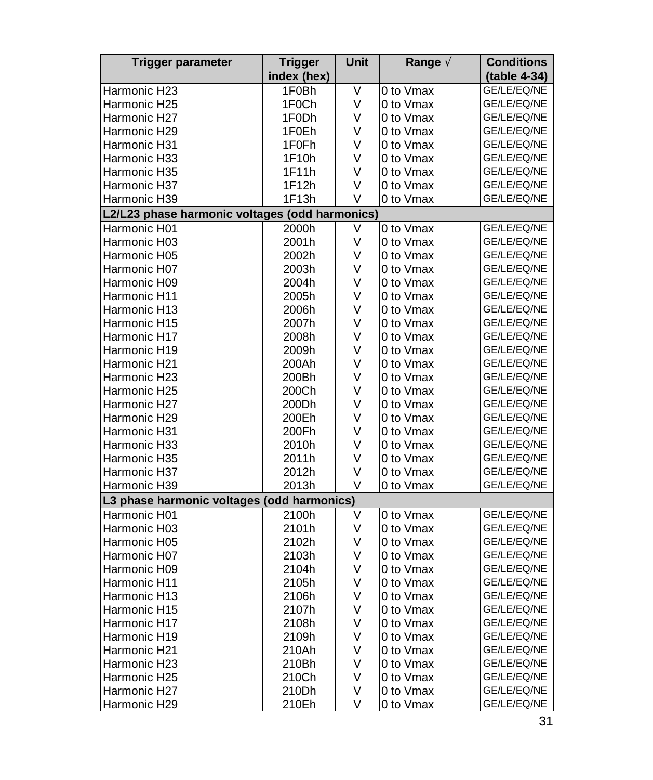| index (hex)<br>(table 4-34)<br>٧<br>0 to Vmax<br>Harmonic H23<br>1F0Bh<br>GE/LE/EQ/NE<br>V<br>0 to Vmax<br>Harmonic H25<br>1F0Ch<br>GE/LE/EQ/NE<br>Harmonic H27<br>V<br>0 to Vmax<br>GE/LE/EQ/NE<br>1F0Dh<br>V<br>0 to Vmax<br>Harmonic H29<br>1F0Eh<br>GE/LE/EQ/NE<br>Harmonic H31<br>1F <sub>0</sub> Fh<br>V<br>0 to Vmax<br>GE/LE/EQ/NE<br>GE/LE/EQ/NE<br>Harmonic H33<br>1F10h<br>V<br>0 to Vmax<br>1F11h<br>0 to Vmax<br>GE/LE/EQ/NE<br>Harmonic H35<br>V<br>1F12h<br>V<br>0 to Vmax<br>GE/LE/EQ/NE<br>Harmonic H37<br>1F13h<br>GE/LE/EQ/NE<br>Harmonic H39<br>V<br>0 to Vmax<br>L2/L23 phase harmonic voltages (odd harmonics)<br>V<br>0 to Vmax<br>GE/LE/EQ/NE<br>Harmonic H01<br>2000h<br>٧<br>0 to Vmax<br>GE/LE/EQ/NE<br>Harmonic H03<br>2001h<br>Harmonic H05<br>V<br>0 to Vmax<br>GE/LE/EQ/NE<br>2002h<br>Harmonic H07<br>٧<br>0 to Vmax<br>GE/LE/EQ/NE<br>2003h<br>GE/LE/EQ/NE<br>Harmonic H09<br>2004h<br>V<br>0 to Vmax<br>V<br>0 to Vmax<br>GE/LE/EQ/NE<br>Harmonic H11<br>2005h<br>V<br>GE/LE/EQ/NE<br>Harmonic H13<br>2006h<br>0 to Vmax<br>V<br>0 to Vmax<br>GE/LE/EQ/NE<br>Harmonic H15<br>2007h<br>V<br>0 to Vmax<br>GE/LE/EQ/NE<br>Harmonic H17<br>2008h<br>2009h<br>V<br>0 to Vmax<br>GE/LE/EQ/NE<br>Harmonic H19<br>V<br>0 to Vmax<br>GE/LE/EQ/NE<br>Harmonic H21<br>200Ah<br>0 to Vmax<br>Harmonic H23<br>200Bh<br>V<br>GE/LE/EQ/NE<br>V<br>0 to Vmax<br>GE/LE/EQ/NE<br>Harmonic H25<br>200Ch<br>V<br>Harmonic H27<br>200Dh<br>0 to Vmax<br>GE/LE/EQ/NE<br>V<br>GE/LE/EQ/NE<br>Harmonic H29<br>200Eh<br>0 to Vmax<br>0 to Vmax<br>GE/LE/EQ/NE<br>Harmonic H31<br>200Fh<br>V<br>Harmonic H33<br>2010h<br>V<br>0 to Vmax<br>GE/LE/EQ/NE<br>0 to Vmax<br>GE/LE/EQ/NE<br>Harmonic H35<br>2011h<br>V<br>GE/LE/EQ/NE<br>Harmonic H37<br>2012h<br>V<br>0 to Vmax<br>2013h<br>V<br>0 to Vmax<br>GE/LE/EQ/NE<br>Harmonic H39<br>L3 phase harmonic voltages (odd harmonics)<br>Harmonic H01<br>V<br>0 to Vmax<br>GE/LE/EQ/NE<br>2100h<br>Harmonic H03<br>2101h<br>V<br>0 to Vmax<br>GE/LE/EQ/NE<br>V<br>0 to Vmax<br>GE/LE/EQ/NE<br>Harmonic H05<br>2102h<br>GE/LE/EQ/NE<br>Harmonic H07<br>2103h<br>V<br>0 to Vmax<br>V<br>0 to Vmax<br>GE/LE/EQ/NE<br>Harmonic H09<br>2104h<br>V<br>0 to Vmax<br>GE/LE/EQ/NE<br>Harmonic H11<br>2105h<br>V<br>0 to Vmax<br>GE/LE/EQ/NE<br>Harmonic H13<br>2106h<br>GE/LE/EQ/NE<br>Harmonic H15<br>2107h<br>V<br>0 to Vmax<br>V<br>0 to Vmax<br>GE/LE/EQ/NE<br>Harmonic H17<br>2108h<br>GE/LE/EQ/NE<br>Harmonic H19<br>2109h<br>V<br>0 to Vmax<br>210Ah<br>V<br>0 to Vmax<br>GE/LE/EQ/NE<br>Harmonic H21<br>V<br>0 to Vmax<br>GE/LE/EQ/NE<br>Harmonic H23<br>210Bh<br>V<br>0 to Vmax<br>GE/LE/EQ/NE<br>Harmonic H25<br>210Ch<br>0 to Vmax<br>GE/LE/EQ/NE<br>Harmonic H27<br>210Dh<br>V | <b>Trigger parameter</b> | <b>Trigger</b> | Unit | Range $\tilde{A}$ | <b>Conditions</b> |
|----------------------------------------------------------------------------------------------------------------------------------------------------------------------------------------------------------------------------------------------------------------------------------------------------------------------------------------------------------------------------------------------------------------------------------------------------------------------------------------------------------------------------------------------------------------------------------------------------------------------------------------------------------------------------------------------------------------------------------------------------------------------------------------------------------------------------------------------------------------------------------------------------------------------------------------------------------------------------------------------------------------------------------------------------------------------------------------------------------------------------------------------------------------------------------------------------------------------------------------------------------------------------------------------------------------------------------------------------------------------------------------------------------------------------------------------------------------------------------------------------------------------------------------------------------------------------------------------------------------------------------------------------------------------------------------------------------------------------------------------------------------------------------------------------------------------------------------------------------------------------------------------------------------------------------------------------------------------------------------------------------------------------------------------------------------------------------------------------------------------------------------------------------------------------------------------------------------------------------------------------------------------------------------------------------------------------------------------------------------------------------------------------------------------------------------------------------------------------------------------------------------------------------------------------------------------------------------------------------------------------------------------------------------------------------------------------------------------------------------|--------------------------|----------------|------|-------------------|-------------------|
|                                                                                                                                                                                                                                                                                                                                                                                                                                                                                                                                                                                                                                                                                                                                                                                                                                                                                                                                                                                                                                                                                                                                                                                                                                                                                                                                                                                                                                                                                                                                                                                                                                                                                                                                                                                                                                                                                                                                                                                                                                                                                                                                                                                                                                                                                                                                                                                                                                                                                                                                                                                                                                                                                                                                        |                          |                |      |                   |                   |
|                                                                                                                                                                                                                                                                                                                                                                                                                                                                                                                                                                                                                                                                                                                                                                                                                                                                                                                                                                                                                                                                                                                                                                                                                                                                                                                                                                                                                                                                                                                                                                                                                                                                                                                                                                                                                                                                                                                                                                                                                                                                                                                                                                                                                                                                                                                                                                                                                                                                                                                                                                                                                                                                                                                                        |                          |                |      |                   |                   |
|                                                                                                                                                                                                                                                                                                                                                                                                                                                                                                                                                                                                                                                                                                                                                                                                                                                                                                                                                                                                                                                                                                                                                                                                                                                                                                                                                                                                                                                                                                                                                                                                                                                                                                                                                                                                                                                                                                                                                                                                                                                                                                                                                                                                                                                                                                                                                                                                                                                                                                                                                                                                                                                                                                                                        |                          |                |      |                   |                   |
|                                                                                                                                                                                                                                                                                                                                                                                                                                                                                                                                                                                                                                                                                                                                                                                                                                                                                                                                                                                                                                                                                                                                                                                                                                                                                                                                                                                                                                                                                                                                                                                                                                                                                                                                                                                                                                                                                                                                                                                                                                                                                                                                                                                                                                                                                                                                                                                                                                                                                                                                                                                                                                                                                                                                        |                          |                |      |                   |                   |
|                                                                                                                                                                                                                                                                                                                                                                                                                                                                                                                                                                                                                                                                                                                                                                                                                                                                                                                                                                                                                                                                                                                                                                                                                                                                                                                                                                                                                                                                                                                                                                                                                                                                                                                                                                                                                                                                                                                                                                                                                                                                                                                                                                                                                                                                                                                                                                                                                                                                                                                                                                                                                                                                                                                                        |                          |                |      |                   |                   |
|                                                                                                                                                                                                                                                                                                                                                                                                                                                                                                                                                                                                                                                                                                                                                                                                                                                                                                                                                                                                                                                                                                                                                                                                                                                                                                                                                                                                                                                                                                                                                                                                                                                                                                                                                                                                                                                                                                                                                                                                                                                                                                                                                                                                                                                                                                                                                                                                                                                                                                                                                                                                                                                                                                                                        |                          |                |      |                   |                   |
|                                                                                                                                                                                                                                                                                                                                                                                                                                                                                                                                                                                                                                                                                                                                                                                                                                                                                                                                                                                                                                                                                                                                                                                                                                                                                                                                                                                                                                                                                                                                                                                                                                                                                                                                                                                                                                                                                                                                                                                                                                                                                                                                                                                                                                                                                                                                                                                                                                                                                                                                                                                                                                                                                                                                        |                          |                |      |                   |                   |
|                                                                                                                                                                                                                                                                                                                                                                                                                                                                                                                                                                                                                                                                                                                                                                                                                                                                                                                                                                                                                                                                                                                                                                                                                                                                                                                                                                                                                                                                                                                                                                                                                                                                                                                                                                                                                                                                                                                                                                                                                                                                                                                                                                                                                                                                                                                                                                                                                                                                                                                                                                                                                                                                                                                                        |                          |                |      |                   |                   |
|                                                                                                                                                                                                                                                                                                                                                                                                                                                                                                                                                                                                                                                                                                                                                                                                                                                                                                                                                                                                                                                                                                                                                                                                                                                                                                                                                                                                                                                                                                                                                                                                                                                                                                                                                                                                                                                                                                                                                                                                                                                                                                                                                                                                                                                                                                                                                                                                                                                                                                                                                                                                                                                                                                                                        |                          |                |      |                   |                   |
|                                                                                                                                                                                                                                                                                                                                                                                                                                                                                                                                                                                                                                                                                                                                                                                                                                                                                                                                                                                                                                                                                                                                                                                                                                                                                                                                                                                                                                                                                                                                                                                                                                                                                                                                                                                                                                                                                                                                                                                                                                                                                                                                                                                                                                                                                                                                                                                                                                                                                                                                                                                                                                                                                                                                        |                          |                |      |                   |                   |
|                                                                                                                                                                                                                                                                                                                                                                                                                                                                                                                                                                                                                                                                                                                                                                                                                                                                                                                                                                                                                                                                                                                                                                                                                                                                                                                                                                                                                                                                                                                                                                                                                                                                                                                                                                                                                                                                                                                                                                                                                                                                                                                                                                                                                                                                                                                                                                                                                                                                                                                                                                                                                                                                                                                                        |                          |                |      |                   |                   |
|                                                                                                                                                                                                                                                                                                                                                                                                                                                                                                                                                                                                                                                                                                                                                                                                                                                                                                                                                                                                                                                                                                                                                                                                                                                                                                                                                                                                                                                                                                                                                                                                                                                                                                                                                                                                                                                                                                                                                                                                                                                                                                                                                                                                                                                                                                                                                                                                                                                                                                                                                                                                                                                                                                                                        |                          |                |      |                   |                   |
|                                                                                                                                                                                                                                                                                                                                                                                                                                                                                                                                                                                                                                                                                                                                                                                                                                                                                                                                                                                                                                                                                                                                                                                                                                                                                                                                                                                                                                                                                                                                                                                                                                                                                                                                                                                                                                                                                                                                                                                                                                                                                                                                                                                                                                                                                                                                                                                                                                                                                                                                                                                                                                                                                                                                        |                          |                |      |                   |                   |
|                                                                                                                                                                                                                                                                                                                                                                                                                                                                                                                                                                                                                                                                                                                                                                                                                                                                                                                                                                                                                                                                                                                                                                                                                                                                                                                                                                                                                                                                                                                                                                                                                                                                                                                                                                                                                                                                                                                                                                                                                                                                                                                                                                                                                                                                                                                                                                                                                                                                                                                                                                                                                                                                                                                                        |                          |                |      |                   |                   |
|                                                                                                                                                                                                                                                                                                                                                                                                                                                                                                                                                                                                                                                                                                                                                                                                                                                                                                                                                                                                                                                                                                                                                                                                                                                                                                                                                                                                                                                                                                                                                                                                                                                                                                                                                                                                                                                                                                                                                                                                                                                                                                                                                                                                                                                                                                                                                                                                                                                                                                                                                                                                                                                                                                                                        |                          |                |      |                   |                   |
|                                                                                                                                                                                                                                                                                                                                                                                                                                                                                                                                                                                                                                                                                                                                                                                                                                                                                                                                                                                                                                                                                                                                                                                                                                                                                                                                                                                                                                                                                                                                                                                                                                                                                                                                                                                                                                                                                                                                                                                                                                                                                                                                                                                                                                                                                                                                                                                                                                                                                                                                                                                                                                                                                                                                        |                          |                |      |                   |                   |
|                                                                                                                                                                                                                                                                                                                                                                                                                                                                                                                                                                                                                                                                                                                                                                                                                                                                                                                                                                                                                                                                                                                                                                                                                                                                                                                                                                                                                                                                                                                                                                                                                                                                                                                                                                                                                                                                                                                                                                                                                                                                                                                                                                                                                                                                                                                                                                                                                                                                                                                                                                                                                                                                                                                                        |                          |                |      |                   |                   |
|                                                                                                                                                                                                                                                                                                                                                                                                                                                                                                                                                                                                                                                                                                                                                                                                                                                                                                                                                                                                                                                                                                                                                                                                                                                                                                                                                                                                                                                                                                                                                                                                                                                                                                                                                                                                                                                                                                                                                                                                                                                                                                                                                                                                                                                                                                                                                                                                                                                                                                                                                                                                                                                                                                                                        |                          |                |      |                   |                   |
|                                                                                                                                                                                                                                                                                                                                                                                                                                                                                                                                                                                                                                                                                                                                                                                                                                                                                                                                                                                                                                                                                                                                                                                                                                                                                                                                                                                                                                                                                                                                                                                                                                                                                                                                                                                                                                                                                                                                                                                                                                                                                                                                                                                                                                                                                                                                                                                                                                                                                                                                                                                                                                                                                                                                        |                          |                |      |                   |                   |
|                                                                                                                                                                                                                                                                                                                                                                                                                                                                                                                                                                                                                                                                                                                                                                                                                                                                                                                                                                                                                                                                                                                                                                                                                                                                                                                                                                                                                                                                                                                                                                                                                                                                                                                                                                                                                                                                                                                                                                                                                                                                                                                                                                                                                                                                                                                                                                                                                                                                                                                                                                                                                                                                                                                                        |                          |                |      |                   |                   |
|                                                                                                                                                                                                                                                                                                                                                                                                                                                                                                                                                                                                                                                                                                                                                                                                                                                                                                                                                                                                                                                                                                                                                                                                                                                                                                                                                                                                                                                                                                                                                                                                                                                                                                                                                                                                                                                                                                                                                                                                                                                                                                                                                                                                                                                                                                                                                                                                                                                                                                                                                                                                                                                                                                                                        |                          |                |      |                   |                   |
|                                                                                                                                                                                                                                                                                                                                                                                                                                                                                                                                                                                                                                                                                                                                                                                                                                                                                                                                                                                                                                                                                                                                                                                                                                                                                                                                                                                                                                                                                                                                                                                                                                                                                                                                                                                                                                                                                                                                                                                                                                                                                                                                                                                                                                                                                                                                                                                                                                                                                                                                                                                                                                                                                                                                        |                          |                |      |                   |                   |
|                                                                                                                                                                                                                                                                                                                                                                                                                                                                                                                                                                                                                                                                                                                                                                                                                                                                                                                                                                                                                                                                                                                                                                                                                                                                                                                                                                                                                                                                                                                                                                                                                                                                                                                                                                                                                                                                                                                                                                                                                                                                                                                                                                                                                                                                                                                                                                                                                                                                                                                                                                                                                                                                                                                                        |                          |                |      |                   |                   |
|                                                                                                                                                                                                                                                                                                                                                                                                                                                                                                                                                                                                                                                                                                                                                                                                                                                                                                                                                                                                                                                                                                                                                                                                                                                                                                                                                                                                                                                                                                                                                                                                                                                                                                                                                                                                                                                                                                                                                                                                                                                                                                                                                                                                                                                                                                                                                                                                                                                                                                                                                                                                                                                                                                                                        |                          |                |      |                   |                   |
|                                                                                                                                                                                                                                                                                                                                                                                                                                                                                                                                                                                                                                                                                                                                                                                                                                                                                                                                                                                                                                                                                                                                                                                                                                                                                                                                                                                                                                                                                                                                                                                                                                                                                                                                                                                                                                                                                                                                                                                                                                                                                                                                                                                                                                                                                                                                                                                                                                                                                                                                                                                                                                                                                                                                        |                          |                |      |                   |                   |
|                                                                                                                                                                                                                                                                                                                                                                                                                                                                                                                                                                                                                                                                                                                                                                                                                                                                                                                                                                                                                                                                                                                                                                                                                                                                                                                                                                                                                                                                                                                                                                                                                                                                                                                                                                                                                                                                                                                                                                                                                                                                                                                                                                                                                                                                                                                                                                                                                                                                                                                                                                                                                                                                                                                                        |                          |                |      |                   |                   |
|                                                                                                                                                                                                                                                                                                                                                                                                                                                                                                                                                                                                                                                                                                                                                                                                                                                                                                                                                                                                                                                                                                                                                                                                                                                                                                                                                                                                                                                                                                                                                                                                                                                                                                                                                                                                                                                                                                                                                                                                                                                                                                                                                                                                                                                                                                                                                                                                                                                                                                                                                                                                                                                                                                                                        |                          |                |      |                   |                   |
|                                                                                                                                                                                                                                                                                                                                                                                                                                                                                                                                                                                                                                                                                                                                                                                                                                                                                                                                                                                                                                                                                                                                                                                                                                                                                                                                                                                                                                                                                                                                                                                                                                                                                                                                                                                                                                                                                                                                                                                                                                                                                                                                                                                                                                                                                                                                                                                                                                                                                                                                                                                                                                                                                                                                        |                          |                |      |                   |                   |
|                                                                                                                                                                                                                                                                                                                                                                                                                                                                                                                                                                                                                                                                                                                                                                                                                                                                                                                                                                                                                                                                                                                                                                                                                                                                                                                                                                                                                                                                                                                                                                                                                                                                                                                                                                                                                                                                                                                                                                                                                                                                                                                                                                                                                                                                                                                                                                                                                                                                                                                                                                                                                                                                                                                                        |                          |                |      |                   |                   |
|                                                                                                                                                                                                                                                                                                                                                                                                                                                                                                                                                                                                                                                                                                                                                                                                                                                                                                                                                                                                                                                                                                                                                                                                                                                                                                                                                                                                                                                                                                                                                                                                                                                                                                                                                                                                                                                                                                                                                                                                                                                                                                                                                                                                                                                                                                                                                                                                                                                                                                                                                                                                                                                                                                                                        |                          |                |      |                   |                   |
|                                                                                                                                                                                                                                                                                                                                                                                                                                                                                                                                                                                                                                                                                                                                                                                                                                                                                                                                                                                                                                                                                                                                                                                                                                                                                                                                                                                                                                                                                                                                                                                                                                                                                                                                                                                                                                                                                                                                                                                                                                                                                                                                                                                                                                                                                                                                                                                                                                                                                                                                                                                                                                                                                                                                        |                          |                |      |                   |                   |
|                                                                                                                                                                                                                                                                                                                                                                                                                                                                                                                                                                                                                                                                                                                                                                                                                                                                                                                                                                                                                                                                                                                                                                                                                                                                                                                                                                                                                                                                                                                                                                                                                                                                                                                                                                                                                                                                                                                                                                                                                                                                                                                                                                                                                                                                                                                                                                                                                                                                                                                                                                                                                                                                                                                                        |                          |                |      |                   |                   |
|                                                                                                                                                                                                                                                                                                                                                                                                                                                                                                                                                                                                                                                                                                                                                                                                                                                                                                                                                                                                                                                                                                                                                                                                                                                                                                                                                                                                                                                                                                                                                                                                                                                                                                                                                                                                                                                                                                                                                                                                                                                                                                                                                                                                                                                                                                                                                                                                                                                                                                                                                                                                                                                                                                                                        |                          |                |      |                   |                   |
|                                                                                                                                                                                                                                                                                                                                                                                                                                                                                                                                                                                                                                                                                                                                                                                                                                                                                                                                                                                                                                                                                                                                                                                                                                                                                                                                                                                                                                                                                                                                                                                                                                                                                                                                                                                                                                                                                                                                                                                                                                                                                                                                                                                                                                                                                                                                                                                                                                                                                                                                                                                                                                                                                                                                        |                          |                |      |                   |                   |
|                                                                                                                                                                                                                                                                                                                                                                                                                                                                                                                                                                                                                                                                                                                                                                                                                                                                                                                                                                                                                                                                                                                                                                                                                                                                                                                                                                                                                                                                                                                                                                                                                                                                                                                                                                                                                                                                                                                                                                                                                                                                                                                                                                                                                                                                                                                                                                                                                                                                                                                                                                                                                                                                                                                                        |                          |                |      |                   |                   |
|                                                                                                                                                                                                                                                                                                                                                                                                                                                                                                                                                                                                                                                                                                                                                                                                                                                                                                                                                                                                                                                                                                                                                                                                                                                                                                                                                                                                                                                                                                                                                                                                                                                                                                                                                                                                                                                                                                                                                                                                                                                                                                                                                                                                                                                                                                                                                                                                                                                                                                                                                                                                                                                                                                                                        |                          |                |      |                   |                   |
|                                                                                                                                                                                                                                                                                                                                                                                                                                                                                                                                                                                                                                                                                                                                                                                                                                                                                                                                                                                                                                                                                                                                                                                                                                                                                                                                                                                                                                                                                                                                                                                                                                                                                                                                                                                                                                                                                                                                                                                                                                                                                                                                                                                                                                                                                                                                                                                                                                                                                                                                                                                                                                                                                                                                        |                          |                |      |                   |                   |
|                                                                                                                                                                                                                                                                                                                                                                                                                                                                                                                                                                                                                                                                                                                                                                                                                                                                                                                                                                                                                                                                                                                                                                                                                                                                                                                                                                                                                                                                                                                                                                                                                                                                                                                                                                                                                                                                                                                                                                                                                                                                                                                                                                                                                                                                                                                                                                                                                                                                                                                                                                                                                                                                                                                                        |                          |                |      |                   |                   |
|                                                                                                                                                                                                                                                                                                                                                                                                                                                                                                                                                                                                                                                                                                                                                                                                                                                                                                                                                                                                                                                                                                                                                                                                                                                                                                                                                                                                                                                                                                                                                                                                                                                                                                                                                                                                                                                                                                                                                                                                                                                                                                                                                                                                                                                                                                                                                                                                                                                                                                                                                                                                                                                                                                                                        |                          |                |      |                   |                   |
|                                                                                                                                                                                                                                                                                                                                                                                                                                                                                                                                                                                                                                                                                                                                                                                                                                                                                                                                                                                                                                                                                                                                                                                                                                                                                                                                                                                                                                                                                                                                                                                                                                                                                                                                                                                                                                                                                                                                                                                                                                                                                                                                                                                                                                                                                                                                                                                                                                                                                                                                                                                                                                                                                                                                        |                          |                |      |                   |                   |
|                                                                                                                                                                                                                                                                                                                                                                                                                                                                                                                                                                                                                                                                                                                                                                                                                                                                                                                                                                                                                                                                                                                                                                                                                                                                                                                                                                                                                                                                                                                                                                                                                                                                                                                                                                                                                                                                                                                                                                                                                                                                                                                                                                                                                                                                                                                                                                                                                                                                                                                                                                                                                                                                                                                                        |                          |                |      |                   |                   |
|                                                                                                                                                                                                                                                                                                                                                                                                                                                                                                                                                                                                                                                                                                                                                                                                                                                                                                                                                                                                                                                                                                                                                                                                                                                                                                                                                                                                                                                                                                                                                                                                                                                                                                                                                                                                                                                                                                                                                                                                                                                                                                                                                                                                                                                                                                                                                                                                                                                                                                                                                                                                                                                                                                                                        |                          |                |      |                   |                   |
|                                                                                                                                                                                                                                                                                                                                                                                                                                                                                                                                                                                                                                                                                                                                                                                                                                                                                                                                                                                                                                                                                                                                                                                                                                                                                                                                                                                                                                                                                                                                                                                                                                                                                                                                                                                                                                                                                                                                                                                                                                                                                                                                                                                                                                                                                                                                                                                                                                                                                                                                                                                                                                                                                                                                        |                          |                |      |                   |                   |
|                                                                                                                                                                                                                                                                                                                                                                                                                                                                                                                                                                                                                                                                                                                                                                                                                                                                                                                                                                                                                                                                                                                                                                                                                                                                                                                                                                                                                                                                                                                                                                                                                                                                                                                                                                                                                                                                                                                                                                                                                                                                                                                                                                                                                                                                                                                                                                                                                                                                                                                                                                                                                                                                                                                                        |                          |                |      |                   |                   |
|                                                                                                                                                                                                                                                                                                                                                                                                                                                                                                                                                                                                                                                                                                                                                                                                                                                                                                                                                                                                                                                                                                                                                                                                                                                                                                                                                                                                                                                                                                                                                                                                                                                                                                                                                                                                                                                                                                                                                                                                                                                                                                                                                                                                                                                                                                                                                                                                                                                                                                                                                                                                                                                                                                                                        |                          |                |      |                   |                   |
|                                                                                                                                                                                                                                                                                                                                                                                                                                                                                                                                                                                                                                                                                                                                                                                                                                                                                                                                                                                                                                                                                                                                                                                                                                                                                                                                                                                                                                                                                                                                                                                                                                                                                                                                                                                                                                                                                                                                                                                                                                                                                                                                                                                                                                                                                                                                                                                                                                                                                                                                                                                                                                                                                                                                        |                          |                |      |                   |                   |
|                                                                                                                                                                                                                                                                                                                                                                                                                                                                                                                                                                                                                                                                                                                                                                                                                                                                                                                                                                                                                                                                                                                                                                                                                                                                                                                                                                                                                                                                                                                                                                                                                                                                                                                                                                                                                                                                                                                                                                                                                                                                                                                                                                                                                                                                                                                                                                                                                                                                                                                                                                                                                                                                                                                                        | Harmonic H29             | 210Eh          | V    | 0 to Vmax         | GE/LE/EQ/NE       |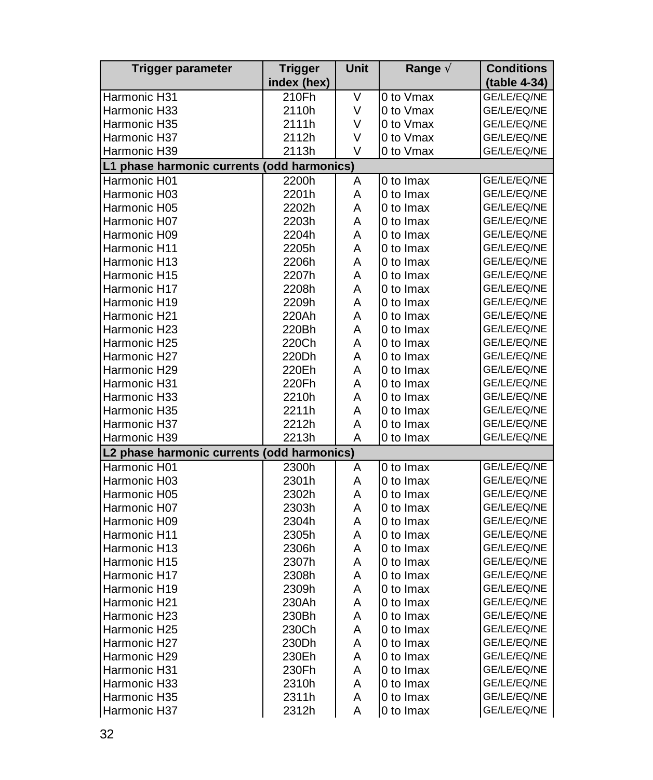| Trigger parameter                          | <b>Trigger</b> | Unit | Range $\tilde{A}$ | <b>Conditions</b> |
|--------------------------------------------|----------------|------|-------------------|-------------------|
|                                            | index (hex)    |      |                   | (table 4-34)      |
| Harmonic H31                               | 210Fh          | V    | 0 to Vmax         | GE/LE/EQ/NE       |
| Harmonic H33                               | 2110h          | V    | 0 to Vmax         | GE/LE/EQ/NE       |
| Harmonic H35                               | 2111h          | V    | 0 to Vmax         | GE/LE/EQ/NE       |
| Harmonic H37                               | 2112h          | V    | 0 to Vmax         | GE/LE/EQ/NE       |
| Harmonic H39                               | 2113h          | V    | 0 to Vmax         | GE/LE/EQ/NE       |
| L1 phase harmonic currents (odd harmonics) |                |      |                   |                   |
| Harmonic H01                               | 2200h          | A    | 0 to Imax         | GE/LE/EQ/NE       |
| Harmonic H03                               | 2201h          | Α    | 0 to Imax         | GE/LE/EQ/NE       |
| Harmonic H05                               | 2202h          | А    | 0 to Imax         | GE/LE/EQ/NE       |
| Harmonic H07                               | 2203h          | Α    | 0 to Imax         | GE/LE/EQ/NE       |
| Harmonic H09                               | 2204h          | A    | 0 to Imax         | GE/LE/EQ/NE       |
| Harmonic H11                               | 2205h          | Α    | 0 to Imax         | GE/LE/EQ/NE       |
| Harmonic H13                               | 2206h          | A    | 0 to Imax         | GE/LE/EQ/NE       |
| Harmonic H15                               | 2207h          | A    | 0 to Imax         | GE/LE/EQ/NE       |
| Harmonic H17                               | 2208h          | A    | 0 to Imax         | GE/LE/EQ/NE       |
| Harmonic H19                               | 2209h          | A    | 0 to Imax         | GE/LE/EQ/NE       |
| Harmonic H21                               | 220Ah          | Α    | 0 to Imax         | GE/LE/EQ/NE       |
| Harmonic H23                               | 220Bh          | A    | 0 to Imax         | GE/LE/EQ/NE       |
| Harmonic H25                               | 220Ch          | Α    | 0 to Imax         | GE/LE/EQ/NE       |
| Harmonic H27                               | 220Dh          | A    | 0 to Imax         | GE/LE/EQ/NE       |
| Harmonic H29                               | 220Eh          | A    | 0 to Imax         | GE/LE/EQ/NE       |
| Harmonic H31                               | 220Fh          | A    | 0 to Imax         | GE/LE/EQ/NE       |
| Harmonic H33                               | 2210h          | Α    | 0 to Imax         | GE/LE/EQ/NE       |
| Harmonic H35                               | 2211h          | Α    | 0 to Imax         | GE/LE/EQ/NE       |
| Harmonic H37                               | 2212h          | A    | 0 to Imax         | GE/LE/EQ/NE       |
| Harmonic H39                               | 2213h          | Α    | 0 to Imax         | GE/LE/EQ/NE       |
| L2 phase harmonic currents (odd harmonics) |                |      |                   |                   |
| Harmonic H01                               | 2300h          | Α    | 0 to Imax         | GE/LE/EQ/NE       |
| Harmonic H03                               | 2301h          | A    | 0 to Imax         | GE/LE/EQ/NE       |
| Harmonic H05                               | 2302h          | A    | 0 to Imax         | GE/LE/EQ/NE       |
| Harmonic H07                               | 2303h          | A    | 0 to Imax         | GE/LE/EQ/NE       |
| Harmonic H09                               | 2304h          | Α    | 0 to Imax         | GE/LE/EQ/NE       |
| Harmonic H11                               | 2305h          | Α    | 0 to Imax         | GE/LE/EQ/NE       |
| Harmonic H13                               | 2306h          | A    | 0 to Imax         | GE/LE/EQ/NE       |
| Harmonic H15                               | 2307h          | Α    | 0 to Imax         | GE/LE/EQ/NE       |
| Harmonic H17                               | 2308h          | A    | 0 to Imax         | GE/LE/EQ/NE       |
| Harmonic H19                               | 2309h          | Α    | 0 to Imax         | GE/LE/EQ/NE       |
| Harmonic H21                               | 230Ah          | A    | 0 to Imax         | GE/LE/EQ/NE       |
| Harmonic H23                               | 230Bh          | Α    | 0 to Imax         | GE/LE/EQ/NE       |
| Harmonic H25                               | 230Ch          | A    | 0 to Imax         | GE/LE/EQ/NE       |
| Harmonic H27                               | 230Dh          | Α    | 0 to Imax         | GE/LE/EQ/NE       |
| Harmonic H29                               | 230Eh          | A    | 0 to Imax         | GE/LE/EQ/NE       |
| Harmonic H31                               | 230Fh          | A    | 0 to Imax         | GE/LE/EQ/NE       |
| Harmonic H33                               | 2310h          | Α    | 0 to Imax         | GE/LE/EQ/NE       |
| Harmonic H35                               | 2311h          | Α    | 0 to Imax         | GE/LE/EQ/NE       |
| Harmonic H37                               | 2312h          | А    | 0 to Imax         | GE/LE/EQ/NE       |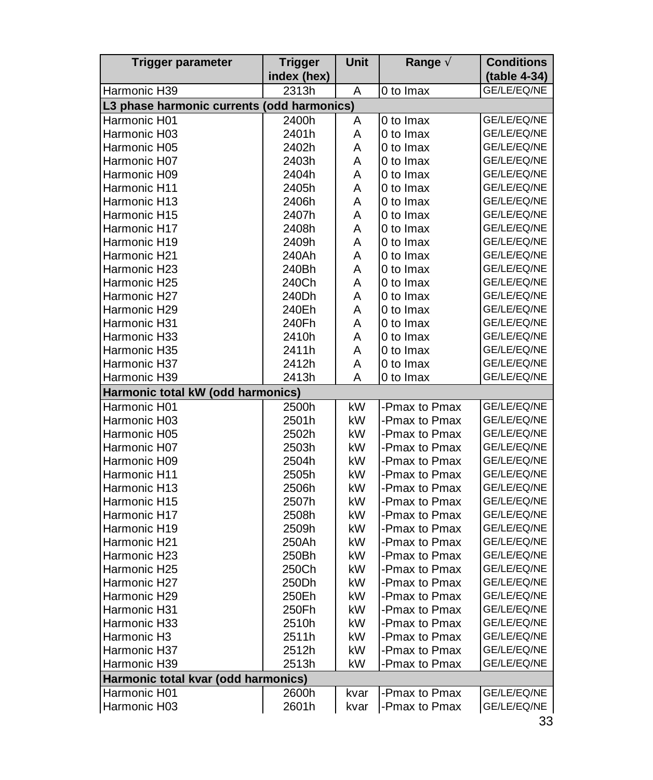| Trigger parameter                                          | <b>Trigger</b>       | Unit   | Range $\tilde{A}$ | <b>Conditions</b>           |
|------------------------------------------------------------|----------------------|--------|-------------------|-----------------------------|
| Harmonic H39                                               | index (hex)<br>2313h | Α      | 0 to Imax         | (table 4-34)<br>GE/LE/EQ/NE |
|                                                            |                      |        |                   |                             |
| L3 phase harmonic currents (odd harmonics)<br>Harmonic H01 |                      |        | 0 to Imax         |                             |
| Harmonic H03                                               | 2400h<br>2401h       | A<br>A | 0 to Imax         | GE/LE/EQ/NE<br>GE/LE/EQ/NE  |
| Harmonic H05                                               | 2402h                | A      | 0 to Imax         | GE/LE/EQ/NE                 |
| Harmonic H07                                               | 2403h                | A      | 0 to Imax         | GE/LE/EQ/NE                 |
| Harmonic H09                                               | 2404h                | A      | 0 to Imax         | GE/LE/EQ/NE                 |
| Harmonic H11                                               | 2405h                | Α      | 0 to Imax         | GE/LE/EQ/NE                 |
| Harmonic H13                                               | 2406h                | A      | 0 to Imax         | GE/LE/EQ/NE                 |
| Harmonic H15                                               | 2407h                | A      | 0 to Imax         | GE/LE/EQ/NE                 |
| Harmonic H17                                               | 2408h                | A      | 0 to Imax         | GE/LE/EQ/NE                 |
| Harmonic H19                                               | 2409h                | Α      | 0 to Imax         | GE/LE/EQ/NE                 |
| Harmonic H21                                               | 240Ah                | A      | 0 to Imax         | GE/LE/EQ/NE                 |
| Harmonic H23                                               | 240Bh                | A      | 0 to Imax         | GE/LE/EQ/NE                 |
| Harmonic H25                                               | 240Ch                | A      | 0 to Imax         | GE/LE/EQ/NE                 |
| Harmonic H27                                               | 240Dh                | A      | 0 to Imax         | GE/LE/EQ/NE                 |
| Harmonic H29                                               | 240Eh                | A      | 0 to Imax         | GE/LE/EQ/NE                 |
| Harmonic H31                                               | 240Fh                | А      | 0 to Imax         | GE/LE/EQ/NE                 |
| Harmonic H33                                               | 2410h                | A      | 0 to Imax         | GE/LE/EQ/NE                 |
| Harmonic H35                                               | 2411h                | A      | 0 to Imax         | GE/LE/EQ/NE                 |
| Harmonic H37                                               | 2412h                | A      | 0 to Imax         | GE/LE/EQ/NE                 |
| Harmonic H39                                               | 2413h                | A      | 0 to Imax         | GE/LE/EQ/NE                 |
| Harmonic total kW (odd harmonics)                          |                      |        |                   |                             |
| Harmonic H01                                               | 2500h                | kW     | -Pmax to Pmax     | GE/LE/EQ/NE                 |
| Harmonic H03                                               | 2501h                | kW     | -Pmax to Pmax     | GE/LE/EQ/NE                 |
| Harmonic H05                                               | 2502h                | kW     | -Pmax to Pmax     | GE/LE/EQ/NE                 |
| Harmonic H07                                               | 2503h                | kW     | -Pmax to Pmax     | GE/LE/EQ/NE                 |
| Harmonic H09                                               | 2504h                | kW     | -Pmax to Pmax     | GE/LE/EQ/NE                 |
| Harmonic H11                                               | 2505h                | kW     | -Pmax to Pmax     | GE/LE/EQ/NE                 |
| Harmonic H13                                               | 2506h                | kW     | -Pmax to Pmax     | GE/LE/EQ/NE                 |
| Harmonic H15                                               | 2507h                | kW     | -Pmax to Pmax     | GE/LE/EQ/NE                 |
| Harmonic H17                                               | 2508h                | kW     | -Pmax to Pmax     | GE/LE/EQ/NE                 |
| Harmonic H19                                               | 2509h                | kW     | -Pmax to Pmax     | GE/LE/EQ/NE                 |
| Harmonic H21                                               | 250Ah                | kW     | -Pmax to Pmax     | GE/LE/EQ/NE                 |
| Harmonic H23                                               | 250Bh                | kW     | -Pmax to Pmax     | GE/LE/EQ/NE                 |
| Harmonic H25                                               | 250Ch                | kW     | -Pmax to Pmax     | GE/LE/EQ/NE                 |
| Harmonic H27                                               | 250Dh                | kW     | -Pmax to Pmax     | GE/LE/EQ/NE                 |
| Harmonic H29                                               | 250Eh                | kW     | -Pmax to Pmax     | GE/LE/EQ/NE                 |
| Harmonic H31                                               | 250Fh                | kW     | -Pmax to Pmax     | GE/LE/EQ/NE                 |
| Harmonic H33                                               | 2510h                | kW     | -Pmax to Pmax     | GE/LE/EQ/NE                 |
| Harmonic H3                                                | 2511h                | kW     | -Pmax to Pmax     | GE/LE/EQ/NE                 |
| Harmonic H37                                               | 2512h                | kW     | -Pmax to Pmax     | GE/LE/EQ/NE                 |
| Harmonic H39                                               | 2513h                | kW     | -Pmax to Pmax     | GE/LE/EQ/NE                 |
| Harmonic total kvar (odd harmonics)                        |                      |        |                   |                             |
| Harmonic H01                                               | 2600h                | kvar   | -Pmax to Pmax     | GE/LE/EQ/NE                 |
| Harmonic H03                                               | 2601h                | kvar   | -Pmax to Pmax     | GE/LE/EQ/NE                 |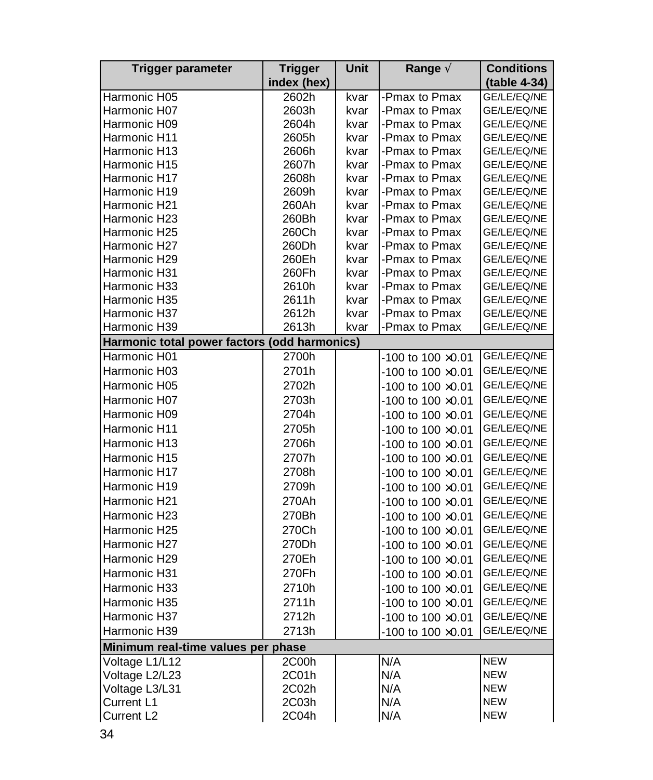| Trigger parameter                            | <b>Trigger</b> | Unit | Range $\tilde{A}$           | <b>Conditions</b> |
|----------------------------------------------|----------------|------|-----------------------------|-------------------|
|                                              | index (hex)    |      |                             | (table 4-34)      |
| Harmonic H05                                 | 2602h          | kvar | -Pmax to Pmax               | GE/LE/EQ/NE       |
| Harmonic H07                                 | 2603h          | kvar | -Pmax to Pmax               | GE/LE/EQ/NE       |
| Harmonic H09                                 | 2604h          | kvar | -Pmax to Pmax               | GE/LE/EQ/NE       |
| Harmonic H11                                 | 2605h          | kvar | -Pmax to Pmax               | GE/LE/EQ/NE       |
| Harmonic H13                                 | 2606h          | kvar | -Pmax to Pmax               | GE/LE/EQ/NE       |
| Harmonic H15                                 | 2607h          | kvar | -Pmax to Pmax               | GE/LE/EQ/NE       |
| Harmonic H17                                 | 2608h          | kvar | -Pmax to Pmax               | GE/LE/EQ/NE       |
| Harmonic H19                                 | 2609h          | kvar | -Pmax to Pmax               | GE/LE/EQ/NE       |
| Harmonic H21                                 | 260Ah          | kvar | -Pmax to Pmax               | GE/LE/EQ/NE       |
| Harmonic H23                                 | 260Bh          | kvar | -Pmax to Pmax               | GE/LE/EQ/NE       |
| Harmonic H25                                 | 260Ch          | kvar | -Pmax to Pmax               | GE/LE/EQ/NE       |
| Harmonic H27                                 | 260Dh          | kvar | -Pmax to Pmax               | GE/LE/EQ/NE       |
| Harmonic H29                                 | 260Eh          | kvar | -Pmax to Pmax               | GE/LE/EQ/NE       |
| Harmonic H31                                 | 260Fh          | kvar | -Pmax to Pmax               | GE/LE/EQ/NE       |
| Harmonic H33                                 | 2610h          | kvar | -Pmax to Pmax               | GE/LE/EQ/NE       |
| Harmonic H35                                 | 2611h          | kvar | -Pmax to Pmax               | GE/LE/EQ/NE       |
| Harmonic H37                                 | 2612h          | kvar | -Pmax to Pmax               | GE/LE/EQ/NE       |
| Harmonic H39                                 | 2613h          | kvar | -Pmax to Pmax               | GE/LE/EQ/NE       |
| Harmonic total power factors (odd harmonics) |                |      |                             |                   |
| Harmonic H01                                 | 2700h          |      | -100 to 100 ×0.01           | GE/LE/EQ/NE       |
| Harmonic H03                                 | 2701h          |      | $-100$ to $100 \times 0.01$ | GE/LE/EQ/NE       |
| Harmonic H05                                 | 2702h          |      | $-100$ to $100 \times 0.01$ | GE/LE/EQ/NE       |
| Harmonic H07                                 | 2703h          |      | -100 to 100 ×0.01           | GE/LE/EQ/NE       |
| Harmonic H09                                 | 2704h          |      | -100 to 100 ×0.01           | GE/LE/EQ/NE       |
| Harmonic H11                                 | 2705h          |      | -100 to 100 ×0.01           | GE/LE/EQ/NE       |
| Harmonic H13                                 | 2706h          |      | $-100$ to $100 \times 0.01$ | GE/LE/EQ/NE       |
| Harmonic H15                                 | 2707h          |      | $-100$ to $100 \times 0.01$ | GE/LE/EQ/NE       |
| Harmonic H17                                 | 2708h          |      | $-100$ to $100 \times 0.01$ | GE/LE/EQ/NE       |
| Harmonic H19                                 | 2709h          |      | $-100$ to $100 \times 0.01$ | GE/LE/EQ/NE       |
| Harmonic H21                                 | 270Ah          |      | $-100$ to $100 \times 0.01$ | GE/LE/EQ/NE       |
| Harmonic H23                                 | 270Bh          |      | $-100$ to $100 \times 0.01$ | GE/LE/EQ/NE       |
| Harmonic H25                                 | 270Ch          |      |                             | GE/LE/EQ/NE       |
|                                              |                |      | $-100$ to $100 \times 0.01$ |                   |
| Harmonic H27                                 | 270Dh          |      | $-100$ to $100 \times 0.01$ | GE/LE/EQ/NE       |
| Harmonic H29                                 | 270Eh          |      | $-100$ to $100 \times 0.01$ | GE/LE/EQ/NE       |
| Harmonic H31                                 | 270Fh          |      | -100 to 100 ×0.01           | GE/LE/EQ/NE       |
| Harmonic H33                                 | 2710h          |      | -100 to 100 ×0.01           | GE/LE/EQ/NE       |
| Harmonic H35                                 | 2711h          |      | $-100$ to $100 \times 0.01$ | GE/LE/EQ/NE       |
| Harmonic H37                                 | 2712h          |      | $-100$ to $100 \times 0.01$ | GE/LE/EQ/NE       |
| Harmonic H39                                 | 2713h          |      | -100 to 100 ×0.01           | GE/LE/EQ/NE       |
| Minimum real-time values per phase           |                |      |                             |                   |
| Voltage L1/L12                               | 2C00h          |      | N/A                         | <b>NEW</b>        |
| Voltage L2/L23                               | 2C01h          |      | N/A                         | <b>NEW</b>        |
| Voltage L3/L31                               | 2C02h          |      | N/A                         | <b>NEW</b>        |
| Current L1                                   | 2C03h          |      | N/A                         | <b>NEW</b>        |
| Current L <sub>2</sub>                       | 2C04h          |      | N/A                         | <b>NEW</b>        |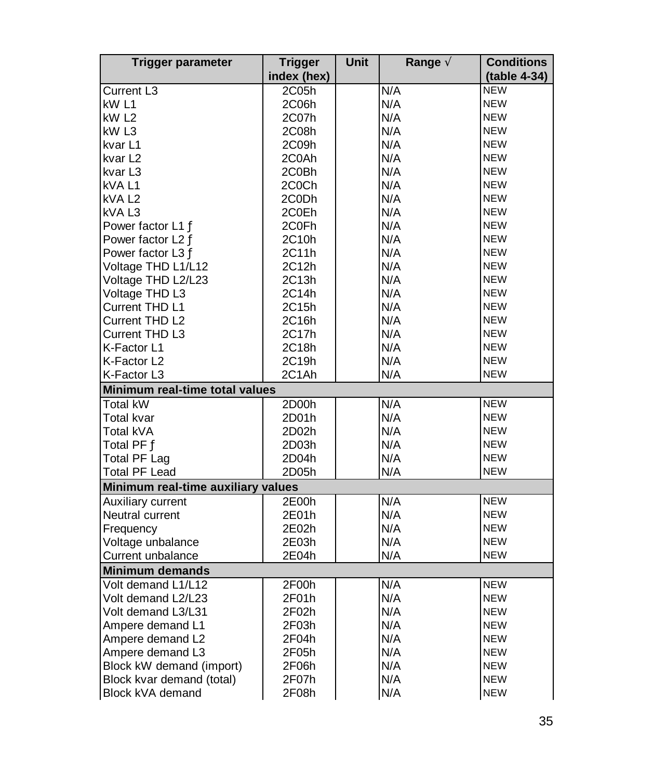| <b>Trigger parameter</b>           | <b>Trigger</b> | Unit | Range A | <b>Conditions</b> |  |
|------------------------------------|----------------|------|---------|-------------------|--|
|                                    | index (hex)    |      |         | (table 4-34)      |  |
| <b>Current L3</b>                  | 2C05h          |      | N/A     | <b>NEW</b>        |  |
| kW L1                              | 2C06h          |      | N/A     | <b>NEW</b>        |  |
| kW <sub>L2</sub>                   | 2C07h          |      | N/A     | <b>NEW</b>        |  |
| kW L3                              | 2C08h          |      | N/A     | <b>NEW</b>        |  |
| kvar <sub>L1</sub>                 | 2C09h          |      | N/A     | <b>NEW</b>        |  |
| kvar L2                            | 2C0Ah          |      | N/A     | <b>NEW</b>        |  |
| kvar L3                            | 2C0Bh          |      | N/A     | <b>NEW</b>        |  |
| kVA L1                             | 2C0Ch          |      | N/A     | <b>NEW</b>        |  |
| kVAL <sub>2</sub>                  | 2C0Dh          |      | N/A     | <b>NEW</b>        |  |
| kVA <sub>L3</sub>                  | 2C0Eh          |      | N/A     | <b>NEW</b>        |  |
| Power factor L1 Ä                  | 2C0Fh          |      | N/A     | <b>NEW</b>        |  |
| Power factor L2 A                  | 2C10h          |      | N/A     | <b>NEW</b>        |  |
| Power factor L3 A                  | 2C11h          |      | N/A     | <b>NEW</b>        |  |
| Voltage THD L1/L12                 | 2C12h          |      | N/A     | <b>NEW</b>        |  |
| Voltage THD L2/L23                 | 2C13h          |      | N/A     | <b>NEW</b>        |  |
| Voltage THD L3                     | 2C14h          |      | N/A     | <b>NEW</b>        |  |
| Current THD L1                     | 2C15h          |      | N/A     | <b>NEW</b>        |  |
| Current THD L2                     | 2C16h          |      | N/A     | <b>NEW</b>        |  |
| <b>Current THD L3</b>              | 2C17h          |      | N/A     | <b>NEW</b>        |  |
| K-Factor L1                        | 2C18h          |      | N/A     | <b>NEW</b>        |  |
| K-Factor L2                        | 2C19h          |      | N/A     | <b>NEW</b>        |  |
| K-Factor L3                        | 2C1Ah          |      | N/A     | <b>NEW</b>        |  |
| Minimum real-time total values     |                |      |         |                   |  |
| <b>Total kW</b>                    | 2D00h          |      | N/A     | <b>NEW</b>        |  |
| Total kvar                         | 2D01h          |      | N/A     | <b>NEW</b>        |  |
| Total kVA                          | 2D02h          |      | N/A     | <b>NEW</b>        |  |
| Total PF A                         | 2D03h          |      | N/A     | <b>NEW</b>        |  |
| <b>Total PF Lag</b>                | 2D04h          |      | N/A     | <b>NEW</b>        |  |
| <b>Total PF Lead</b>               | 2D05h          |      | N/A     | <b>NEW</b>        |  |
| Minimum real-time auxiliary values |                |      |         |                   |  |
| Auxiliary current                  | 2E00h          |      | N/A     | <b>NEW</b>        |  |
| Neutral current                    | 2E01h          |      | N/A     | <b>NEW</b>        |  |
| Frequency                          | 2E02h          |      | N/A     | <b>NEW</b>        |  |
| Voltage unbalance                  | 2E03h          |      | N/A     | <b>NEW</b>        |  |
| Current unbalance                  | 2E04h          |      | N/A     | <b>NEW</b>        |  |
| <b>Minimum demands</b>             |                |      |         |                   |  |
| Volt demand L1/L12                 | 2F00h          |      | N/A     | <b>NEW</b>        |  |
| Volt demand L2/L23                 | 2F01h          |      | N/A     | <b>NEW</b>        |  |
| Volt demand L3/L31                 | 2F02h          |      | N/A     | <b>NEW</b>        |  |
| Ampere demand L1                   | 2F03h          |      | N/A     | <b>NEW</b>        |  |
| Ampere demand L2                   | 2F04h          |      | N/A     | <b>NEW</b>        |  |
| Ampere demand L3                   | 2F05h          |      | N/A     | <b>NEW</b>        |  |
| Block kW demand (import)           | 2F06h          |      | N/A     | <b>NEW</b>        |  |
| Block kvar demand (total)          | 2F07h          |      | N/A     | <b>NEW</b>        |  |
| Block kVA demand                   | 2F08h          |      | N/A     | <b>NEW</b>        |  |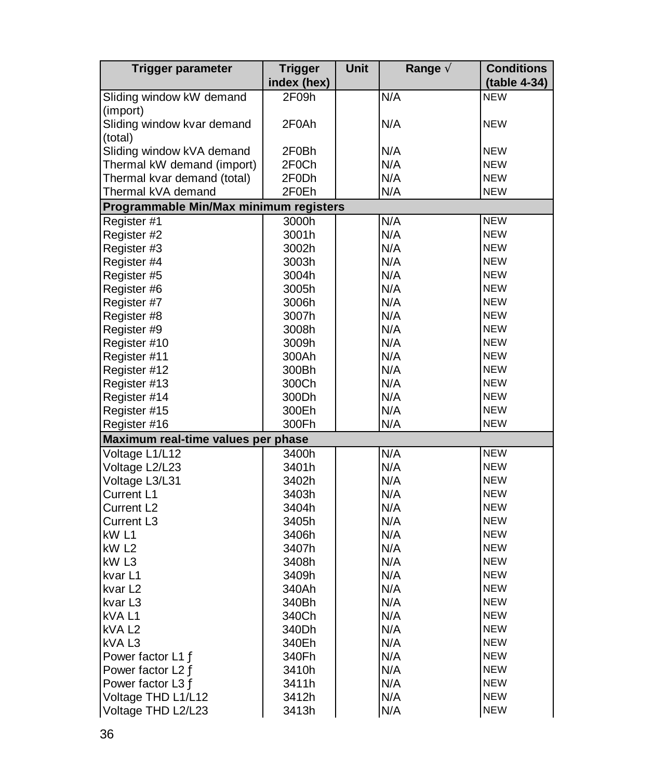| <b>Trigger parameter</b>               | <b>Trigger</b> | Unit | Range $\tilde{A}$ | <b>Conditions</b> |
|----------------------------------------|----------------|------|-------------------|-------------------|
|                                        | index (hex)    |      |                   | (table 4-34)      |
| Sliding window kW demand               | 2F09h          |      | N/A               | <b>NEW</b>        |
| (import)                               |                |      |                   |                   |
| Sliding window kvar demand             | 2F0Ah          |      | N/A               | <b>NEW</b>        |
| (total)                                |                |      |                   |                   |
| Sliding window kVA demand              | 2F0Bh          |      | N/A               | <b>NEW</b>        |
| Thermal kW demand (import)             | 2F0Ch          |      | N/A               | <b>NEW</b>        |
| Thermal kvar demand (total)            | 2F0Dh          |      | N/A               | <b>NEW</b>        |
| Thermal kVA demand                     | 2F0Eh          |      | N/A               | <b>NEW</b>        |
| Programmable Min/Max minimum registers |                |      |                   |                   |
| Register #1                            | 3000h          |      | N/A               | <b>NEW</b>        |
| Register #2                            | 3001h          |      | N/A               | <b>NEW</b>        |
| Register #3                            | 3002h          |      | N/A               | <b>NEW</b>        |
| Register #4                            | 3003h          |      | N/A               | <b>NEW</b>        |
| Register #5                            | 3004h          |      | N/A               | <b>NEW</b>        |
| Register #6                            | 3005h          |      | N/A               | <b>NEW</b>        |
| Register #7                            | 3006h          |      | N/A               | <b>NEW</b>        |
| Register #8                            | 3007h          |      | N/A               | <b>NEW</b>        |
| Register #9                            | 3008h          |      | N/A               | <b>NEW</b>        |
| Register #10                           | 3009h          |      | N/A               | <b>NEW</b>        |
| Register #11                           | 300Ah          |      | N/A               | <b>NEW</b>        |
| Register #12                           | 300Bh          |      | N/A               | <b>NEW</b>        |
| Register #13                           | 300Ch          |      | N/A               | <b>NEW</b>        |
| Register #14                           | 300Dh          |      | N/A               | <b>NEW</b>        |
| Register #15                           | 300Eh          |      | N/A               | <b>NEW</b>        |
| Register #16                           | 300Fh          |      | N/A               | <b>NEW</b>        |
| Maximum real-time values per phase     |                |      |                   |                   |
| Voltage L1/L12                         | 3400h          |      | N/A               | <b>NEW</b>        |
| Voltage L2/L23                         | 3401h          |      | N/A               | <b>NEW</b>        |
| Voltage L3/L31                         | 3402h          |      | N/A               | <b>NEW</b>        |
| Current L1                             | 3403h          |      | N/A               | <b>NEW</b>        |
| Current L2                             | 3404h          |      | N/A               | <b>NEW</b>        |
| Current L3                             | 3405h          |      | N/A               | <b>NEW</b>        |
| kW L1                                  | 3406h          |      | N/A               | <b>NEW</b>        |
| kW L2                                  | 3407h          |      | N/A               | <b>NEW</b>        |
| kW L3                                  | 3408h          |      | N/A               | <b>NEW</b>        |
| kvar L1                                | 3409h          |      | N/A               | <b>NEW</b>        |
|                                        |                |      |                   | <b>NEW</b>        |
| kvar L2                                | 340Ah          |      | N/A<br>N/A        | <b>NEW</b>        |
| kvar L3                                | 340Bh          |      |                   | <b>NEW</b>        |
| kVAL1                                  | 340Ch          |      | N/A<br>N/A        | <b>NEW</b>        |
| kVA L <sub>2</sub>                     | 340Dh          |      |                   |                   |
| kVAL3                                  | 340Eh          |      | N/A               | <b>NEW</b>        |
| Power factor L1 A                      | 340Fh          |      | N/A               | <b>NEW</b>        |
| Power factor L2 A                      | 3410h          |      | N/A               | <b>NEW</b>        |
| Power factor L3 A                      | 3411h          |      | N/A               | <b>NEW</b>        |
| Voltage THD L1/L12                     | 3412h          |      | N/A               | <b>NEW</b>        |
| Voltage THD L2/L23                     | 3413h          |      | N/A               | <b>NEW</b>        |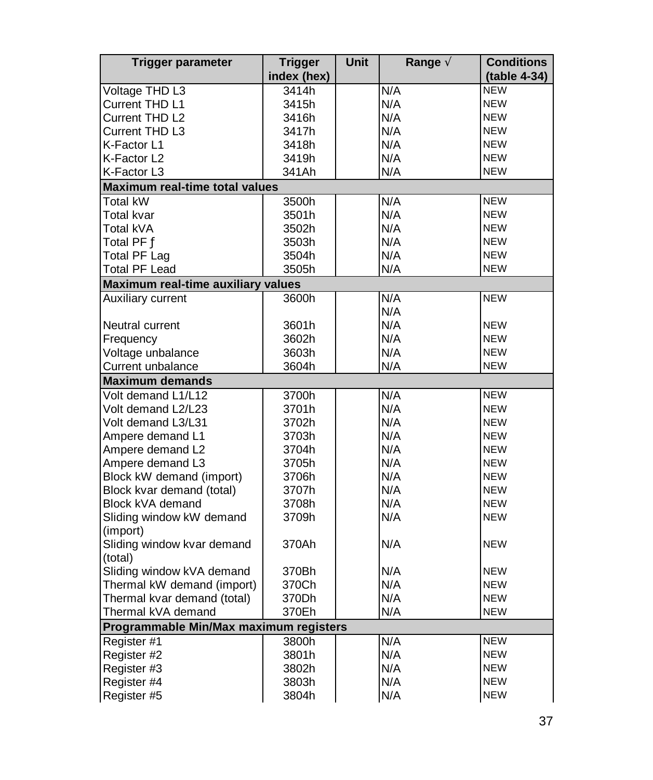| <b>Trigger parameter</b>               | <b>Trigger</b> | <b>Unit</b> | Range $\tilde{A}$ | <b>Conditions</b> |
|----------------------------------------|----------------|-------------|-------------------|-------------------|
|                                        | index (hex)    |             |                   | (table 4-34)      |
| Voltage THD L3                         | 3414h          |             | N/A               | <b>NEW</b>        |
| Current THD L1                         | 3415h          |             | N/A               | <b>NEW</b>        |
| Current THD L2                         | 3416h          |             | N/A               | <b>NEW</b>        |
| Current THD L3                         | 3417h          |             | N/A               | <b>NEW</b>        |
| K-Factor L1                            | 3418h          |             | N/A               | <b>NEW</b>        |
| K-Factor L2                            | 3419h          |             | N/A               | <b>NEW</b>        |
| K-Factor L3                            | 341Ah          |             | N/A               | <b>NEW</b>        |
| Maximum real-time total values         |                |             |                   |                   |
| Total kW                               | 3500h          |             | N/A               | <b>NEW</b>        |
| Total kvar                             | 3501h          |             | N/A               | <b>NEW</b>        |
| Total kVA                              | 3502h          |             | N/A               | <b>NEW</b>        |
| Total PF Ä                             | 3503h          |             | N/A               | <b>NEW</b>        |
| Total PF Lag                           | 3504h          |             | N/A               | <b>NEW</b>        |
| <b>Total PF Lead</b>                   | 3505h          |             | N/A               | <b>NEW</b>        |
| Maximum real-time auxiliary values     |                |             |                   |                   |
| Auxiliary current                      | 3600h          |             | N/A               | <b>NEW</b>        |
|                                        |                |             | N/A               |                   |
| Neutral current                        | 3601h          |             | N/A               | <b>NEW</b>        |
| Frequency                              | 3602h          |             | N/A               | <b>NEW</b>        |
| Voltage unbalance                      | 3603h          |             | N/A               | <b>NEW</b>        |
| Current unbalance                      | 3604h          |             | N/A               | <b>NEW</b>        |
| <b>Maximum demands</b>                 |                |             |                   |                   |
| Volt demand L1/L12                     | 3700h          |             | N/A               | <b>NEW</b>        |
| Volt demand L2/L23                     | 3701h          |             | N/A               | <b>NEW</b>        |
| Volt demand L3/L31                     | 3702h          |             | N/A               | <b>NEW</b>        |
| Ampere demand L1                       | 3703h          |             | N/A               | <b>NEW</b>        |
| Ampere demand L2                       | 3704h          |             | N/A               | <b>NEW</b>        |
| Ampere demand L3                       | 3705h          |             | N/A               | <b>NEW</b>        |
| Block kW demand (import)               | 3706h          |             | N/A               | <b>NEW</b>        |
| Block kvar demand (total)              | 3707h          |             | N/A               | <b>NEW</b>        |
| Block kVA demand                       | 3708h          |             | N/A               | <b>NEW</b>        |
| Sliding window kW demand               | 3709h          |             | N/A               | <b>NEW</b>        |
| (import)                               |                |             |                   |                   |
| Sliding window kvar demand             | 370Ah          |             | N/A               | <b>NEW</b>        |
| (total)                                |                |             |                   |                   |
| Sliding window kVA demand              | 370Bh          |             | N/A               | <b>NEW</b>        |
| Thermal kW demand (import)             | 370Ch          |             | N/A               | <b>NEW</b>        |
| Thermal kvar demand (total)            | 370Dh          |             | N/A               | <b>NEW</b>        |
| Thermal kVA demand                     | 370Eh          |             | N/A               | <b>NEW</b>        |
| Programmable Min/Max maximum registers |                |             |                   |                   |
| Register #1                            | 3800h          |             | N/A               | <b>NEW</b>        |
| Register #2                            | 3801h          |             | N/A               | <b>NEW</b>        |
| Register #3                            | 3802h          |             | N/A               | <b>NEW</b>        |
| Register #4                            | 3803h          |             | N/A               | <b>NEW</b>        |
| Register #5                            | 3804h          |             | N/A               | <b>NEW</b>        |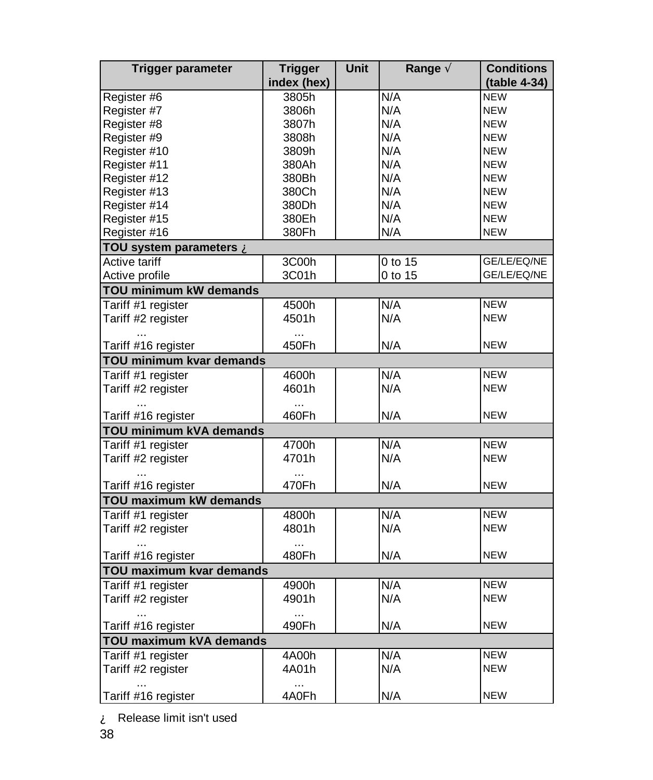| <b>Trigger parameter</b> | <b>Trigger</b>      | Unit | Range $\tilde{A}$ | <b>Conditions</b> |  |
|--------------------------|---------------------|------|-------------------|-------------------|--|
|                          | index (hex)         |      |                   | (table 4-34)      |  |
| Register #6              | 3805h               |      | N/A               | <b>NEW</b>        |  |
| Register #7              | 3806h               |      | N/A               | <b>NEW</b>        |  |
| Register #8              | 3807h               |      | N/A               | <b>NEW</b>        |  |
| Register #9              | 3808h               |      | N/A               | <b>NEW</b>        |  |
| Register #10             | 3809h               |      | N/A               | <b>NEW</b>        |  |
| Register #11             | 380Ah               |      | N/A               | <b>NEW</b>        |  |
| Register #12             | 380Bh               |      | N/A               | <b>NEW</b>        |  |
| Register #13             | 380Ch               |      | N/A               | <b>NEW</b>        |  |
| Register #14             | 380Dh               |      | N/A               | <b>NEW</b>        |  |
| Register #15             | 380Eh               |      | N/A               | <b>NEW</b>        |  |
| Register #16             | 380Fh               |      | N/A               | <b>NEW</b>        |  |
| TOU system parameters A  |                     |      |                   |                   |  |
| <b>Active tariff</b>     | 3C00h               |      | $0$ to 15         | GE/LE/EQ/NE       |  |
| Active profile           | 3C01h               |      | 0 to 15           | GE/LE/EQ/NE       |  |
| TOU minimum kW demands   |                     |      |                   |                   |  |
| Tariff #1 register       | 4500h               |      | N/A               | <b>NEW</b>        |  |
| Tariff #2 register       | 4501h               |      | N/A               | <b>NEW</b>        |  |
|                          |                     |      |                   |                   |  |
| Tariff #16 register      | 450Fh               |      | N/A               | <b>NEW</b>        |  |
| TOU minimum kvar demands |                     |      |                   |                   |  |
| Tariff #1 register       | 4600h               |      | N/A               | <b>NEW</b>        |  |
| Tariff #2 register       | 4601h               |      | N/A               | <b>NEW</b>        |  |
|                          |                     |      |                   |                   |  |
| Tariff #16 register      | 460Fh               |      | N/A               | <b>NEW</b>        |  |
| TOU minimum kVA demands  |                     |      |                   |                   |  |
| Tariff #1 register       | 4700h               |      | N/A               | <b>NEW</b>        |  |
| Tariff #2 register       | 4701h               |      | N/A               | <b>NEW</b>        |  |
|                          | $\cdots$            |      |                   |                   |  |
| Tariff #16 register      | 470Fh               |      | N/A               | <b>NEW</b>        |  |
| TOU maximum kW demands   |                     |      |                   |                   |  |
| Tariff #1 register       | 4800h               |      | N/A               | <b>NEW</b>        |  |
| Tariff #2 register       | 4801h               |      | N/A               | <b>NEW</b>        |  |
|                          |                     |      |                   |                   |  |
| Tariff #16 register      | 480Fh               |      | N/A               | <b>NEW</b>        |  |
| TOU maximum kvar demands |                     |      |                   |                   |  |
| Tariff #1 register       | 4900h               |      | N/A               | <b>NEW</b>        |  |
| Tariff #2 register       | 4901h               |      | N/A               | <b>NEW</b>        |  |
|                          | $\cdots$            |      |                   |                   |  |
| Tariff #16 register      | 490Fh               |      | N/A               | <b>NEW</b>        |  |
| TOU maximum kVA demands  |                     |      |                   |                   |  |
| Tariff #1 register       | $\overline{4}$ A00h |      | N/A               | <b>NEW</b>        |  |
| Tariff #2 register       | 4A01h               |      | N/A               | <b>NEW</b>        |  |
|                          |                     |      |                   |                   |  |
| Tariff #16 register      | 4A0Fh               |      | N/A               | <b>NEW</b>        |  |

À Release limit isn't used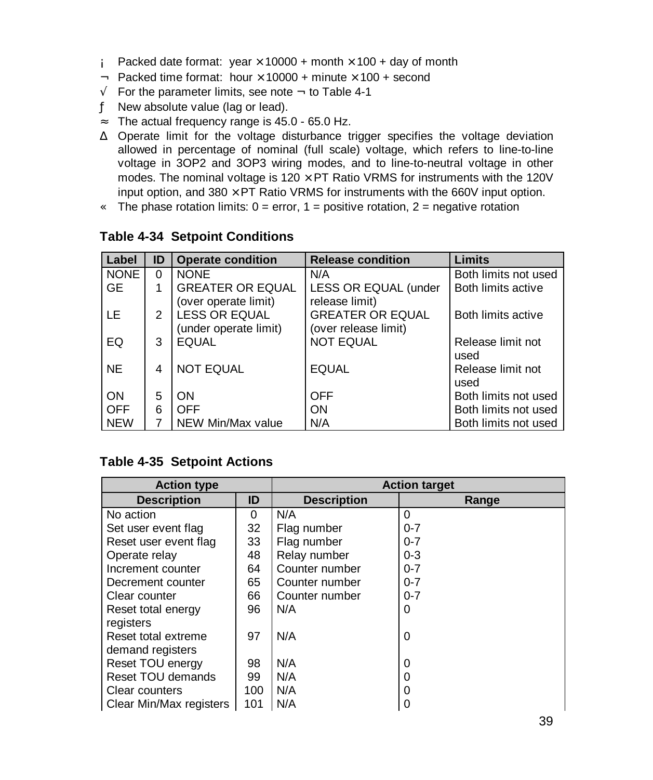- Á Packed date format: year  $\times$  10000 + month  $\times$  100 + day of month
- $\hat{A}$  Packed time format: hour  $\times$  10000 + minute  $\times$  100 + second
- $\tilde{A}$  For the parameter limits, see note  $\tilde{A}$  to Table 4-1
- Ä New absolute value (lag or lead).
- Å The actual frequency range is 45.0 65.0 Hz.
- Æ Operate limit for the voltage disturbance trigger specifies the voltage deviation allowed in percentage of nominal (full scale) voltage, which refers to line-to-line voltage in 3OP2 and 3OP3 wiring modes, and to line-to-neutral voltage in other modes. The nominal voltage is  $120 \times PT$  Ratio VRMS for instruments with the 120V input option, and  $380 \times PT$  Ratio VRMS for instruments with the 660V input option.
- $\bf{C}$  The phase rotation limits: 0 = error, 1 = positive rotation, 2 = negative rotation

| Label       | ID | <b>Operate condition</b>                        | <b>Release condition</b>                        | Limits                    |
|-------------|----|-------------------------------------------------|-------------------------------------------------|---------------------------|
| <b>NONE</b> | 0  | <b>NONE</b>                                     | N/A                                             | Both limits not used      |
| <b>GE</b>   |    | <b>GREATER OR EQUAL</b><br>(over operate limit) | LESS OR EQUAL (under<br>release limit)          | Both limits active        |
| LE          | 2  | <b>LESS OR EQUAL</b><br>(under operate limit)   | <b>GREATER OR EQUAL</b><br>(over release limit) | Both limits active        |
| EQ          | 3  | <b>EQUAL</b>                                    | <b>NOT EQUAL</b>                                | Release limit not<br>used |
| <b>NE</b>   | 4  | <b>NOT EQUAL</b>                                | <b>EQUAL</b>                                    | Release limit not<br>used |
| ON          | 5  | ON                                              | <b>OFF</b>                                      | Both limits not used      |
| <b>OFF</b>  | 6  | OFF                                             | ON                                              | Both limits not used      |
| <b>NEW</b>  |    | NEW Min/Max value                               | N/A                                             | Both limits not used      |

#### **Table 4-34 Setpoint Conditions**

#### **Table 4-35 Setpoint Actions**

| <b>Action type</b>       |     | <b>Action target</b> |         |  |
|--------------------------|-----|----------------------|---------|--|
| <b>Description</b>       | ID  | <b>Description</b>   | Range   |  |
| No action                | 0   | N/A                  | 0       |  |
| Set user event flag      | 32  | Flag number          | $0 - 7$ |  |
| Reset user event flag    | 33  | Flag number          | $0 - 7$ |  |
| Operate relay            | 48  | Relay number         | $0 - 3$ |  |
| Increment counter        | 64  | Counter number       | $0 - 7$ |  |
| Decrement counter        | 65  | Counter number       | $0 - 7$ |  |
| Clear counter            | 66  | Counter number       | $0 - 7$ |  |
| 96<br>Reset total energy |     | N/A                  | 0       |  |
| registers                |     |                      |         |  |
| Reset total extreme      | 97  | N/A                  | 0       |  |
| demand registers         |     |                      |         |  |
| Reset TOU energy         | 98  | N/A                  | 0       |  |
| Reset TOU demands        | 99  | N/A                  | 0       |  |
| 100<br>Clear counters    |     | N/A                  | 0       |  |
| Clear Min/Max registers  | 101 | N/A                  | 0       |  |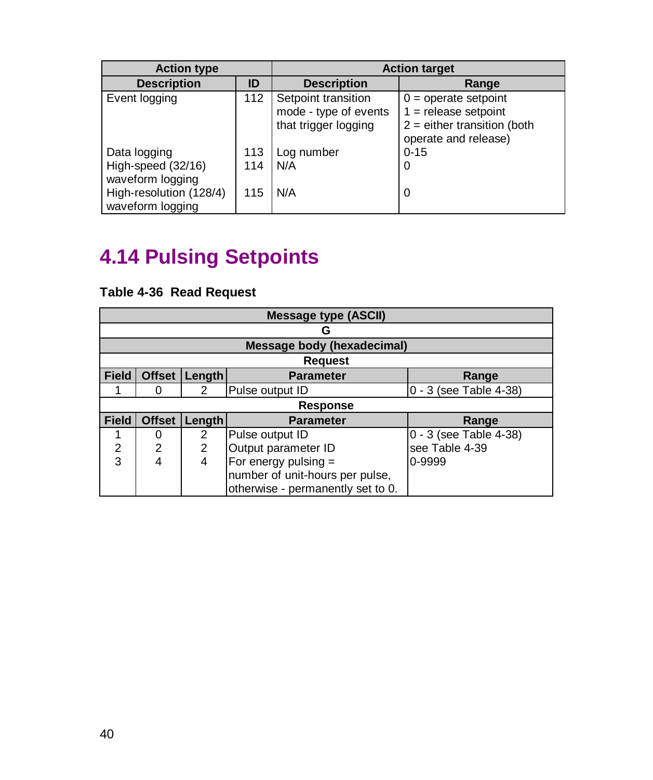| <b>Action type</b>      |     | <b>Action target</b>  |                               |  |
|-------------------------|-----|-----------------------|-------------------------------|--|
| <b>Description</b>      | ID  | <b>Description</b>    | Range                         |  |
| Event logging           | 112 | Setpoint transition   | $0 =$ operate setpoint        |  |
|                         |     | mode - type of events | $1 =$ release setpoint        |  |
|                         |     | that trigger logging  | $2$ = either transition (both |  |
|                         |     |                       | operate and release)          |  |
| Data logging            | 113 | Log number            | $0 - 15$                      |  |
| High-speed (32/16)      | 114 | N/A                   | 0                             |  |
| waveform logging        |     |                       |                               |  |
| High-resolution (128/4) | 115 | N/A                   | 0                             |  |
| waveform logging        |     |                       |                               |  |

# **4.14 Pulsing Setpoints**

#### **Table 4-36 Read Request**

|                | <b>Message type (ASCII)</b> |                |                                   |                        |  |  |  |
|----------------|-----------------------------|----------------|-----------------------------------|------------------------|--|--|--|
|                | с                           |                |                                   |                        |  |  |  |
|                |                             |                | <b>Message body (hexadecimal)</b> |                        |  |  |  |
|                |                             |                | <b>Request</b>                    |                        |  |  |  |
| <b>Field</b>   | <b>Offset</b>               | <b>Length</b>  | <b>Parameter</b>                  | Range                  |  |  |  |
|                | 0                           | 2              | Pulse output ID                   | 0 - 3 (see Table 4-38) |  |  |  |
|                |                             |                | <b>Response</b>                   |                        |  |  |  |
| <b>Field</b>   | <b>Offset</b>               | <b>Length</b>  | <b>Parameter</b>                  | Range                  |  |  |  |
|                | 0                           | 2              | Pulse output ID                   | 0 - 3 (see Table 4-38) |  |  |  |
| $\overline{2}$ | $\overline{2}$              | $\overline{2}$ | Output parameter ID               | see Table 4-39         |  |  |  |
| 3              | 4                           | 4              | For energy pulsing $=$            | 0-9999                 |  |  |  |
|                |                             |                | number of unit-hours per pulse,   |                        |  |  |  |
|                |                             |                | otherwise - permanently set to 0. |                        |  |  |  |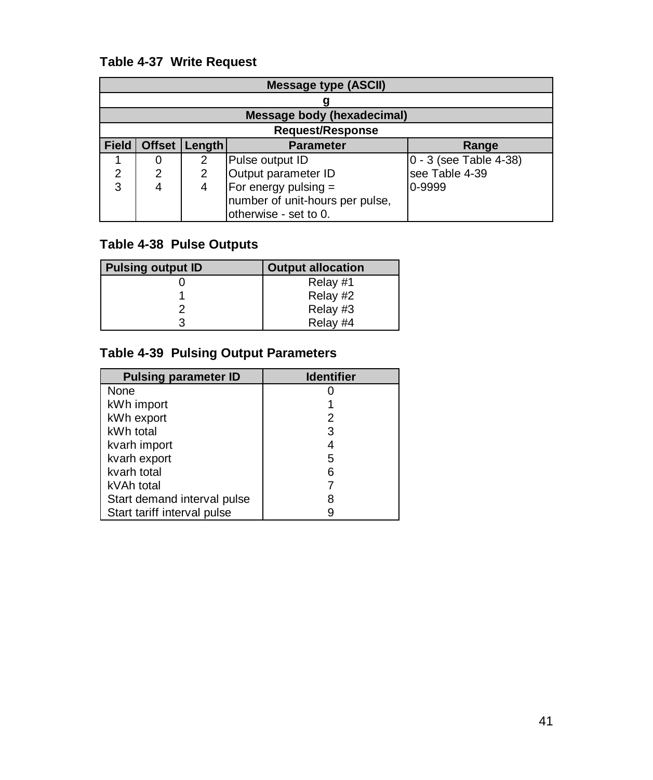#### **Table 4-37 Write Request**

|              | <b>Message type (ASCII)</b> |        |                                 |                        |  |  |
|--------------|-----------------------------|--------|---------------------------------|------------------------|--|--|
|              |                             |        |                                 |                        |  |  |
|              | Message body (hexadecimal)  |        |                                 |                        |  |  |
|              | <b>Request/Response</b>     |        |                                 |                        |  |  |
| <b>Field</b> | <b>Offset</b>               | Length | <b>Parameter</b>                | Range                  |  |  |
|              |                             | 2      | Pulse output ID                 | 0 - 3 (see Table 4-38) |  |  |
| 2            | 2                           | 2      | Output parameter ID             | see Table 4-39         |  |  |
| 3            | 4                           | 4      | For energy pulsing =            | 0-9999                 |  |  |
|              |                             |        | number of unit-hours per pulse, |                        |  |  |
|              |                             |        | otherwise - set to 0.           |                        |  |  |

#### **Table 4-38 Pulse Outputs**

| <b>Pulsing output ID</b> | <b>Output allocation</b> |
|--------------------------|--------------------------|
|                          | Relay #1                 |
|                          | Relay #2                 |
|                          | Relay #3                 |
|                          | Relay #4                 |

#### **Table 4-39 Pulsing Output Parameters**

| <b>Pulsing parameter ID</b> | <b>Identifier</b> |
|-----------------------------|-------------------|
| None                        |                   |
| kWh import                  |                   |
| kWh export                  | 2                 |
| kWh total                   | 3                 |
| kvarh import                |                   |
| kvarh export                | 5                 |
| kvarh total                 | 6                 |
| kVAh total                  |                   |
| Start demand interval pulse |                   |
| Start tariff interval pulse |                   |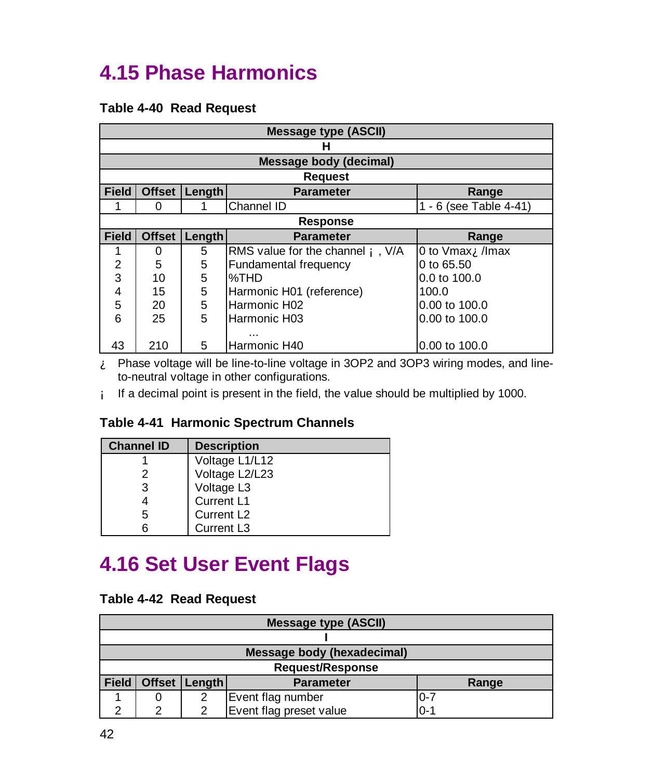### **4.15 Phase Harmonics**

#### **Table 4-40 Read Request**

|              | <b>Message type (ASCII)</b> |        |                                          |                                 |  |  |
|--------------|-----------------------------|--------|------------------------------------------|---------------------------------|--|--|
|              |                             |        | н                                        |                                 |  |  |
|              |                             |        | Message body (decimal)                   |                                 |  |  |
|              |                             |        | <b>Request</b>                           |                                 |  |  |
| <b>Field</b> | <b>Offset</b>               | Length | <b>Parameter</b>                         | Range                           |  |  |
|              | 0                           |        | Channel ID                               | 1 - 6 (see Table 4-41)          |  |  |
|              | <b>Response</b>             |        |                                          |                                 |  |  |
| <b>Field</b> | <b>Offset</b>               | Length | <b>Parameter</b>                         | Range                           |  |  |
|              | 0                           | 5      | RMS value for the channel <b>A</b> , V/A | 0 to $V$ max $\bf\hat{A}$ /Imax |  |  |
| 2            | 5                           | 5      | Fundamental frequency<br>0 to 65.50      |                                 |  |  |
| 3            | 10                          | 5      | %THD                                     | $0.0$ to $100.0$                |  |  |
| 4            | 15                          | 5      | Harmonic H01 (reference)                 | 100.0                           |  |  |
| 5            | 20                          | 5      | Harmonic H02                             | 0.00 to 100.0                   |  |  |
| 6            | 25                          | 5      | Harmonic H03<br>0.00 to 100.0            |                                 |  |  |
|              |                             |        |                                          |                                 |  |  |
| 43           | 210                         | 5      | Harmonic H40                             | 0.00 to 100.0                   |  |  |

À Phase voltage will be line-to-line voltage in 3OP2 and 3OP3 wiring modes, and lineto-neutral voltage in other configurations.

Á If a decimal point is present in the field, the value should be multiplied by 1000.

#### **Table 4-41 Harmonic Spectrum Channels**

| <b>Channel ID</b> | <b>Description</b>     |
|-------------------|------------------------|
|                   | Voltage L1/L12         |
|                   | Voltage L2/L23         |
|                   | Voltage L3             |
|                   | Current L1             |
| 5                 | Current L <sub>2</sub> |
|                   | Current L3             |

### **4.16 Set User Event Flags**

#### **Table 4-42 Read Request**

| <b>Message type (ASCII)</b> |                            |        |                         |         |  |
|-----------------------------|----------------------------|--------|-------------------------|---------|--|
|                             |                            |        |                         |         |  |
|                             | Message body (hexadecimal) |        |                         |         |  |
| <b>Request/Response</b>     |                            |        |                         |         |  |
| Field                       | <b>Offset</b>              | Length | <b>Parameter</b>        | Range   |  |
|                             |                            | ◠      | Event flag number       | $0 - 7$ |  |
| ⌒                           | ⌒                          |        | Event flag preset value | $0 - 1$ |  |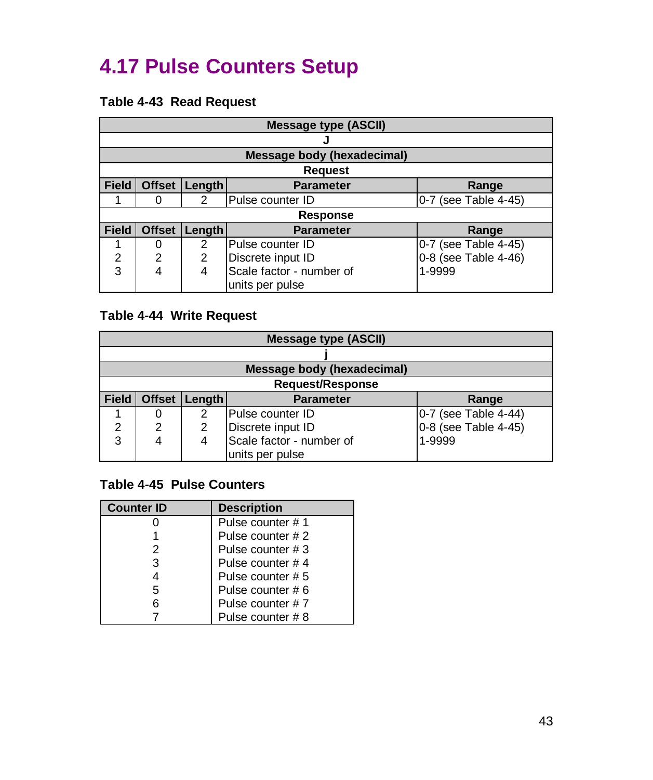### **4.17 Pulse Counters Setup**

#### **Table 4-43 Read Request**

|                | <b>Message type (ASCII)</b> |        |                                   |                      |  |
|----------------|-----------------------------|--------|-----------------------------------|----------------------|--|
|                |                             |        |                                   |                      |  |
|                |                             |        | <b>Message body (hexadecimal)</b> |                      |  |
|                |                             |        | <b>Request</b>                    |                      |  |
| <b>Field</b>   | <b>Offset</b>               | Length | <b>Parameter</b>                  | Range                |  |
|                | 0                           | 2      | Pulse counter ID                  | 0-7 (see Table 4-45) |  |
|                |                             |        | <b>Response</b>                   |                      |  |
| <b>Field</b>   | <b>Offset</b>               | Length | <b>Parameter</b>                  | Range                |  |
|                | 0                           | 2      | Pulse counter ID                  | 0-7 (see Table 4-45) |  |
| $\overline{2}$ | 2                           | 2      | Discrete input ID                 | 0-8 (see Table 4-46) |  |
| 3              | 4                           | 4      | Scale factor - number of          | 1-9999               |  |
|                |                             |        | units per pulse                   |                      |  |

#### **Table 4-44 Write Request**

| <b>Message type (ASCII)</b> |                         |               |                                   |                      |  |
|-----------------------------|-------------------------|---------------|-----------------------------------|----------------------|--|
|                             |                         |               |                                   |                      |  |
|                             |                         |               | <b>Message body (hexadecimal)</b> |                      |  |
|                             | <b>Request/Response</b> |               |                                   |                      |  |
| <b>Field</b>                |                         | Offset Length | <b>Parameter</b>                  | Range                |  |
|                             | 0                       | 2             | lPulse counter ID                 | 0-7 (see Table 4-44) |  |
| 2                           | 2                       | 2             | Discrete input ID                 | 0-8 (see Table 4-45) |  |
| 3                           |                         | 4             | Scale factor - number of          | 1-9999               |  |
|                             |                         |               | units per pulse                   |                      |  |

#### **Table 4-45 Pulse Counters**

| <b>Counter ID</b> | <b>Description</b> |
|-------------------|--------------------|
|                   | Pulse counter #1   |
|                   | Pulse counter # 2  |
| 2                 | Pulse counter # 3  |
| 3                 | Pulse counter #4   |
|                   | Pulse counter # 5  |
| 5                 | Pulse counter #6   |
|                   | Pulse counter #7   |
|                   | Pulse counter # 8  |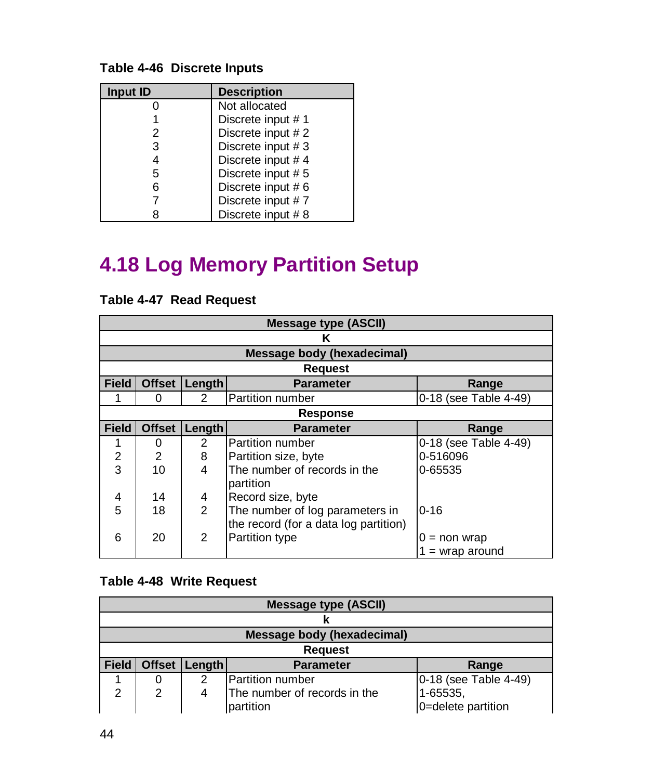#### **Table 4-46 Discrete Inputs**

| Input ID | <b>Description</b> |
|----------|--------------------|
|          | Not allocated      |
|          | Discrete input #1  |
| 2        | Discrete input #2  |
| 3        | Discrete input #3  |
| 4        | Discrete input #4  |
| 5        | Discrete input #5  |
| 6        | Discrete input #6  |
|          | Discrete input #7  |
|          | Discrete input #8  |

## **4.18 Log Memory Partition Setup**

|              | Message type (ASCII) |               |                                                                          |                                      |  |
|--------------|----------------------|---------------|--------------------------------------------------------------------------|--------------------------------------|--|
|              |                      |               | Κ                                                                        |                                      |  |
|              |                      |               | <b>Message body (hexadecimal)</b>                                        |                                      |  |
|              |                      |               | <b>Request</b>                                                           |                                      |  |
| <b>Field</b> | <b>Offset</b>        | Length        | <b>Parameter</b>                                                         | Range                                |  |
|              | 0                    | $\mathcal{P}$ | Partition number                                                         | 0-18 (see Table 4-49)                |  |
|              |                      |               | <b>Response</b>                                                          |                                      |  |
| <b>Field</b> | <b>Offset</b>        | Length        | <b>Parameter</b>                                                         | Range                                |  |
| 1            | 0                    | 2             | Partition number                                                         | 0-18 (see Table 4-49)                |  |
| 2            | $\overline{2}$       | 8             | Partition size, byte                                                     | 0-516096                             |  |
| 3            | 10                   | 4             | The number of records in the<br>partition                                | 0-65535                              |  |
| 4            | 14                   | 4             | Record size, byte                                                        |                                      |  |
| 5            | 18                   | $\mathcal{P}$ | The number of log parameters in<br>the record (for a data log partition) | $0 - 16$                             |  |
| 6            | 20                   | 2             | Partition type                                                           | $=$ non wrap<br>0<br>$=$ wrap around |  |

#### **Table 4-47 Read Request**

#### **Table 4-48 Write Request**

| <b>Message type (ASCII)</b> |                |               |                              |                       |  |
|-----------------------------|----------------|---------------|------------------------------|-----------------------|--|
|                             |                |               |                              |                       |  |
|                             |                |               | Message body (hexadecimal)   |                       |  |
|                             | <b>Request</b> |               |                              |                       |  |
| <b>Field</b>                |                | Offset Length | <b>Parameter</b>             | Range                 |  |
|                             |                |               | Partition number             | 0-18 (see Table 4-49) |  |
| 2                           | 2              |               | The number of records in the | 1-65535,              |  |
|                             |                |               | partition                    | 0=delete partition    |  |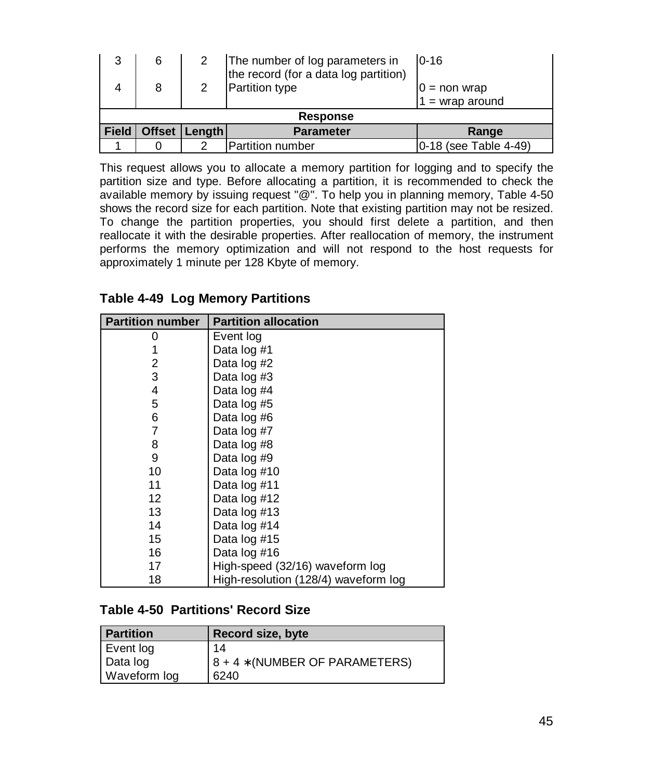| 3            | 6               |                 | The number of log parameters in<br>the record (for a data log partition) | $0 - 16$              |  |
|--------------|-----------------|-----------------|--------------------------------------------------------------------------|-----------------------|--|
|              | 8               |                 | <b>Partition type</b>                                                    | $0 = \text{non wrap}$ |  |
|              |                 |                 |                                                                          | $1 =$ wrap around     |  |
|              | <b>Response</b> |                 |                                                                          |                       |  |
| <b>Field</b> |                 | Offset   Length | <b>Parameter</b>                                                         | Range                 |  |
|              |                 |                 | Partition number                                                         | 0-18 (see Table 4-49) |  |

This request allows you to allocate a memory partition for logging and to specify the partition size and type. Before allocating a partition, it is recommended to check the available memory by issuing request "@". To help you in planning memory, Table 4-50 shows the record size for each partition. Note that existing partition may not be resized. To change the partition properties, you should first delete a partition, and then reallocate it with the desirable properties. After reallocation of memory, the instrument performs the memory optimization and will not respond to the host requests for approximately 1 minute per 128 Kbyte of memory.

| <b>Partition number</b> | <b>Partition allocation</b>          |
|-------------------------|--------------------------------------|
| O                       | Event log                            |
|                         | Data log #1                          |
| 2                       | Data log #2                          |
| 3                       | Data log #3                          |
| 4                       | Data log #4                          |
| 5                       | Data log #5                          |
| 6                       | Data log #6                          |
| 7                       | Data log #7                          |
| 8                       | Data log #8                          |
| 9                       | Data log #9                          |
| 10                      | Data log #10                         |
| 11                      | Data log #11                         |
| 12                      | Data log #12                         |
| 13                      | Data log #13                         |
| 14                      | Data log #14                         |
| 15                      | Data log #15                         |
| 16                      | Data log #16                         |
| 17                      | High-speed (32/16) waveform log      |
| 18                      | High-resolution (128/4) waveform log |

**Table 4-49 Log Memory Partitions**

#### **Table 4-50 Partitions' Record Size**

| <b>Partition</b> | Record size, byte                |
|------------------|----------------------------------|
| Event log        | 14                               |
| Data log         | $8 + 4 * (NUMBER OF PARAMETERS)$ |
| Waveform log     | 6240                             |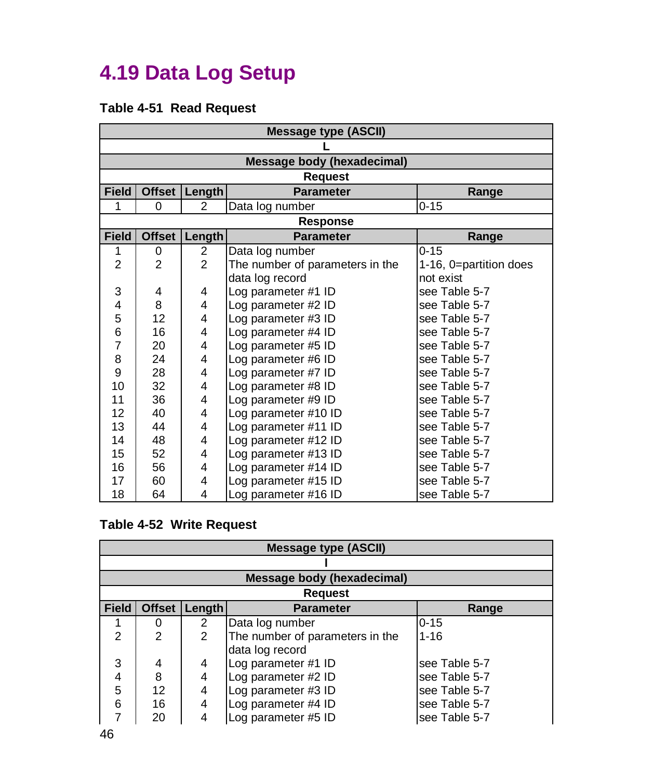## **4.19 Data Log Setup**

#### **Table 4-51 Read Request**

| <b>Message type (ASCII)</b> |               |                |                                   |                        |
|-----------------------------|---------------|----------------|-----------------------------------|------------------------|
|                             |               |                |                                   |                        |
|                             |               |                | <b>Message body (hexadecimal)</b> |                        |
|                             |               |                | <b>Request</b>                    |                        |
| <b>Field</b>                | <b>Offset</b> | Length         | <b>Parameter</b>                  | Range                  |
| 1                           | 0             | $\overline{2}$ | Data log number                   | $0 - 15$               |
|                             |               |                | <b>Response</b>                   |                        |
| <b>Field</b>                | <b>Offset</b> | <b>Length</b>  | <b>Parameter</b>                  | Range                  |
| 1                           | 0             | 2              | Data log number                   | $0 - 15$               |
| $\overline{2}$              | 2             | $\mathfrak{p}$ | The number of parameters in the   | 1-16, 0=partition does |
|                             |               |                | data log record                   | not exist              |
| 3                           | 4             | 4              | Log parameter #1 ID               | see Table 5-7          |
| 4                           | 8             | 4              | Log parameter #2 ID               | see Table 5-7          |
| 5                           | 12            | 4              | Log parameter #3 ID               | see Table 5-7          |
| 6                           | 16            | 4              | Log parameter #4 ID               | see Table 5-7          |
| 7                           | 20            | 4              | Log parameter #5 ID               | see Table 5-7          |
| 8                           | 24            | 4              | Log parameter #6 ID               | see Table 5-7          |
| 9                           | 28            | 4              | Log parameter #7 ID               | see Table 5-7          |
| 10                          | 32            | 4              | Log parameter #8 ID               | see Table 5-7          |
| 11                          | 36            | 4              | Log parameter #9 ID               | see Table 5-7          |
| 12                          | 40            | 4              | Log parameter #10 ID              | see Table 5-7          |
| 13                          | 44            | 4              | Log parameter #11 ID              | see Table 5-7          |
| 14                          | 48            | 4              | Log parameter #12 ID              | see Table 5-7          |
| 15                          | 52            | 4              | Log parameter #13 ID              | see Table 5-7          |
| 16                          | 56            | 4              | Log parameter #14 ID              | see Table 5-7          |
| 17                          | 60            | 4              | Log parameter #15 ID              | see Table 5-7          |
| 18                          | 64            | 4              | Log parameter #16 ID              | see Table 5-7          |

#### **Table 4-52 Write Request**

| <b>Message type (ASCII)</b> |                |                |                                   |               |
|-----------------------------|----------------|----------------|-----------------------------------|---------------|
|                             |                |                |                                   |               |
|                             |                |                | <b>Message body (hexadecimal)</b> |               |
|                             |                |                | <b>Request</b>                    |               |
| <b>Field</b>                | <b>Offset</b>  | Length         | <b>Parameter</b>                  | Range         |
|                             | 0              | $\overline{2}$ | Data log number                   | $0 - 15$      |
| 2                           | $\overline{2}$ | 2              | The number of parameters in the   | $1 - 16$      |
|                             |                |                | data log record                   |               |
| 3                           | 4              | 4              | Log parameter #1 ID               | see Table 5-7 |
| 4                           | 8              | 4              | Log parameter #2 ID               | see Table 5-7 |
| 5                           | 12             | 4              | Log parameter #3 ID               | see Table 5-7 |
| 6                           | 16             | 4              | Log parameter #4 ID               | see Table 5-7 |
|                             | 20             |                | Log parameter #5 ID               | see Table 5-7 |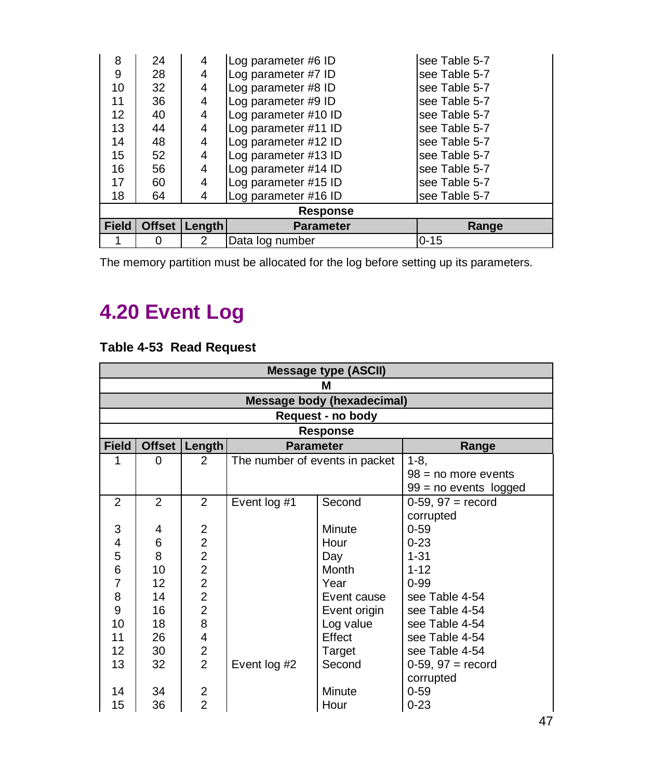| 8            | 24              | 4      | Log parameter #6 ID  | see Table 5-7 |  |
|--------------|-----------------|--------|----------------------|---------------|--|
| 9            | 28              | 4      | Log parameter #7 ID  | see Table 5-7 |  |
| 10           | 32              | 4      | Log parameter #8 ID  | see Table 5-7 |  |
| 11           | 36              | 4      | Log parameter #9 ID  | see Table 5-7 |  |
| 12           | 40              | 4      | Log parameter #10 ID | see Table 5-7 |  |
| 13           | 44              | 4      | Log parameter #11 ID | see Table 5-7 |  |
| 14           | 48              | 4      | Log parameter #12 ID | see Table 5-7 |  |
| 15           | 52              | 4      | Log parameter #13 ID | see Table 5-7 |  |
| 16           | 56              | 4      | Log parameter #14 ID | see Table 5-7 |  |
| 17           | 60              | 4      | Log parameter #15 ID | see Table 5-7 |  |
| 18           | 64              | 4      | Log parameter #16 ID | see Table 5-7 |  |
|              | <b>Response</b> |        |                      |               |  |
| <b>Field</b> | <b>Offset</b>   | Length | <b>Parameter</b>     | Range         |  |
|              | 0               | 2      | Data log number      | $0 - 15$      |  |

The memory partition must be allocated for the log before setting up its parameters.

## **4.20 Event Log**

#### **Table 4-53 Read Request**

|                   | Message type (ASCII) |                |                                |                                   |                         |  |  |
|-------------------|----------------------|----------------|--------------------------------|-----------------------------------|-------------------------|--|--|
|                   | М                    |                |                                |                                   |                         |  |  |
|                   |                      |                |                                | <b>Message body (hexadecimal)</b> |                         |  |  |
|                   |                      |                |                                | Request - no body                 |                         |  |  |
|                   |                      |                |                                | Response                          |                         |  |  |
| <b>Field</b>      | <b>Offset</b>        | Length         | <b>Parameter</b>               |                                   | Range                   |  |  |
| 1                 | $\Omega$             | $\mathcal{P}$  | The number of events in packet |                                   | $1 - 8$ ,               |  |  |
|                   |                      |                |                                |                                   | $98 = no$ more events   |  |  |
|                   |                      |                |                                |                                   | $99 = no$ events logged |  |  |
| $\overline{2}$    | $\mathcal{P}$        | $\mathcal{P}$  | Event log #1                   | Second                            | $0-59, 97 = record$     |  |  |
|                   |                      |                |                                |                                   | corrupted               |  |  |
| 3                 | 4                    | 2              |                                | Minute                            | $0 - 59$                |  |  |
| 4                 | 6                    | $\overline{2}$ |                                | Hour                              | $0 - 23$                |  |  |
| 5                 | 8                    | $\overline{2}$ |                                | Day                               | $1 - 31$                |  |  |
| 6                 | 10                   | $\overline{2}$ |                                | Month                             | $1 - 12$                |  |  |
| 7                 | 12                   | $\overline{2}$ |                                | Year                              | $0 - 99$                |  |  |
| 8                 | 14                   | $\overline{c}$ |                                | Event cause                       | see Table 4-54          |  |  |
| 9                 | 16                   | $\overline{2}$ |                                | Event origin                      | see Table 4-54          |  |  |
| 10                | 18                   | 8              |                                | Log value                         | see Table 4-54          |  |  |
| 11                | 26                   | 4              |                                | Effect                            | see Table 4-54          |  |  |
| $12 \overline{ }$ | 30                   | 2              |                                | Target                            | see Table 4-54          |  |  |
| 13                | 32                   | $\overline{2}$ | Event log #2                   | Second                            | $0-59, 97 = record$     |  |  |
|                   |                      |                |                                |                                   | corrupted               |  |  |
| 14                | 34                   | $\overline{c}$ |                                | Minute                            | $0 - 59$                |  |  |
| 15                | 36                   | $\overline{2}$ |                                | Hour                              | $0 - 23$                |  |  |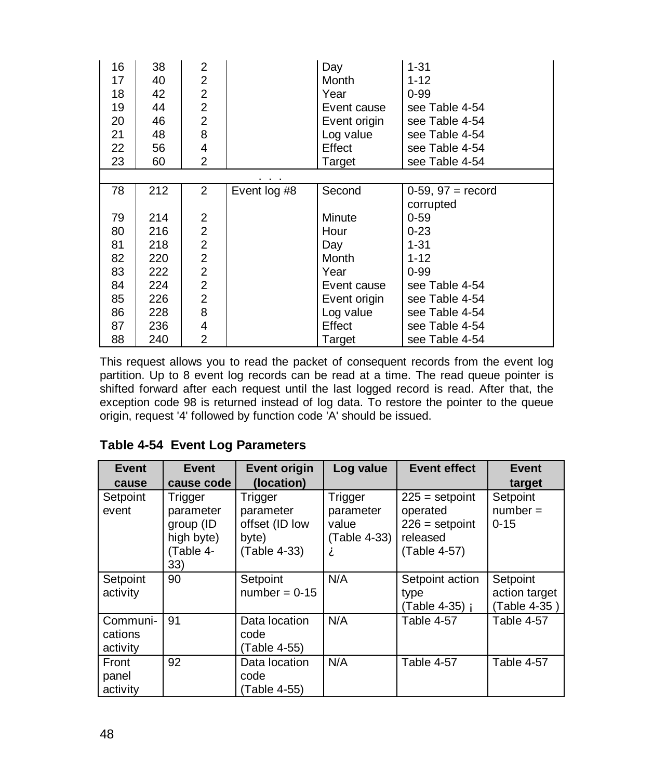| 16 | 38  | 2              |              | Day          | $1 - 31$            |
|----|-----|----------------|--------------|--------------|---------------------|
| 17 | 40  | $\overline{2}$ |              | Month        | $1 - 12$            |
| 18 | 42  | $\overline{2}$ |              | Year         | $0 - 99$            |
| 19 | 44  | 2              |              | Event cause  | see Table 4-54      |
| 20 | 46  | $\overline{2}$ |              | Event origin | see Table 4-54      |
| 21 | 48  | 8              |              | Log value    | see Table 4-54      |
| 22 | 56  | 4              |              | Effect       | see Table 4-54      |
| 23 | 60  | $\mathfrak{p}$ |              | Target       | see Table 4-54      |
|    |     |                |              |              |                     |
| 78 | 212 | 2              | Event log #8 | Second       | $0-59, 97 = record$ |
|    |     |                |              |              | corrupted           |
| 79 | 214 | 2              |              | Minute       | $0 - 59$            |
| 80 | 216 | $\overline{2}$ |              | Hour         | $0 - 23$            |
| 81 | 218 | $\overline{2}$ |              | Day          | $1 - 31$            |
| 82 | 220 | $\overline{2}$ |              | Month        | $1 - 12$            |
| 83 | 222 | $\overline{2}$ |              | Year         | $0 - 99$            |
| 84 | 224 | $\overline{2}$ |              | Event cause  | see Table 4-54      |
| 85 | 226 | $\overline{2}$ |              | Event origin | see Table 4-54      |
| 86 | 228 | 8              |              | Log value    | see Table 4-54      |
| 87 | 236 | 4              |              | Effect       | see Table 4-54      |
| 88 | 240 | $\overline{2}$ |              | Target       | see Table 4-54      |

This request allows you to read the packet of consequent records from the event log partition. Up to 8 event log records can be read at a time. The read queue pointer is shifted forward after each request until the last logged record is read. After that, the exception code 98 is returned instead of log data. To restore the pointer to the queue origin, request '4' followed by function code 'A' should be issued.

#### **Table 4-54 Event Log Parameters**

| Event    | Event      | <b>Event origin</b> | Log value    | <b>Event effect</b>   | <b>Event</b>  |
|----------|------------|---------------------|--------------|-----------------------|---------------|
| cause    | cause code | (location)          |              |                       | target        |
| Setpoint | Trigger    | Trigger             | Trigger      | $225 =$ setpoint      | Setpoint      |
| event    | parameter  | parameter           | parameter    | operated              | $number =$    |
|          | group (ID  | offset (ID low      | value        | $226 =$ setpoint      | $0 - 15$      |
|          | high byte) | byte)               | (Table 4-33) | released              |               |
|          | (Table 4-  | (Table 4-33)        | А            | (Table 4-57)          |               |
|          | 33)        |                     |              |                       |               |
| Setpoint | 90         | Setpoint            | N/A          | Setpoint action       | Setpoint      |
| activity |            | $number = 0-15$     |              | type                  | action target |
|          |            |                     |              | (Table 4-35) <b>Å</b> | (Table 4-35)  |
| Communi- | 91         | Data location       | N/A          | Table 4-57            | Table 4-57    |
| cations  |            | code                |              |                       |               |
| activity |            | (Table 4-55)        |              |                       |               |
| Front    | 92         | Data location       | N/A          | Table 4-57            | Table 4-57    |
| panel    |            | code                |              |                       |               |
| activity |            | (Table 4-55)        |              |                       |               |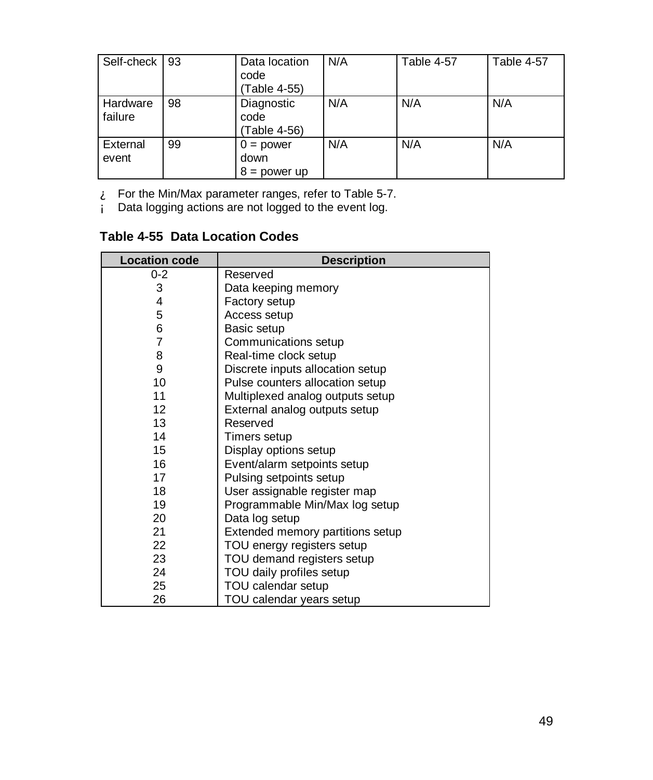| Self-check          | 93 | Data location<br>code<br>(Table 4-55) | N/A | Table 4-57 | Table 4-57 |
|---------------------|----|---------------------------------------|-----|------------|------------|
| Hardware<br>failure | 98 | Diagnostic<br>code<br>(Table 4-56)    | N/A | N/A        | N/A        |
| External<br>event   | 99 | $0 = power$<br>down<br>$8 = power$ up | N/A | N/A        | N/A        |

 $\mathbf{\hat{A}}$  For the Min/Max parameter ranges, refer to Table 5-7.

Á Data logging actions are not logged to the event log.

**Table 4-55 Data Location Codes**

| <b>Location code</b> | <b>Description</b>               |
|----------------------|----------------------------------|
| $0 - 2$              | Reserved                         |
| 3                    | Data keeping memory              |
| 4                    | Factory setup                    |
| 5                    | Access setup                     |
| 6                    | Basic setup                      |
| 7                    | Communications setup             |
| 8                    | Real-time clock setup            |
| 9                    | Discrete inputs allocation setup |
| 10                   | Pulse counters allocation setup  |
| 11                   | Multiplexed analog outputs setup |
| 12 <sup>2</sup>      | External analog outputs setup    |
| 13                   | Reserved                         |
| 14                   | Timers setup                     |
| 15                   | Display options setup            |
| 16                   | Event/alarm setpoints setup      |
| 17                   | Pulsing setpoints setup          |
| 18                   | User assignable register map     |
| 19                   | Programmable Min/Max log setup   |
| 20                   | Data log setup                   |
| 21                   | Extended memory partitions setup |
| 22                   | TOU energy registers setup       |
| 23                   | TOU demand registers setup       |
| 24                   | TOU daily profiles setup         |
| 25                   | TOU calendar setup               |
| 26                   | TOU calendar years setup         |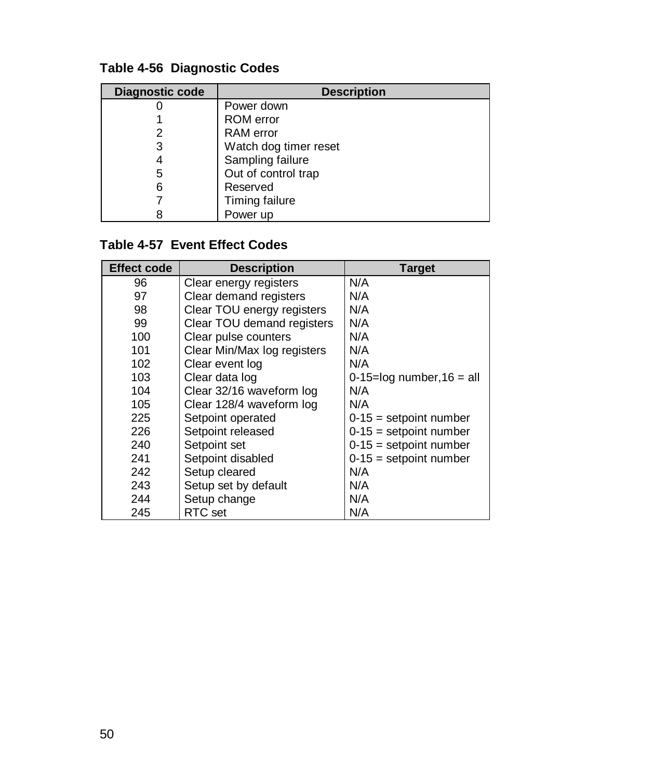| Diagnostic code | <b>Description</b>    |
|-----------------|-----------------------|
|                 | Power down            |
|                 | <b>ROM</b> error      |
|                 | <b>RAM</b> error      |
| 3               | Watch dog timer reset |
|                 | Sampling failure      |
| 5               | Out of control trap   |
| 6               | Reserved              |
|                 | Timing failure        |
|                 | Power up              |

#### **Table 4-56 Diagnostic Codes**

#### **Table 4-57 Event Effect Codes**

| <b>Effect code</b> | <b>Description</b>          | <b>Target</b>                 |
|--------------------|-----------------------------|-------------------------------|
| 96                 | Clear energy registers      | N/A                           |
| 97                 | Clear demand registers      | N/A                           |
| 98                 | Clear TOU energy registers  | N/A                           |
| 99                 | Clear TOU demand registers  | N/A                           |
| 100                | Clear pulse counters        | N/A                           |
| 101                | Clear Min/Max log registers | N/A                           |
| 102                | Clear event log             | N/A                           |
| 103                | Clear data log              | $0-15=$ log number, $16=$ all |
| 104                | Clear 32/16 waveform log    | N/A                           |
| 105                | Clear 128/4 waveform log    | N/A                           |
| 225                | Setpoint operated           | $0-15$ = setpoint number      |
| 226                | Setpoint released           | $0-15$ = setpoint number      |
| 240                | Setpoint set                | $0-15$ = setpoint number      |
| 241                | Setpoint disabled           | $0-15$ = setpoint number      |
| 242                | Setup cleared               | N/A                           |
| 243                | Setup set by default        | N/A                           |
| 244                | Setup change                | N/A                           |
| 245                | RTC set                     | N/A                           |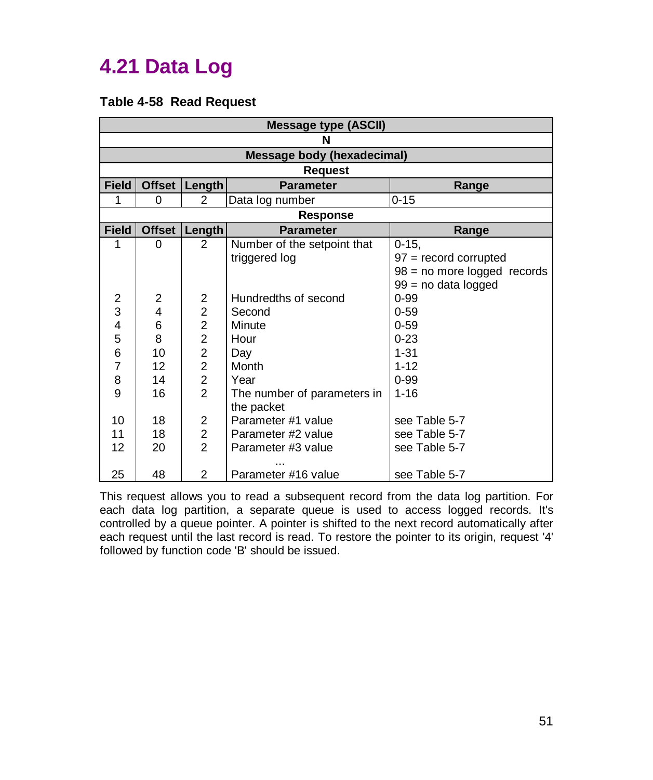### **4.21 Data Log**

#### **Table 4-58 Read Request**

|              | <b>Message type (ASCII)</b> |                |                                   |                             |  |  |
|--------------|-----------------------------|----------------|-----------------------------------|-----------------------------|--|--|
|              | N                           |                |                                   |                             |  |  |
|              |                             |                | <b>Message body (hexadecimal)</b> |                             |  |  |
|              |                             |                | <b>Request</b>                    |                             |  |  |
| <b>Field</b> |                             | Offset Length  | <b>Parameter</b>                  | Range                       |  |  |
| 1            | 0                           | $\overline{2}$ | Data log number                   | $0 - 15$                    |  |  |
|              |                             |                | <b>Response</b>                   |                             |  |  |
| <b>Field</b> | <b>Offset</b>               | Length         | <b>Parameter</b>                  | Range                       |  |  |
| 1            | 0                           | $\overline{2}$ | Number of the setpoint that       | $0 - 15.$                   |  |  |
|              |                             |                | triggered log                     | $97 =$ record corrupted     |  |  |
|              |                             |                |                                   | 98 = no more logged records |  |  |
|              |                             |                |                                   | 99 = no data logged         |  |  |
| 2            | 2                           | 2              | Hundredths of second              | $0 - 99$                    |  |  |
| 3            | 4                           | $\overline{c}$ | Second                            | $0 - 59$                    |  |  |
| 4            | 6                           | $\overline{2}$ | Minute                            | $0 - 59$                    |  |  |
| 5            | 8                           | $\overline{c}$ | Hour                              | $0 - 23$                    |  |  |
| 6            | 10                          | $\overline{2}$ | Day                               | $1 - 31$                    |  |  |
| 7            | 12                          | $\overline{2}$ | Month                             | $1 - 12$                    |  |  |
| 8            | 14                          | $\overline{2}$ | Year                              | $0 - 99$                    |  |  |
| 9            | 16                          | $\overline{2}$ | The number of parameters in       | $1 - 16$                    |  |  |
|              |                             |                | the packet                        |                             |  |  |
| 10           | 18                          | 2              | Parameter #1 value                | see Table 5-7               |  |  |
| 11           | 18                          | $\overline{2}$ | Parameter #2 value                | see Table 5-7               |  |  |
| 12           | 20                          | $\overline{2}$ | Parameter #3 value                | see Table 5-7               |  |  |
| 25           | 48                          | $\overline{2}$ | Parameter #16 value               | see Table 5-7               |  |  |

This request allows you to read a subsequent record from the data log partition. For each data log partition, a separate queue is used to access logged records. It's controlled by a queue pointer. A pointer is shifted to the next record automatically after each request until the last record is read. To restore the pointer to its origin, request '4' followed by function code 'B' should be issued.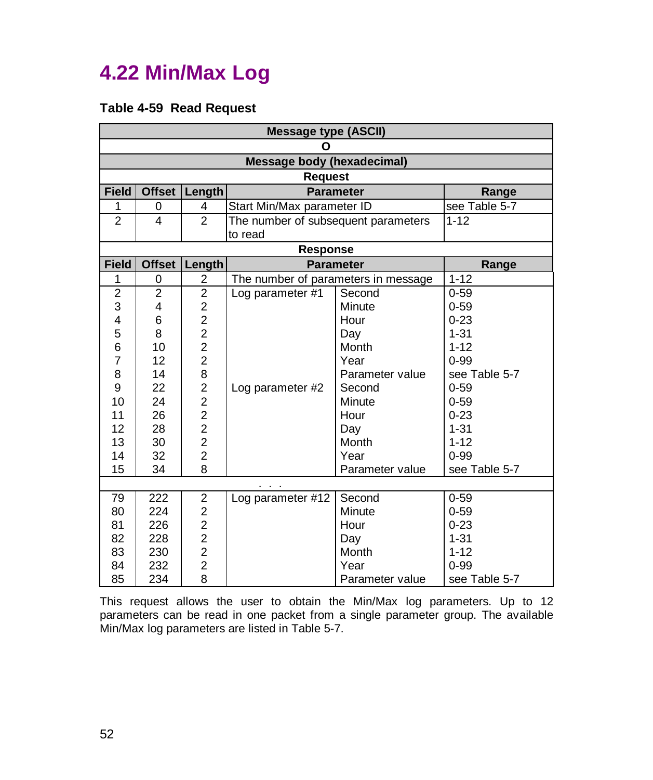### **4.22 Min/Max Log**

#### **Table 4-59 Read Request**

|                | <b>Message type (ASCII)</b> |                                              |                                     |                  |               |
|----------------|-----------------------------|----------------------------------------------|-------------------------------------|------------------|---------------|
|                |                             |                                              | Ο                                   |                  |               |
|                |                             |                                              | <b>Message body (hexadecimal)</b>   |                  |               |
|                |                             |                                              | <b>Request</b>                      |                  |               |
| <b>Field</b>   | <b>Offset</b>               | Length                                       |                                     | <b>Parameter</b> | Range         |
| 1              | 0                           | $\overline{4}$                               | Start Min/Max parameter ID          |                  | see Table 5-7 |
| $\overline{c}$ | 4                           | $\overline{2}$                               | The number of subsequent parameters |                  | $1 - 12$      |
|                |                             |                                              | to read                             |                  |               |
|                |                             |                                              | <b>Response</b>                     |                  |               |
| <b>Field</b>   | <b>Offset</b>               | Length                                       |                                     | <b>Parameter</b> | Range         |
| 1              | 0                           | $\overline{c}$                               | The number of parameters in message |                  | $1 - 12$      |
| $\overline{c}$ | $\overline{c}$              | $\overline{2}$                               | Log parameter #1                    | Second           | $0 - 59$      |
| 3              | 4                           | $\overline{\mathbf{c}}$                      |                                     | Minute           | $0 - 59$      |
| 4              | 6                           | $\frac{2}{2}$                                |                                     | Hour             | $0 - 23$      |
| 5              | 8                           |                                              |                                     | Day              | $1 - 31$      |
| 6              | 10                          | $\frac{2}{2}$                                |                                     | Month            | $1 - 12$      |
| 7              | 12                          |                                              |                                     | Year             | $0 - 99$      |
| 8              | 14                          | 8                                            |                                     | Parameter value  | see Table 5-7 |
| 9              | 22                          | $\overline{\mathbf{c}}$                      | Log parameter #2                    | Second           | $0 - 59$      |
| 10             | 24                          | $\begin{array}{c}\n2 \\ 2 \\ 2\n\end{array}$ |                                     | Minute           | $0 - 59$      |
| 11             | 26                          |                                              |                                     | Hour             | $0 - 23$      |
| 12             | 28                          |                                              |                                     | Day              | $1 - 31$      |
| 13             | 30                          |                                              |                                     | Month            | $1 - 12$      |
| 14             | 32                          | $\overline{c}$                               |                                     | Year             | $0 - 99$      |
| 15             | 34                          | 8                                            |                                     | Parameter value  | see Table 5-7 |
|                |                             |                                              |                                     |                  |               |
| 79             | 222                         | 2                                            | Log parameter #12                   | Second           | $0 - 59$      |
| 80             | 224                         | $\overline{\mathbf{c}}$                      |                                     | Minute           | $0 - 59$      |
| 81             | 226                         | $\overline{c}$                               |                                     | Hour             | $0 - 23$      |
| 82             | 228                         | $\begin{array}{c} 2 \\ 2 \\ 2 \end{array}$   |                                     | Day              | $1 - 31$      |
| 83             | 230                         |                                              |                                     | Month            | $1 - 12$      |
| 84             | 232                         |                                              |                                     | Year             | $0 - 99$      |
| 85             | 234                         | 8                                            |                                     | Parameter value  | see Table 5-7 |

This request allows the user to obtain the Min/Max log parameters. Up to 12 parameters can be read in one packet from a single parameter group. The available Min/Max log parameters are listed in Table 5-7.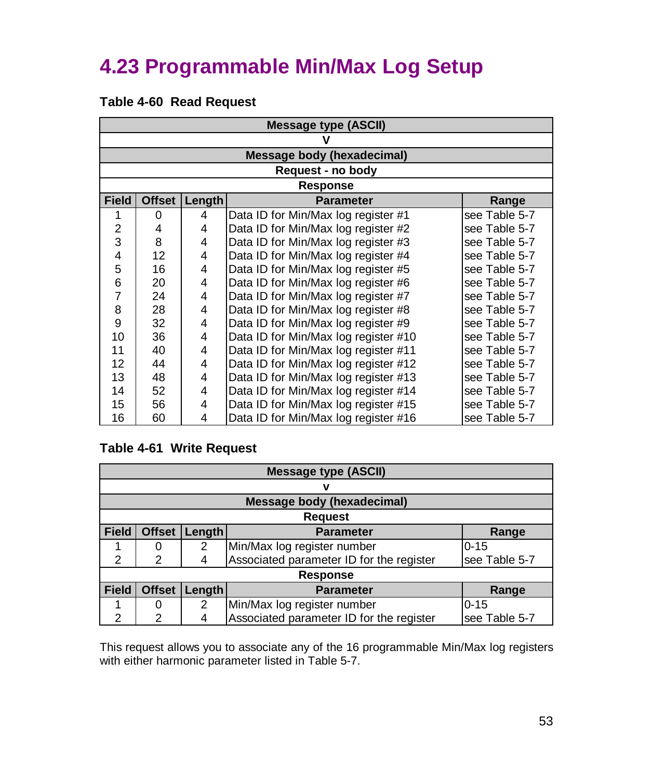### **4.23 Programmable Min/Max Log Setup**

#### **Table 4-60 Read Request**

|                | <b>Message type (ASCII)</b> |        |                                      |               |  |
|----------------|-----------------------------|--------|--------------------------------------|---------------|--|
|                |                             |        |                                      |               |  |
|                |                             |        | Message body (hexadecimal)           |               |  |
|                |                             |        | Request - no body                    |               |  |
|                |                             |        | <b>Response</b>                      |               |  |
| <b>Field</b>   | <b>Offset</b>               | Length | <b>Parameter</b>                     | Range         |  |
| 1              | $\Omega$                    | 4      | Data ID for Min/Max log register #1  | see Table 5-7 |  |
| $\overline{2}$ | 4                           | 4      | Data ID for Min/Max log register #2  | see Table 5-7 |  |
| 3              | 8                           | 4      | Data ID for Min/Max log register #3  | see Table 5-7 |  |
| 4              | 12                          | 4      | Data ID for Min/Max log register #4  | see Table 5-7 |  |
| 5              | 16                          | 4      | Data ID for Min/Max log register #5  | see Table 5-7 |  |
| 6              | 20                          | 4      | Data ID for Min/Max log register #6  | see Table 5-7 |  |
| 7              | 24                          | 4      | Data ID for Min/Max log register #7  | see Table 5-7 |  |
| 8              | 28                          | 4      | Data ID for Min/Max log register #8  | see Table 5-7 |  |
| 9              | 32                          | 4      | Data ID for Min/Max log register #9  | see Table 5-7 |  |
| 10             | 36                          | 4      | Data ID for Min/Max log register #10 | see Table 5-7 |  |
| 11             | 40                          | 4      | Data ID for Min/Max log register #11 | see Table 5-7 |  |
| 12             | 44                          | 4      | Data ID for Min/Max log register #12 | see Table 5-7 |  |
| 13             | 48                          | 4      | Data ID for Min/Max log register #13 | see Table 5-7 |  |
| 14             | 52                          | 4      | Data ID for Min/Max log register #14 | see Table 5-7 |  |
| 15             | 56                          | 4      | Data ID for Min/Max log register #15 | see Table 5-7 |  |
| 16             | 60                          | 4      | Data ID for Min/Max log register #16 | see Table 5-7 |  |

#### **Table 4-61 Write Request**

|                | <b>Message type (ASCII)</b> |        |                                          |               |  |
|----------------|-----------------------------|--------|------------------------------------------|---------------|--|
|                |                             |        | ν                                        |               |  |
|                |                             |        | <b>Message body (hexadecimal)</b>        |               |  |
|                |                             |        | <b>Request</b>                           |               |  |
| <b>Field</b>   | <b>Offset</b>               | Length | <b>Parameter</b>                         | Range         |  |
|                | 0                           | 2      | Min/Max log register number              | $0 - 15$      |  |
| $\mathfrak{p}$ | 2                           | 4      | Associated parameter ID for the register | see Table 5-7 |  |
|                | <b>Response</b>             |        |                                          |               |  |
| <b>Field</b>   | <b>Offset</b>               | Length | <b>Parameter</b>                         | Range         |  |
|                | 0                           | 2      | Min/Max log register number              | $0 - 15$      |  |
| 2              | $\mathcal{P}$               |        | Associated parameter ID for the register | see Table 5-7 |  |

This request allows you to associate any of the 16 programmable Min/Max log registers with either harmonic parameter listed in Table 5-7.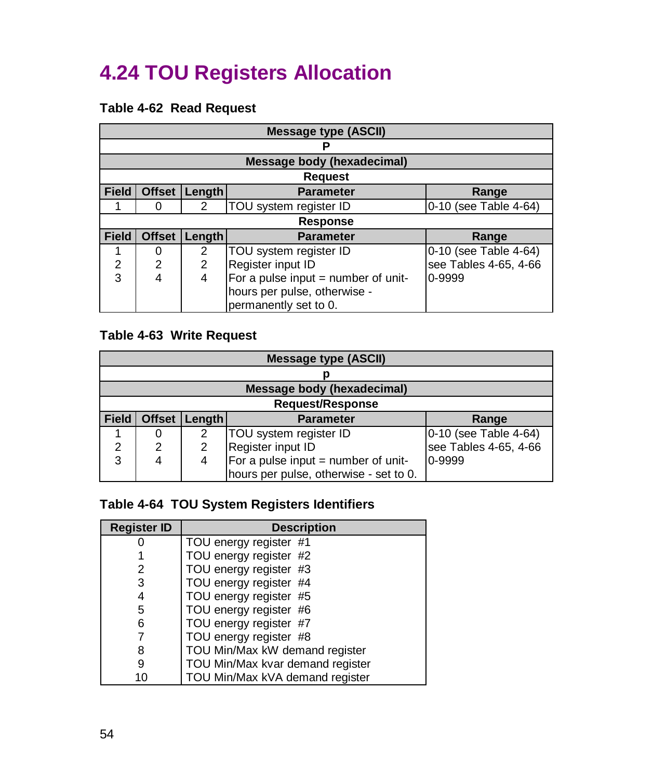### **4.24 TOU Registers Allocation**

#### **Table 4-62 Read Request**

|              | <b>Message type (ASCII)</b> |               |                                     |                       |  |
|--------------|-----------------------------|---------------|-------------------------------------|-----------------------|--|
|              |                             |               |                                     |                       |  |
|              |                             |               | Message body (hexadecimal)          |                       |  |
|              |                             |               | <b>Request</b>                      |                       |  |
| <b>Field</b> | <b>Offset</b>               | Length        | <b>Parameter</b>                    | Range                 |  |
|              | 0                           | 2             | TOU system register ID              | 0-10 (see Table 4-64) |  |
|              |                             |               | <b>Response</b>                     |                       |  |
| <b>Field</b> | <b>Offset</b>               | <b>Length</b> | <b>Parameter</b>                    | Range                 |  |
|              | O                           | 2             | TOU system register ID              | 0-10 (see Table 4-64) |  |
| 2            | $\mathfrak{p}$              | 2             | Register input ID                   | see Tables 4-65, 4-66 |  |
| 3            | 4                           | 4             | For a pulse input = number of unit- | 0-9999                |  |
|              |                             |               | hours per pulse, otherwise -        |                       |  |
|              |                             |               | permanently set to 0.               |                       |  |

#### **Table 4-63 Write Request**

|              | <b>Message type (ASCII)</b>                          |   |                                        |                       |  |  |
|--------------|------------------------------------------------------|---|----------------------------------------|-----------------------|--|--|
|              |                                                      |   |                                        |                       |  |  |
|              | <b>Message body (hexadecimal)</b>                    |   |                                        |                       |  |  |
|              |                                                      |   | <b>Request/Response</b>                |                       |  |  |
| <b>Field</b> | <b>Offset</b><br>Length<br><b>Parameter</b><br>Range |   |                                        |                       |  |  |
|              |                                                      | 2 | TOU system register ID                 | 0-10 (see Table 4-64) |  |  |
| 2            | 2                                                    | 2 | Register input ID                      | see Tables 4-65, 4-66 |  |  |
| 3            |                                                      | 4 | For a pulse input $=$ number of unit-  | 0-9999                |  |  |
|              |                                                      |   | hours per pulse, otherwise - set to 0. |                       |  |  |

#### **Table 4-64 TOU System Registers Identifiers**

| <b>Register ID</b> | <b>Description</b>               |  |  |
|--------------------|----------------------------------|--|--|
|                    | TOU energy register #1           |  |  |
|                    | TOU energy register #2           |  |  |
| 2                  | TOU energy register #3           |  |  |
| 3                  | TOU energy register #4           |  |  |
| 4                  | TOU energy register #5           |  |  |
| 5                  | TOU energy register #6           |  |  |
| 6                  | TOU energy register #7           |  |  |
|                    | TOU energy register #8           |  |  |
| 8                  | TOU Min/Max kW demand register   |  |  |
| 9                  | TOU Min/Max kvar demand register |  |  |
| 10                 | TOU Min/Max kVA demand register  |  |  |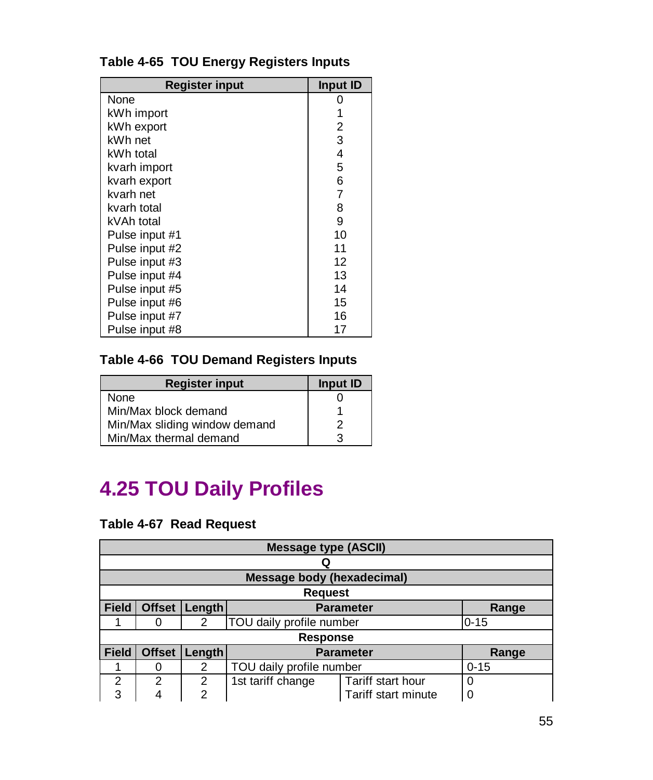| <b>Register input</b> | Input ID |
|-----------------------|----------|
| None                  |          |
| kWh import            |          |
| kWh export            | 2        |
| kWh net               | 3        |
| kWh total             | 4        |
| kvarh import          | 5        |
| kvarh export          | 6        |
| kvarh net             | 7        |
| kvarh total           | 8        |
| kVAh total            | 9        |
| Pulse input #1        | 10       |
| Pulse input #2        | 11       |
| Pulse input #3        | 12       |
| Pulse input #4        | 13       |
| Pulse input #5        | 14       |
| Pulse input #6        | 15       |
| Pulse input #7        | 16       |
| Pulse input #8        | 17       |

#### **Table 4-65 TOU Energy Registers Inputs**

#### **Table 4-66 TOU Demand Registers Inputs**

| <b>Register input</b>         | Input ID |
|-------------------------------|----------|
| None                          |          |
| Min/Max block demand          |          |
| Min/Max sliding window demand | 2        |
| Min/Max thermal demand        | 3        |

### **4.25 TOU Daily Profiles**

#### **Table 4-67 Read Request**

|              | <b>Message type (ASCII)</b> |        |                                   |                     |          |  |
|--------------|-----------------------------|--------|-----------------------------------|---------------------|----------|--|
|              |                             |        |                                   |                     |          |  |
|              |                             |        | <b>Message body (hexadecimal)</b> |                     |          |  |
|              |                             |        | <b>Request</b>                    |                     |          |  |
| <b>Field</b> | <b>Offset</b>               | Length |                                   | <b>Parameter</b>    | Range    |  |
|              |                             | 2      | TOU daily profile number          |                     | $0 - 15$ |  |
|              |                             |        | <b>Response</b>                   |                     |          |  |
| <b>Field</b> | <b>Offset</b>               | Length |                                   | <b>Parameter</b>    | Range    |  |
|              |                             | 2      | TOU daily profile number          |                     | $0 - 15$ |  |
| 2            | $\mathfrak{p}$              | 2      | 1st tariff change                 | Tariff start hour   | 0        |  |
| 3            |                             | 2      |                                   | Tariff start minute |          |  |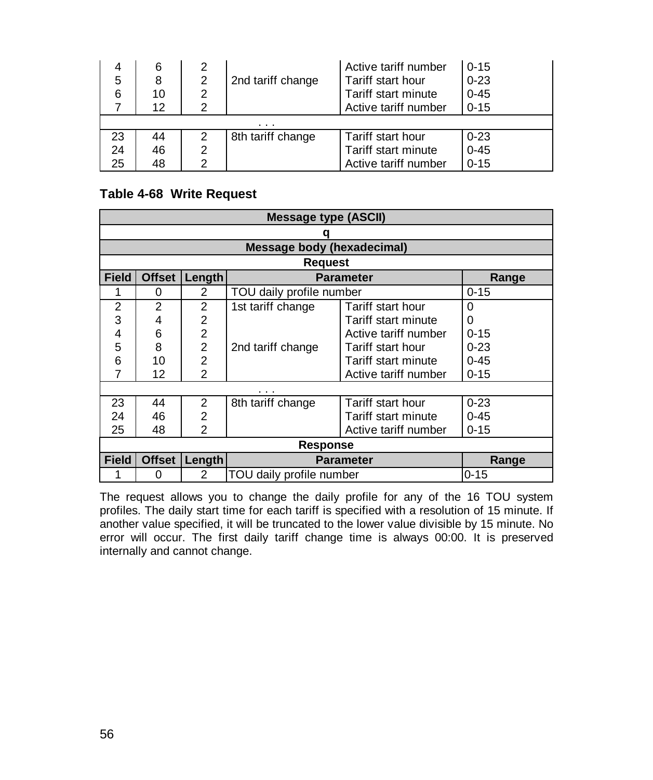|    | 6  |   |                   | Active tariff number | $0 - 15$ |
|----|----|---|-------------------|----------------------|----------|
| 5  | 8  | 2 | 2nd tariff change | Tariff start hour    | $0 - 23$ |
| 6  | 10 | 2 |                   | Tariff start minute  | $0 - 45$ |
|    | 12 |   |                   | Active tariff number | $0 - 15$ |
|    |    |   | .                 |                      |          |
| 23 | 44 | 2 | 8th tariff change | Tariff start hour    | $0 - 23$ |
| 24 | 46 |   |                   | Tariff start minute  | $0 - 45$ |
| 25 | 48 |   |                   | Active tariff number | $0 - 15$ |

#### **Table 4-68 Write Request**

|              | <b>Message type (ASCII)</b> |                |                                   |                      |          |  |
|--------------|-----------------------------|----------------|-----------------------------------|----------------------|----------|--|
|              |                             |                |                                   |                      |          |  |
|              |                             |                | <b>Message body (hexadecimal)</b> |                      |          |  |
|              |                             |                | <b>Request</b>                    |                      |          |  |
| <b>Field</b> | <b>Offset</b>               | <b>Length</b>  |                                   | <b>Parameter</b>     | Range    |  |
| 1            | 0                           | 2              | TOU daily profile number          |                      | $0 - 15$ |  |
| 2            | $\overline{2}$              | $\overline{2}$ | 1st tariff change                 | Tariff start hour    | Ω        |  |
| 3            | 4                           | 2              |                                   | Tariff start minute  | 0        |  |
| 4            | 6                           | $\overline{2}$ |                                   | Active tariff number | $0 - 15$ |  |
| 5            | 8                           | $\overline{2}$ | 2nd tariff change                 | Tariff start hour    | $0 - 23$ |  |
| 6            | 10                          | $\overline{2}$ |                                   | Tariff start minute  | $0 - 45$ |  |
|              | 12                          | 2              |                                   | Active tariff number | $0 - 15$ |  |
|              |                             |                |                                   |                      |          |  |
| 23           | 44                          | 2              | 8th tariff change                 | Tariff start hour    | $0 - 23$ |  |
| 24           | 46                          | 2              |                                   | Tariff start minute  | $0 - 45$ |  |
| 25           | 48                          | $\mathfrak{p}$ |                                   | Active tariff number | $0 - 15$ |  |
|              | Response                    |                |                                   |                      |          |  |
| <b>Field</b> | <b>Offset</b>               | Length         | <b>Parameter</b>                  |                      | Range    |  |
|              | 0                           | 2              | TOU daily profile number          |                      | $0 - 15$ |  |

The request allows you to change the daily profile for any of the 16 TOU system profiles. The daily start time for each tariff is specified with a resolution of 15 minute. If another value specified, it will be truncated to the lower value divisible by 15 minute. No error will occur. The first daily tariff change time is always 00:00. It is preserved internally and cannot change.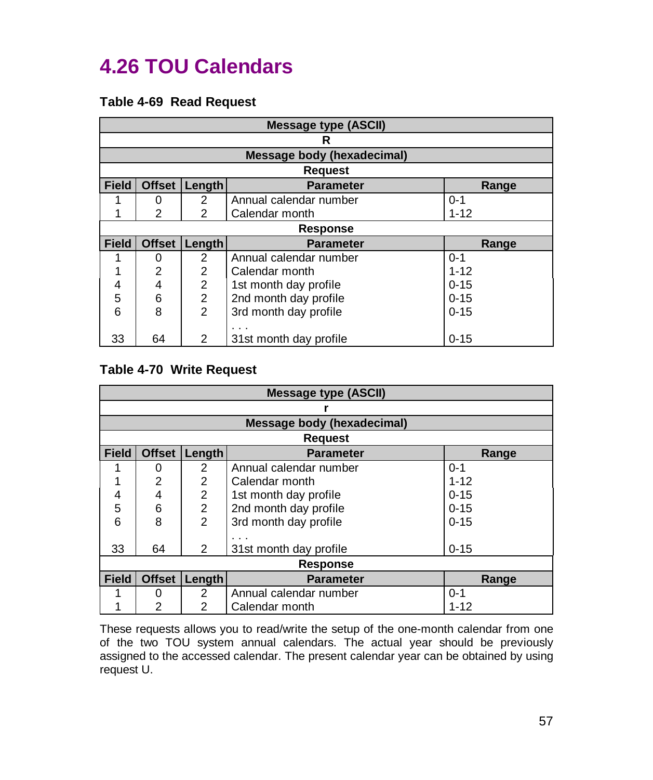### **4.26 TOU Calendars**

#### **Table 4-69 Read Request**

|              | <b>Message type (ASCII)</b> |                |                            |          |  |
|--------------|-----------------------------|----------------|----------------------------|----------|--|
|              |                             |                | R                          |          |  |
|              |                             |                | Message body (hexadecimal) |          |  |
|              |                             |                | <b>Request</b>             |          |  |
| <b>Field</b> | <b>Offset</b>               | Length         | <b>Parameter</b>           | Range    |  |
|              | 0                           | $\overline{2}$ | Annual calendar number     | $0 - 1$  |  |
|              | $\overline{2}$              | 2              | Calendar month             | $1 - 12$ |  |
|              |                             |                | <b>Response</b>            |          |  |
| <b>Field</b> | <b>Offset</b>               | Length         | <b>Parameter</b>           | Range    |  |
|              | 0                           | 2              | Annual calendar number     | $0 - 1$  |  |
|              | 2                           | $\overline{2}$ | Calendar month             | $1 - 12$ |  |
| 4            | 4                           | $\overline{2}$ | 1st month day profile      | $0 - 15$ |  |
| 5            | 6                           | $\overline{2}$ | 2nd month day profile      | $0 - 15$ |  |
| 6            | 8                           | $\mathcal{P}$  | 3rd month day profile      | $0 - 15$ |  |
|              |                             |                |                            |          |  |
| 33           | 64                          | 2              | 31st month day profile     | $0 - 15$ |  |

#### **Table 4-70 Write Request**

|              | <b>Message type (ASCII)</b> |                |                            |          |  |
|--------------|-----------------------------|----------------|----------------------------|----------|--|
|              |                             |                |                            |          |  |
|              |                             |                | Message body (hexadecimal) |          |  |
|              |                             |                | <b>Request</b>             |          |  |
| <b>Field</b> | <b>Offset</b>               | Length         | <b>Parameter</b>           | Range    |  |
|              | 0                           | 2              | Annual calendar number     | $0 - 1$  |  |
|              | 2                           | 2              | Calendar month             | $1 - 12$ |  |
| 4            | 4                           | $\overline{2}$ | 1st month day profile      | $0 - 15$ |  |
| 5            | 6                           | $\overline{2}$ | 2nd month day profile      | $0 - 15$ |  |
| 6            | 8                           | $\mathfrak{p}$ | 3rd month day profile      | $0 - 15$ |  |
|              |                             |                |                            |          |  |
| 33           | 64                          | 2              | 31st month day profile     | $0 - 15$ |  |
|              | <b>Response</b>             |                |                            |          |  |
| <b>Field</b> | <b>Offset</b>               | <b>Length</b>  | <b>Parameter</b>           | Range    |  |
|              | 0                           | 2              | Annual calendar number     | $0 - 1$  |  |
|              | 2                           | 2              | Calendar month             | $1 - 12$ |  |

These requests allows you to read/write the setup of the one-month calendar from one of the two TOU system annual calendars. The actual year should be previously assigned to the accessed calendar. The present calendar year can be obtained by using request U.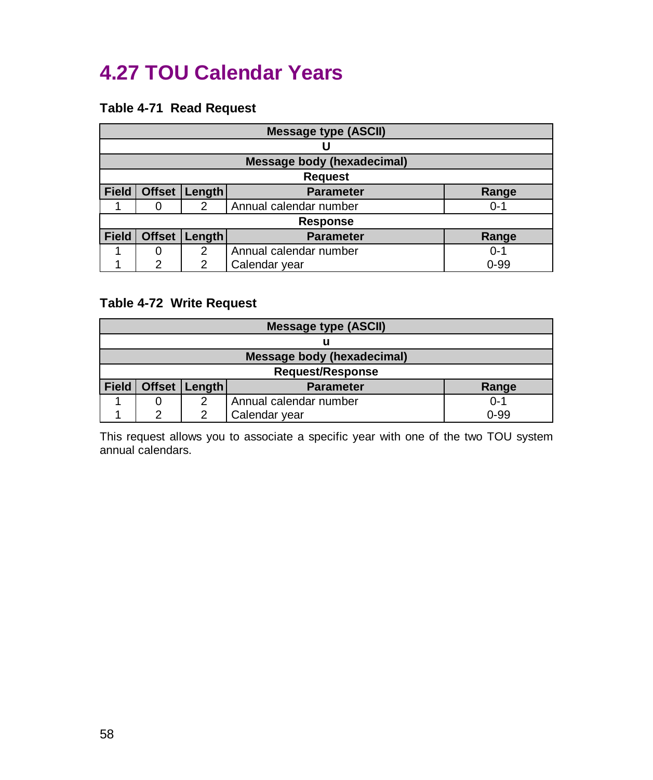### **4.27 TOU Calendar Years**

#### **Table 4-71 Read Request**

|              | <b>Message type (ASCII)</b> |               |                                   |          |  |
|--------------|-----------------------------|---------------|-----------------------------------|----------|--|
|              |                             |               |                                   |          |  |
|              |                             |               | <b>Message body (hexadecimal)</b> |          |  |
|              |                             |               | <b>Request</b>                    |          |  |
| <b>Field</b> |                             | Offset Length | <b>Parameter</b>                  | Range    |  |
|              |                             | 2             | Annual calendar number            | $0 - 1$  |  |
|              |                             |               | <b>Response</b>                   |          |  |
| <b>Field</b> | <b>Offset</b>               | Length        | <b>Parameter</b>                  | Range    |  |
|              |                             | 2             | Annual calendar number            | $0 - 1$  |  |
|              | 2                           | 2             | Calendar year                     | $0 - 99$ |  |

#### **Table 4-72 Write Request**

|              | <b>Message type (ASCII)</b>                    |  |                                   |          |  |  |
|--------------|------------------------------------------------|--|-----------------------------------|----------|--|--|
|              |                                                |  |                                   |          |  |  |
|              |                                                |  | <b>Message body (hexadecimal)</b> |          |  |  |
|              |                                                |  | <b>Request/Response</b>           |          |  |  |
| <b>Field</b> | Offset   Length  <br><b>Parameter</b><br>Range |  |                                   |          |  |  |
|              | Annual calendar number<br>$0 - 1$<br>◠         |  |                                   |          |  |  |
|              | ⌒                                              |  | Calendar year                     | $0 - 99$ |  |  |

This request allows you to associate a specific year with one of the two TOU system annual calendars.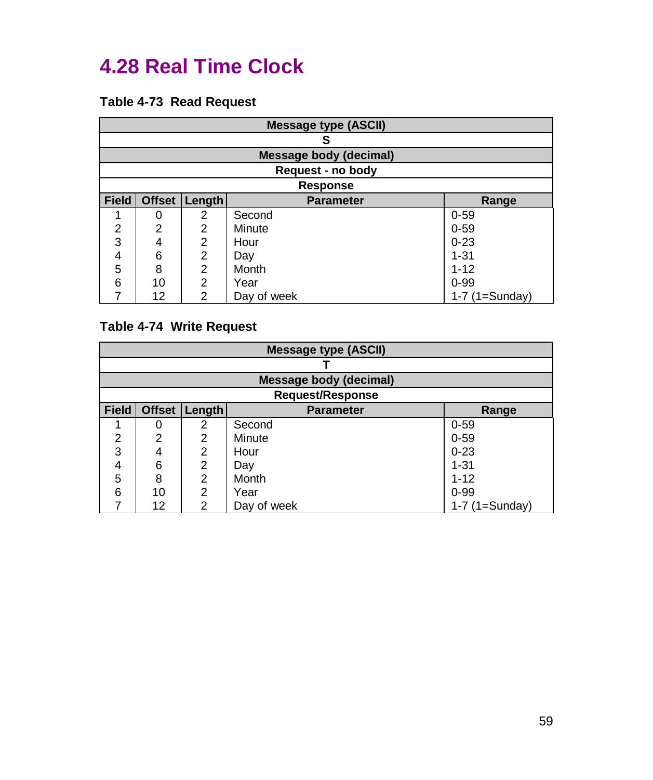### **4.28 Real Time Clock**

#### **Table 4-73 Read Request**

|              | <b>Message type (ASCII)</b> |                |                               |                  |
|--------------|-----------------------------|----------------|-------------------------------|------------------|
|              |                             |                | S                             |                  |
|              |                             |                | <b>Message body (decimal)</b> |                  |
|              |                             |                | Request - no body             |                  |
|              | <b>Response</b>             |                |                               |                  |
| <b>Field</b> | <b>Offset</b>               | Length         | <b>Parameter</b>              | Range            |
|              | 0                           | 2              | Second                        | $0 - 59$         |
| 2            | 2                           | 2              | Minute                        | $0 - 59$         |
| 3            | 4                           | 2              | Hour                          | $0 - 23$         |
| 4            | 6                           | 2              | Day                           | $1 - 31$         |
| 5            | 8                           | $\overline{2}$ | Month                         | $1 - 12$         |
| 6            | 10                          | 2              | Year                          | $0 - 99$         |
|              | 12                          | 2              | Day of week                   | $1-7$ (1=Sunday) |

#### **Table 4-74 Write Request**

|              | <b>Message type (ASCII)</b> |               |                        |                  |
|--------------|-----------------------------|---------------|------------------------|------------------|
|              |                             |               |                        |                  |
|              |                             |               | Message body (decimal) |                  |
|              | <b>Request/Response</b>     |               |                        |                  |
| <b>Field</b> | <b>Offset</b>               | <b>Length</b> | <b>Parameter</b>       | Range            |
|              | 0                           | 2             | Second                 | $0 - 59$         |
| 2            | 2                           | 2             | Minute                 | $0 - 59$         |
| 3            | 4                           | 2             | Hour                   | $0 - 23$         |
| 4            | 6                           | 2             | Day                    | $1 - 31$         |
| 5            | 8                           | 2             | Month                  | $1 - 12$         |
| 6            | 10                          | 2             | Year                   | $0 - 99$         |
|              | 12                          | 2             | Day of week            | $1-7$ (1=Sunday) |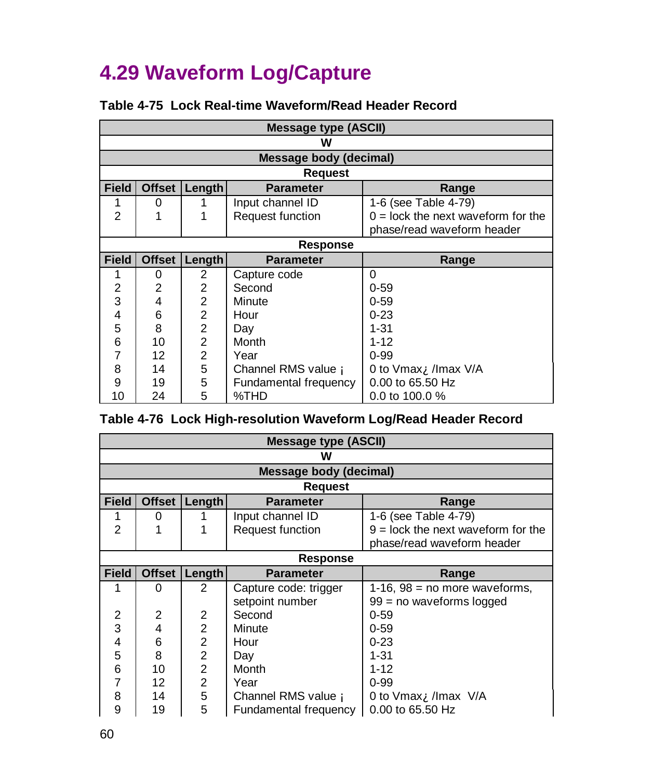# **4.29 Waveform Log/Capture**

|                | Message type (ASCII) |                |                        |                                      |
|----------------|----------------------|----------------|------------------------|--------------------------------------|
|                |                      |                | w                      |                                      |
|                |                      |                | Message body (decimal) |                                      |
|                |                      |                | <b>Request</b>         |                                      |
| <b>Field</b>   | <b>Offset</b>        | <b>Length</b>  | <b>Parameter</b>       | Range                                |
|                | 0                    |                | Input channel ID       | 1-6 (see Table 4-79)                 |
| $\mathfrak{p}$ |                      |                | Request function       | $0 =$ lock the next waveform for the |
|                |                      |                |                        | phase/read waveform header           |
|                | <b>Response</b>      |                |                        |                                      |
| <b>Field</b>   | <b>Offset</b>        | Length         | <b>Parameter</b>       | Range                                |
| 1              | 0                    | 2              | Capture code           | 0                                    |
| $\overline{2}$ | $\overline{2}$       | 2              | Second                 | $0 - 59$                             |
| 3              | 4                    | $\overline{2}$ | Minute                 | $0 - 59$                             |
| 4              | 6                    | $\overline{2}$ | Hour                   | $0 - 23$                             |
| 5              | 8                    | $\overline{2}$ | Day                    | $1 - 31$                             |
| 6              | 10                   | $\overline{2}$ | Month                  | $1 - 12$                             |
| 7              | 12                   | $\overline{2}$ | Year                   | $0 - 99$                             |
| 8              | 14                   | 5              | Channel RMS value A    | 0 to Vmax <b>A</b> /Imax V/A         |
| 9              | 19                   | 5              | Fundamental frequency  | 0.00 to 65.50 Hz                     |
|                |                      |                |                        |                                      |

#### **Table 4-75 Lock Real-time Waveform/Read Header Record**

|  |  | Table 4-76 Lock High-resolution Waveform Log/Read Header Record |  |  |  |
|--|--|-----------------------------------------------------------------|--|--|--|
|--|--|-----------------------------------------------------------------|--|--|--|

|              | <b>Message type (ASCII)</b> |                |                        |                                        |
|--------------|-----------------------------|----------------|------------------------|----------------------------------------|
|              |                             |                | w                      |                                        |
|              |                             |                | Message body (decimal) |                                        |
|              |                             |                | Request                |                                        |
| <b>Field</b> | <b>Offset</b>               | Length         | <b>Parameter</b>       | Range                                  |
| 1            | 0                           |                | Input channel ID       | 1-6 (see Table 4-79)                   |
| 2            |                             |                | Request function       | $9 =$ lock the next waveform for the   |
|              |                             |                |                        | phase/read waveform header             |
|              | <b>Response</b>             |                |                        |                                        |
| <b>Field</b> | <b>Offset</b>               | Length         | <b>Parameter</b>       | Range                                  |
|              | 0                           | $\mathcal{P}$  | Capture code: trigger  | 1-16, $98$ = no more waveforms,        |
|              |                             |                | setpoint number        | $99 = no$ waveforms logged             |
| 2            | 2                           | $\overline{2}$ | Second                 | $0 - 59$                               |
| 3            | 4                           | $\overline{2}$ | Minute                 | $0 - 59$                               |
| 4            | 6                           | $\overline{2}$ | Hour                   | $0 - 23$                               |
| 5            | 8                           | $\overline{2}$ | Day                    | $1 - 31$                               |
| 6            | 10                          | $\overline{2}$ | Month                  | $1 - 12$                               |
| 7            | 12                          | $\overline{2}$ | Year                   | $0 - 99$                               |
| 8            | 14                          | 5              | Channel RMS value A    | 0 to Vmax $\mathbf{\hat{A}}$ /Imax V/A |
| 9            | 19                          | 5              | Fundamental frequency  | 0.00 to 65.50 Hz                       |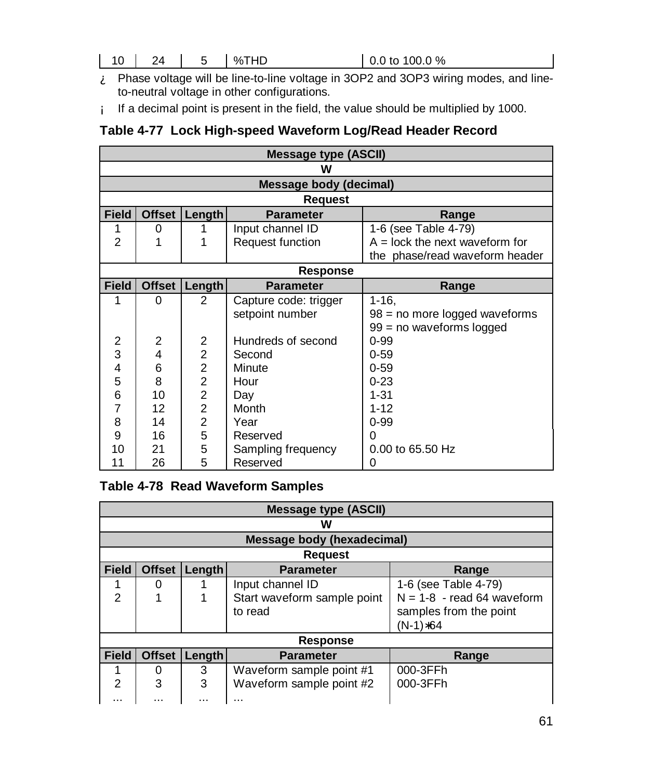- À Phase voltage will be line-to-line voltage in 3OP2 and 3OP3 wiring modes, and lineto-neutral voltage in other configurations.
- Á If a decimal point is present in the field, the value should be multiplied by 1000.

#### **Table 4-77 Lock High-speed Waveform Log/Read Header Record**

| <b>Message type (ASCII)</b> |               |                |                        |                                  |
|-----------------------------|---------------|----------------|------------------------|----------------------------------|
|                             | w             |                |                        |                                  |
|                             |               |                | Message body (decimal) |                                  |
|                             |               |                | <b>Request</b>         |                                  |
| <b>Field</b>                | <b>Offset</b> | $L$ ength      | <b>Parameter</b>       | Range                            |
| 1                           | 0             |                | Input channel ID       | 1-6 (see Table 4-79)             |
| $\overline{2}$              | 1             | 1              | Request function       | $A =$ lock the next waveform for |
|                             |               |                |                        | the phase/read waveform header   |
|                             | Response      |                |                        |                                  |
| <b>Field</b>                | <b>Offset</b> | <b>Length</b>  | <b>Parameter</b>       | Range                            |
| 1                           | 0             | $\mathcal{P}$  | Capture code: trigger  | $1 - 16$                         |
|                             |               |                | setpoint number        | 98 = no more logged waveforms    |
|                             |               |                |                        | 99 = no waveforms logged         |
| 2                           | 2             | $\overline{2}$ | Hundreds of second     | $0 - 99$                         |
| 3                           | 4             | $\overline{a}$ | Second                 | $0 - 59$                         |
| 4                           | 6             | $\overline{2}$ | Minute                 | $0 - 59$                         |
| 5                           | 8             | $\overline{2}$ | Hour                   | $0 - 23$                         |
| 6                           | 10            | $\overline{2}$ | Day                    | $1 - 31$                         |
| 7                           | 12            | $\overline{2}$ | Month                  | $1 - 12$                         |
| 8                           | 14            | $\overline{2}$ | Year                   | $0 - 99$                         |
| 9                           | 16            | 5              | Reserved               | O                                |
| 10                          | 21            | 5              | Sampling frequency     | 0.00 to 65.50 Hz                 |
| 11                          | 26            | 5              | Reserved               | 0                                |

#### **Table 4-78 Read Waveform Samples**

|                | <b>Message type (ASCII)</b> |        |                                        |                                                                    |  |
|----------------|-----------------------------|--------|----------------------------------------|--------------------------------------------------------------------|--|
|                |                             |        | w                                      |                                                                    |  |
|                |                             |        | <b>Message body (hexadecimal)</b>      |                                                                    |  |
|                |                             |        | <b>Request</b>                         |                                                                    |  |
| <b>Field</b>   | <b>Offset</b>               | Length | <b>Parameter</b>                       | Range                                                              |  |
|                | 0                           |        | Input channel ID                       | 1-6 (see Table 4-79)                                               |  |
| $\mathfrak{p}$ |                             |        | Start waveform sample point<br>to read | $N = 1-8$ - read 64 waveform<br>samples from the point<br>(N-1)*64 |  |
|                | <b>Response</b>             |        |                                        |                                                                    |  |
| <b>Field</b>   | <b>Offset</b>               | Length | <b>Parameter</b>                       | Range                                                              |  |
|                | 0                           | 3      | Waveform sample point #1               | 000-3FFh                                                           |  |
| 2<br>          | 3<br>                       | 3<br>  | Waveform sample point #2<br>           | 000-3FFh                                                           |  |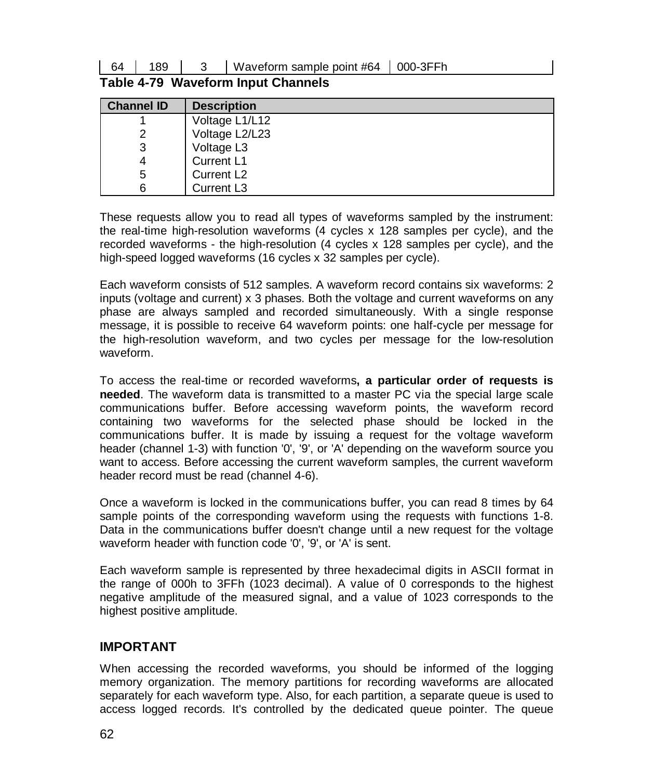64 | 189 | 3 | Waveform sample point #64 | 000-3FFh

|  | Table 4-79 Waveform Input Channels |  |
|--|------------------------------------|--|
|--|------------------------------------|--|

| <b>Channel ID</b> | <b>Description</b>     |
|-------------------|------------------------|
|                   | Voltage L1/L12         |
|                   | Voltage L2/L23         |
| 3                 | Voltage L3             |
| 4                 | Current L1             |
| 5                 | Current L <sub>2</sub> |
| 6                 | Current L <sub>3</sub> |

These requests allow you to read all types of waveforms sampled by the instrument: the real-time high-resolution waveforms (4 cycles x 128 samples per cycle), and the recorded waveforms - the high-resolution (4 cycles x 128 samples per cycle), and the high-speed logged waveforms (16 cycles x 32 samples per cycle).

Each waveform consists of 512 samples. A waveform record contains six waveforms: 2 inputs (voltage and current) x 3 phases. Both the voltage and current waveforms on any phase are always sampled and recorded simultaneously. With a single response message, it is possible to receive 64 waveform points: one half-cycle per message for the high-resolution waveform, and two cycles per message for the low-resolution waveform.

To access the real-time or recorded waveforms**, a particular order of requests is needed**. The waveform data is transmitted to a master PC via the special large scale communications buffer. Before accessing waveform points, the waveform record containing two waveforms for the selected phase should be locked in the communications buffer. It is made by issuing a request for the voltage waveform header (channel 1-3) with function '0', '9', or 'A' depending on the waveform source you want to access. Before accessing the current waveform samples, the current waveform header record must be read (channel 4-6).

Once a waveform is locked in the communications buffer, you can read 8 times by 64 sample points of the corresponding waveform using the requests with functions 1-8. Data in the communications buffer doesn't change until a new request for the voltage waveform header with function code '0', '9', or 'A' is sent.

Each waveform sample is represented by three hexadecimal digits in ASCII format in the range of 000h to 3FFh (1023 decimal). A value of 0 corresponds to the highest negative amplitude of the measured signal, and a value of 1023 corresponds to the highest positive amplitude.

#### **IMPORTANT**

When accessing the recorded waveforms, you should be informed of the logging memory organization. The memory partitions for recording waveforms are allocated separately for each waveform type. Also, for each partition, a separate queue is used to access logged records. It's controlled by the dedicated queue pointer. The queue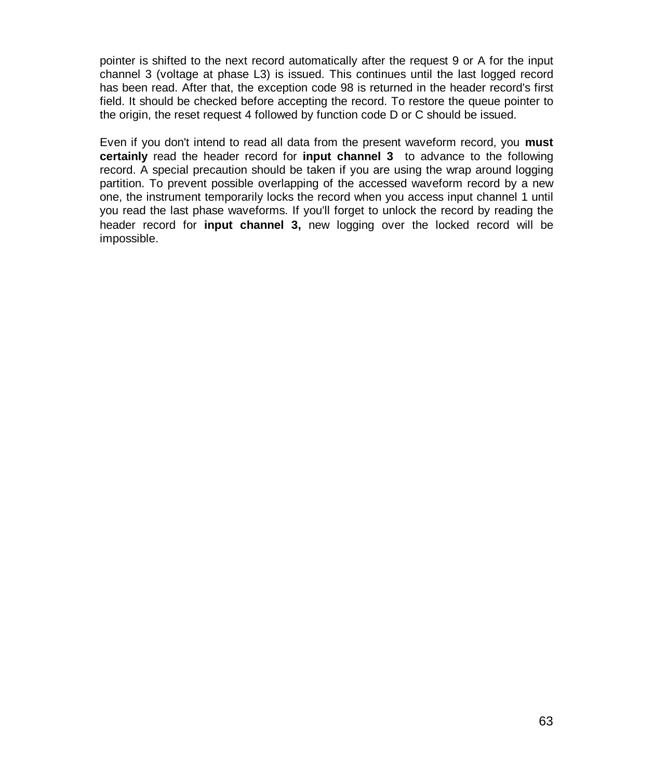pointer is shifted to the next record automatically after the request 9 or A for the input channel 3 (voltage at phase L3) is issued. This continues until the last logged record has been read. After that, the exception code 98 is returned in the header record's first field. It should be checked before accepting the record. To restore the queue pointer to the origin, the reset request 4 followed by function code D or C should be issued.

Even if you don't intend to read all data from the present waveform record, you **must certainly** read the header record for **input channel 3** to advance to the following record. A special precaution should be taken if you are using the wrap around logging partition. To prevent possible overlapping of the accessed waveform record by a new one, the instrument temporarily locks the record when you access input channel 1 until you read the last phase waveforms. If you'll forget to unlock the record by reading the header record for **input channel 3,** new logging over the locked record will be impossible.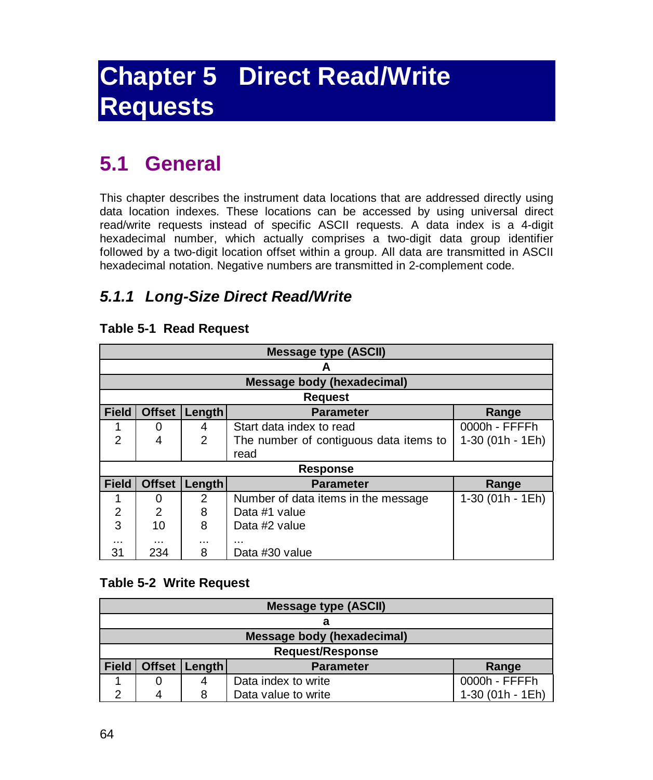# **Chapter 5 Direct Read/Write Requests**

### **5.1 General**

This chapter describes the instrument data locations that are addressed directly using data location indexes. These locations can be accessed by using universal direct read/write requests instead of specific ASCII requests. A data index is a 4-digit hexadecimal number, which actually comprises a two-digit data group identifier followed by a two-digit location offset within a group. All data are transmitted in ASCII hexadecimal notation. Negative numbers are transmitted in 2-complement code.

### *5.1.1 Long-Size Direct Read/Write*

#### **Table 5-1 Read Request**

|                | <b>Message type (ASCII)</b> |                |                                        |                   |  |
|----------------|-----------------------------|----------------|----------------------------------------|-------------------|--|
|                |                             |                | А                                      |                   |  |
|                |                             |                | <b>Message body (hexadecimal)</b>      |                   |  |
|                |                             |                | <b>Request</b>                         |                   |  |
| <b>Field</b>   | <b>Offset</b>               | Length         | <b>Parameter</b>                       | Range             |  |
|                | 0                           | 4              | Start data index to read               | 0000h - FFFFh     |  |
| 2              | 4                           | $\overline{2}$ | The number of contiguous data items to | $1-30(01h - 1Eh)$ |  |
|                |                             |                | read                                   |                   |  |
|                | <b>Response</b>             |                |                                        |                   |  |
| <b>Field</b>   | <b>Offset</b>               | Length         | <b>Parameter</b>                       | Range             |  |
|                | 0                           | 2              | Number of data items in the message    | $1-30(01h - 1Eh)$ |  |
| $\overline{2}$ | $\overline{2}$              | 8              | Data #1 value                          |                   |  |
| 3              | 10                          | 8              | Data #2 value                          |                   |  |
| <br>31         | .<br>234                    | <br>8          | .<br>Data #30 value                    |                   |  |

#### **Table 5-2 Write Request**

| <b>Message type (ASCII)</b> |                            |                 |                     |                  |
|-----------------------------|----------------------------|-----------------|---------------------|------------------|
|                             |                            |                 |                     |                  |
|                             | Message body (hexadecimal) |                 |                     |                  |
| <b>Request/Response</b>     |                            |                 |                     |                  |
| <b>Field</b>                |                            | Offset   Length | <b>Parameter</b>    | Range            |
|                             |                            |                 | Data index to write | 0000h - FFFFh    |
| ⌒                           |                            |                 | Data value to write | 1-30 (01h - 1Eh) |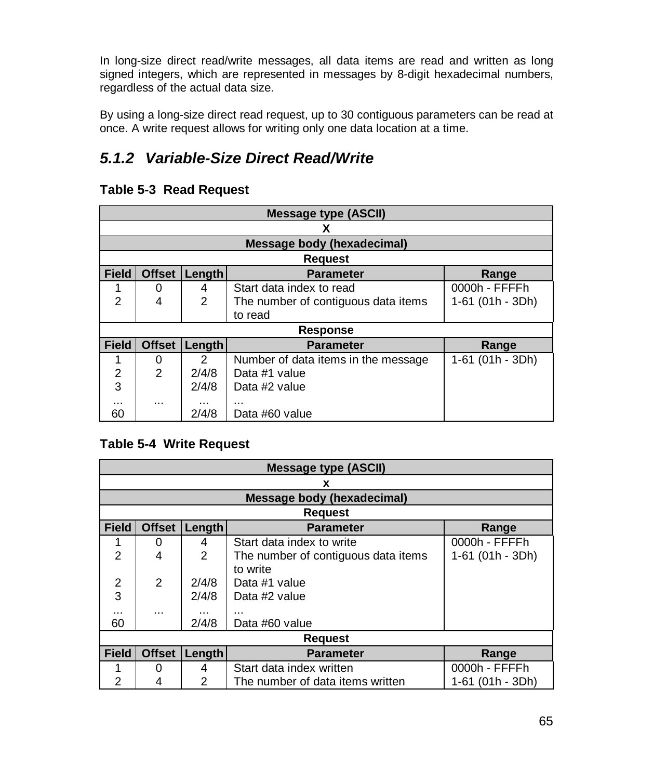In long-size direct read/write messages, all data items are read and written as long signed integers, which are represented in messages by 8-digit hexadecimal numbers, regardless of the actual data size.

By using a long-size direct read request, up to 30 contiguous parameters can be read at once. A write request allows for writing only one data location at a time.

### *5.1.2 Variable-Size Direct Read/Write*

#### **Table 5-3 Read Request**

|                | <b>Message type (ASCII)</b> |                |                                     |                  |  |
|----------------|-----------------------------|----------------|-------------------------------------|------------------|--|
|                |                             |                | x                                   |                  |  |
|                |                             |                | <b>Message body (hexadecimal)</b>   |                  |  |
|                |                             |                | <b>Request</b>                      |                  |  |
| <b>Field</b>   | <b>Offset</b>               | Length         | <b>Parameter</b>                    | Range            |  |
|                | 0                           | 4              | Start data index to read            | 0000h - FFFFh    |  |
| $\mathfrak{p}$ | 4                           | $\overline{2}$ | The number of contiguous data items | 1-61 (01h - 3Dh) |  |
|                |                             |                | to read                             |                  |  |
|                |                             |                | <b>Response</b>                     |                  |  |
| <b>Field</b>   | <b>Offset</b>               | Length         | <b>Parameter</b>                    | Range            |  |
| 1              | 0                           | $\mathcal{P}$  | Number of data items in the message | 1-61 (01h - 3Dh) |  |
| 2              | $\overline{2}$              | 2/4/8          | Data #1 value                       |                  |  |
| 3              |                             | 2/4/8          | Data #2 value                       |                  |  |
| $\cdots$       |                             | $\cdots$       |                                     |                  |  |
| 60             |                             | 2/4/8          | Data #60 value                      |                  |  |

#### **Table 5-4 Write Request**

| <b>Message type (ASCII)</b> |                         |                |                                                         |               |  |  |  |  |  |  |
|-----------------------------|-------------------------|----------------|---------------------------------------------------------|---------------|--|--|--|--|--|--|
|                             | x                       |                |                                                         |               |  |  |  |  |  |  |
|                             |                         |                | <b>Message body (hexadecimal)</b>                       |               |  |  |  |  |  |  |
|                             |                         |                | <b>Request</b>                                          |               |  |  |  |  |  |  |
| <b>Field</b>                | <b>Offset</b>           | Length         | <b>Parameter</b>                                        | Range         |  |  |  |  |  |  |
| 1                           | 0                       | 4              | Start data index to write                               | 0000h - FFFFh |  |  |  |  |  |  |
| $\overline{2}$              | 4                       | $\overline{2}$ | 1-61 (01h - 3Dh)<br>The number of contiguous data items |               |  |  |  |  |  |  |
|                             |                         |                | to write                                                |               |  |  |  |  |  |  |
| 2                           | 2                       | 2/4/8          | Data #1 value                                           |               |  |  |  |  |  |  |
| 3                           |                         | 2/4/8          | Data #2 value                                           |               |  |  |  |  |  |  |
|                             |                         | $\cdots$       | .                                                       |               |  |  |  |  |  |  |
| 60                          | 2/4/8<br>Data #60 value |                |                                                         |               |  |  |  |  |  |  |
|                             | <b>Request</b>          |                |                                                         |               |  |  |  |  |  |  |
| <b>Field</b>                | <b>Offset</b>           | Length         | <b>Parameter</b>                                        | Range         |  |  |  |  |  |  |
| 1                           | 0                       | 4              | Start data index written                                | 0000h - FFFFh |  |  |  |  |  |  |
| 2                           | 4                       | $\mathcal{P}$  | The number of data items written<br>1-61 (01h - 3Dh)    |               |  |  |  |  |  |  |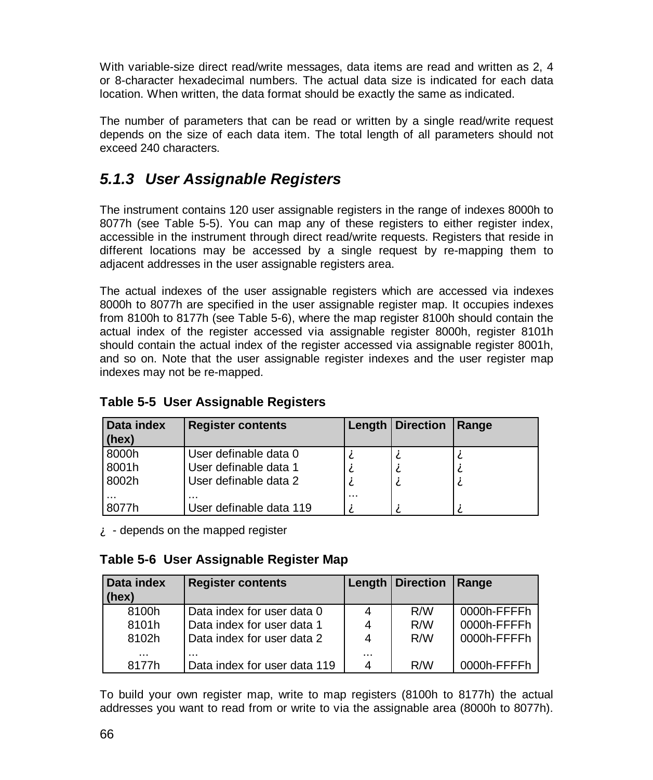With variable-size direct read/write messages, data items are read and written as 2, 4 or 8-character hexadecimal numbers. The actual data size is indicated for each data location. When written, the data format should be exactly the same as indicated.

The number of parameters that can be read or written by a single read/write request depends on the size of each data item. The total length of all parameters should not exceed 240 characters.

### *5.1.3 User Assignable Registers*

The instrument contains 120 user assignable registers in the range of indexes 8000h to 8077h (see Table 5-5). You can map any of these registers to either register index, accessible in the instrument through direct read/write requests. Registers that reside in different locations may be accessed by a single request by re-mapping them to adjacent addresses in the user assignable registers area.

The actual indexes of the user assignable registers which are accessed via indexes 8000h to 8077h are specified in the user assignable register map. It occupies indexes from 8100h to 8177h (see Table 5-6), where the map register 8100h should contain the actual index of the register accessed via assignable register 8000h, register 8101h should contain the actual index of the register accessed via assignable register 8001h, and so on. Note that the user assignable register indexes and the user register map indexes may not be re-mapped.

| Data index<br>(hex)     | <b>Register contents</b>                                                |          | Length   Direction | Range       |
|-------------------------|-------------------------------------------------------------------------|----------|--------------------|-------------|
| 8000h<br>8001h<br>8002h | User definable data 0<br>User definable data 1<br>User definable data 2 | A<br>А   | А                  | Α<br>À<br>À |
| <br>8077h               | <br>User definable data 119                                             | $\cdots$ |                    | А           |

#### **Table 5-5 User Assignable Registers**

 $\mathbf{\hat{A}}$  - depends on the mapped register

#### **Table 5-6 User Assignable Register Map**

| Data index<br>(hex) | <b>Register contents</b>     |          | Length   Direction | <b>Range</b> |
|---------------------|------------------------------|----------|--------------------|--------------|
| 8100h               | Data index for user data 0   | 4        | R/M                | 0000h-FFFFh  |
| 8101h               | Data index for user data 1   | 4        | R/M                | 0000h-FFFFh  |
| 8102h               | Data index for user data 2   | 4        | R/M                | 0000h-FFFFh  |
| $\cdots$            | $\cdots$                     | $\cdots$ |                    |              |
| 8177h               | Data index for user data 119 | 4        | R/M                | 0000h-FFFFh  |

To build your own register map, write to map registers (8100h to 8177h) the actual addresses you want to read from or write to via the assignable area (8000h to 8077h).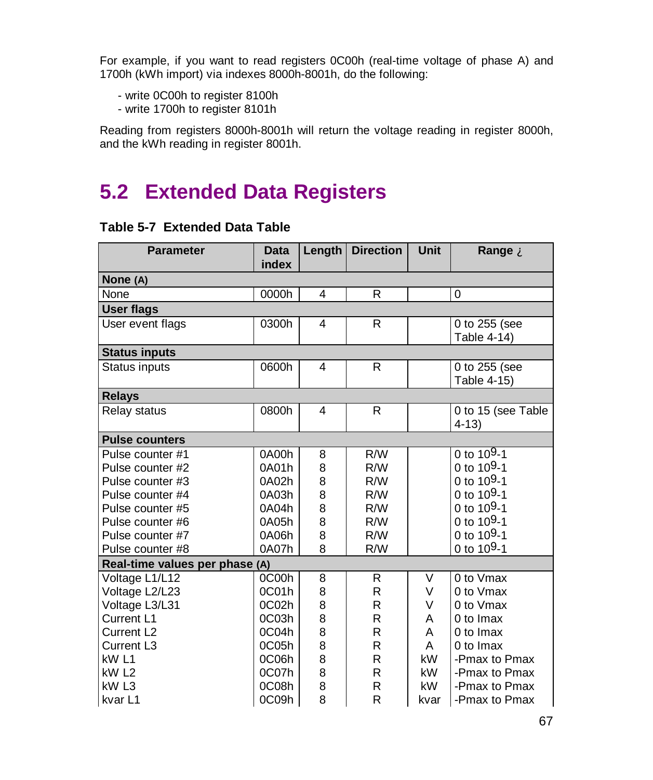For example, if you want to read registers 0C00h (real-time voltage of phase A) and 1700h (kWh import) via indexes 8000h-8001h, do the following:

- write 0C00h to register 8100h
- write 1700h to register 8101h

Reading from registers 8000h-8001h will return the voltage reading in register 8000h, and the kWh reading in register 8001h.

### **5.2 Extended Data Registers**

#### **Table 5-7 Extended Data Table**

| <b>Parameter</b>               | <b>Data</b>       | Length | <b>Direction</b> | Unit | Range A                        |
|--------------------------------|-------------------|--------|------------------|------|--------------------------------|
|                                | index             |        |                  |      |                                |
| None (A)                       |                   |        |                  |      |                                |
| None                           | 0000h             | 4      | R                |      | 0                              |
| <b>User flags</b>              |                   |        |                  |      |                                |
| User event flags               | 0300h             | 4      | R                |      | 0 to 255 (see<br>Table 4-14)   |
| <b>Status inputs</b>           |                   |        |                  |      |                                |
| <b>Status inputs</b>           | 0600h             | 4      | R                |      | 0 to 255 (see<br>Table 4-15)   |
| <b>Relays</b>                  |                   |        |                  |      |                                |
| Relay status                   | 0800h             | 4      | R                |      | 0 to 15 (see Table<br>$4 - 13$ |
| <b>Pulse counters</b>          |                   |        |                  |      |                                |
| Pulse counter #1               | 0A00h             | 8      | R/W              |      | $0$ to 109-1                   |
| Pulse counter #2               | 0A01h             | 8      | R/W              |      | 0 to 109-1                     |
| Pulse counter #3               | 0A02h             | 8      | R/W              |      | 0 to $109-1$                   |
| Pulse counter #4               | 0A03h             | 8      | R/W              |      | 0 to 109-1                     |
| Pulse counter #5               | 0A04h             | 8      | R/W              |      | 0 to $10^{9} - 1$              |
| Pulse counter #6               | 0A05h             | 8      | R/W              |      | 0 to $109-1$                   |
| Pulse counter #7               | 0A06h             | 8      | R/W              |      | 0 to $109-1$                   |
| Pulse counter #8               | 0A07h             | 8      | R/W              |      | 0 to 109-1                     |
| Real-time values per phase (A) |                   |        |                  |      |                                |
| Voltage L1/L12                 | 0C00h             | 8      | R                | V    | 0 to Vmax                      |
| Voltage L2/L23                 | 0C01h             | 8      | R                | V    | 0 to Vmax                      |
| Voltage L3/L31                 | 0C <sub>02h</sub> | 8      | R                | V    | 0 to Vmax                      |
| Current L1                     | 0C03h             | 8      | R                | A    | 0 to Imax                      |
| Current L <sub>2</sub>         | 0C04h             | 8      | R                | A    | 0 to Imax                      |
| Current L <sub>3</sub>         | 0C05h             | 8      | R                | A    | 0 to Imax                      |
| kW <sub>L1</sub>               | 0C06h             | 8      | R                | kW   | -Pmax to Pmax                  |
| kW <sub>L2</sub>               | 0C07h             | 8      | R                | kW   | -Pmax to Pmax                  |
| kW <sub>L3</sub>               | 0C08h             | 8      | R                | kW   | -Pmax to Pmax                  |
| kvar <sub>L1</sub>             | 0C09h             | 8      | R                | kvar | -Pmax to Pmax                  |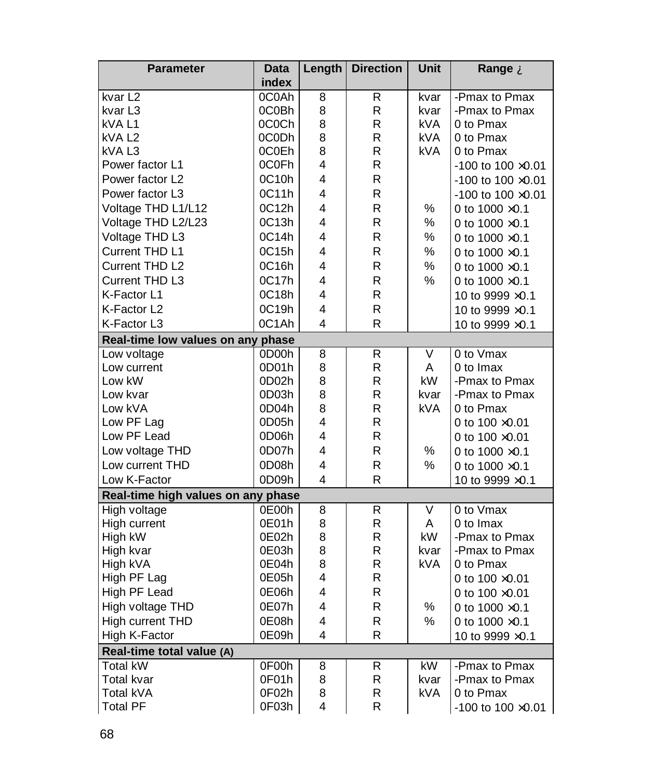| <b>Parameter</b>                   | Data  | Length | <b>Direction</b> | Unit       | Range A                     |
|------------------------------------|-------|--------|------------------|------------|-----------------------------|
|                                    | index |        |                  |            |                             |
| kvar L2                            | 0C0Ah | 8      | R                | kvar       | -Pmax to Pmax               |
| kvar L3                            | 0C0Bh | 8      | R                | kvar       | -Pmax to Pmax               |
| kVA L1                             | 0C0Ch | 8      | R                | kVA.       | 0 to Pmax                   |
| kVA L2                             | 0C0Dh | 8      | R                | kVA.       | 0 to Pmax                   |
| kVA L3                             | 0C0Eh | 8      | R                | <b>kVA</b> | 0 to Pmax                   |
| Power factor L1                    | 0C0Fh | 4      | R                |            | $-100$ to $100 \times 0.01$ |
| Power factor L <sub>2</sub>        | 0C10h | 4      | R                |            | $-100$ to $100 \times 0.01$ |
| Power factor L3                    | 0C11h | 4      | R                |            | -100 to 100 $\times$ 0.01   |
| Voltage THD L1/L12                 | 0C12h | 4      | R                | $\%$       | 0 to $1000 \times 0.1$      |
| Voltage THD L2/L23                 | 0C13h | 4      | R                | %          | 0 to $1000 \times 0.1$      |
| Voltage THD L3                     | 0C14h | 4      | R                | %          | 0 to $1000 \times 0.1$      |
| Current THD L1                     | 0C15h | 4      | R                | %          | 0 to $1000 \times 0.1$      |
| Current THD L2                     | 0C16h | 4      | R                | ℅          | 0 to $1000 \times 0.1$      |
| Current THD L3                     | 0C17h | 4      | R                | %          | 0 to $1000 \times 0.1$      |
| K-Factor L1                        | 0C18h | 4      | R                |            | 10 to 9999 $\times$ 0.1     |
| K-Factor L2                        | 0C19h | 4      | R                |            | 10 to 9999 ×0.1             |
| K-Factor L3                        | 0C1Ah | 4      | R                |            | 10 to 9999 $\times$ 0.1     |
| Real-time low values on any phase  |       |        |                  |            |                             |
| Low voltage                        | 0D00h | 8      | R                | V          | 0 to Vmax                   |
| Low current                        | 0D01h | 8      | R                | A          | 0 to Imax                   |
| Low kW                             | 0D02h | 8      | R                | kW         | -Pmax to Pmax               |
| Low kvar                           | 0D03h | 8      | R                | kvar       | -Pmax to Pmax               |
| Low kVA                            | 0D04h | 8      | R                | <b>kVA</b> | 0 to Pmax                   |
| Low PF Lag                         | 0D05h | 4      | R                |            | 0 to $100 \times 0.01$      |
| Low PF Lead                        | 0D06h | 4      | R                |            | 0 to $100 \times 0.01$      |
| Low voltage THD                    | 0D07h | 4      | R                | $\%$       | 0 to $1000 \times 0.1$      |
| Low current THD                    | 0D08h | 4      | R                | %          | 0 to 1000 ×0.1              |
| Low K-Factor                       | 0D09h | 4      | R                |            | 10 to 9999 × 0.1            |
| Real-time high values on any phase |       |        |                  |            |                             |
| High voltage                       | 0E00h | 8      | $\overline{R}$   | V          | 0 to Vmax                   |
| High current                       | 0E01h | 8      | R                | A          | 0 to Imax                   |
| High kW                            | 0E02h | 8      | R                | kW         | -Pmax to Pmax               |
| High kvar                          | 0E03h | 8      | R                | kvar       | -Pmax to Pmax               |
| High kVA                           | 0E04h | 8      | R                | <b>kVA</b> | 0 to Pmax                   |
| High PF Lag                        | 0E05h | 4      | R                |            | 0 to $100 \times 0.01$      |
| High PF Lead                       | 0E06h | 4      | R                |            | 0 to $100 \times 0.01$      |
| High voltage THD                   | 0E07h | 4      | R                | %          | 0 to $1000 \times 0.1$      |
| High current THD                   | 0E08h | 4      | R                | $\%$       | 0 to 1000 ×0.1              |
| High K-Factor                      | 0E09h | 4      | R                |            | 10 to 9999 × 0.1            |
| Real-time total value (A)          |       |        |                  |            |                             |
| <b>Total kW</b>                    | 0F00h | 8      | R                | kW         | -Pmax to Pmax               |
| Total kvar                         | 0F01h | 8      | R                | kvar       | -Pmax to Pmax               |
| Total kVA                          | 0F02h | 8      | R                | kVA        | 0 to Pmax                   |
| <b>Total PF</b>                    | 0F03h | 4      | R                |            | -100 to 100 $\times$ 0.01   |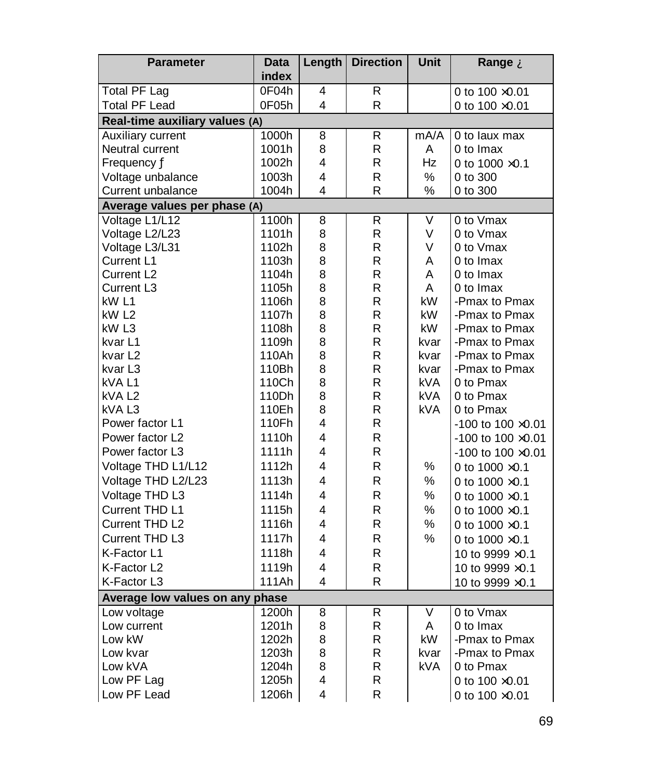| <b>Parameter</b>                | <b>Data</b> | Length | <b>Direction</b> | Unit       | Range A                     |  |
|---------------------------------|-------------|--------|------------------|------------|-----------------------------|--|
|                                 | index       |        |                  |            |                             |  |
| <b>Total PF Lag</b>             | 0F04h       | 4      | R                |            | 0 to $100 \times 0.01$      |  |
| Total PF Lead                   | 0F05h       | 4      | $\mathsf{R}$     |            | 0 to 100 ×0.01              |  |
| Real-time auxiliary values (A)  |             |        |                  |            |                             |  |
| Auxiliary current               | 1000h       | 8      | R                | mA/A       | 0 to laux max               |  |
| Neutral current                 | 1001h       | 8      | R                | A          | 0 to Imax                   |  |
| Frequency Ä                     | 1002h       | 4      | R                | Hz         | 0 to $1000 \times 0.1$      |  |
| Voltage unbalance               | 1003h       | 4      | $\mathsf R$      | $\%$       | 0 to 300                    |  |
| Current unbalance               | 1004h       | 4      | R                | %          | 0 to 300                    |  |
| Average values per phase (A)    |             |        |                  |            |                             |  |
| Voltage L1/L12                  | 1100h       | 8      | R                | V          | 0 to Vmax                   |  |
| Voltage L2/L23                  | 1101h       | 8      | R                | V          | 0 to Vmax                   |  |
| Voltage L3/L31                  | 1102h       | 8      | R                | V          | 0 to Vmax                   |  |
| Current L1                      | 1103h       | 8      | R                | A          | 0 to Imax                   |  |
| Current L <sub>2</sub>          | 1104h       | 8      | $\mathsf{R}$     | A          | 0 to Imax                   |  |
| Current L3                      | 1105h       | 8      | R                | A          | 0 to Imax                   |  |
| kW L1                           | 1106h       | 8      | R                | kW         | -Pmax to Pmax               |  |
| kW <sub>L2</sub>                | 1107h       | 8      | R                | kW         | -Pmax to Pmax               |  |
| kW <sub>L3</sub>                | 1108h       | 8      | R                | kW         | -Pmax to Pmax               |  |
| kvar L1                         | 1109h       | 8      | $\mathsf{R}$     | kvar       | -Pmax to Pmax               |  |
| kvar L2                         | 110Ah       | 8      | R                | kvar       | -Pmax to Pmax               |  |
| kvar L3                         | 110Bh       | 8      | R                | kvar       | -Pmax to Pmax               |  |
| kVA L1                          | 110Ch       | 8      | R                | <b>kVA</b> | 0 to Pmax                   |  |
| kVA L <sub>2</sub>              | 110Dh       | 8      | $\mathsf{R}$     | <b>kVA</b> | 0 to Pmax                   |  |
| kVA L3                          | 110Eh       | 8      | $\mathsf R$      | kVA        | 0 to Pmax                   |  |
| Power factor L1                 | 110Fh       | 4      | R                |            | -100 to 100 ×0.01           |  |
| Power factor L <sub>2</sub>     | 1110h       | 4      | R                |            | $-100$ to $100 \times 0.01$ |  |
| Power factor L3                 | 1111h       | 4      | R.               |            | $-100$ to $100 \times 0.01$ |  |
| Voltage THD L1/L12              | 1112h       | 4      | R                | %          | 0 to 1000 ×0.1              |  |
| Voltage THD L2/L23              | 1113h       | 4      | R                | ℅          | 0 to $1000 \times 0.1$      |  |
| Voltage THD L3                  | 1114h       | 4      | R                | $\%$       | 0 to $1000 \times 0.1$      |  |
| Current THD L1                  | 1115h       | 4      | R                | $\%$       | 0 to $1000 \times 0.1$      |  |
| Current THD L2                  | 1116h       | 4      | R                | %          | 0 to $1000 \times 0.1$      |  |
| Current THD L3                  | 1117h       | 4      | $\mathsf{R}$     | $\%$       | 0 to $1000 \times 0.1$      |  |
| K-Factor L1                     | 1118h       | 4      | R                |            | 10 to 9999 ×0.1             |  |
| K-Factor L2                     | 1119h       | 4      | R                |            | 10 to 9999 ×0.1             |  |
| K-Factor L3                     | 111Ah       | 4      | R                |            | 10 to 9999 × 0.1            |  |
| Average low values on any phase |             |        |                  |            |                             |  |
| Low voltage                     | 1200h       | 8      | R                | V          | 0 to Vmax                   |  |
| Low current                     | 1201h       | 8      | R                | A          | 0 to Imax                   |  |
| Low kW                          | 1202h       | 8      | R                | kW         | -Pmax to Pmax               |  |
| Low kvar                        | 1203h       | 8      | R                | kvar       | -Pmax to Pmax               |  |
| Low kVA                         | 1204h       | 8      | R                | kVA        | 0 to Pmax                   |  |
| Low PF Lag                      | 1205h       | 4      | $\mathsf R$      |            | 0 to $100 \times 0.01$      |  |
| Low PF Lead                     | 1206h       | 4      | R                |            | 0 to $100 \times 0.01$      |  |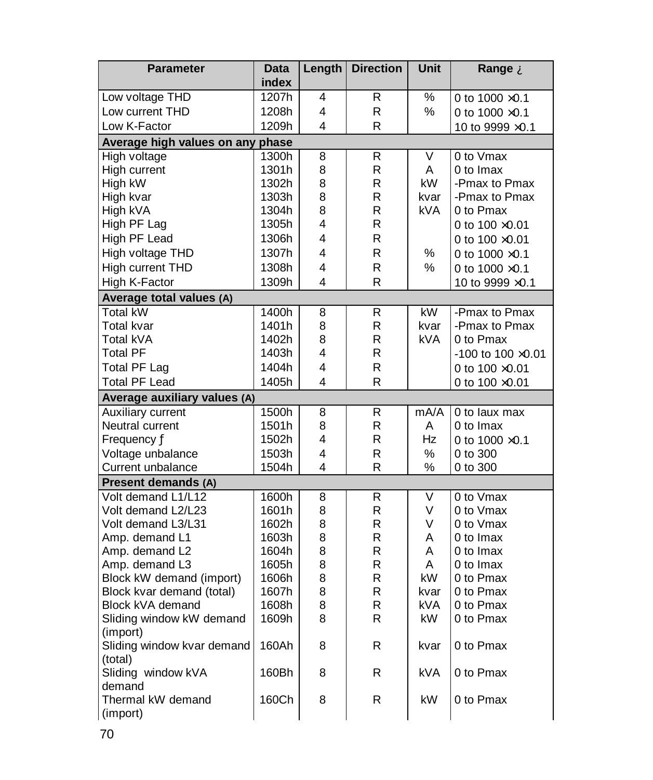| <b>Parameter</b>                      | Data               | Length | <b>Direction</b> | <b>Unit</b> | Range A                     |  |
|---------------------------------------|--------------------|--------|------------------|-------------|-----------------------------|--|
|                                       | index              |        |                  |             |                             |  |
| Low voltage THD                       | 1207h              | 4      | R                | ℅           | 0 to $1000 \times 0.1$      |  |
| Low current THD                       | 1208h              | 4      | R                | %           | 0 to 1000 ×0.1              |  |
| Low K-Factor                          | 1209h              | 4      | R                |             | 10 to 9999 × 0.1            |  |
| Average high values on any phase      |                    |        |                  |             |                             |  |
| High voltage                          | 1300h              | 8      | R                | V           | 0 to Vmax                   |  |
| High current                          | 1301h              | 8      | R                | A           | 0 to Imax                   |  |
| High kW                               | 1302h              | 8      | R                | kW          | -Pmax to Pmax               |  |
| High kvar                             | 1303h              | 8      | R                | kvar        | -Pmax to Pmax               |  |
| High kVA                              | 1304h              | 8      | R                | kVA         | 0 to Pmax                   |  |
| High PF Lag                           | 1305h              | 4      | R                |             | 0 to $100 \times 0.01$      |  |
| High PF Lead                          | 1306h              | 4      | R                |             | 0 to $100 \times 0.01$      |  |
| High voltage THD                      | 1307h              | 4      | R                | %           | 0 to $1000 \times 0.1$      |  |
| High current THD                      | 1308h              | 4      | R                | %           | 0 to $1000 \times 0.1$      |  |
| High K-Factor                         | 1309h              | 4      | R                |             | 10 to 9999 $\times$ 0.1     |  |
| Average total values (A)              |                    |        |                  |             |                             |  |
| Total kW                              | $\overline{1400h}$ | 8      | R                | kW          | -Pmax to Pmax               |  |
| Total kvar                            | 1401h              | 8      | R                | kvar        | -Pmax to Pmax               |  |
| Total kVA                             | 1402h              | 8      | R                | kVA.        | 0 to Pmax                   |  |
| <b>Total PF</b>                       | 1403h              | 4      | R                |             | $-100$ to $100 \times 0.01$ |  |
| <b>Total PF Lag</b>                   | 1404h              | 4      | R                |             | 0 to 100 ×0.01              |  |
| <b>Total PF Lead</b>                  | 1405h              | 4      | R                |             | 0 to 100 ×0.01              |  |
| Average auxiliary values (A)          |                    |        |                  |             |                             |  |
| <b>Auxiliary current</b>              | 1500h              | 8      | R                | mA/A        | 0 to laux max               |  |
| Neutral current                       | 1501h              | 8      | R                | A           | 0 to Imax                   |  |
| Frequency Ä                           | 1502h              | 4      | R                | Hz          | 0 to 1000 ×0.1              |  |
| Voltage unbalance                     | 1503h              | 4      | R                | %           | 0 to 300                    |  |
| Current unbalance                     | 1504h              | 4      | R                | ℅           | 0 to 300                    |  |
| Present demands (A)                   |                    |        |                  |             |                             |  |
| Volt demand L1/L12                    | 1600h              | 8      | R                | V           | 0 to Vmax                   |  |
| Volt demand L2/L23                    | 1601h              | 8      | R                | V           | 0 to Vmax                   |  |
| Volt demand L3/L31                    | 1602h              | 8      | R                | V           | 0 to Vmax                   |  |
| Amp. demand L1                        | 1603h              | 8      | R                | A           | 0 to Imax                   |  |
| Amp. demand L2                        | 1604h              | 8      | R                | A           | 0 to Imax                   |  |
| Amp. demand L3                        | 1605h              | 8      | R                | A           | 0 to Imax                   |  |
| Block kW demand (import)              | 1606h              | 8      | R                | kW          | 0 to Pmax                   |  |
| Block kvar demand (total)             | 1607h              | 8      | R                | kvar        | 0 to Pmax                   |  |
| Block kVA demand                      | 1608h              | 8      | R                | kVA.        | 0 to Pmax                   |  |
| Sliding window kW demand              | 1609h              | 8      | R                | kW.         | 0 to Pmax                   |  |
| (import)                              |                    |        |                  |             |                             |  |
| Sliding window kvar demand<br>(total) | 160Ah              | 8      | R                | kvar        | 0 to Pmax                   |  |
| Sliding window kVA                    | 160Bh              | 8      | R                | <b>kVA</b>  | 0 to Pmax                   |  |
| demand                                |                    |        |                  |             |                             |  |
|                                       |                    |        |                  |             |                             |  |
| Thermal kW demand                     | 160Ch              | 8      | R                | kW          | 0 to Pmax                   |  |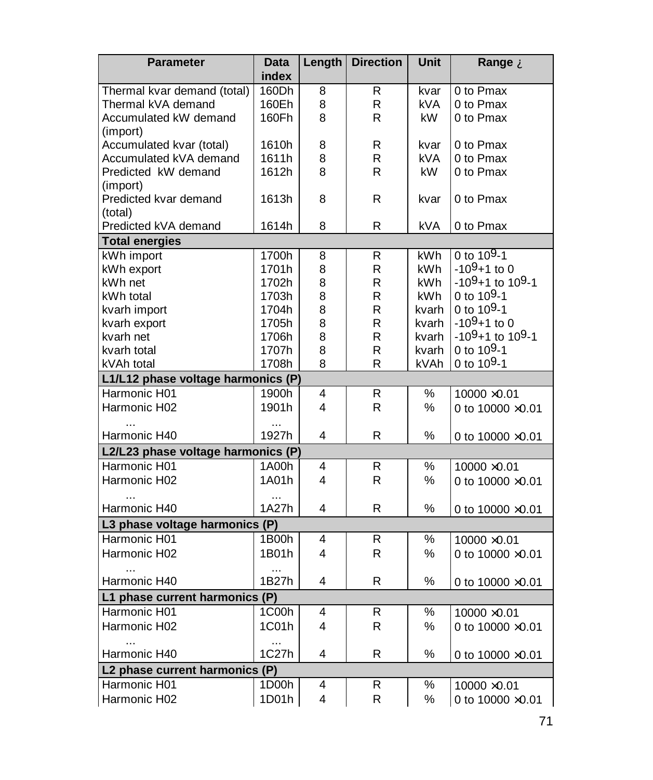| <b>Parameter</b>                                   | <b>Data</b>        | Length | <b>Direction</b> | <b>Unit</b>   | Range À                  |
|----------------------------------------------------|--------------------|--------|------------------|---------------|--------------------------|
|                                                    | index              |        |                  |               |                          |
| Thermal kvar demand (total)                        | 160Dh              | 8      | R                | kvar          | 0 to Pmax                |
| Thermal kVA demand                                 | 160Eh              | 8      | R                | kVA.          | 0 to Pmax                |
| Accumulated kW demand                              | 160Fh              | 8      | R                | kW.           | 0 to Pmax                |
| (import)                                           |                    |        |                  |               |                          |
| Accumulated kvar (total)                           | 1610h              | 8      | R                | kvar          | 0 to Pmax                |
| Accumulated kVA demand                             | 1611h              | 8      | R                | <b>kVA</b>    | 0 to Pmax                |
| Predicted kW demand                                | 1612h              | 8      | R                | kW.           | 0 to Pmax                |
| (import)                                           |                    |        |                  |               |                          |
| Predicted kvar demand                              | 1613h              | 8      | R                | kvar          | 0 to Pmax                |
| (total)<br>Predicted kVA demand                    |                    | 8      | R                |               |                          |
| <b>Total energies</b>                              | 1614h              |        |                  | kVA           | 0 to Pmax                |
| kWh import                                         |                    |        |                  | kWh           | 0 to $10^{9} - 1$        |
|                                                    | 1700h<br>1701h     | 8      | R<br>R           | kWh           | $-109+1$ to 0            |
| kWh export                                         |                    | 8      |                  |               | $-109+1$ to 109-1        |
| kWh net                                            | 1702h              | 8      | R                | kWh.          | 0 to 109-1               |
| kWh total                                          | 1703h<br>1704h     | 8      | R<br>R           | kWh           | 0 to 109-1               |
| kvarh import                                       | 1705h              | 8<br>8 | R                | kvarh         | $-109+1$ to 0            |
| kvarh export<br>kvarh net                          | 1706h              | 8      | R                | kvarh         | $-109+1$ to 109-1        |
|                                                    | 1707h              | 8      | R                | kvarh         | 0 to $10^{9} - 1$        |
| kvarh total                                        | 1708h              | 8      | R                | kvarh<br>kVAh | 0 to 109-1               |
| kVAh total<br>L1/L12 phase voltage harmonics (P)   |                    |        |                  |               |                          |
| Harmonic H01                                       | 1900h              | 4      | R                | %             |                          |
|                                                    | 1901h              | 4      | R                |               | 10000 ×0.01              |
| Harmonic H02                                       |                    |        |                  | ℅             | 0 to 10000 ×0.01         |
| Harmonic H40                                       | $\ddotsc$<br>1927h | 4      | R                | ℅             |                          |
|                                                    |                    |        |                  |               | 0 to $10000 \times 0.01$ |
| L2/L23 phase voltage harmonics (P)<br>Harmonic H01 |                    |        |                  |               |                          |
|                                                    | 1A00h              | 4      | R                | %             | 10000 × 0.01             |
| Harmonic H02                                       | 1A01h              | 4      | R                | %             | 0 to 10000 ×0.01         |
|                                                    | 1A27h              | 4      |                  |               |                          |
| Harmonic H40                                       |                    |        | R                | %             | 0 to 10000 ×0.01         |
| L3 phase voltage harmonics (P)                     |                    |        |                  |               |                          |
| Harmonic H01                                       | 1B00h              | 4      | R                | %             | 10000 × 0.01             |
| Harmonic H02                                       | 1B01h              | 4      | R                | %             | 0 to 10000 ×0.01         |
|                                                    |                    |        |                  |               |                          |
| Harmonic H40                                       | 1B27h              | 4      | R                | $\%$          | 0 to 10000 ×0.01         |
| L1 phase current harmonics (P)                     |                    |        |                  |               |                          |
| Harmonic H01                                       | 1C00h              | 4      | R                | %             | 10000 × 0.01             |
| Harmonic H02                                       | 1C01h              | 4      | R                | %             | 0 to $10000 \times 0.01$ |
|                                                    | $\ddotsc$          |        |                  |               |                          |
| Harmonic H40                                       | 1C27h              | 4      | R                | $\%$          | 0 to 10000 ×0.01         |
| L2 phase current harmonics (P)                     |                    |        |                  |               |                          |
| Harmonic H01                                       | 1D00h              | 4      | R                | ℅             | $10000 \times 0.01$      |
| Harmonic H02                                       | 1D01h              | 4      | R                | %             | 0 to 10000 ×0.01         |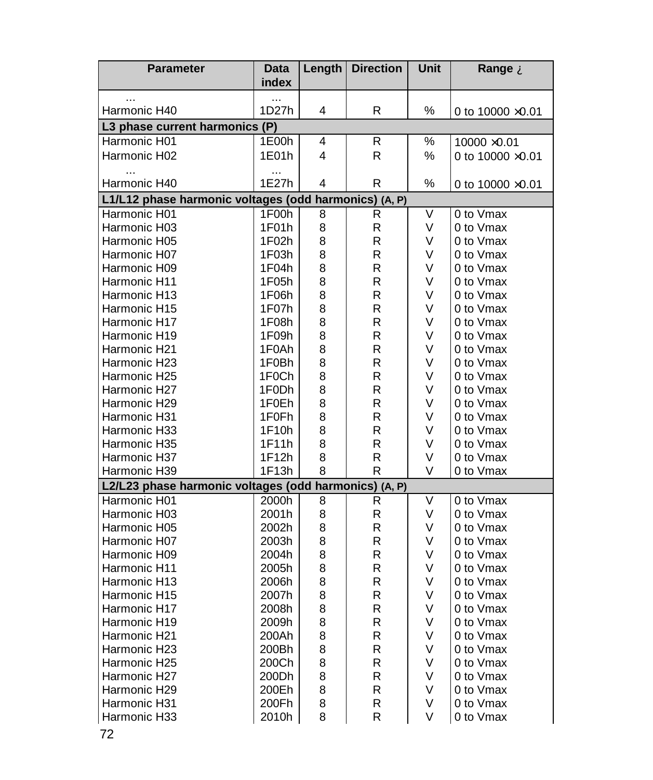| <b>Parameter</b>                                      | Data<br>index | Length | <b>Direction</b> | Unit | Range À                  |
|-------------------------------------------------------|---------------|--------|------------------|------|--------------------------|
| Harmonic H40                                          | .<br>1D27h    | 4      | R                | %    | 0 to $10000 \times 0.01$ |
| L3 phase current harmonics (P)                        |               |        |                  |      |                          |
| Harmonic H01                                          | 1E00h         | 4      | R                | ℅    | $10000 \times 0.01$      |
| Harmonic H02                                          | 1E01h         | 4      | R                | ℅    | 0 to 10000 ×0.01         |
|                                                       |               |        |                  |      |                          |
| Harmonic H40                                          | <br>1E27h     | 4      | R                | $\%$ | 0 to $10000 \times 0.01$ |
| L1/L12 phase harmonic voltages (odd harmonics) (A, P) |               |        |                  |      |                          |
| Harmonic H01                                          | 1F00h         | 8      | R                | V    | 0 to Vmax                |
| Harmonic H03                                          | 1F01h         | 8      | R.               | V    | 0 to Vmax                |
| Harmonic H05                                          | 1F02h         | 8      | R                | V    | 0 to Vmax                |
| Harmonic H07                                          | 1F03h         | 8      | R                | V    | 0 to Vmax                |
| Harmonic H09                                          | 1F04h         | 8      | R                | V    | 0 to Vmax                |
| Harmonic H11                                          | 1F05h         | 8      | R                | V    | 0 to Vmax                |
| Harmonic H13                                          | 1F06h         | 8      | R                | V    | 0 to Vmax                |
| Harmonic H15                                          | 1F07h         | 8      | R                | V    | 0 to Vmax                |
| Harmonic H17                                          | 1F08h         | 8      | R                | V    | 0 to Vmax                |
| Harmonic H19                                          | 1F09h         | 8      | R                | V    | 0 to Vmax                |
| Harmonic H21                                          | 1F0Ah         | 8      | R                | V    | 0 to Vmax                |
| Harmonic H23                                          | 1F0Bh         | 8      | R                | V    | 0 to Vmax                |
| Harmonic H25                                          | 1F0Ch         | 8      | R                | V    | 0 to Vmax                |
| Harmonic H27                                          | 1F0Dh         | 8      | R                | V    | 0 to Vmax                |
| Harmonic H29                                          | 1F0Eh         | 8      | R                | V    | 0 to Vmax                |
| Harmonic H31                                          | 1F0Fh         | 8      | R                | V    | 0 to Vmax                |
| Harmonic H33                                          | 1F10h         | 8      | $\mathsf{R}$     | V    | 0 to Vmax                |
| Harmonic H35                                          | 1F11h         | 8      | R                | V    | 0 to Vmax                |
| Harmonic H37                                          | 1F12h         | 8      | R                | V    | 0 to Vmax                |
| Harmonic H39                                          | 1F13h         | 8      | R                | V    | 0 to Vmax                |
| L2/L23 phase harmonic voltages (odd harmonics) (A, P) |               |        |                  |      |                          |
| Harmonic H01                                          | 2000h         | 8      | R                | V    | 0 to Vmax                |
| Harmonic H03                                          | 2001h         | 8      | R                | V    | 0 to Vmax                |
| Harmonic H05                                          | 2002h         | 8      | R                | V    | 0 to Vmax                |
| Harmonic H07                                          | 2003h         | 8      | R                | V    | 0 to Vmax                |
| Harmonic H09                                          | 2004h         | 8      | R                | V    | 0 to Vmax                |
| Harmonic H11                                          | 2005h         | 8      | R                | V    | 0 to Vmax                |
| Harmonic H13                                          | 2006h         | 8      | R                | V    | 0 to Vmax                |
| Harmonic H15                                          | 2007h         | 8      | $\mathsf{R}$     | V    | 0 to Vmax                |
| Harmonic H17                                          | 2008h         | 8      | R                | V    | 0 to Vmax                |
| Harmonic H19                                          | 2009h         | 8      | R                | V    | 0 to Vmax                |
| Harmonic H21                                          | 200Ah         | 8      | R                | V    | 0 to Vmax                |
| Harmonic H23                                          | 200Bh         | 8      | R                | V    | 0 to Vmax                |
| Harmonic H25                                          | 200Ch         | 8      | R                | V    | 0 to Vmax                |
| Harmonic H27                                          | 200Dh         | 8      | R                | V    | 0 to Vmax                |
| Harmonic H29                                          | 200Eh         | 8      | R                | V    | 0 to Vmax                |
| Harmonic H31                                          | 200Fh         | 8      | R                | V    | 0 to Vmax                |
| Harmonic H33                                          | 2010h         | 8      | R                | V    | 0 to Vmax                |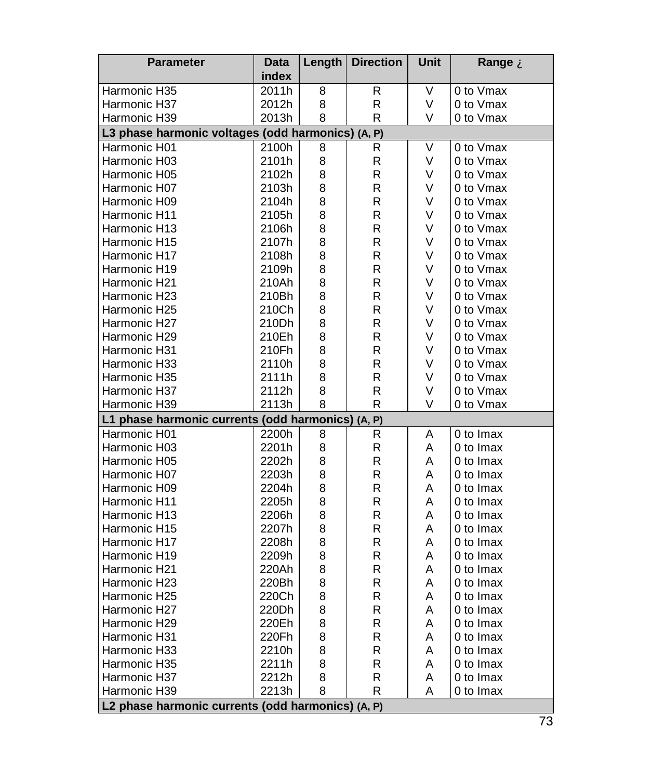| <b>Parameter</b>                                  | <b>Data</b> | Length | <b>Direction</b> | Unit   | Range À   |  |  |  |  |
|---------------------------------------------------|-------------|--------|------------------|--------|-----------|--|--|--|--|
|                                                   | index       |        |                  |        |           |  |  |  |  |
| Harmonic H35                                      | 2011h       | 8      | R                | ٧      | 0 to Vmax |  |  |  |  |
| Harmonic H37                                      | 2012h       | 8      | R                | V      | 0 to Vmax |  |  |  |  |
| Harmonic H39                                      | 2013h       | 8      | R                | V      | 0 to Vmax |  |  |  |  |
| L3 phase harmonic voltages (odd harmonics) (A, P) |             |        |                  |        |           |  |  |  |  |
| Harmonic H01                                      | 2100h       | 8      | R                | V      | 0 to Vmax |  |  |  |  |
| Harmonic H03                                      | 2101h       | 8      | R                | V      | 0 to Vmax |  |  |  |  |
| Harmonic H05                                      | 2102h       | 8      | R                | V      | 0 to Vmax |  |  |  |  |
| Harmonic H07                                      | 2103h       | 8      | R                | V      | 0 to Vmax |  |  |  |  |
| Harmonic H09                                      | 2104h       | 8      | R                | V      | 0 to Vmax |  |  |  |  |
| Harmonic H11                                      | 2105h       | 8      | R                | V      | 0 to Vmax |  |  |  |  |
| Harmonic H13                                      | 2106h       | 8      | R                | V      | 0 to Vmax |  |  |  |  |
| Harmonic H15                                      | 2107h       | 8      | R                | V      | 0 to Vmax |  |  |  |  |
| Harmonic H17                                      | 2108h       | 8      | R                | V      | 0 to Vmax |  |  |  |  |
| Harmonic H19                                      | 2109h       | 8      | R                | V      | 0 to Vmax |  |  |  |  |
| Harmonic H21                                      | 210Ah       | 8      | R                | V      | 0 to Vmax |  |  |  |  |
| Harmonic H23                                      | 210Bh       | 8      | R                | V      | 0 to Vmax |  |  |  |  |
| Harmonic H25                                      | 210Ch       | 8      | R                | V      | 0 to Vmax |  |  |  |  |
| Harmonic H27                                      | 210Dh       | 8      | R                | V      | 0 to Vmax |  |  |  |  |
| Harmonic H29                                      | 210Eh       | 8      | R                | V      | 0 to Vmax |  |  |  |  |
| Harmonic H31                                      | 210Fh       | 8      | R                | $\vee$ | 0 to Vmax |  |  |  |  |
| Harmonic H33                                      | 2110h       | 8      | R                | V      | 0 to Vmax |  |  |  |  |
| Harmonic H35                                      | 2111h       | 8      | R                | V      | 0 to Vmax |  |  |  |  |
| Harmonic H37                                      | 2112h       | 8      | R                | V      | 0 to Vmax |  |  |  |  |
| Harmonic H39                                      | 2113h       | 8      | R                | V      | 0 to Vmax |  |  |  |  |
| L1 phase harmonic currents (odd harmonics) (A,    |             |        | P)               |        |           |  |  |  |  |
| Harmonic H01                                      | 2200h       | 8      | R                | A      | 0 to Imax |  |  |  |  |
| Harmonic H03                                      | 2201h       | 8      | R                | A      | 0 to Imax |  |  |  |  |
| Harmonic H05                                      | 2202h       | 8      | R                | A      | 0 to Imax |  |  |  |  |
| Harmonic H07                                      | 2203h       | 8      | R                | A      | 0 to Imax |  |  |  |  |
| Harmonic H09                                      | 2204h       | 8      | R                | A      | 0 to Imax |  |  |  |  |
| Harmonic H11                                      | 2205h       | 8      | R                | A      | 0 to Imax |  |  |  |  |
| Harmonic H13                                      | 2206h       | 8      | R                | A      | 0 to Imax |  |  |  |  |
| Harmonic H15                                      | 2207h       | 8      | R                | A      | 0 to Imax |  |  |  |  |
| Harmonic H17                                      | 2208h       | 8      | R                | A      | 0 to Imax |  |  |  |  |
| Harmonic H19                                      | 2209h       | 8      | R                | A      | 0 to Imax |  |  |  |  |
| Harmonic H21                                      | 220Ah       | 8      | R                | A      | 0 to Imax |  |  |  |  |
| Harmonic H23                                      | 220Bh       | 8      | R                | A      | 0 to Imax |  |  |  |  |
| Harmonic H25                                      | 220Ch       | 8      | R                | A      | 0 to Imax |  |  |  |  |
| Harmonic H27                                      | 220Dh       | 8      | R                | A      | 0 to Imax |  |  |  |  |
| Harmonic H29                                      | 220Eh       | 8      | R                | A      | 0 to Imax |  |  |  |  |
| Harmonic H31                                      | 220Fh       | 8      | R                | A      | 0 to Imax |  |  |  |  |
| Harmonic H33                                      | 2210h       | 8      | R                | A      | 0 to Imax |  |  |  |  |
| Harmonic H35                                      | 2211h       | 8      | R                | Α      | 0 to Imax |  |  |  |  |
| Harmonic H37                                      | 2212h       | 8      | R                | Α      | 0 to Imax |  |  |  |  |
| Harmonic H39                                      | 2213h       | 8      | R                | Α      | 0 to Imax |  |  |  |  |
| L2 phase harmonic currents (odd harmonics) (A, P) |             |        |                  |        |           |  |  |  |  |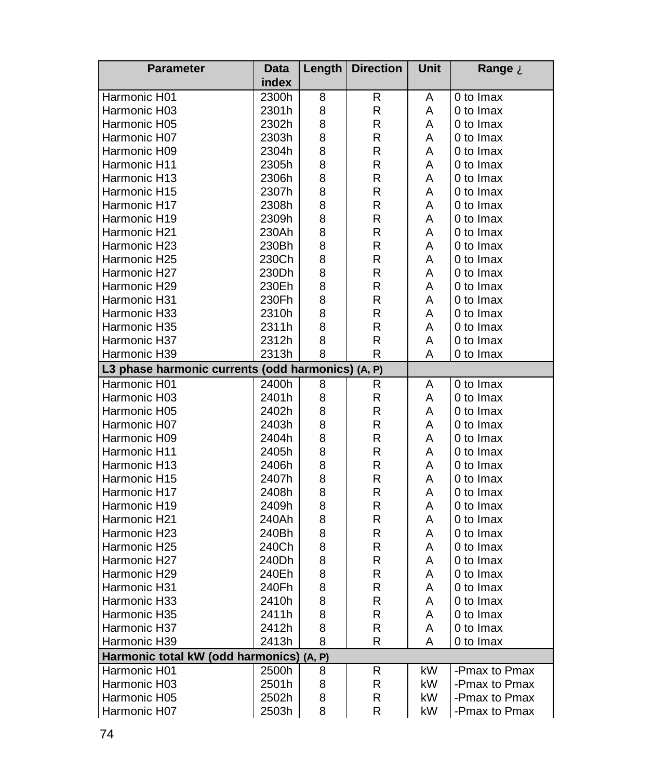| <b>Parameter</b>                                  | <b>Data</b> | Length | <b>Direction</b> | Unit | Range A       |
|---------------------------------------------------|-------------|--------|------------------|------|---------------|
|                                                   | index       |        |                  |      |               |
| Harmonic H01                                      | 2300h       | 8      | R                | Α    | 0 to Imax     |
| Harmonic H03                                      | 2301h       | 8      | R                | A    | 0 to Imax     |
| Harmonic H05                                      | 2302h       | 8      | R                | Α    | 0 to Imax     |
| Harmonic H07                                      | 2303h       | 8      | R                | A    | 0 to Imax     |
| Harmonic H09                                      | 2304h       | 8      | R                | A    | 0 to Imax     |
| Harmonic H11                                      | 2305h       | 8      | R                | A    | 0 to Imax     |
| Harmonic H13                                      | 2306h       | 8      | R                | A    | 0 to Imax     |
| Harmonic H15                                      | 2307h       | 8      | R                | A    | 0 to Imax     |
| Harmonic H17                                      | 2308h       | 8      | R                | A    | 0 to Imax     |
| Harmonic H19                                      | 2309h       | 8      | R                | A    | 0 to Imax     |
| Harmonic H21                                      | 230Ah       | 8      | R                | A    | 0 to Imax     |
| Harmonic H23                                      | 230Bh       | 8      | R                | A    | 0 to Imax     |
| Harmonic H25                                      | 230Ch       | 8      | R                | A    | 0 to Imax     |
| Harmonic H27                                      | 230Dh       | 8      | R                | A    | 0 to Imax     |
| Harmonic H29                                      | 230Eh       | 8      | R                | A    | 0 to Imax     |
| Harmonic H31                                      | 230Fh       | 8      | R                | A    | 0 to Imax     |
| Harmonic H33                                      | 2310h       | 8      | R                | A    | 0 to Imax     |
| Harmonic H35                                      | 2311h       | 8      | R                | A    | 0 to Imax     |
| Harmonic H37                                      | 2312h       | 8      | R                | A    | 0 to Imax     |
| Harmonic H39                                      | 2313h       | 8      | R                | Α    | 0 to Imax     |
| L3 phase harmonic currents (odd harmonics) (A, P) |             |        |                  |      |               |
| Harmonic H01                                      | 2400h       | 8      | R                | A    | 0 to Imax     |
| Harmonic H03                                      | 2401h       | 8      | $\mathsf R$      | A    | 0 to Imax     |
| Harmonic H05                                      | 2402h       | 8      | R                | A    | 0 to Imax     |
| Harmonic H07                                      | 2403h       | 8      | R                | A    | 0 to Imax     |
| Harmonic H09                                      | 2404h       | 8      | R                | А    | 0 to Imax     |
| Harmonic H11                                      | 2405h       | 8      | R                | A    | 0 to Imax     |
| Harmonic H13                                      | 2406h       | 8      | R                | A    | 0 to Imax     |
| Harmonic H15                                      | 2407h       | 8      | R                | A    | 0 to Imax     |
| Harmonic H17                                      | 2408h       | 8      | R                | A    | 0 to Imax     |
| Harmonic H19                                      | 2409h       | 8      | R                | A    | 0 to Imax     |
| Harmonic H21                                      | 240Ah       | 8      | R                | Α    | 0 to Imax     |
| Harmonic H23                                      | 240Bh       | 8      | R                | A    | 0 to Imax     |
| Harmonic H25                                      | 240Ch       | 8      | R                | A    | 0 to Imax     |
| Harmonic H27                                      | 240Dh       | 8      | R                | A    | 0 to Imax     |
| Harmonic H29                                      | 240Eh       | 8      | R                | A    | 0 to Imax     |
|                                                   | 240Fh       |        | R                | A    | 0 to Imax     |
| Harmonic H31                                      | 2410h       | 8      |                  |      |               |
| Harmonic H33                                      |             | 8      | R<br>R           | A    | 0 to Imax     |
| Harmonic H35                                      | 2411h       | 8      |                  | A    | 0 to Imax     |
| Harmonic H37                                      | 2412h       | 8      | R                | A    | 0 to Imax     |
| Harmonic H39                                      | 2413h       | 8      | R                | Α    | 0 to Imax     |
| Harmonic total kW (odd harmonics) (A, P)          |             |        |                  |      |               |
| Harmonic H01                                      | 2500h       | 8      | R                | kW   | -Pmax to Pmax |
| Harmonic H03                                      | 2501h       | 8      | R                | kW   | -Pmax to Pmax |
| Harmonic H05                                      | 2502h       | 8      | R                | kW   | -Pmax to Pmax |
| Harmonic H07                                      | 2503h       | 8      | R                | kW   | -Pmax to Pmax |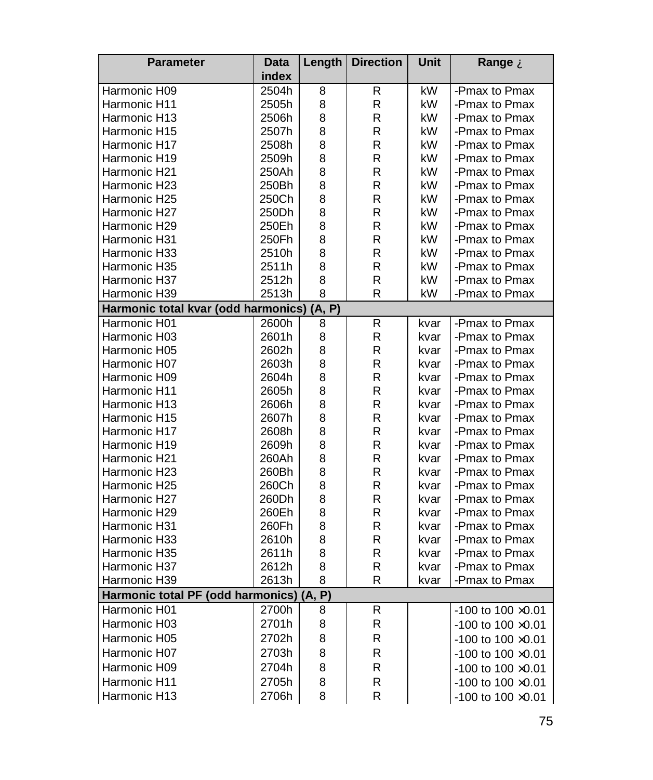| <b>Parameter</b>                      | <b>Data</b>       | Length | <b>Direction</b> | Unit | Range A                     |
|---------------------------------------|-------------------|--------|------------------|------|-----------------------------|
|                                       | index             |        |                  |      |                             |
| Harmonic H09                          | 2504h             | 8      | R                | kW   | -Pmax to Pmax               |
| Harmonic H11                          | 2505h             | 8      | R                | kW   | -Pmax to Pmax               |
| Harmonic H13                          | 2506h             | 8      | R                | kW   | -Pmax to Pmax               |
| Harmonic H15                          | 2507h             | 8      | R                | kW   | -Pmax to Pmax               |
| Harmonic H17                          | 2508h             | 8      | R                | kW   | -Pmax to Pmax               |
| Harmonic H19                          | 2509h             | 8      | R                | kW   | -Pmax to Pmax               |
| Harmonic H21                          | 250Ah             | 8      | R                | kW   | -Pmax to Pmax               |
| Harmonic H23                          | 250Bh             | 8      | $\mathsf{R}$     | kW   | -Pmax to Pmax               |
| Harmonic H25                          | 250Ch             | 8      | R                | kW   | -Pmax to Pmax               |
| Harmonic H27                          | 250 <sub>Dh</sub> | 8      | R                | kW   | -Pmax to Pmax               |
| Harmonic H29                          | 250Eh             | 8      | R                | kW   | -Pmax to Pmax               |
| Harmonic H31                          | 250Fh             | 8      | $\mathsf{R}$     | kW   | -Pmax to Pmax               |
| Harmonic H33                          | 2510h             | 8      | R                | kW   | -Pmax to Pmax               |
| Harmonic H35                          | 2511h             | 8      | R                | kW   | -Pmax to Pmax               |
| Harmonic H37                          | 2512h             | 8      | R                | kW   | -Pmax to Pmax               |
| Harmonic H39                          | 2513h             | 8      | R                | kW   | -Pmax to Pmax               |
| Harmonic total kvar (odd harmonics)   |                   | (A, P) |                  |      |                             |
| Harmonic H01                          | 2600h             | 8      | R                | kvar | -Pmax to Pmax               |
| Harmonic H03                          | 2601h             | 8      | R                | kvar | -Pmax to Pmax               |
| Harmonic H05                          | 2602h             | 8      | $\mathsf{R}$     | kvar | -Pmax to Pmax               |
| Harmonic H07                          | 2603h             | 8      | R                | kvar | -Pmax to Pmax               |
| Harmonic H09                          | 2604h             | 8      | R                | kvar | -Pmax to Pmax               |
| Harmonic H11                          | 2605h             | 8      | R                | kvar | -Pmax to Pmax               |
| Harmonic H13                          | 2606h             | 8      | R                | kvar | -Pmax to Pmax               |
| Harmonic H15                          | 2607h             | 8      | $\mathsf{R}$     | kvar | -Pmax to Pmax               |
| Harmonic H17                          | 2608h             | 8      | R                | kvar | -Pmax to Pmax               |
| Harmonic H19                          | 2609h             | 8      | R                | kvar | -Pmax to Pmax               |
| Harmonic H21                          | 260Ah             | 8      | R                | kvar | -Pmax to Pmax               |
| Harmonic H23                          | 260Bh             | 8      | R                | kvar | -Pmax to Pmax               |
| Harmonic H25                          | 260Ch             | 8      | R                | kvar | -Pmax to Pmax               |
| Harmonic H27                          | 260Dh             | 8      | R                | kvar | -Pmax to Pmax               |
| Harmonic H29                          | 260Eh             | 8      | R                | kvar | -Pmax to Pmax               |
| Harmonic H31                          | 260Fh             | 8      | R                | kvar | -Pmax to Pmax               |
| Harmonic H33                          | 2610h             | 8      | $\mathsf{R}$     | kvar | -Pmax to Pmax               |
| Harmonic H35                          | 2611h             | 8      | R                | kvar | -Pmax to Pmax               |
| Harmonic H37                          | 2612h             | 8      | R                | kvar | -Pmax to Pmax               |
| Harmonic H39                          | 2613h             | 8      | R                | kvar | -Pmax to Pmax               |
| Harmonic total PF (odd harmonics) (A, |                   | P)     |                  |      |                             |
| Harmonic H01                          | 2700h             | 8      | R                |      | $-100$ to $100 \times 0.01$ |
| Harmonic H03                          | 2701h             | 8      | R                |      | $-100$ to $100 \times 0.01$ |
| Harmonic H05                          | 2702h             | 8      | R                |      | $-100$ to $100 \times 0.01$ |
| Harmonic H07                          | 2703h             | 8      | R                |      | $-100$ to $100 \times 0.01$ |
| Harmonic H09                          | 2704h             | 8      | R                |      | $-100$ to $100 \times 0.01$ |
| Harmonic H11                          | 2705h             | 8      | R                |      | -100 to 100 ×0.01           |
| Harmonic H13                          | 2706h             | 8      | R                |      |                             |
|                                       |                   |        |                  |      | $-100$ to $100 \times 0.01$ |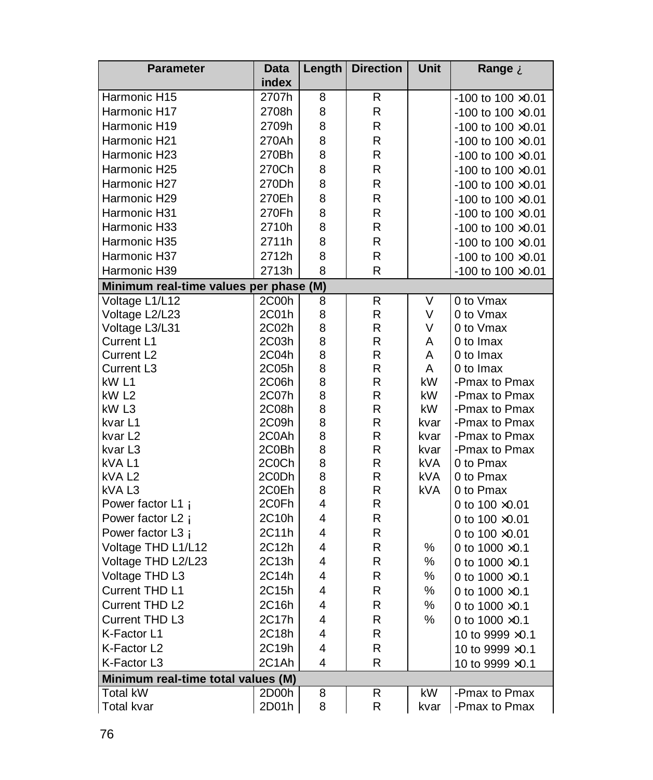| <b>Parameter</b>                       | <b>Data</b>    | Length                  | <b>Direction</b> | Unit       | Range A                        |
|----------------------------------------|----------------|-------------------------|------------------|------------|--------------------------------|
|                                        | index          |                         |                  |            |                                |
| Harmonic H15                           | 2707h          | 8                       | R                |            | $-100$ to $100 \times 0.01$    |
| Harmonic H17                           | 2708h          | 8                       | R                |            | $-100$ to $100 \times 0.01$    |
| Harmonic H19                           | 2709h          | 8                       | R                |            | -100 to 100 $\times$ 0.01      |
| Harmonic H21                           | 270Ah          | 8                       | R                |            | $-100$ to $100 \times 0.01$    |
| Harmonic H23                           | 270Bh          | 8                       | R                |            | $-100$ to $100 \times 0.01$    |
| Harmonic H25                           | 270Ch          | 8                       | R                |            | -100 to 100 $\times$ 0.01      |
| Harmonic H27                           | 270Dh          | 8                       | R                |            | $-100$ to $100 \times 0.01$    |
| Harmonic H29                           | 270Eh          | 8                       | R                |            | $-100$ to $100 \times 0.01$    |
| Harmonic H31                           | 270Fh          | 8                       | R                |            | $-100$ to $100 \times 0.01$    |
| Harmonic H33                           | 2710h          | 8                       | R                |            | $-100$ to $100 \times 0.01$    |
| Harmonic H35                           | 2711h          | 8                       | R                |            | $-100$ to $100 \times 0.01$    |
| Harmonic H37                           | 2712h          | 8                       | R                |            | $-100$ to $100 \times 0.01$    |
| Harmonic H39                           | 2713h          | 8                       | R                |            | $-100$ to $100 \times 0.01$    |
|                                        |                |                         |                  |            |                                |
| Minimum real-time values per phase (M) |                |                         |                  |            |                                |
| Voltage L1/L12                         | 2C00h          | 8                       | R                | V          | 0 to Vmax                      |
| Voltage L2/L23                         | 2C01h          | 8                       | R                | V          | 0 to Vmax                      |
| Voltage L3/L31                         | 2C02h          | 8                       | R                | V          | 0 to Vmax                      |
| Current L1                             | 2C03h          | 8                       | R<br>R           | A<br>A     | 0 to Imax                      |
| Current L <sub>2</sub>                 | 2C04h          | 8                       | R                | A          | 0 to Imax                      |
| Current L3<br>kW L1                    | 2C05h<br>2C06h | 8<br>8                  | R                | kW         | 0 to Imax                      |
| kW L2                                  | 2C07h          | 8                       | R                | kW         | -Pmax to Pmax<br>-Pmax to Pmax |
| kW L3                                  | 2C08h          | 8                       | R                | kW         | -Pmax to Pmax                  |
| kvar L1                                | 2C09h          | 8                       | R                | kvar       | -Pmax to Pmax                  |
| kvar L2                                | 2C0Ah          | 8                       | R                | kvar       | -Pmax to Pmax                  |
| kvar L3                                | 2C0Bh          | 8                       | R                | kvar       | -Pmax to Pmax                  |
| kVAL1                                  | 2C0Ch          | 8                       | R                | kVA        | 0 to Pmax                      |
| kVA L <sub>2</sub>                     | 2C0Dh          | 8                       | R                | kVA        | 0 to Pmax                      |
| kVA <sub>L3</sub>                      | 2C0Eh          | 8                       | R                | <b>kVA</b> | 0 to Pmax                      |
| Power factor L1 A                      | 2C0Fh          | 4                       | R                |            | 0 to $100 \times 0.01$         |
| Power factor L2 A                      | 2C10h          | 4                       | R                |            | 0 to $100 \times 0.01$         |
| Power factor L3 A                      | 2C11h          | 4                       | R                |            | 0 to $100 \times 0.01$         |
| Voltage THD L1/L12                     | 2C12h          | 4                       | R                | %          | 0 to $1000 \times 0.1$         |
| Voltage THD L2/L23                     | 2C13h          | 4                       | R                | ℅          |                                |
| Voltage THD L3                         | 2C14h          | 4                       | R                | %          | 0 to $1000 \times 0.1$         |
|                                        |                | 4                       |                  |            | 0 to $1000 \times 0.1$         |
| Current THD L1                         | 2C15h          | 4                       | R<br>R           | $\%$       | 0 to $1000 \times 0.1$         |
| Current THD L2                         | 2C16h          |                         |                  | ℅          | 0 to $1000 \times 0.1$         |
| Current THD L3                         | 2C17h          | 4                       | R                | $\%$       | 0 to $1000 \times 0.1$         |
| K-Factor L1                            | 2C18h          | 4                       | R                |            | 10 to 9999 × 0.1               |
| K-Factor L2                            | 2C19h          | 4                       | R                |            | 10 to 9999 ×0.1                |
| K-Factor L3                            | 2C1Ah          | $\overline{\mathbf{4}}$ | R                |            | 10 to 9999 ×0.1                |
| Minimum real-time total values (M)     |                |                         |                  |            |                                |
| <b>Total kW</b>                        | 2D00h          | 8                       | R.               | kW         | -Pmax to Pmax                  |
| <b>Total kvar</b>                      | 2D01h          | 8                       | R                | kvar       | I-Pmax to Pmax                 |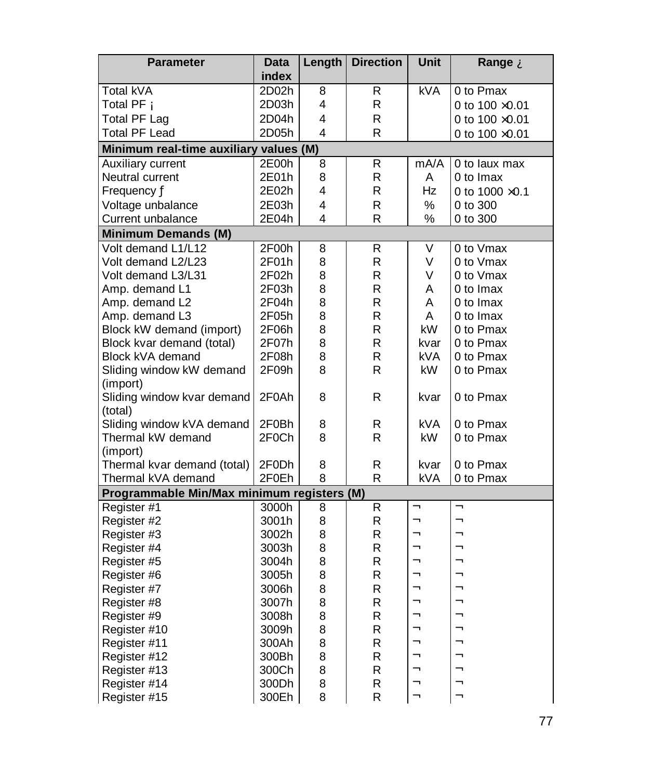| <b>Parameter</b>                           | <b>Data</b> | Length | <b>Direction</b> | <b>Unit</b> | Range À                    |
|--------------------------------------------|-------------|--------|------------------|-------------|----------------------------|
|                                            | index       |        |                  |             |                            |
| Total kVA                                  | 2D02h       | 8      | R                | <b>kVA</b>  | 0 to Pmax                  |
| Total PF Á                                 | 2D03h       | 4      | R                |             | 0 to $100 \times 0.01$     |
| <b>Total PF Lag</b>                        | 2D04h       | 4      | R                |             | 0 to 100 ×0.01             |
| <b>Total PF Lead</b>                       | 2D05h       | 4      | R                |             | 0 to $100 \times 0.01$     |
| Minimum real-time auxiliary values (M)     |             |        |                  |             |                            |
| Auxiliary current                          | 2E00h       | 8      | R                | mA/A        | $\overline{0}$ to laux max |
| Neutral current                            | 2E01h       | 8      | R                | A           | 0 to Imax                  |
| Frequency Ä                                | 2E02h       | 4      | R                | Hz          | 0 to 1000 ×0.1             |
| Voltage unbalance                          | 2E03h       | 4      | R                | ℅           | 0 to 300                   |
| Current unbalance                          | 2E04h       | 4      | R                | %           | 0 to 300                   |
| <b>Minimum Demands (M)</b>                 |             |        |                  |             |                            |
| Volt demand L1/L12                         | 2F00h       | 8      | R                | V           | 0 to Vmax                  |
| Volt demand L2/L23                         | 2F01h       | 8      | R                | V           | 0 to Vmax                  |
| Volt demand L3/L31                         | 2F02h       | 8      | R                | V           | 0 to Vmax                  |
| Amp. demand L1                             | 2F03h       | 8      | R                | A           | 0 to Imax                  |
| Amp. demand L2                             | 2F04h       | 8      | R                | A           | 0 to Imax                  |
| Amp. demand L3                             | 2F05h       | 8      | $\mathsf{R}$     | A           | 0 to Imax                  |
| Block kW demand (import)                   | 2F06h       | 8      | R                | kW          | 0 to Pmax                  |
| Block kvar demand (total)                  | 2F07h       | 8      | R                | kvar        | 0 to Pmax                  |
| Block kVA demand                           | 2F08h       | 8      | R                | <b>kVA</b>  | 0 to Pmax                  |
| Sliding window kW demand                   | 2F09h       | 8      | R                | <b>kW</b>   | 0 to Pmax                  |
| (import)                                   |             |        |                  |             |                            |
| Sliding window kvar demand                 | 2F0Ah       | 8      | R                | kvar        | 0 to Pmax                  |
| (total)                                    |             |        |                  |             |                            |
| Sliding window kVA demand                  | 2F0Bh       | 8      | R                | kVA         | 0 to Pmax                  |
| Thermal kW demand                          | 2F0Ch       | 8      | R                | kW.         | 0 to Pmax                  |
| (import)                                   |             |        |                  |             |                            |
| Thermal kvar demand (total)                | 2F0Dh       | 8      | R                | kvar        | 0 to Pmax                  |
| Thermal kVA demand                         | 2F0Eh       | 8      | R                | kVA         | 0 to Pmax                  |
| Programmable Min/Max minimum registers (M) |             |        |                  |             |                            |
| Register #1                                | 3000h       | 8      | R                | Â<br>Â      | Â<br>Â                     |
| Register #2                                | 3001h       | 8      | R                |             |                            |
| Register #3                                | 3002h       | 8      | $\mathsf{R}$     | Â           | Â<br>Â                     |
| Register #4                                | 3003h       | 8      | $\mathsf R$      | Â           | Â                          |
| Register #5                                | 3004h       | 8      | $\mathsf R$      | Â<br>Â      | Â                          |
| Register #6                                | 3005h       | 8      | R                |             | Â                          |
| Register #7                                | 3006h       | 8      | R                | Â<br>Â      | Â                          |
| Register #8                                | 3007h       | 8      | $\mathsf R$      | Â           | Â                          |
| Register #9                                | 3008h       | 8      | R                | Â           | Â                          |
| Register #10                               | 3009h       | 8      | R                | Â           | Â                          |
| Register #11                               | 300Ah       | 8      | $\mathsf R$      | Â           | Â                          |
| Register #12                               | 300Bh       | 8      | $\mathsf R$      | Â           | Â                          |
| Register #13                               | 300Ch       | 8      | R                |             | Â                          |
| Register #14                               | 300Dh       | 8      | R                | Â<br>Â      | Â                          |
| Register #15                               | 300Eh       | 8      | R                |             |                            |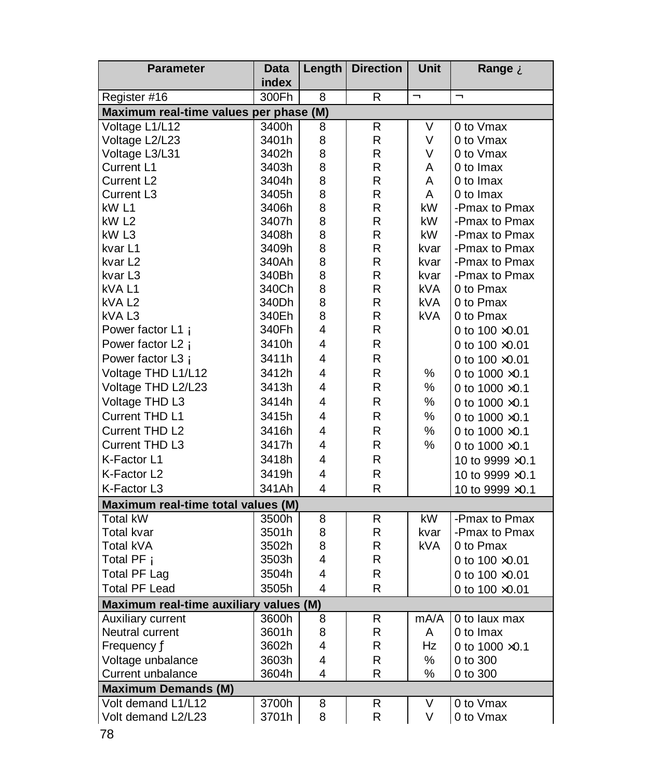| <b>Parameter</b>                       | Data  | Length                  | <b>Direction</b> | <b>Unit</b> | Range A                |
|----------------------------------------|-------|-------------------------|------------------|-------------|------------------------|
|                                        | index |                         |                  |             |                        |
| Register #16                           | 300Fh | 8                       | R                | Ã           | Ã                      |
| Maximum real-time values per phase (M) |       |                         |                  |             |                        |
| Voltage L1/L12                         | 3400h | 8                       | R                | V           | 0 to Vmax              |
| Voltage L2/L23                         | 3401h | 8                       | R                | V           | 0 to Vmax              |
| Voltage L3/L31                         | 3402h | 8                       | R                | V           | 0 to Vmax              |
| Current L1                             | 3403h | 8                       | R                | A           | 0 to Imax              |
| Current L <sub>2</sub>                 | 3404h | 8                       | R                | A           | 0 to Imax              |
| Current L <sub>3</sub>                 | 3405h | 8                       | R                | A           | 0 to Imax              |
| kW <sub>L1</sub>                       | 3406h | 8                       | R                | kW          | -Pmax to Pmax          |
| kW <sub>L2</sub>                       | 3407h | 8                       | R                | kW          | -Pmax to Pmax          |
| kW L3                                  | 3408h | 8                       | R                | kW          | -Pmax to Pmax          |
| kvar L1                                | 3409h | 8                       | R                | kvar        | -Pmax to Pmax          |
| kvar L2                                | 340Ah | 8                       | R                | kvar        | -Pmax to Pmax          |
| kvar L <sub>3</sub>                    | 340Bh | 8                       | R                | kvar        | -Pmax to Pmax          |
| kVA L1                                 | 340Ch | 8                       | R                | kVA.        | 0 to Pmax              |
| kVA L2                                 | 340Dh | 8                       | R                | <b>kVA</b>  | 0 to Pmax              |
| kVA <sub>L3</sub>                      | 340Eh | 8                       | R                | <b>kVA</b>  | 0 to Pmax              |
| Power factor L1 A                      | 340Fh | 4                       | R                |             | 0 to $100 \times 0.01$ |
| Power factor L2 Á                      | 3410h | 4                       | R                |             | 0 to $100 \times 0.01$ |
| Power factor L3 A                      | 3411h | 4                       | R                |             | 0 to $100 \times 0.01$ |
| Voltage THD L1/L12                     | 3412h | 4                       | R                | ℅           | 0 to $1000 \times 0.1$ |
| Voltage THD L2/L23                     | 3413h | 4                       | R                | ℅           | 0 to $1000 \times 0.1$ |
| Voltage THD L3                         | 3414h | 4                       | R                | $\%$        | 0 to $1000 \times 0.1$ |
| Current THD L1                         | 3415h | 4                       | R                | %           | 0 to $1000 \times 0.1$ |
| Current THD L2                         | 3416h | 4                       | R                | %           | 0 to $1000 \times 0.1$ |
| Current THD L3                         | 3417h | 4                       | R                | %           | 0 to $1000 \times 0.1$ |
| K-Factor L1                            | 3418h | 4                       | R                |             |                        |
|                                        |       | 4                       |                  |             | 10 to 9999 ×0.1        |
| K-Factor L2                            | 3419h | 4                       | R<br>R           |             | 10 to 9999 ×0.1        |
| K-Factor L3                            | 341Ah |                         |                  |             | 10 to 9999 ×0.1        |
| Maximum real-time total values (M)     |       |                         |                  |             |                        |
| Total kW                               | 3500h | 8                       | R                | kW          | -Pmax to Pmax          |
| Total kvar                             | 3501h | 8                       | R                | kvar        | -Pmax to Pmax          |
| Total kVA                              | 3502h | 8                       | R                | kVA         | 0 to Pmax              |
| Total PF A                             | 3503h | 4                       | R                |             | 0 to $100 \times 0.01$ |
| <b>Total PF Lag</b>                    | 3504h | 4                       | R                |             | 0 to $100 \times 0.01$ |
| Total PF Lead                          | 3505h | $\overline{\mathbf{4}}$ | R                |             | 0 to 100 ×0.01         |
| Maximum real-time auxiliary values (M) |       |                         |                  |             |                        |
| Auxiliary current                      | 3600h | 8                       | R                | mA/A        | 0 to laux max          |
| Neutral current                        | 3601h | 8                       | R                | A           | 0 to Imax              |
| Frequency Ä                            | 3602h | 4                       | R                | Hz          | 0 to $1000 \times 0.1$ |
| Voltage unbalance                      | 3603h | 4                       | $\mathsf R$      | $\%$        | 0 to 300               |
| Current unbalance                      | 3604h | 4                       | R                | %           | 0 to 300               |
| <b>Maximum Demands (M)</b>             |       |                         |                  |             |                        |
| Volt demand L1/L12                     | 3700h | 8                       | R                | V           | 0 to Vmax              |
| Volt demand L2/L23                     | 3701h | 8                       | R                | V           | 0 to Vmax              |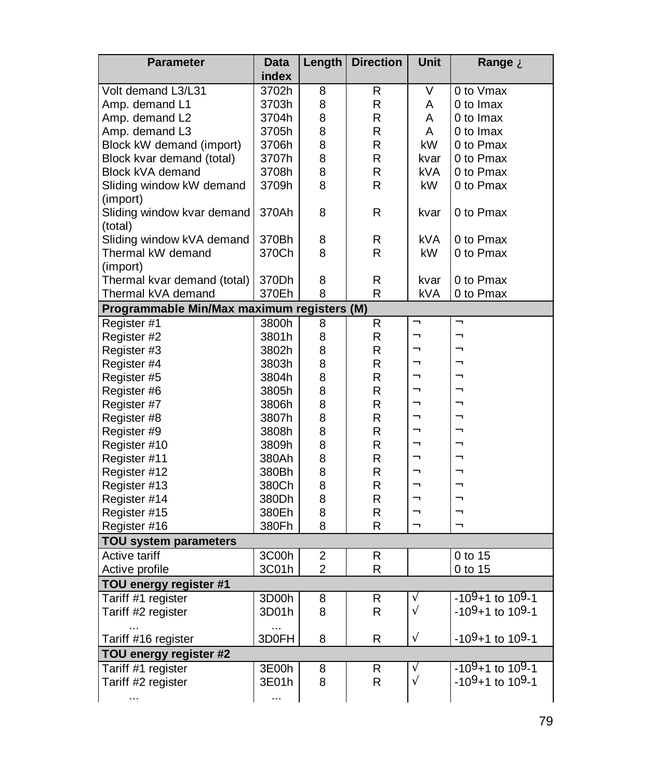| <b>Parameter</b>                           | <b>Data</b> | Length         | <b>Direction</b> | <b>Unit</b> | Range À           |
|--------------------------------------------|-------------|----------------|------------------|-------------|-------------------|
|                                            | index       |                |                  |             |                   |
| Volt demand L3/L31                         | 3702h       | 8              | R                | V           | 0 to Vmax         |
| Amp. demand L1                             | 3703h       | 8              | R                | A           | 0 to Imax         |
| Amp. demand L2                             | 3704h       | 8              | R                | A           | 0 to Imax         |
| Amp. demand L3                             | 3705h       | 8              | R                | A           | 0 to Imax         |
| Block kW demand (import)                   | 3706h       | 8              | R                | kW          | 0 to Pmax         |
| Block kvar demand (total)                  | 3707h       | 8              | R                | kvar        | 0 to Pmax         |
| Block kVA demand                           | 3708h       | 8              | R                | kVA         | 0 to Pmax         |
| Sliding window kW demand                   | 3709h       | 8              | R.               | kW          | 0 to Pmax         |
| (import)                                   |             |                |                  |             |                   |
| Sliding window kvar demand                 | 370Ah       | 8              | R                | kvar        | 0 to Pmax         |
| (total)                                    |             |                |                  |             |                   |
| Sliding window kVA demand                  | 370Bh       | 8              | R                | kVA         | 0 to Pmax         |
| Thermal kW demand                          | 370Ch       | 8              | R                | kW          | 0 to Pmax         |
| (import)                                   |             |                |                  |             |                   |
| Thermal kvar demand (total)                | 370Dh       | 8              | R                | kvar        | 0 to Pmax         |
| Thermal kVA demand                         | 370Eh       | 8              | R                | kVA         | 0 to Pmax         |
| Programmable Min/Max maximum registers (M) |             |                |                  |             |                   |
| Register #1                                | 3800h       | 8              | R                | Â           | Â                 |
| Register #2                                | 3801h       | 8              | R                | Â           | Â                 |
| Register #3                                | 3802h       | 8              | R                | Â           | Â                 |
| Register #4                                | 3803h       | 8              | R                | Â           | Â                 |
| Register #5                                | 3804h       | 8              | R                | Â           | Â                 |
| Register #6                                | 3805h       | 8              | R                | Â           | Â                 |
| Register #7                                | 3806h       | 8              | R                | Â           | Â                 |
| Register #8                                | 3807h       | 8              | R                | Â           | Â                 |
| Register #9                                | 3808h       | 8              | R                | Â           | Â                 |
| Register #10                               | 3809h       | 8              | R                | Â           | Â                 |
| Register #11                               | 380Ah       | 8              | R                | Â           | Â                 |
| Register #12                               | 380Bh       | 8              | R                | Â           | Â                 |
| Register #13                               | 380Ch       | 8              | R                | Â           | Â                 |
| Register #14                               | 380Dh       | 8              | R                | Â           | Â                 |
| Register #15                               | 380Eh       | 8              | R                | Â           | Â                 |
| Register #16                               | 380Fh       | 8              | $\mathsf R$      | Â           | Â                 |
| <b>TOU system parameters</b>               |             |                |                  |             |                   |
| Active tariff                              | 3C00h       | 2              | R                |             | 0 to 15           |
| Active profile                             | 3C01h       | $\overline{2}$ | ${\sf R}$        |             | 0 to 15           |
| TOU energy register #1                     |             |                |                  |             |                   |
| Tariff #1 register                         | 3D00h       | 8              | R.               | Ã           | $-109+1$ to 109-1 |
| Tariff #2 register                         | 3D01h       | 8              | R                | Ã           | $-109+1$ to 109-1 |
|                                            | .           |                |                  |             |                   |
| Tariff #16 register                        | 3D0FH       | 8              | R                | Ã           | $-109+1$ to 109-1 |
| TOU energy register #2                     |             |                |                  |             |                   |
| Tariff #1 register                         | 3E00h       | 8              | R                | Ã           | $-109+1$ to 109-1 |
| Tariff #2 register                         | 3E01h       | 8              | $\mathsf R$      | Ã           | $-109+1$ to 109-1 |
|                                            | .           |                |                  |             |                   |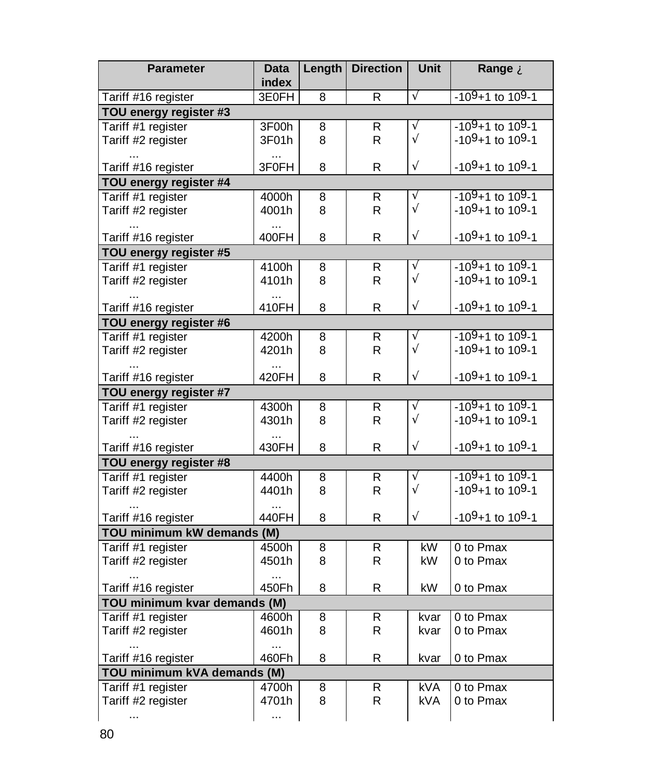| <b>Parameter</b>                             | <b>Data</b>        |   | Length   Direction | <b>Unit</b> | Range A                                   |
|----------------------------------------------|--------------------|---|--------------------|-------------|-------------------------------------------|
|                                              | index              |   |                    |             |                                           |
| Tariff #16 register                          | 3E0FH              | 8 | R                  | Ã           | -10 <sup>9</sup> +1 to 10 <sup>9</sup> -1 |
| TOU energy register #3                       |                    |   |                    |             |                                           |
| Tariff #1 register                           | 3F00h              | 8 | R                  | Ã           | $-109+1$ to 109-1                         |
| Tariff #2 register                           | 3F01h              | 8 | R                  | Ã           | $-109+1$ to 109-1                         |
| Tariff #16 register                          | 3F0FH              | 8 | R                  | Ã           | $-109+1$ to 109-1                         |
| TOU energy register #4                       |                    |   |                    |             |                                           |
| Tariff #1 register                           | 4000h              | 8 | $\overline{R}$     | Ã           | $-109+1$ to 109-1                         |
| Tariff #2 register                           | 4001h              | 8 | R                  | Ã           | $-109+1$ to 109-1                         |
| Tariff #16 register                          | $\ddotsc$<br>400FH | 8 | R                  | Ã           | $-109+1$ to 109-1                         |
| TOU energy register #5                       |                    |   |                    |             |                                           |
| Tariff #1 register                           | 4100h              | 8 | R.                 | Ã           | $-109+1$ to 109-1                         |
| Tariff #2 register                           | 4101h              | 8 | R.                 | Ã           | $-109+1$ to 109-1                         |
|                                              | $\ddotsc$          |   |                    |             |                                           |
| Tariff #16 register                          | 410FH              | 8 | R                  | Ã           | $-109+1$ to 109-1                         |
| TOU energy register #6                       |                    |   |                    |             |                                           |
| Tariff #1 register                           | 4200h              | 8 | R.                 | A           | $-109+1$ to 109-1                         |
| Tariff #2 register                           | 4201h              | 8 | R                  | Ã           | $-109+1$ to 109-1                         |
| Tariff #16 register                          | $\ddotsc$<br>420FH | 8 | R                  | Ã           | $-109+1$ to 10 <sup>9</sup> -1            |
| TOU energy register #7                       |                    |   |                    |             |                                           |
| Tariff #1 register                           | 4300h              | 8 | R                  | Ã           | $-109+1$ to 109-1                         |
| Tariff #2 register                           | 4301h              | 8 | R.                 | Ã           | $-109+1$ to 109-1                         |
|                                              | $\cdots$           |   | R                  | Ã           | $-109+1$ to 109-1                         |
| Tariff #16 register                          | 430FH              | 8 |                    |             |                                           |
| TOU energy register #8<br>Tariff #1 register |                    |   |                    | Ã           | -10 <sup>9</sup> +1 to 10 <sup>9</sup> -1 |
|                                              | 4400h              | 8 | R                  | Ã           | $-109+1$ to 109-1                         |
| Tariff #2 register                           | 4401h              | 8 | R                  |             |                                           |
| Tariff #16 register                          | $\ddotsc$<br>440FH | 8 | R                  | Ã           | $-109+1$ to 109-1                         |
| TOU minimum kW demands (M)                   |                    |   |                    |             |                                           |
| Tariff #1 register                           | 4500h              | 8 | R                  | kW          | 0 to Pmax                                 |
| Tariff #2 register                           | 4501h              | 8 | R                  | kW          | 0 to Pmax                                 |
|                                              | $\cdots$           |   |                    |             |                                           |
| Tariff #16 register                          | 450Fh              | 8 | R                  | kW          | 0 to Pmax                                 |
| TOU minimum kvar demands (M)                 |                    |   |                    |             |                                           |
| Tariff #1 register                           | 4600h              | 8 | R                  | kvar        | 0 to Pmax                                 |
| Tariff #2 register                           | 4601h              | 8 | R                  | kvar        | 0 to Pmax                                 |
|                                              | $\cdots$           |   |                    |             |                                           |
| Tariff #16 register                          | 460Fh              | 8 | R                  | kvar        | 0 to Pmax                                 |
| TOU minimum kVA demands (M)                  |                    |   |                    |             |                                           |
| Tariff #1 register                           | 4700h              | 8 | R                  | <b>kVA</b>  | 0 to Pmax                                 |
| Tariff #2 register                           | 4701h              | 8 | R                  | kVA         | 0 to Pmax                                 |
|                                              | $\cdots$           |   |                    |             |                                           |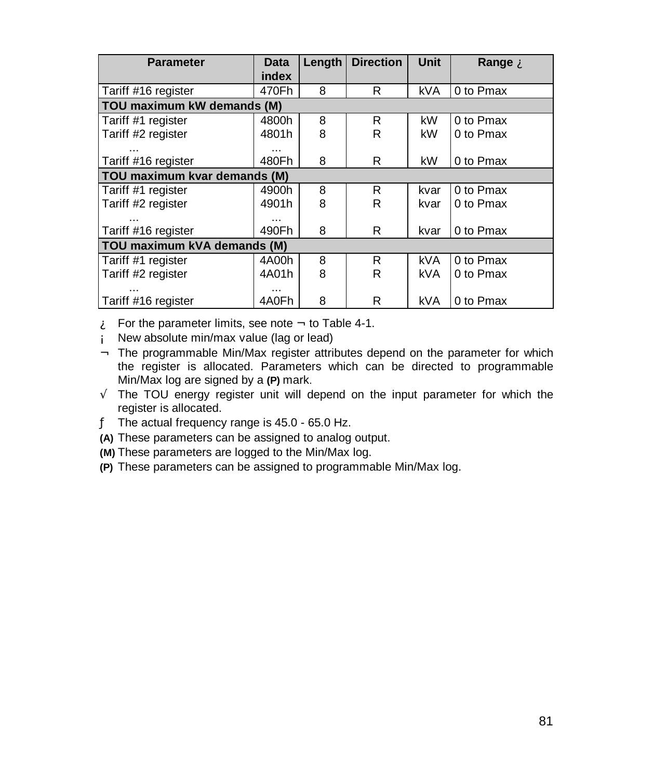| <b>Parameter</b>             | <b>Data</b> | Length | <b>Direction</b> | Unit       | Range A   |  |  |  |  |
|------------------------------|-------------|--------|------------------|------------|-----------|--|--|--|--|
|                              | index       |        |                  |            |           |  |  |  |  |
| Tariff #16 register          | 470Fh       | 8      | R                | kVA        | 0 to Pmax |  |  |  |  |
| TOU maximum kW demands (M)   |             |        |                  |            |           |  |  |  |  |
| Tariff #1 register           | 4800h       | 8      | R.               | kW         | 0 to Pmax |  |  |  |  |
| Tariff #2 register           | 4801h       | 8      | R                | kW         | 0 to Pmax |  |  |  |  |
|                              | $\cdots$    |        |                  |            |           |  |  |  |  |
| Tariff #16 register          | 480Fh       | 8      | R                | kW         | 0 to Pmax |  |  |  |  |
| TOU maximum kvar demands (M) |             |        |                  |            |           |  |  |  |  |
| Tariff #1 register           | 4900h       | 8      | R                | kvar       | 0 to Pmax |  |  |  |  |
| Tariff #2 register           | 4901h       | 8      | R                | kvar       | 0 to Pmax |  |  |  |  |
|                              |             |        |                  |            |           |  |  |  |  |
| Tariff #16 register          | 490Fh       | 8      | R                | kvar       | 0 to Pmax |  |  |  |  |
| TOU maximum kVA demands (M)  |             |        |                  |            |           |  |  |  |  |
| Tariff #1 register           | 4A00h       | 8      | R.               | kVA.       | 0 to Pmax |  |  |  |  |
| Tariff #2 register           | 4A01h       | 8      | R                | <b>kVA</b> | 0 to Pmax |  |  |  |  |
|                              |             |        |                  |            |           |  |  |  |  |
| Tariff #16 register          | 4A0Fh       | 8      | R                | kVA        | 0 to Pmax |  |  |  |  |

- $\mathbf{\hat{A}}$  For the parameter limits, see note  $\mathbf{\hat{A}}$  to Table 4-1.
- Á New absolute min/max value (lag or lead)
- Â The programmable Min/Max register attributes depend on the parameter for which the register is allocated. Parameters which can be directed to programmable Min/Max log are signed by a **(P)** mark.
- Ã The TOU energy register unit will depend on the input parameter for which the register is allocated.
- Ä The actual frequency range is 45.0 65.0 Hz.
- **(A)** These parameters can be assigned to analog output.
- **(M)** These parameters are logged to the Min/Max log.
- **(P)** These parameters can be assigned to programmable Min/Max log.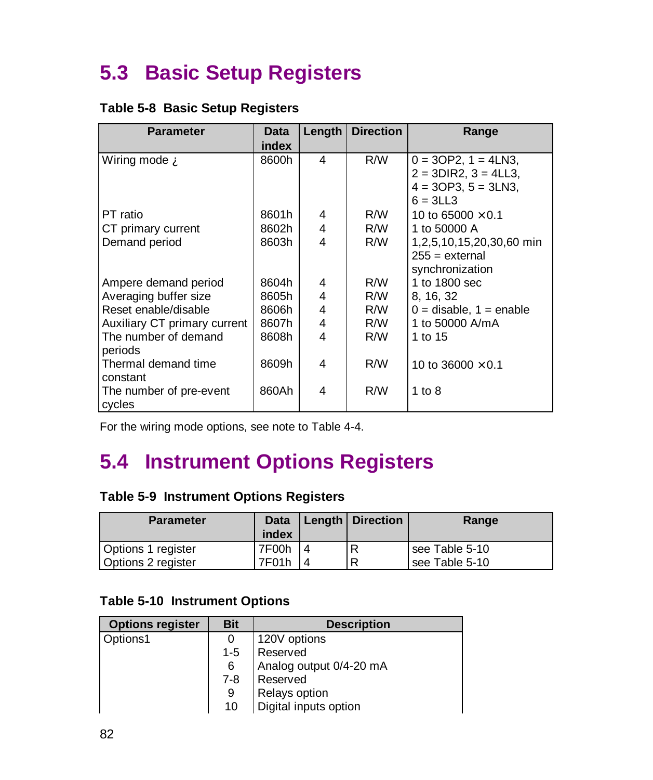## **5.3 Basic Setup Registers**

### **Table 5-8 Basic Setup Registers**

| <b>Parameter</b>             | <b>Data</b> | Length | <b>Direction</b> | Range                       |
|------------------------------|-------------|--------|------------------|-----------------------------|
|                              | index       |        |                  |                             |
| Wiring mode A                | 8600h       | 4      | R/W              | $0 = 3OP2$ , $1 = 4LN3$ ,   |
|                              |             |        |                  | $2 = 3DIR2$ , $3 = 4LL3$ ,  |
|                              |             |        |                  | $4 = 3OP3$ , $5 = 3LN3$ ,   |
|                              |             |        |                  | $6 = 3LL3$                  |
| PT ratio                     | 8601h       | 4      | R/W              | 10 to 65000 $\times$ 0.1    |
| CT primary current           | 8602h       | 4      | R/W              | 1 to 50000 A                |
| Demand period                | 8603h       | 4      | R/W              | 1,2,5,10,15,20,30,60 min    |
|                              |             |        |                  | $255 =$ external            |
|                              |             |        |                  | synchronization             |
| Ampere demand period         | 8604h       | 4      | R/W              | 1 to 1800 sec               |
| Averaging buffer size        | 8605h       | 4      | R/W              | 8, 16, 32                   |
| Reset enable/disable         | 8606h       | 4      | R/W              | $0 =$ disable, $1 =$ enable |
| Auxiliary CT primary current | 8607h       | 4      | R/W              | 1 to 50000 A/mA             |
| The number of demand         | 8608h       | 4      | R/W              | 1 to 15                     |
| periods                      |             |        |                  |                             |
| Thermal demand time          | 8609h       | 4      | R/W              | 10 to 36000 $\times$ 0.1    |
| constant                     |             |        |                  |                             |
| The number of pre-event      | 860Ah       | 4      | R/W              | 1 to $8$                    |
| cycles                       |             |        |                  |                             |

For the wiring mode options, see note to Table 4-4.

## **5.4 Instrument Options Registers**

## **Table 5-9 Instrument Options Registers**

| <b>Parameter</b>                         | Data<br>index  | Length   Direction | Range                            |
|------------------------------------------|----------------|--------------------|----------------------------------|
| Options 1 register<br>Options 2 register | 7F00h<br>7F01h | D                  | see Table 5-10<br>see Table 5-10 |

#### **Table 5-10 Instrument Options**

| <b>Options register</b> | <b>Bit</b> | <b>Description</b>      |  |
|-------------------------|------------|-------------------------|--|
| Options1                |            | 120V options            |  |
|                         | $1 - 5$    | Reserved                |  |
|                         | 6          | Analog output 0/4-20 mA |  |
|                         | 7-8        | Reserved                |  |
|                         | 9          | Relays option           |  |
|                         | 10         | Digital inputs option   |  |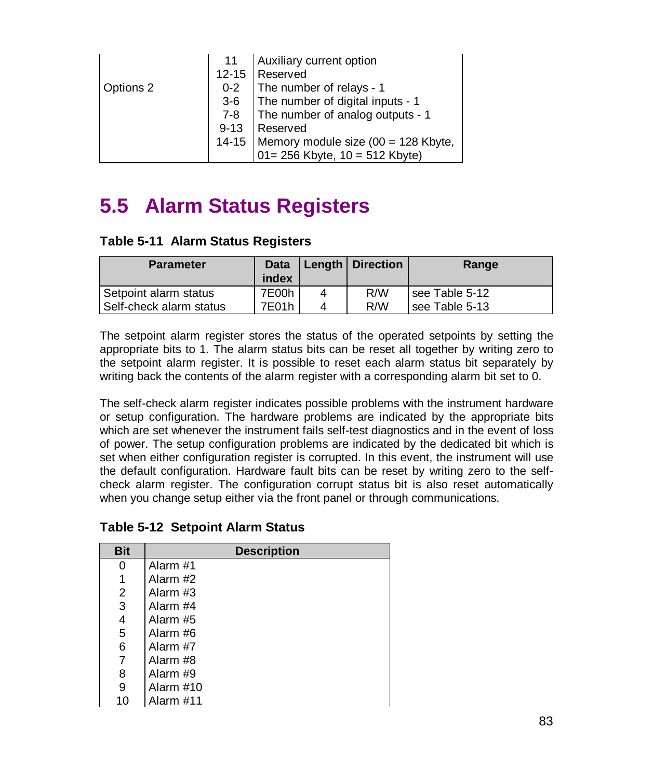|           |          | Auxiliary current option                                                    |  |
|-----------|----------|-----------------------------------------------------------------------------|--|
|           |          | 12-15 Reserved                                                              |  |
| Options 2 | $0 - 2$  | The number of relays - 1                                                    |  |
|           |          | 3-6   The number of digital inputs - 1                                      |  |
|           | 7-8      | The number of analog outputs - 1                                            |  |
|           | $9 - 13$ | Reserved                                                                    |  |
|           |          |                                                                             |  |
|           |          | 14-15 Memory module size (00 = 128 Kbyte,<br>01= 256 Kbyte, 10 = 512 Kbyte) |  |

## **5.5 Alarm Status Registers**

| Table 5-11 Alarm Status Registers |  |  |  |
|-----------------------------------|--|--|--|
|-----------------------------------|--|--|--|

| <b>Parameter</b>        | Data<br>index |   | <b>Length   Direction</b> | Range          |
|-------------------------|---------------|---|---------------------------|----------------|
| Setpoint alarm status   | 7E00h         | 4 | R/W                       | see Table 5-12 |
| Self-check alarm status | 7E01h         |   | R/W                       | see Table 5-13 |

The setpoint alarm register stores the status of the operated setpoints by setting the appropriate bits to 1. The alarm status bits can be reset all together by writing zero to the setpoint alarm register. It is possible to reset each alarm status bit separately by writing back the contents of the alarm register with a corresponding alarm bit set to 0.

The self-check alarm register indicates possible problems with the instrument hardware or setup configuration. The hardware problems are indicated by the appropriate bits which are set whenever the instrument fails self-test diagnostics and in the event of loss of power. The setup configuration problems are indicated by the dedicated bit which is set when either configuration register is corrupted. In this event, the instrument will use the default configuration. Hardware fault bits can be reset by writing zero to the selfcheck alarm register. The configuration corrupt status bit is also reset automatically when you change setup either via the front panel or through communications.

| <b>Table 5-12 Setpoint Alarm Status</b> |
|-----------------------------------------|
|-----------------------------------------|

| <b>Bit</b> | <b>Description</b> |  |  |  |  |
|------------|--------------------|--|--|--|--|
| 0          | Alarm #1           |  |  |  |  |
| 1          | Alarm #2           |  |  |  |  |
| 2          | Alarm #3           |  |  |  |  |
| 3          | Alarm #4           |  |  |  |  |
| 4          | Alarm #5           |  |  |  |  |
| 5          | Alarm #6           |  |  |  |  |
| 6          | Alarm #7           |  |  |  |  |
| 7          | Alarm #8           |  |  |  |  |
| 8          | Alarm #9           |  |  |  |  |
| 9          | Alarm #10          |  |  |  |  |
| 10         | Alarm #11          |  |  |  |  |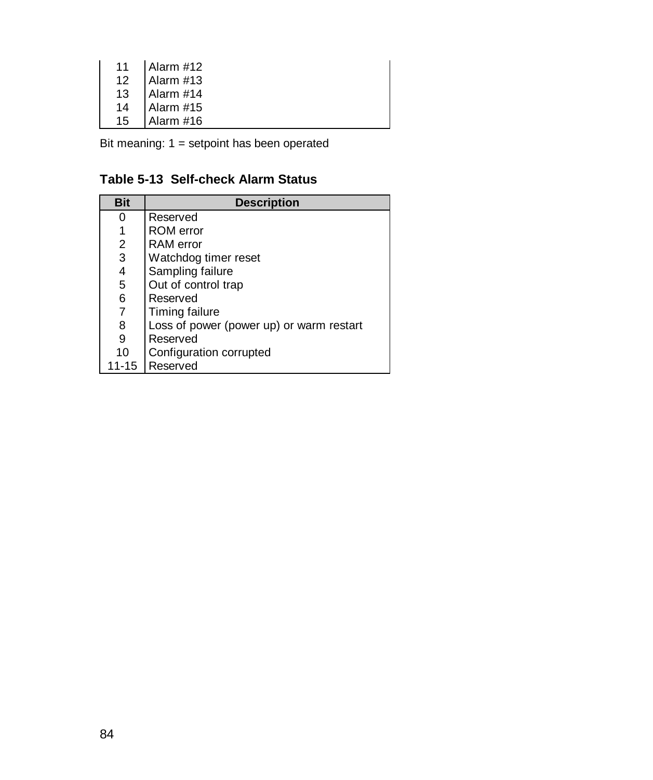| 11 | Alarm #12 |
|----|-----------|
| 12 | Alarm #13 |
| 13 | Alarm #14 |
| 14 | Alarm #15 |
| 15 | Alarm #16 |

Bit meaning: 1 = setpoint has been operated

### **Table 5-13 Self-check Alarm Status**

| <b>Bit</b> | <b>Description</b>                       |
|------------|------------------------------------------|
| 0          | Reserved                                 |
|            | ROM error                                |
| 2          | <b>RAM</b> error                         |
| 3          | Watchdog timer reset                     |
| 4          | Sampling failure                         |
| 5          | Out of control trap                      |
| 6          | Reserved                                 |
| 7          | Timing failure                           |
| 8          | Loss of power (power up) or warm restart |
| 9          | Reserved                                 |
| 10         | Configuration corrupted                  |
| $11 - 15$  | Reserved                                 |